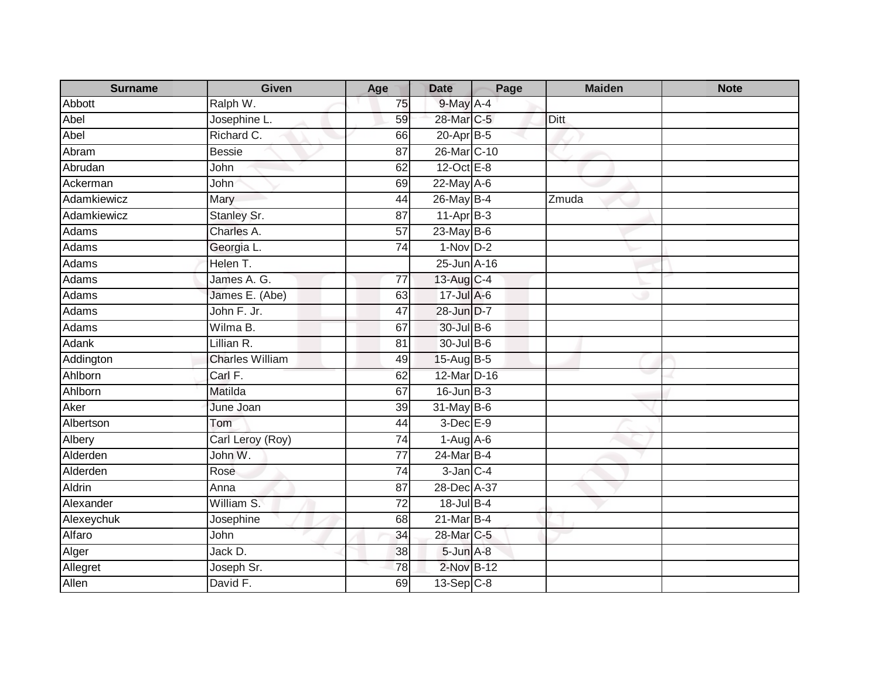| <b>Surname</b> | <b>Given</b>           | Age             | <b>Date</b>       | Page | <b>Maiden</b> | <b>Note</b> |
|----------------|------------------------|-----------------|-------------------|------|---------------|-------------|
| Abbott         | Ralph W.               | 75              | $9$ -May $A - 4$  |      |               |             |
| Abel           | Josephine L.           | 59              | 28-Mar C-5        |      | Ditt          |             |
| Abel           | Richard C.             | 66              | 20-Apr B-5        |      |               |             |
| Abram          | <b>Bessie</b>          | $\overline{87}$ | 26-Mar C-10       |      |               |             |
| Abrudan        | John                   | 62              | $12$ -Oct $E - 8$ |      |               |             |
| Ackerman       | John                   | 69              | $22$ -May $A-6$   |      |               |             |
| Adamkiewicz    | Mary                   | 44              | 26-May B-4        |      | Zmuda         |             |
| Adamkiewicz    | Stanley Sr.            | 87              | $11-AprB-3$       |      |               |             |
| Adams          | Charles A.             | 57              | $23$ -May B-6     |      |               |             |
| Adams          | Georgia L.             | $\overline{74}$ | $1-Nov$ D-2       |      |               |             |
| Adams          | Helen T.               |                 | 25-Jun A-16       |      |               |             |
| Adams          | James A. G.            | $\overline{77}$ | 13-Aug C-4        |      |               |             |
| Adams          | James E. (Abe)         | 63              | $17 -$ Jul A-6    |      |               |             |
| <b>Adams</b>   | John F. Jr.            | 47              | 28-Jun D-7        |      |               |             |
| Adams          | Wilma B.               | 67              | 30-Jul B-6        |      |               |             |
| Adank          | Lillian R.             | 81              | 30-Jul B-6        |      |               |             |
| Addington      | <b>Charles William</b> | 49              | 15-Aug B-5        |      |               |             |
| Ahlborn        | Carl F.                | 62              | 12-Mar D-16       |      |               |             |
| Ahlborn        | Matilda                | 67              | $16$ -Jun $B-3$   |      |               |             |
| Aker           | June Joan              | 39              | 31-May B-6        |      |               |             |
| Albertson      | Tom                    | 44              | 3-Dec E-9         |      |               |             |
| Albery         | Carl Leroy (Roy)       | 74              | $1-Aug$ $A-6$     |      |               |             |
| Alderden       | John W.                | $\overline{77}$ | 24-Mar B-4        |      |               |             |
| Alderden       | Rose                   | 74              | $3$ -Jan $C-4$    |      |               |             |
| Aldrin         | Anna                   | 87              | 28-Dec A-37       |      |               |             |
| Alexander      | William S.             | $\overline{72}$ | 18-Jul B-4        |      |               |             |
| Alexeychuk     | Josephine              | 68              | $21$ -Mar $B-4$   |      |               |             |
| Alfaro         | John                   | 34              | 28-Mar C-5        |      |               |             |
| Alger          | Jack D.                | 38              | 5-Jun A-8         |      |               |             |
| Allegret       | Joseph Sr.             | 78              | 2-Nov B-12        |      |               |             |
| Allen          | David F.               | 69              | $13-Sep$ C-8      |      |               |             |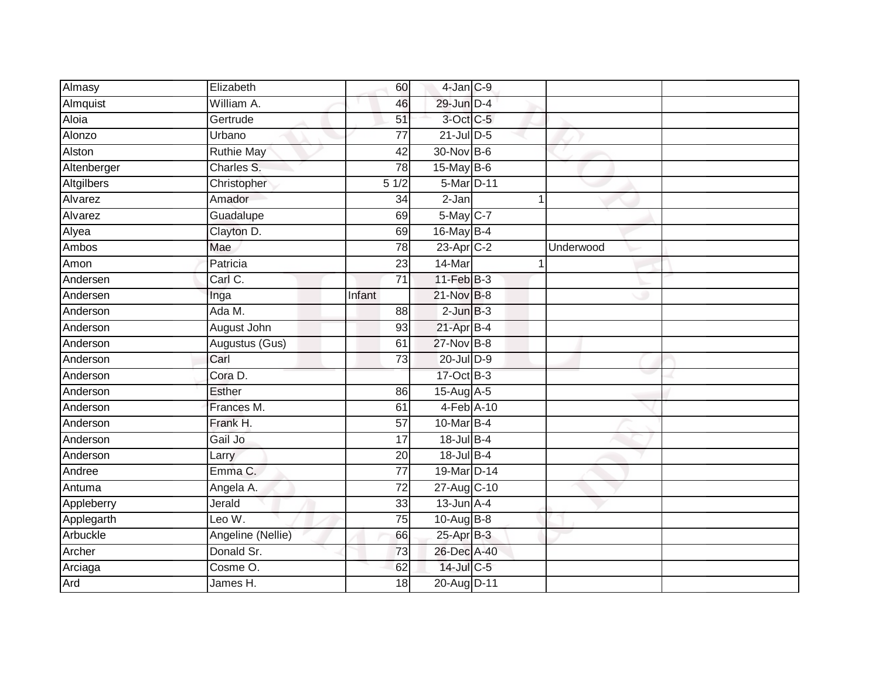| Almasy      | Elizabeth         | 60              | $4$ -Jan $C-9$  |           |  |
|-------------|-------------------|-----------------|-----------------|-----------|--|
| Almquist    | William A.        | 46              | 29-Jun D-4      |           |  |
| Aloia       | Gertrude          | 51              | 3-Oct C-5       |           |  |
| Alonzo      | Urbano            | $\overline{77}$ | $21$ -Jul $D-5$ |           |  |
| Alston      | <b>Ruthie May</b> | 42              | 30-Nov B-6      |           |  |
| Altenberger | Charles S.        | 78              | 15-May B-6      |           |  |
| Altgilbers  | Christopher       | 51/2            | 5-Mar D-11      |           |  |
| Alvarez     | Amador            | 34              | 2-Jan           |           |  |
| Alvarez     | Guadalupe         | 69              | 5-May C-7       |           |  |
| Alyea       | Clayton D.        | 69              | 16-May B-4      |           |  |
| Ambos       | Mae               | 78              | $23$ -Apr $C-2$ | Underwood |  |
| Amon        | Patricia          | 23              | 14-Mar          |           |  |
| Andersen    | Carl C.           | $\overline{71}$ | $11-Feb$ B-3    |           |  |
| Andersen    | Inga              | Infant          | 21-Nov B-8      |           |  |
| Anderson    | Ada M.            | $\overline{88}$ | $2$ -Jun $B-3$  |           |  |
| Anderson    | August John       | 93              | 21-Apr B-4      |           |  |
| Anderson    | Augustus (Gus)    | 61              | 27-Nov B-8      |           |  |
| Anderson    | Carl              | 73              | 20-Jul D-9      |           |  |
| Anderson    | Cora D.           |                 | 17-Oct B-3      |           |  |
| Anderson    | <b>Esther</b>     | 86              | 15-Aug A-5      |           |  |
| Anderson    | Frances M.        | 61              | 4-Feb A-10      |           |  |
| Anderson    | Frank H.          | $\overline{57}$ | 10-Mar B-4      |           |  |
| Anderson    | Gail Jo           | 17              | 18-Jul B-4      |           |  |
| Anderson    | Larry             | 20              | 18-Jul B-4      |           |  |
| Andree      | Emma C.           | $\overline{77}$ | 19-Mar D-14     |           |  |
| Antuma      | Angela A.         | $\overline{72}$ | 27-Aug C-10     |           |  |
| Appleberry  | Jerald            | 33              | $13$ -Jun $A-4$ |           |  |
| Applegarth  | Leo W.            | 75              | 10-Aug B-8      |           |  |
| Arbuckle    | Angeline (Nellie) | 66              | 25-Apr B-3      |           |  |
| Archer      | Donald Sr.        | 73              | 26-Dec A-40     |           |  |
| Arciaga     | Cosme O.          | 62              | 14-Jul C-5      |           |  |
| Ard         | James H.          | 18              | 20-Aug D-11     |           |  |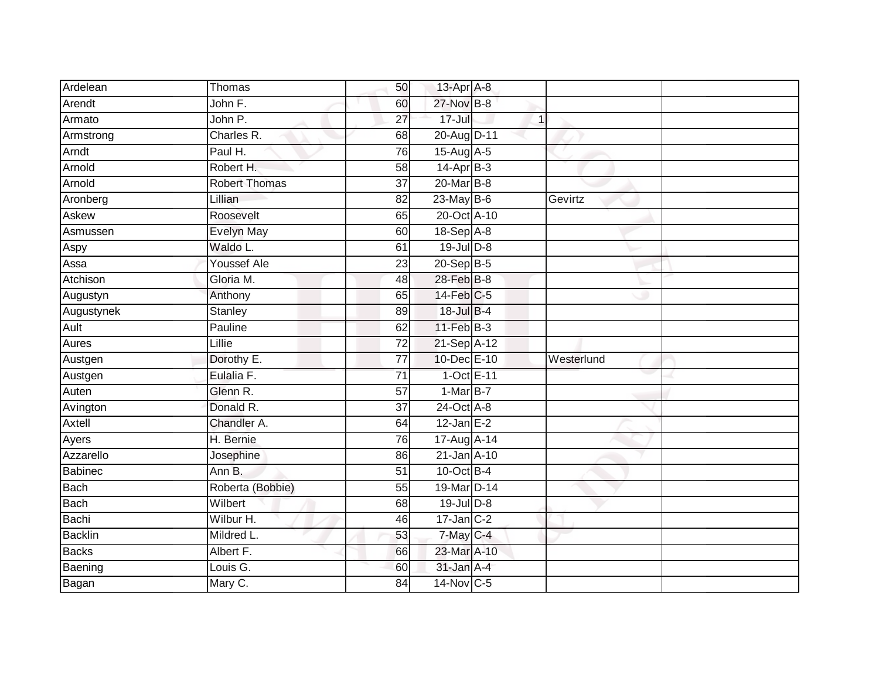| Ardelean       | Thomas               | 50              | 13-Apr A-8      |              |            |
|----------------|----------------------|-----------------|-----------------|--------------|------------|
| Arendt         | John F.              | 60              | 27-Nov B-8      |              |            |
| Armato         | John P.              | $\overline{27}$ | $17 -$ Jul      | $\mathbf{1}$ |            |
| Armstrong      | Charles R.           | 68              | 20-Aug D-11     |              |            |
| Arndt          | Paul H.              | 76              | 15-Aug A-5      |              |            |
| Arnold         | Robert H.            | 58              | 14-Apr B-3      |              |            |
| Arnold         | <b>Robert Thomas</b> | 37              | 20-Mar B-8      |              |            |
| Aronberg       | Lillian              | 82              | $23$ -May B-6   |              | Gevirtz    |
| Askew          | Roosevelt            | 65              | 20-Oct A-10     |              |            |
| Asmussen       | <b>Evelyn May</b>    | 60              | 18-Sep A-8      |              |            |
| Aspy           | Waldo L.             | 61              | $19$ -Jul $D-8$ |              |            |
| Assa           | <b>Youssef Ale</b>   | 23              | 20-Sep B-5      |              |            |
| Atchison       | Gloria M.            | 48              | 28-Feb B-8      |              |            |
| Augustyn       | Anthony              | 65              | $14$ -Feb $C-5$ |              |            |
| Augustynek     | <b>Stanley</b>       | 89              | 18-Jul B-4      |              |            |
| Ault           | Pauline              | 62              | 11-Feb B-3      |              |            |
| <b>Aures</b>   | Lillie               | $\overline{72}$ | 21-Sep A-12     |              |            |
| Austgen        | Dorothy E.           | 77              | 10-Dec E-10     |              | Westerlund |
| Austgen        | Eulalia F.           | $\overline{71}$ | 1-Oct E-11      |              |            |
| Auten          | Glenn R.             | $\overline{57}$ | $1-MarB-7$      |              |            |
| Avington       | Donald R.            | 37              | 24-Oct A-8      |              |            |
| Axtell         | Chandler A.          | 64              | $12$ -Jan E-2   |              |            |
| Ayers          | H. Bernie            | 76              | 17-Aug A-14     |              |            |
| Azzarello      | Josephine            | 86              | 21-Jan A-10     |              |            |
| <b>Babinec</b> | Ann B.               | 51              | $10$ -Oct B-4   |              |            |
| <b>Bach</b>    | Roberta (Bobbie)     | 55              | 19-Mar D-14     |              |            |
| <b>Bach</b>    | Wilbert              | 68              | 19-Jul D-8      |              |            |
| Bachi          | Wilbur H.            | 46              | $17$ -Jan $C-2$ |              |            |
| <b>Backlin</b> | Mildred L.           | 53              | 7-May C-4       |              |            |
| <b>Backs</b>   | Albert F.            | 66              | 23-Mar A-10     |              |            |
| Baening        | Louis G.             | 60              | 31-Jan A-4      |              |            |
| Bagan          | Mary C.              | $\overline{84}$ | 14-Nov C-5      |              |            |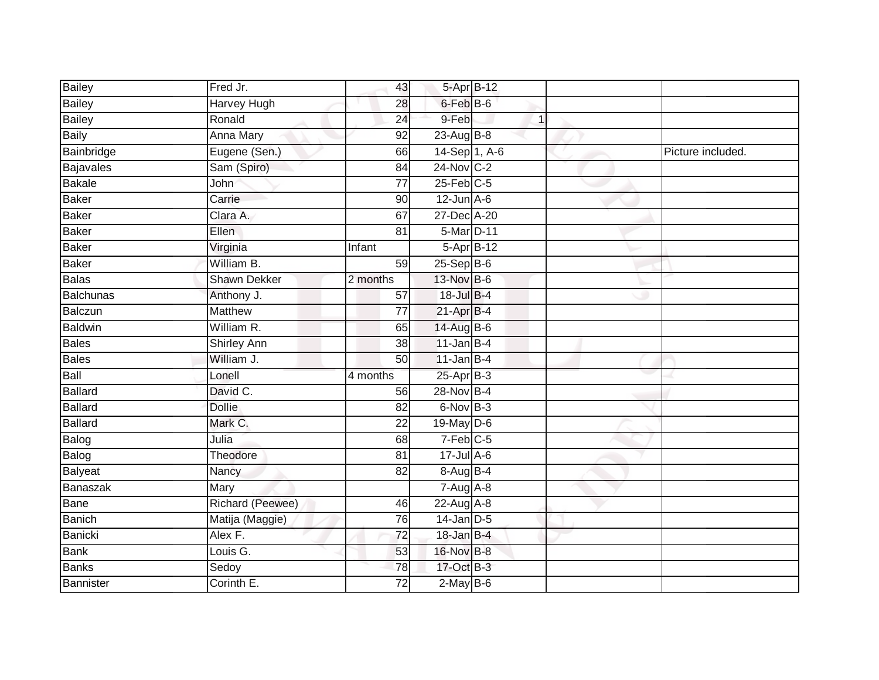| Bailey           | Fred Jr.            | 43              | 5-Apr B-12             |              |                   |
|------------------|---------------------|-----------------|------------------------|--------------|-------------------|
| <b>Bailey</b>    | <b>Harvey Hugh</b>  | 28              | 6-Feb B-6              |              |                   |
| <b>Bailey</b>    | Ronald              | $\overline{24}$ | 9-Feb                  | $\mathbf{1}$ |                   |
| <b>Baily</b>     | Anna Mary           | 92              | 23-Aug $B-8$           |              |                   |
| Bainbridge       | Eugene (Sen.)       | 66              | 14-Sep 1, A-6          |              | Picture included. |
| Bajavales        | Sam (Spiro)         | 84              | $24$ -Nov $ C-2 $      |              |                   |
| Bakale           | John                | $\overline{77}$ | $25$ -Feb $C$ -5       |              |                   |
| <b>Baker</b>     | Carrie              | 90              | $12$ -Jun $A-6$        |              |                   |
| Baker            | Clara A.            | 67              | 27-Dec A-20            |              |                   |
| Baker            | Ellen.              | 81              | 5-Mar D-11             |              |                   |
| <b>Baker</b>     | Virginia            | Infant          | 5-Apr B-12             |              |                   |
| Baker            | William B.          | 59              | $25-$ Sep $B-6$        |              |                   |
| <b>Balas</b>     | <b>Shawn Dekker</b> | 2 months        | 13-Nov B-6             |              |                   |
| <b>Balchunas</b> | Anthony J.          | 57              | 18-Jul B-4             |              |                   |
| Balczun          | <b>Matthew</b>      | $\overline{77}$ | 21-Apr B-4             |              |                   |
| Baldwin          | William R.          | 65              | 14-Aug B-6             |              |                   |
| Bales            | <b>Shirley Ann</b>  | $\overline{38}$ | $11$ -Jan B-4          |              |                   |
| <b>Bales</b>     | William J.          | 50              | $11$ -Jan B-4          |              |                   |
| Ball             | Lonell              | 4 months        | $25$ -Apr $B-3$        |              |                   |
| <b>Ballard</b>   | David C.            | 56              | 28-Nov B-4             |              |                   |
| Ballard          | <b>Dollie</b>       | 82              | 6-Nov B-3              |              |                   |
| <b>Ballard</b>   | Mark C.             | 22              | $19$ -May $D$ -6       |              |                   |
| Balog            | Julia               | 68              | $7-Feb$ <sub>C-5</sub> |              |                   |
| Balog            | Theodore            | 81              | $17 -$ Jul A-6         |              |                   |
| Balyeat          | Nancy               | 82              | $8-Aug$ B-4            |              |                   |
| Banaszak         | Mary                |                 | 7-Aug A-8              |              |                   |
| Bane             | Richard (Peewee)    | 46              | 22-Aug A-8             |              |                   |
| Banich           | Matija (Maggie)     | 76              | $14$ -Jan D-5          |              |                   |
| Banicki          | Alex F.             | 72              | $18$ -Jan B-4          |              |                   |
| <b>Bank</b>      | Louis G.            | 53              | 16-Nov B-8             |              |                   |
| Banks            | Sedoy               | 78              | 17-Oct B-3             |              |                   |
| Bannister        | Corinth E.          | $\overline{72}$ | $2$ -May $B$ -6        |              |                   |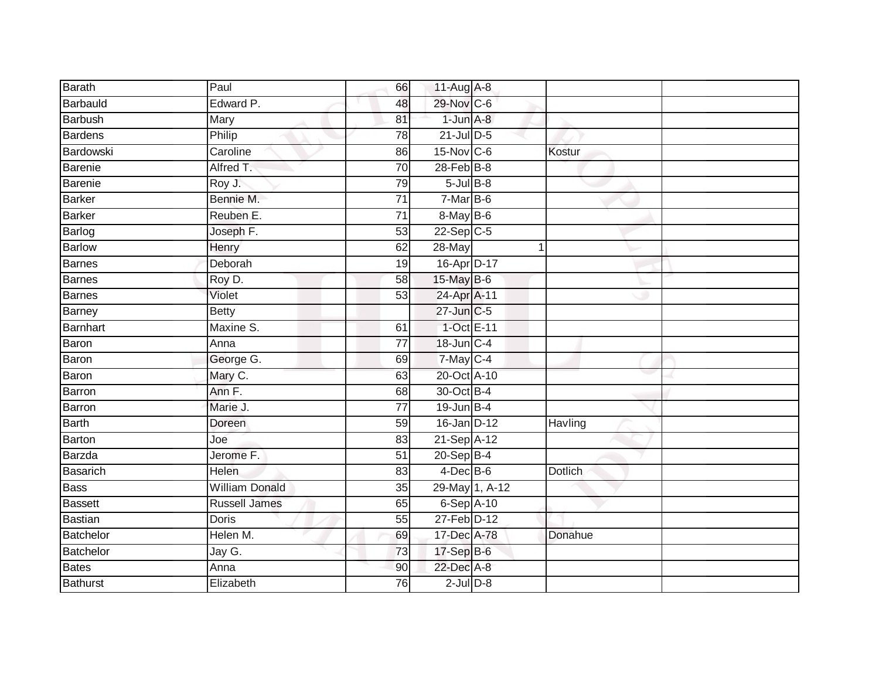| Barath         | Paul                  | 66              | 11-Aug A-8        |                |                |  |
|----------------|-----------------------|-----------------|-------------------|----------------|----------------|--|
| Barbauld       | Edward P.             | 48              | 29-Nov C-6        |                |                |  |
| <b>Barbush</b> | Mary                  | 81              | $1$ -Jun $A-8$    |                |                |  |
| Bardens        | Philip                | 78              | $21$ -Jul $D-5$   |                |                |  |
| Bardowski      | Caroline              | 86              | 15-Nov C-6        |                | Kostur         |  |
| Barenie        | Alfred T.             | 70              | $28$ -Feb $B$ -8  |                |                |  |
| Barenie        | Roy J.                | 79              | $5$ -Jul $B$ -8   |                |                |  |
| <b>Barker</b>  | Bennie M.             | 71              | 7-Mar B-6         |                |                |  |
| <b>Barker</b>  | Reuben E.             | $\overline{71}$ | 8-May B-6         |                |                |  |
| Barlog         | Joseph F.             | 53              | $22-Sep C-5$      |                |                |  |
| <b>Barlow</b>  | Henry                 | 62              | 28-May            |                |                |  |
| Barnes         | Deborah               | 19              | 16-Apr D-17       |                |                |  |
| Barnes         | Roy D.                | 58              | 15-May B-6        |                |                |  |
| Barnes         | Violet                | 53              | 24-Apr A-11       |                |                |  |
| Barney         | <b>Betty</b>          |                 | 27-Jun C-5        |                |                |  |
| Barnhart       | Maxine S.             | 61              | 1-Oct E-11        |                |                |  |
| Baron          | Anna                  | $\overline{77}$ | 18-Jun C-4        |                |                |  |
| Baron          | George G.             | 69              | 7-May C-4         |                |                |  |
| Baron          | Mary C.               | 63              | 20-Oct A-10       |                |                |  |
| Barron         | Ann F.                | 68              | 30-Oct B-4        |                |                |  |
| Barron         | Marie J.              | 77              | $19$ -Jun $B - 4$ |                |                |  |
| <b>Barth</b>   | Doreen                | 59              | 16-Jan D-12       |                | Havling        |  |
| Barton         | Joe                   | 83              | 21-Sep A-12       |                |                |  |
| Barzda         | Jerome F.             | $\overline{51}$ | $20-$ Sep $B-4$   |                |                |  |
| Basarich       | Helen                 | 83              | $4$ -Dec $B$ -6   |                | <b>Dotlich</b> |  |
| <b>Bass</b>    | <b>William Donald</b> | 35              |                   | 29-May 1, A-12 |                |  |
| <b>Bassett</b> | <b>Russell James</b>  | 65              | 6-Sep A-10        |                |                |  |
| Bastian        | <b>Doris</b>          | 55              | 27-Feb D-12       |                |                |  |
| Batchelor      | Helen M.              | 69              | 17-Dec A-78       |                | Donahue        |  |
| Batchelor      | Jay G.                | 73              | 17-Sep B-6        |                |                |  |
| <b>Bates</b>   | Anna                  | 90              | 22-Dec A-8        |                |                |  |
| Bathurst       | Elizabeth             | 76              | $2$ -Jul $D-8$    |                |                |  |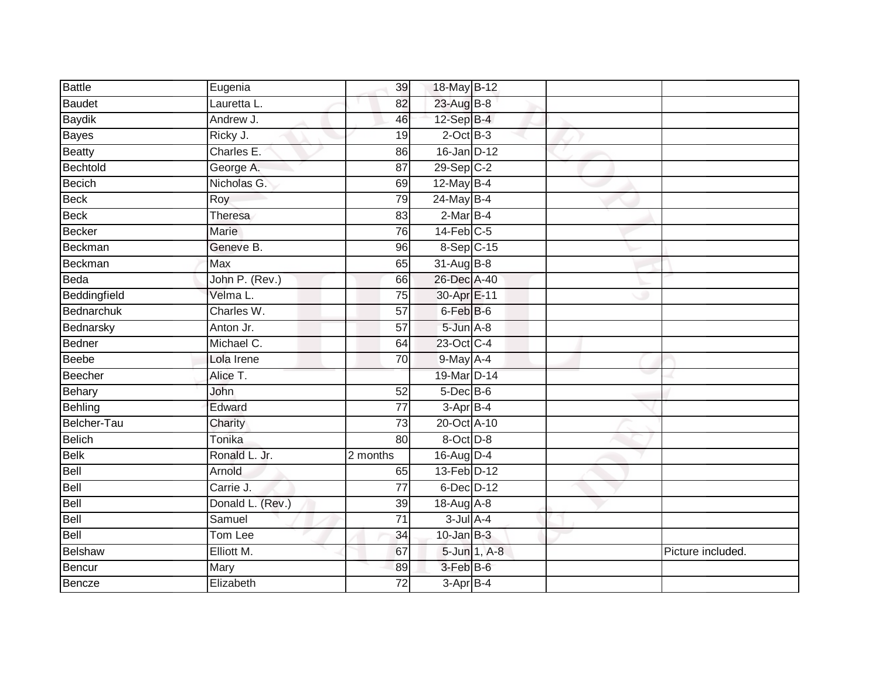| Battle        | Eugenia          | 39              | 18-May B-12             |              |                   |
|---------------|------------------|-----------------|-------------------------|--------------|-------------------|
| Baudet        | Lauretta L.      | 82              | 23-Aug B-8              |              |                   |
| <b>Baydik</b> | Andrew J.        | 46              | $12-SepB-4$             |              |                   |
| <b>Bayes</b>  | Ricky J.         | 19              | $2$ -Oct $B-3$          |              |                   |
| Beatty        | Charles E.       | 86              | 16-Jan D-12             |              |                   |
| Bechtold      | George A.        | 87              | $29-Sep$ <sub>C-2</sub> |              |                   |
| <b>Becich</b> | Nicholas G.      | 69              | $12$ -May B-4           |              |                   |
| Beck          | Roy              | 79              | 24-May B-4              |              |                   |
| Beck          | <b>Theresa</b>   | 83              | $2-MarB-4$              |              |                   |
| Becker        | Marie            | 76              | $14$ -Feb $C-5$         |              |                   |
| Beckman       | Geneve B.        | 96              | 8-Sep C-15              |              |                   |
| Beckman       | <b>Max</b>       | 65              | 31-Aug B-8              |              |                   |
| Beda          | John P. (Rev.)   | 66              | 26-Dec A-40             |              |                   |
| Beddingfield  | Velma L.         | 75              | 30-Apr E-11             |              |                   |
| Bednarchuk    | Charles W.       | $\overline{57}$ | 6-Feb B-6               |              |                   |
| Bednarsky     | Anton Jr.        | 57              | 5-Jun A-8               |              |                   |
| Bedner        | Michael C.       | 64              | 23-Oct C-4              |              |                   |
| <b>Beebe</b>  | Lola Irene       | 70              | 9-May A-4               |              |                   |
| Beecher       | Alice T.         |                 | 19-Mar D-14             |              |                   |
| Behary        | John             | 52              | $5$ -Dec $B$ -6         |              |                   |
| Behling       | Edward           | 77              | 3-Apr B-4               |              |                   |
| Belcher-Tau   | Charity          | $\overline{73}$ | 20-Oct A-10             |              |                   |
| Belich        | Tonika           | 80              | 8-Oct D-8               |              |                   |
| <b>Belk</b>   | Ronald L. Jr.    | 2 months        | 16-Aug D-4              |              |                   |
| Bell          | Arnold           | 65              | 13-Feb D-12             |              |                   |
| Bell          | Carrie J.        | 77              | $6$ -Dec $D-12$         |              |                   |
| Bell          | Donald L. (Rev.) | 39              | 18-Aug A-8              |              |                   |
| Bell          | Samuel           | 71              | $3$ -Jul $A$ -4         |              |                   |
| <b>Bell</b>   | Tom Lee          | 34              | $10$ -Jan B-3           |              |                   |
| Belshaw       | Elliott M.       | 67              |                         | 5-Jun 1, A-8 | Picture included. |
| Bencur        | Mary             | 89              | 3-Feb B-6               |              |                   |
| Bencze        | Elizabeth        | $\overline{72}$ | $3-AprB-4$              |              |                   |
|               |                  |                 |                         |              |                   |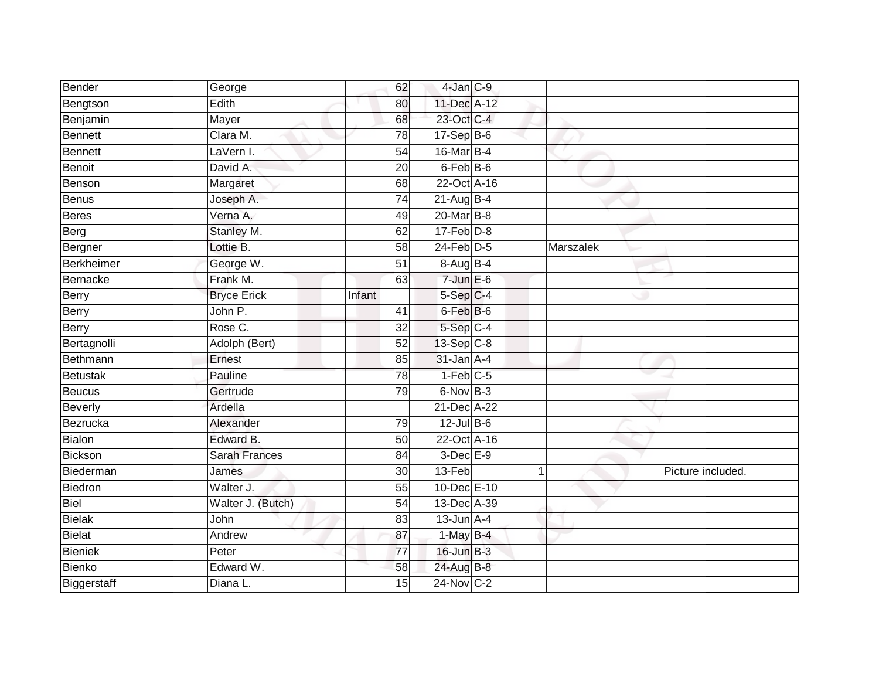| Bender         | George               | 62              | 4-Jan C-9         |           |                   |
|----------------|----------------------|-----------------|-------------------|-----------|-------------------|
| Bengtson       | Edith                | 80              | 11-Dec A-12       |           |                   |
| Benjamin       | Mayer                | 68              | 23-Oct C-4        |           |                   |
| Bennett        | Clara M.             | 78              | 17-Sep B-6        |           |                   |
| Bennett        | LaVern I.            | $\overline{54}$ | 16-Mar B-4        |           |                   |
| <b>Benoit</b>  | David A.             | 20              | 6-Feb B-6         |           |                   |
| Benson         | Margaret             | 68              | 22-Oct A-16       |           |                   |
| Benus          | Joseph A.            | 74              | $21$ -Aug B-4     |           |                   |
| Beres          | Verna A.             | 49              | 20-Mar B-8        |           |                   |
| Berg           | Stanley M.           | 62              | $17$ -Feb $D-8$   |           |                   |
| Bergner        | Lottie B.            | 58              | $24$ -Feb $D-5$   | Marszalek |                   |
| Berkheimer     | George W.            | 51              | $8-AugB-4$        |           |                   |
| Bernacke       | Frank M.             | 63              | $7 - Jun$ $E - 6$ |           |                   |
| Berry          | <b>Bryce Erick</b>   | Infant          | $5-Sep$ $C-4$     |           |                   |
| Berry          | John P.              | $\overline{41}$ | 6-Feb B-6         |           |                   |
| Berry          | Rose C.              | 32              | 5-Sep C-4         |           |                   |
| Bertagnolli    | Adolph (Bert)        | 52              | $13-Sep C-8$      |           |                   |
| Bethmann       | Ernest               | 85              | $31$ -Jan $A-4$   |           |                   |
| Betustak       | Pauline              | 78              | 1-Feb C-5         |           |                   |
| Beucus         | Gertrude             | 79              | 6-Nov B-3         |           |                   |
| Beverly        | Ardella              |                 | 21-Dec A-22       |           |                   |
| Bezrucka       | Alexander            | 79              | $12$ -Jul B-6     |           |                   |
| Bialon         | Edward B.            | 50              | 22-Oct A-16       |           |                   |
| <b>Bickson</b> | <b>Sarah Frances</b> | 84              | $3$ -Dec $E-9$    |           |                   |
| Biederman      | James                | 30              | 13-Feb            |           | Picture included. |
| Biedron        | Walter J.            | 55              | 10-Dec E-10       |           |                   |
| Biel           | Walter J. (Butch)    | $\overline{54}$ | 13-Dec A-39       |           |                   |
| <b>Bielak</b>  | John                 | 83              | $13$ -Jun $A-4$   |           |                   |
| Bielat         | Andrew               | 87              | 1-May B-4         |           |                   |
| Bieniek        | Peter                | $\overline{77}$ | $16$ -Jun $B-3$   |           |                   |
| Bienko         | Edward W.            | 58              | 24-Aug B-8        |           |                   |
| Biggerstaff    | Diana L.             | $\overline{15}$ | 24-Nov C-2        |           |                   |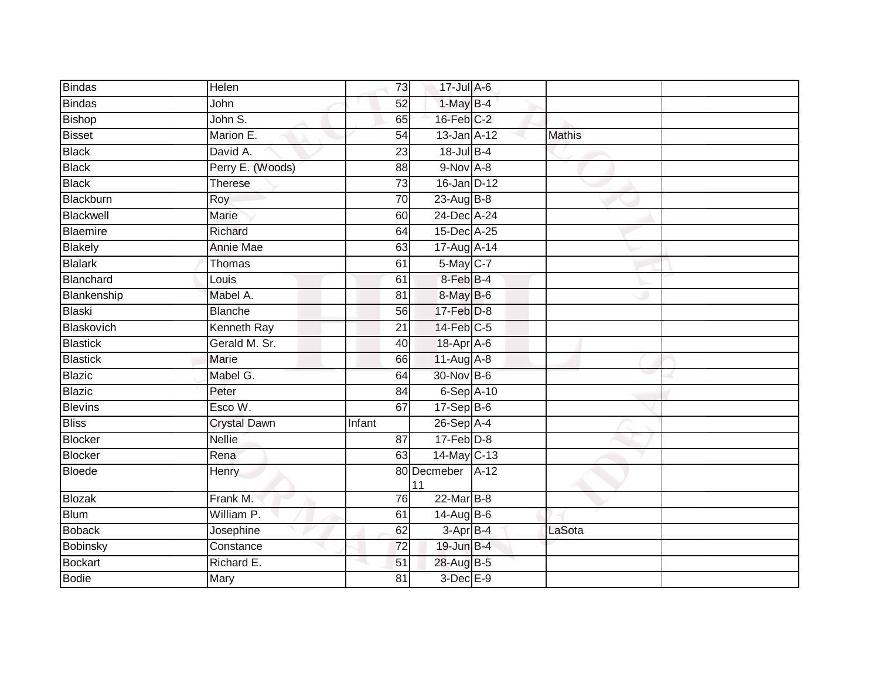| <b>Bindas</b>   | <b>Helen</b>        | 73              | 17-Jul A-6             |               |  |
|-----------------|---------------------|-----------------|------------------------|---------------|--|
| <b>Bindas</b>   | John                | 52              | $1-MayB-4$             |               |  |
| <b>Bishop</b>   | John S.             | 65              | $16$ -Feb $C-2$        |               |  |
| <b>Bisset</b>   | Marion E.           | 54              | 13-Jan A-12            | <b>Mathis</b> |  |
| <b>Black</b>    | David A.            | $\overline{23}$ | 18-Jul B-4             |               |  |
| <b>Black</b>    | Perry E. (Woods)    | 88              | $9-Nov A-8$            |               |  |
| <b>Black</b>    | <b>Therese</b>      | 73              | $16$ -Jan $D-12$       |               |  |
| Blackburn       | Roy                 | 70              | $23$ -Aug B-8          |               |  |
| Blackwell       | Marie               | 60              | 24-Dec A-24            |               |  |
| Blaemire        | Richard             | 64              | 15-Dec A-25            |               |  |
| Blakely         | Annie Mae           | 63              | 17-Aug A-14            |               |  |
| Blalark         | Thomas              | 61              | 5-May C-7              |               |  |
| Blanchard       | Louis               | 61              | 8-Feb B-4              |               |  |
| Blankenship     | Mabel A.            | 81              | 8-May B-6              |               |  |
| Blaski          | <b>Blanche</b>      | 56              | 17-Feb D-8             |               |  |
| Blaskovich      | Kenneth Ray         | $\overline{21}$ | $14$ -Feb $C-5$        |               |  |
| <b>Blastick</b> | Gerald M. Sr.       | 40              | 18-Apr A-6             |               |  |
| <b>Blastick</b> | Marie               | 66              | $11-Aug$ A-8           |               |  |
| Blazic          | Mabel G.            | 64              | 30-Nov B-6             |               |  |
| <b>Blazic</b>   | Peter               | 84              | 6-Sep A-10             |               |  |
| <b>Blevins</b>  | Esco W.             | 67              | $17-Sep$ B-6           |               |  |
| <b>Bliss</b>    | <b>Crystal Dawn</b> | Infant          | $26-Sep$ A-4           |               |  |
| <b>Blocker</b>  | <b>Nellie</b>       | 87              | $17$ -Feb $D-8$        |               |  |
| Blocker         | Rena                | 63              | 14-May C-13            |               |  |
| Bloede          | <b>Henry</b>        |                 | 80 Decmeber A-12<br>11 |               |  |
| <b>Blozak</b>   | Frank M.            | 76              | 22-Mar B-8             |               |  |
| <b>Blum</b>     | William P.          | 61              | 14-Aug B-6             |               |  |
| <b>Boback</b>   | Josephine           | 62              | 3-Apr B-4              | LaSota        |  |
| Bobinsky        | Constance           | 72              | 19-Jun B-4             |               |  |
| Bockart         | Richard E.          | 51              | 28-Aug B-5             |               |  |
| <b>Bodie</b>    | Mary                | 81              | $3$ -Dec $E-9$         |               |  |
|                 |                     |                 |                        |               |  |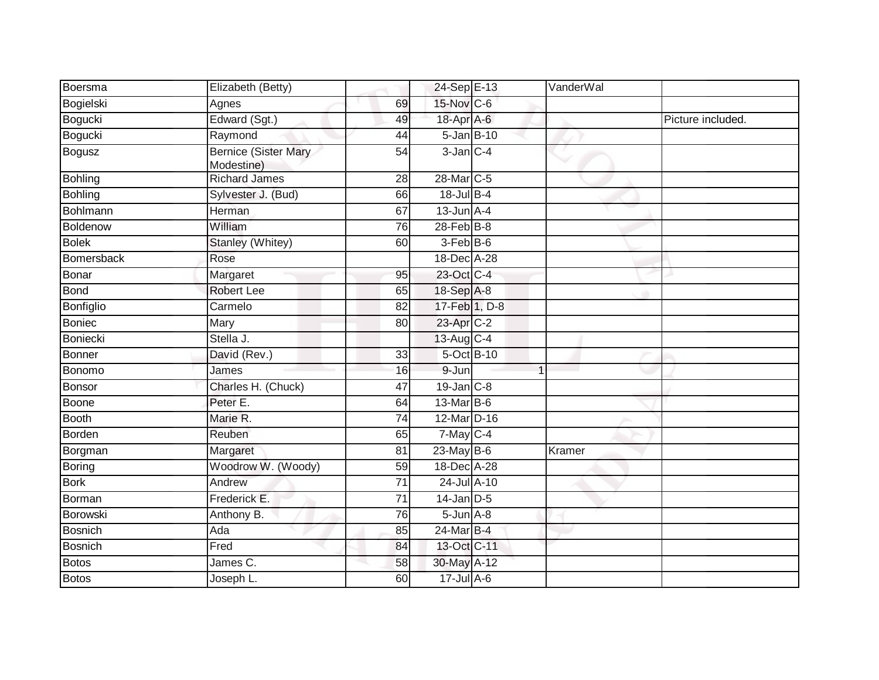| Boersma        | Elizabeth (Betty)                         |                 | 24-Sep E-13       | VanderWal      |                   |
|----------------|-------------------------------------------|-----------------|-------------------|----------------|-------------------|
| Bogielski      | Agnes                                     | 69              | 15-Nov C-6        |                |                   |
| Bogucki        | Edward (Sgt.)                             | 49              | 18-Apr A-6        |                | Picture included. |
| Bogucki        | Raymond                                   | 44              | $5$ -Jan B-10     |                |                   |
| Bogusz         | <b>Bernice (Sister Mary</b><br>Modestine) | 54              | $3$ -Jan $C-4$    |                |                   |
| <b>Bohling</b> | <b>Richard James</b>                      | 28              | 28-Mar C-5        |                |                   |
| Bohling        | Sylvester J. (Bud)                        | 66              | $18$ -Jul B-4     |                |                   |
| Bohlmann       | Herman                                    | 67              | $13$ -Jun $A-4$   |                |                   |
| Boldenow       | William                                   | 76              | $28$ -Feb $B-8$   |                |                   |
| <b>Bolek</b>   | Stanley (Whitey)                          | 60              | 3-Feb B-6         |                |                   |
| Bomersback     | Rose                                      |                 | 18-Dec A-28       |                |                   |
| Bonar          | Margaret                                  | 95              | 23-Oct C-4        |                |                   |
| Bond           | <b>Robert Lee</b>                         | 65              | 18-Sep A-8        |                |                   |
| Bonfiglio      | Carmelo                                   | 82              | 17-Feb 1, D-8     |                |                   |
| Boniec         | Mary                                      | 80              | 23-Apr C-2        |                |                   |
| Boniecki       | Stella J.                                 |                 | 13-Aug C-4        |                |                   |
| Bonner         | David (Rev.)                              | 33              | 5-Oct B-10        |                |                   |
| Bonomo         | James                                     | 16              | 9-Jun             | $\overline{1}$ |                   |
| Bonsor         | Charles H. (Chuck)                        | 47              | $19$ -Jan $C-8$   |                |                   |
| Boone          | Peter E.                                  | 64              | $13-MarB-6$       |                |                   |
| Booth          | Marie R.                                  | 74              | 12-Mar D-16       |                |                   |
| Borden         | Reuben                                    | 65              | $7$ -May $C-4$    |                |                   |
| Borgman        | Margaret                                  | 81              | $23$ -May B-6     | Kramer         |                   |
| Boring         | Woodrow W. (Woody)                        | 59              | 18-Dec A-28       |                |                   |
| <b>Bork</b>    | Andrew                                    | $\overline{71}$ | 24-Jul A-10       |                |                   |
| Borman         | Frederick E.                              | 71              | $14$ -Jan D-5     |                |                   |
| Borowski       | Anthony B.                                | 76              | $5 - Jun$ $A - 8$ |                |                   |
| Bosnich        | Ada                                       | 85              | 24-Mar B-4        |                |                   |
| <b>Bosnich</b> | Fred                                      | 84              | 13-Oct C-11       |                |                   |
| Botos          | James C.                                  | 58              | 30-May A-12       |                |                   |
| Botos          | Joseph L.                                 | 60              | $17 -$ Jul A-6    |                |                   |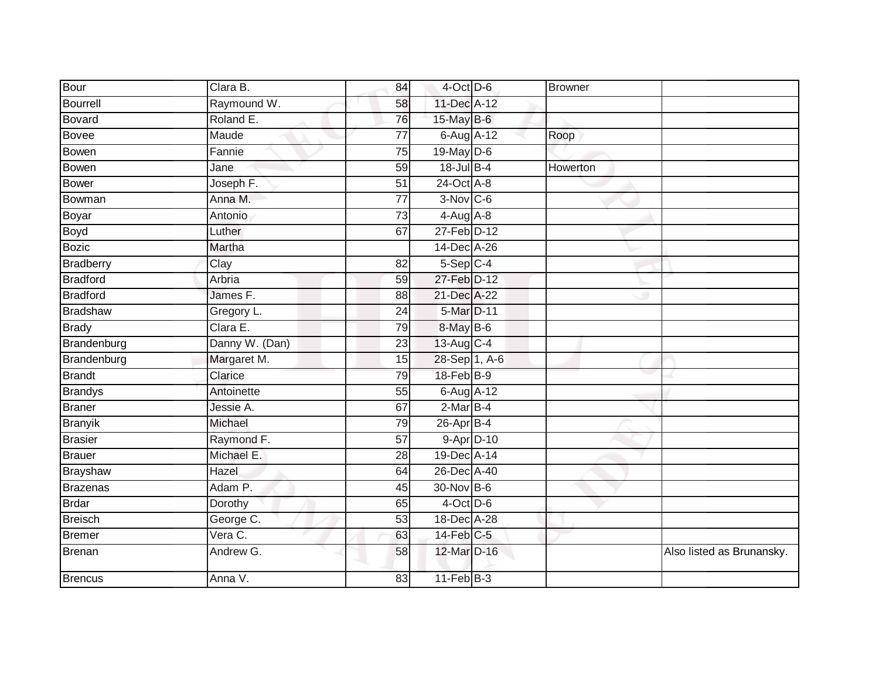| Bour            | Clara B.       | 84              | 4-Oct D-6       | Browner  |                           |
|-----------------|----------------|-----------------|-----------------|----------|---------------------------|
| Bourrell        | Raymound W.    | 58              | 11-Dec A-12     |          |                           |
| Bovard          | Roland E.      | 76              | $15$ -May B-6   |          |                           |
| Bovee           | Maude          | $\overline{77}$ | 6-Aug A-12      | Roop     |                           |
| Bowen           | Fannie         | $\overline{75}$ | $19$ -May $D-6$ |          |                           |
| Bowen           | Jane           | 59              | $18$ -Jul $B-4$ | Howerton |                           |
| <b>Bower</b>    | Joseph F.      | 51              | 24-Oct A-8      |          |                           |
| Bowman          | Anna M.        | 77              | $3-Nov$ $C-6$   |          |                           |
| Boyar           | Antonio        | 73              | $4-Aug$ $A-8$   |          |                           |
| Boyd            | Luther         | 67              | 27-Feb D-12     |          |                           |
| <b>Bozic</b>    | Martha         |                 | 14-Dec A-26     |          |                           |
| Bradberry       | Clay           | 82              | $5-Sep$ C-4     |          |                           |
| <b>Bradford</b> | Arbria         | 59              | 27-Feb D-12     |          |                           |
| <b>Bradford</b> | James F.       | 88              | 21-Dec A-22     |          |                           |
| <b>Bradshaw</b> | Gregory L.     | 24              | 5-Mar D-11      |          |                           |
| <b>Brady</b>    | Clara E.       | 79              | 8-May B-6       |          |                           |
| Brandenburg     | Danny W. (Dan) | 23              | 13-Aug C-4      |          |                           |
| Brandenburg     | Margaret M.    | 15              | 28-Sep 1, A-6   |          |                           |
| <b>Brandt</b>   | Clarice        | 79              | 18-Feb B-9      |          |                           |
| <b>Brandys</b>  | Antoinette     | 55              | 6-Aug A-12      |          |                           |
| <b>Braner</b>   | Jessie A.      | 67              | $2-MarB-4$      |          |                           |
| <b>Branyik</b>  | Michael        | 79              | $26$ -Apr $B-4$ |          |                           |
| <b>Brasier</b>  | Raymond F.     | 57              | 9-Apr D-10      |          |                           |
| <b>Brauer</b>   | Michael E.     | 28              | 19-Dec A-14     |          |                           |
| <b>Brayshaw</b> | Hazel          | 64              | 26-Dec A-40     |          |                           |
| Brazenas        | Adam P.        | 45              | 30-Nov B-6      |          |                           |
| <b>Brdar</b>    | Dorothy        | 65              | $4$ -Oct D-6    |          |                           |
| Breisch         | George C.      | 53              | 18-Dec A-28     |          |                           |
| Bremer          | Vera C.        | 63              | $14$ -Feb $C-5$ |          |                           |
| Brenan          | Andrew G.      | 58              | 12-Mar D-16     |          | Also listed as Brunansky. |
| <b>Brencus</b>  | Anna V.        | 83              | $11$ -Feb $B-3$ |          |                           |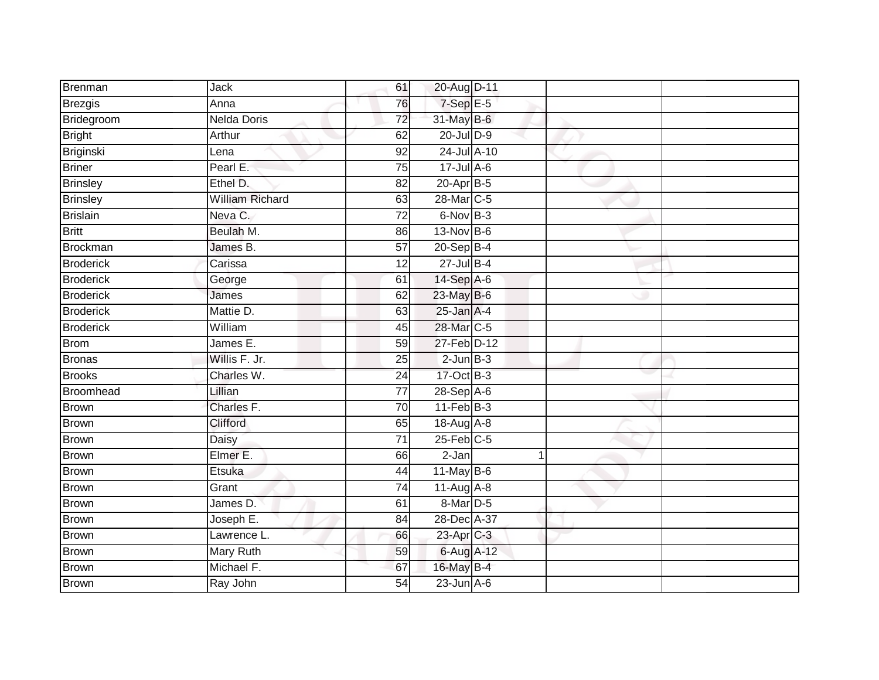| Brenman          | Jack                   | 61              | 20-Aug D-11      |   |  |
|------------------|------------------------|-----------------|------------------|---|--|
| Brezgis          | Anna                   | 76              | $7-Sep$ E-5      |   |  |
| Bridegroom       | <b>Nelda Doris</b>     | $\overline{72}$ | 31-May B-6       |   |  |
| <b>Bright</b>    | Arthur                 | 62              | 20-Jul D-9       |   |  |
| Briginski        | Lena                   | 92              | 24-Jul A-10      |   |  |
| <b>Briner</b>    | Pearl E:               | 75              | $17 -$ Jul A-6   |   |  |
| <b>Brinsley</b>  | Ethel D.               | 82              | $20$ -Apr $B-5$  |   |  |
| <b>Brinsley</b>  | <b>William Richard</b> | 63              | 28-Mar C-5       |   |  |
| <b>Brislain</b>  | Neva C.                | $\overline{72}$ | 6-Nov B-3        |   |  |
| <b>Britt</b>     | Beulah M.              | 86              | 13-Nov B-6       |   |  |
| <b>Brockman</b>  | James B.               | 57              | 20-Sep B-4       |   |  |
| <b>Broderick</b> | Carissa                | 12              | $27$ -Jul B-4    |   |  |
| <b>Broderick</b> | George                 | 61              | 14-Sep A-6       |   |  |
| <b>Broderick</b> | James                  | 62              | 23-May B-6       |   |  |
| <b>Broderick</b> | Mattie D.              | 63              | $25$ -Jan $A-4$  |   |  |
| <b>Broderick</b> | William                | 45              | 28-Mar C-5       |   |  |
| <b>Brom</b>      | James E.               | 59              | 27-Feb D-12      |   |  |
| <b>Bronas</b>    | Willis F. Jr.          | 25              | $2$ -Jun $B-3$   |   |  |
| <b>Brooks</b>    | Charles W.             | 24              | 17-Oct B-3       |   |  |
| Broomhead        | Lillian                | $\overline{77}$ | $28-Sep$ A-6     |   |  |
| <b>Brown</b>     | Charles F.             | 70              | $11-Feb$ B-3     |   |  |
| <b>Brown</b>     | Clifford               | 65              | 18-Aug A-8       |   |  |
| <b>Brown</b>     | Daisy                  | 71              | $25$ -Feb $C$ -5 |   |  |
| <b>Brown</b>     | Elmer E.               | 66              | $2-Jan$          | 1 |  |
| <b>Brown</b>     | Etsuka                 | 44              | 11-May $B-6$     |   |  |
| <b>Brown</b>     | Grant                  | 74              | 11-Aug A-8       |   |  |
| <b>Brown</b>     | James D.               | 61              | 8-Mar D-5        |   |  |
| <b>Brown</b>     | Joseph E.              | 84              | 28-Dec A-37      |   |  |
| <b>Brown</b>     | Lawrence L.            | 66              | 23-Apr C-3       |   |  |
| <b>Brown</b>     | <b>Mary Ruth</b>       | 59              | 6-Aug A-12       |   |  |
| <b>Brown</b>     | Michael F.             | 67              | 16-May B-4       |   |  |
| <b>Brown</b>     | Ray John               | $\overline{54}$ | $23$ -Jun $A-6$  |   |  |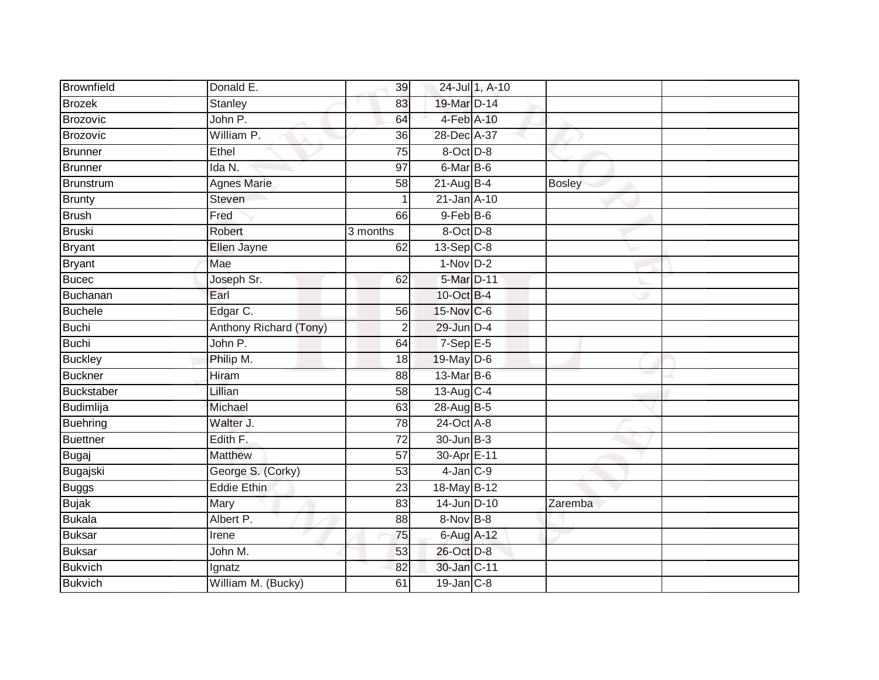| Brownfield        | Donald E.              | 39              |                 | 24-Jul 1, A-10 |               |  |
|-------------------|------------------------|-----------------|-----------------|----------------|---------------|--|
| <b>Brozek</b>     | <b>Stanley</b>         | 83              | 19-Mar D-14     |                |               |  |
| <b>Brozovic</b>   | John P.                | 64              | 4-Feb A-10      |                |               |  |
| Brozovic          | William P.             | 36              | 28-Dec A-37     |                |               |  |
| Brunner           | Ethel                  | $\overline{75}$ | 8-Oct D-8       |                |               |  |
| <b>Brunner</b>    | Ida N.                 | 97              | 6-Mar B-6       |                |               |  |
| Brunstrum         | <b>Agnes Marie</b>     | $\overline{58}$ | $21$ -Aug $B-4$ |                | <b>Bosley</b> |  |
| <b>Brunty</b>     | Steven                 |                 | 21-Jan A-10     |                |               |  |
| <b>Brush</b>      | Fred                   | 66              | $9$ -Feb $B$ -6 |                |               |  |
| <b>Bruski</b>     | Robert                 | 3 months        | $8$ -Oct $D-8$  |                |               |  |
| <b>Bryant</b>     | Ellen Jayne            | 62              | $13-Sep$ C-8    |                |               |  |
| <b>Bryant</b>     | Mae                    |                 | $1-Nov$ D-2     |                |               |  |
| <b>Bucec</b>      | Joseph Sr.             | 62              | 5-Mar D-11      |                |               |  |
| Buchanan          | Earl                   |                 | 10-Oct B-4      |                |               |  |
| <b>Buchele</b>    | Edgar C.               | 56              | 15-Nov C-6      |                |               |  |
| <b>Buchi</b>      | Anthony Richard (Tony) | $\overline{2}$  | 29-Jun D-4      |                |               |  |
| <b>Buchi</b>      | John P.                | 64              | $7-Sep$ E-5     |                |               |  |
| <b>Buckley</b>    | Philip M.              | 18              | 19-May D-6      |                |               |  |
| <b>Buckner</b>    | Hiram                  | 88              | 13-Mar B-6      |                |               |  |
| <b>Buckstaber</b> | Lillian                | $\overline{58}$ | 13-Aug C-4      |                |               |  |
| Budimlija         | Michael                | 63              | 28-Aug B-5      |                |               |  |
| <b>Buehring</b>   | Walter J.              | 78              | 24-Oct A-8      |                |               |  |
| <b>Buettner</b>   | Edith F.               | 72              | 30-Jun B-3      |                |               |  |
| <b>Bugaj</b>      | <b>Matthew</b>         | 57              | 30-Apr E-11     |                |               |  |
| Bugajski          | George S. (Corky)      | 53              | $4$ -Jan $C-9$  |                |               |  |
| <b>Buggs</b>      | <b>Eddie Ethin</b>     | 23              | 18-May B-12     |                |               |  |
| <b>Bujak</b>      | Mary                   | 83              | 14-Jun D-10     |                | Zaremba       |  |
| <b>Bukala</b>     | Albert P.              | 88              | $8-Nov$ B-8     |                |               |  |
| <b>Buksar</b>     | Irene                  | 75              | 6-Aug A-12      |                |               |  |
| <b>Buksar</b>     | John M.                | 53              | 26-Oct D-8      |                |               |  |
| <b>Bukvich</b>    | Ignatz                 | 82              | 30-Jan C-11     |                |               |  |
| <b>Bukvich</b>    | William M. (Bucky)     | 61              | 19-Jan C-8      |                |               |  |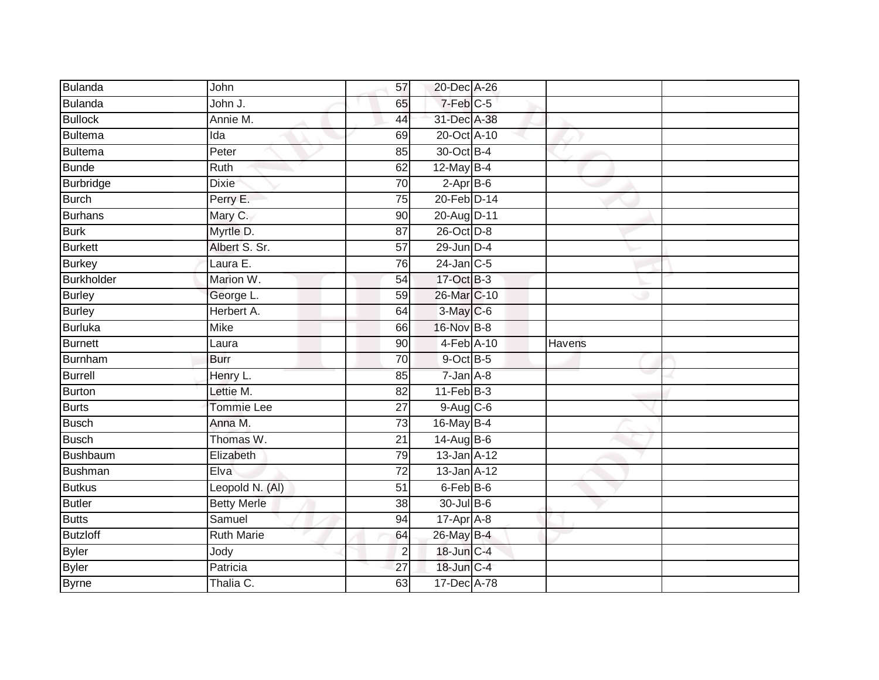| <b>Bulanda</b>  | John               | 57              | 20-Dec A-26       |        |  |
|-----------------|--------------------|-----------------|-------------------|--------|--|
| Bulanda         | John J.            | 65              | 7-Feb C-5         |        |  |
| <b>Bullock</b>  | Annie M.           | 44              | 31-Dec A-38       |        |  |
| Bultema         | Ida                | 69              | 20-Oct A-10       |        |  |
| <b>Bultema</b>  | Peter              | $\overline{85}$ | 30-Oct B-4        |        |  |
| <b>Bunde</b>    | Ruth               | 62              | 12-May B-4        |        |  |
| Burbridge       | <b>Dixie</b>       | 70              | $2-AprB-6$        |        |  |
| <b>Burch</b>    | Perry E.           | 75              | 20-Feb D-14       |        |  |
| <b>Burhans</b>  | Mary C.            | 90              | 20-Aug D-11       |        |  |
| <b>Burk</b>     | Myrtle D.          | 87              | $26$ -Oct $D-8$   |        |  |
| <b>Burkett</b>  | Albert S. Sr.      | $\overline{57}$ | $29$ -Jun $D-4$   |        |  |
| <b>Burkey</b>   | Laura E.           | 76              | $24$ -Jan $C-5$   |        |  |
| Burkholder      | Marion W.          | 54              | 17-Oct B-3        |        |  |
| <b>Burley</b>   | George L.          | 59              | 26-Mar C-10       |        |  |
| <b>Burley</b>   | Herbert A.         | 64              | 3-May C-6         |        |  |
| Burluka         | <b>Mike</b>        | 66              | 16-Nov B-8        |        |  |
| Burnett         | Laura              | $\overline{90}$ | 4-Feb A-10        | Havens |  |
| Burnham         | <b>Burr</b>        | 70              | 9-Oct B-5         |        |  |
| Burrell         | Henry L.           | 85              | $7 - Jan A - 8$   |        |  |
| Burton          | Lettie M.          | 82              | $11-Feb$ B-3      |        |  |
| Burts           | Tommie Lee         | 27              | 9-Aug C-6         |        |  |
| <b>Busch</b>    | Anna M.            | 73              | 16-May B-4        |        |  |
| <b>Busch</b>    | Thomas W.          | 21              | 14-Aug B-6        |        |  |
| <b>Bushbaum</b> | Elizabeth          | 79              | $13$ -Jan $A-12$  |        |  |
| Bushman         | Elva               | 72              | $13$ -Jan $A$ -12 |        |  |
| <b>Butkus</b>   | Leopold N. (Al)    | $\overline{51}$ | 6-Feb B-6         |        |  |
| Butler          | <b>Betty Merle</b> | 38              | 30-Jul B-6        |        |  |
| <b>Butts</b>    | Samuel             | 94              | $17-Apr$ A-8      |        |  |
| <b>Butzloff</b> | <b>Ruth Marie</b>  | 64              | 26-May B-4        |        |  |
| <b>Byler</b>    | Jody               | $\overline{2}$  | 18-Jun C-4        |        |  |
| <b>Byler</b>    | Patricia           | 27              | 18-Jun C-4        |        |  |
| <b>Byrne</b>    | Thalia C.          | 63              | 17-Dec A-78       |        |  |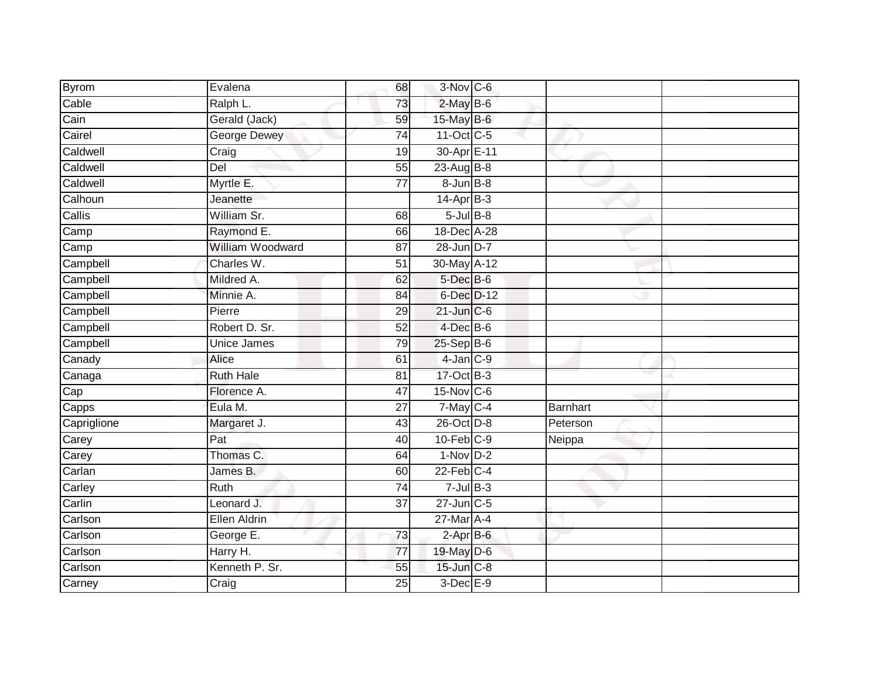| <b>Byrom</b>     | Evalena             | 68              | 3-Nov C-6         |                 |  |
|------------------|---------------------|-----------------|-------------------|-----------------|--|
| Cable            | Ralph L.            | 73              | $2$ -May $B$ -6   |                 |  |
| Cain             | Gerald (Jack)       | 59              | 15-May B-6        |                 |  |
| Cairel           | <b>George Dewey</b> | 74              | 11-Oct C-5        |                 |  |
| Caldwell         | Craig               | $\overline{19}$ | 30-Apr E-11       |                 |  |
| Caldwell         | Del                 | 55              | $23 - Aug$ $B-8$  |                 |  |
| Caldwell         | Myrtle E.           | 77              | $8$ -Jun $B$ -8   |                 |  |
| Calhoun          | Jeanette            |                 | $14-Apr$ B-3      |                 |  |
| Callis           | William Sr.         | 68              | $5$ -Jul $B$ -8   |                 |  |
| Camp             | Raymond E.          | 66              | 18-Dec A-28       |                 |  |
| Camp             | William Woodward    | 87              | 28-Jun D-7        |                 |  |
| Campbell         | Charles W.          | 51              | 30-May A-12       |                 |  |
| Campbell         | Mildred A.          | 62              | $5$ -Dec $B$ -6   |                 |  |
| Campbell         | Minnie A.           | 84              | 6-Dec D-12        |                 |  |
| Campbell         | Pierre              | 29              | $21$ -Jun $C-6$   |                 |  |
| Campbell         | Robert D. Sr.       | 52              | $4$ -Dec $B$ -6   |                 |  |
| Campbell         | <b>Unice James</b>  | 79              | $25-$ Sep $B-6$   |                 |  |
| Canady           | Alice               | 61              | $4$ -Jan $C-9$    |                 |  |
| Canaga           | <b>Ruth Hale</b>    | 81              | 17-Oct B-3        |                 |  |
| $\overline{Cap}$ | Florence A.         | 47              | $15$ -Nov $ C-6 $ |                 |  |
| Capps            | Eula M.             | 27              | $7$ -May $C-4$    | <b>Barnhart</b> |  |
| Capriglione      | Margaret J.         | 43              | 26-Oct D-8        | Peterson        |  |
| Carey            | Pat                 | 40              | $10$ -Feb $C-9$   | Neippa          |  |
| Carey            | Thomas C.           | 64              | $1-Nov$ D-2       |                 |  |
| Carlan           | James B.            | 60              | $22$ -Feb $C-4$   |                 |  |
| Carley           | <b>Ruth</b>         | 74              | $7 -$ Jul $B - 3$ |                 |  |
| Carlin           | Leonard J.          | 37              | $27$ -Jun $C$ -5  |                 |  |
| Carlson          | Ellen Aldrin        |                 | 27-Mar A-4        |                 |  |
| Carlson          | George E.           | 73              | $2$ -Apr $B$ -6   |                 |  |
| Carlson          | Harry H.            | 77              | 19-May D-6        |                 |  |
| Carlson          | Kenneth P. Sr.      | 55              | 15-Jun C-8        |                 |  |
| Carney           | Craig               | $\overline{25}$ | $3$ -Dec $E-9$    |                 |  |
|                  |                     |                 |                   |                 |  |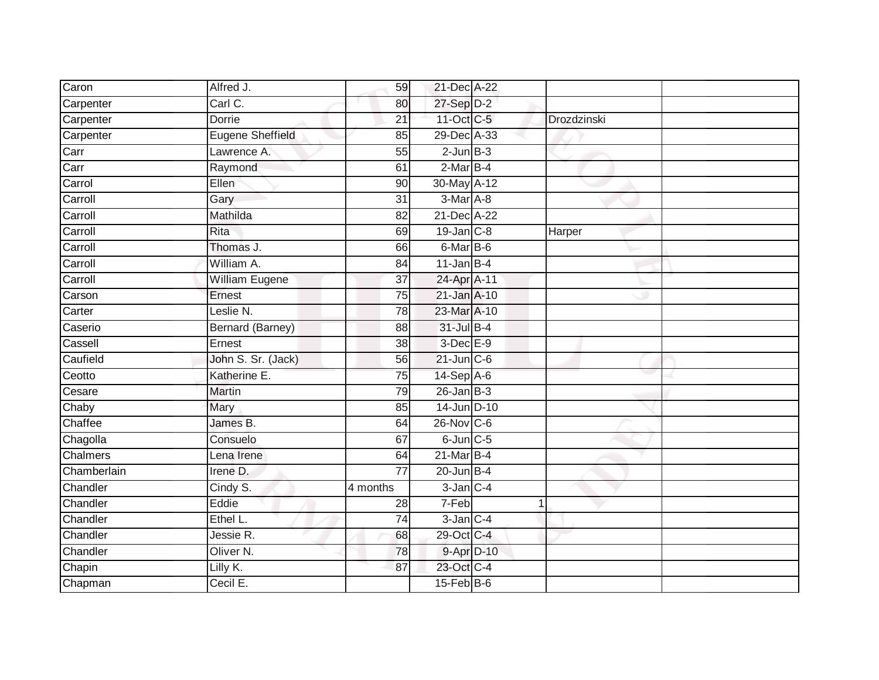| Caron       | Alfred J.               | 59              | 21-Dec A-22       |   |             |  |
|-------------|-------------------------|-----------------|-------------------|---|-------------|--|
| Carpenter   | Carl C.                 | 80              | $27-Sep$ D-2      |   |             |  |
| Carpenter   | <b>Dorrie</b>           | 21              | 11-Oct C-5        |   | Drozdzinski |  |
| Carpenter   | <b>Eugene Sheffield</b> | 85              | 29-Dec A-33       |   |             |  |
| Carr        | Lawrence A.             | $\overline{55}$ | $2$ -Jun $B-3$    |   |             |  |
| Carr        | Raymond                 | 61              | $2-MarB-4$        |   |             |  |
| Carrol      | Ellen                   | 90              | 30-May A-12       |   |             |  |
| Carroll     | Gary                    | 31              | $3-Mar$ A-8       |   |             |  |
| Carroll     | Mathilda                | 82              | 21-Dec A-22       |   |             |  |
| Carroll     | Rita                    | 69              | 19-Jan C-8        |   | Harper      |  |
| Carroll     | Thomas J.               | 66              | 6-Mar B-6         |   |             |  |
| Carroll     | William A.              | 84              | $11$ -Jan B-4     |   |             |  |
| Carroll     | <b>William Eugene</b>   | 37              | 24-Apr A-11       |   |             |  |
| Carson      | Ernest                  | $\overline{75}$ | 21-Jan A-10       |   |             |  |
| Carter      | Leslie N.               | $\overline{78}$ | 23-Mar A-10       |   |             |  |
| Caserio     | Bernard (Barney)        | 88              | $31 -$ Jul B-4    |   |             |  |
| Cassell     | Ernest                  | 38              | 3-Dec E-9         |   |             |  |
| Caufield    | John S. Sr. (Jack)      | 56              | $21$ -Jun $C - 6$ |   |             |  |
| Ceotto      | Katherine E.            | 75              | 14-Sep A-6        |   |             |  |
| Cesare      | <b>Martin</b>           | 79              | $26$ -Jan B-3     |   |             |  |
| Chaby       | Mary                    | 85              | 14-Jun D-10       |   |             |  |
| Chaffee     | James B.                | 64              | $26$ -Nov $ C-6 $ |   |             |  |
| Chagolla    | Consuelo                | 67              | $6$ -Jun $C$ -5   |   |             |  |
| Chalmers    | Lena Irene              | 64              | $21$ -Mar $B-4$   |   |             |  |
| Chamberlain | Irene D.                | 77              | $20$ -Jun $B-4$   |   |             |  |
| Chandler    | Cindy S.                | 4 months        | $3$ -Jan $C-4$    |   |             |  |
| Chandler    | Eddie                   | 28              | 7-Feb             | 1 |             |  |
| Chandler    | Ethel L.                | 74              | $3$ -Jan $C-4$    |   |             |  |
| Chandler    | Jessie R.               | 68              | 29-Oct C-4        |   |             |  |
| Chandler    | Oliver <sub>N.</sub>    | 78              | 9-Apr D-10        |   |             |  |
| Chapin      | Lilly K.                | 87              | 23-Oct C-4        |   |             |  |
| Chapman     | Cecil E.                |                 | $15$ -Feb $B$ -6  |   |             |  |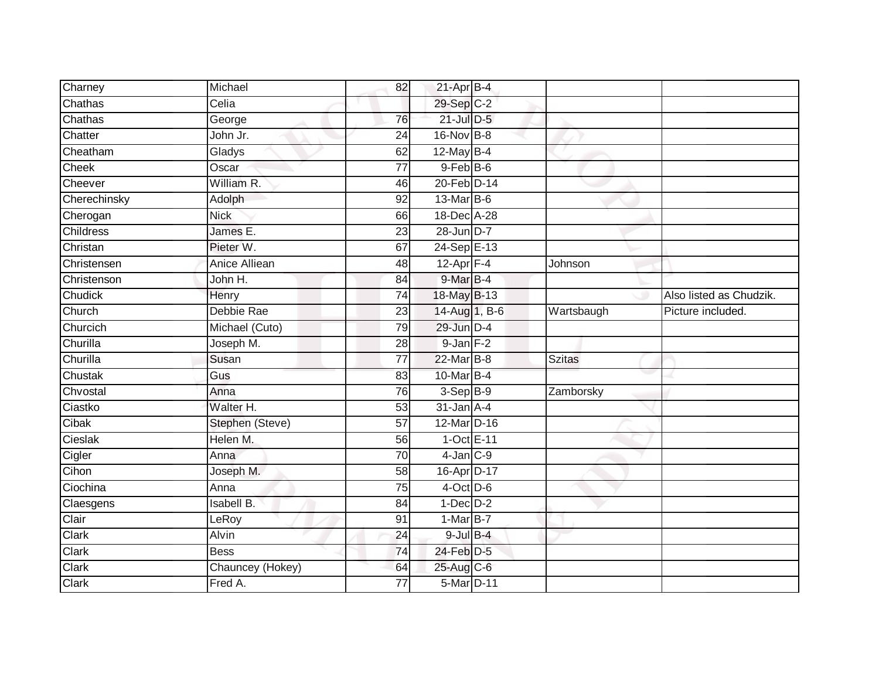| Charney      | Michael           | 82              | $21$ -Apr $B-4$ |               |                         |
|--------------|-------------------|-----------------|-----------------|---------------|-------------------------|
| Chathas      | Celia             |                 | 29-Sep C-2      |               |                         |
| Chathas      | George            | 76              | 21-Jul D-5      |               |                         |
| Chatter      | John Jr.          | 24              | 16-Nov B-8      |               |                         |
| Cheatham     | Gladys            | 62              | $12$ -May B-4   |               |                         |
| Cheek        | Oscar             | $\overline{77}$ | $9$ -Feb $B$ -6 |               |                         |
| Cheever      | William R.        | 46              | 20-Feb D-14     |               |                         |
| Cherechinsky | Adolph            | 92              | 13-Mar B-6      |               |                         |
| Cherogan     | <b>Nick</b>       | 66              | 18-Dec A-28     |               |                         |
| Childress    | James E.          | 23              | 28-Jun D-7      |               |                         |
| Christan     | Pieter W.         | 67              | 24-Sep E-13     |               |                         |
| Christensen  | Anice Alliean     | 48              | $12$ -Apr $F-4$ | Johnson       |                         |
| Christenson  | John H.           | 84              | 9-Mar B-4       |               |                         |
| Chudick      | Henry             | 74              | 18-May B-13     |               | Also listed as Chudzik. |
| Church       | Debbie Rae        | $\overline{23}$ | 14-Aug 1, B-6   | Wartsbaugh    | Picture included.       |
| Churcich     | Michael (Cuto)    | 79              | 29-Jun D-4      |               |                         |
| Churilla     | Joseph M.         | 28              | 9-Jan F-2       |               |                         |
| Churilla     | Susan             | 77              | 22-Mar B-8      | <b>Szitas</b> |                         |
| Chustak      | Gus               | 83              | 10-Mar B-4      |               |                         |
| Chvostal     | Anna              | 76              | $3-Sep$ B-9     | Zamborsky     |                         |
| Ciastko      | Walter H.         | 53              | $31$ -Jan $A-4$ |               |                         |
| Cibak        | Stephen (Steve)   | 57              | 12-Mar D-16     |               |                         |
| Cieslak      | Helen M.          | 56              | 1-Oct E-11      |               |                         |
| Cigler       | Anna              | $\overline{70}$ | $4$ -Jan $C-9$  |               |                         |
| Cihon        | Joseph M.         | 58              | 16-Apr D-17     |               |                         |
| Ciochina     | Anna              | 75              | $4$ -Oct D-6    |               |                         |
| Claesgens    | <b>Isabell B.</b> | 84              | $1-Dec$ $D-2$   |               |                         |
| Clair        | LeRoy             | 91              | $1-Mar$ B-7     |               |                         |
| Clark        | <b>Alvin</b>      | 24              | $9$ -Jul $B$ -4 |               |                         |
| Clark        | <b>Bess</b>       | 74              | 24-Feb D-5      |               |                         |
| Clark        | Chauncey (Hokey)  | 64              | 25-Aug C-6      |               |                         |
| Clark        | Fred A.           | $\overline{77}$ | 5-Mar D-11      |               |                         |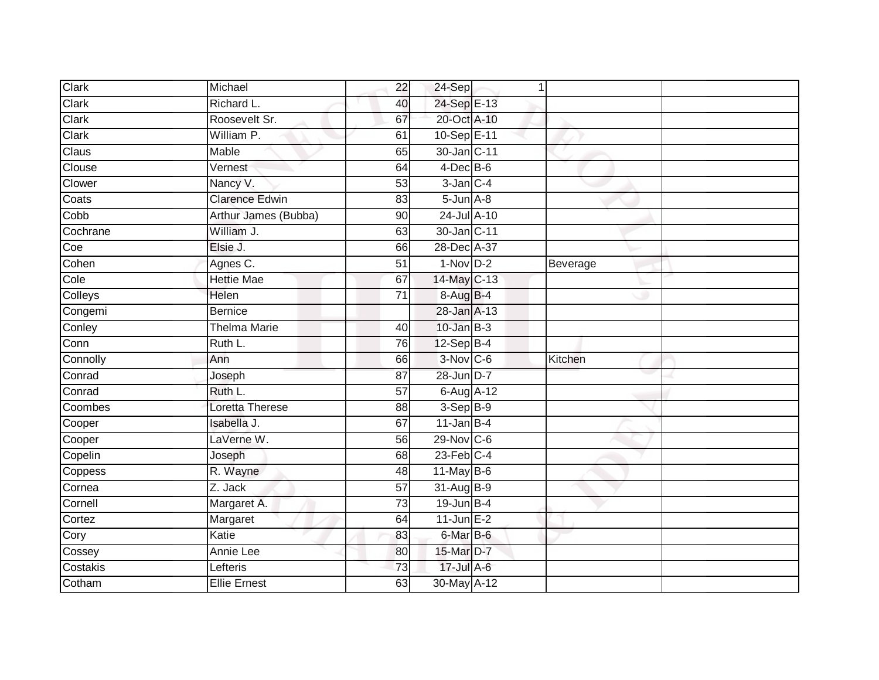| Clark                        | Michael                         | 22              | $24-Sep$                  | 1 |          |  |
|------------------------------|---------------------------------|-----------------|---------------------------|---|----------|--|
| Clark                        | Richard L.                      | 40              | 24-Sep E-13               |   |          |  |
| Clark                        | Roosevelt Sr.                   | 67              | 20-Oct A-10               |   |          |  |
| Clark                        | William P.                      | 61              | 10-Sep E-11               |   |          |  |
| Claus                        | <b>Mable</b>                    | 65              | 30-Jan C-11               |   |          |  |
| Clouse                       | Vernest                         | 64              | $4$ -Dec $B$ -6           |   |          |  |
| Clower                       | Nancy V.                        | $\overline{53}$ | $3$ -Jan $C-4$            |   |          |  |
| Coats                        | <b>Clarence Edwin</b>           | 83              | $5 - Jun$ $A - 8$         |   |          |  |
| Cobb                         | Arthur James (Bubba)            | 90              | 24-Jul A-10               |   |          |  |
| Cochrane                     | William J.                      | 63              | 30-Jan C-11               |   |          |  |
| Coe                          | Elsie J.                        | 66              | 28-Dec A-37               |   |          |  |
| Cohen                        | Agnes C.                        | 51              | $1-Nov$ D-2               |   | Beverage |  |
| Cole                         | <b>Hettie Mae</b>               | 67              | 14-May C-13               |   |          |  |
| Colleys                      | Helen                           | 71              | 8-Aug B-4                 |   |          |  |
| Congemi                      | <b>Bernice</b>                  |                 | 28-Jan A-13               |   |          |  |
| Conley                       | <b>Thelma Marie</b>             | 40              | $10$ -Jan $B-3$           |   |          |  |
| Conn                         | Ruth L.                         | 76              | $12-SepB-4$               |   |          |  |
| Connolly                     | Ann                             | 66              | 3-Nov C-6                 |   | Kitchen  |  |
| Conrad                       | Joseph                          | 87              | 28-Jun D-7                |   |          |  |
|                              |                                 |                 |                           |   |          |  |
| Conrad                       | Ruth L.                         | 57              | 6-Aug A-12                |   |          |  |
| Coombes                      | Loretta Therese                 | 88              | $3-Sep$ B-9               |   |          |  |
| Cooper                       | Isabella J.                     | 67              | $11$ -Jan B-4             |   |          |  |
| Cooper                       | LaVerne W.                      | 56              | 29-Nov C-6                |   |          |  |
| Copelin                      | Joseph                          | 68              | $23$ -Feb $C-4$           |   |          |  |
|                              | R. Wayne                        | 48              | $11$ -May B-6             |   |          |  |
|                              | Z. Jack                         | 57              | 31-Aug B-9                |   |          |  |
| Coppess<br>Cornea<br>Cornell | Margaret A.                     | $\overline{73}$ | $19$ -Jun B-4             |   |          |  |
|                              | Margaret                        | 64              | $11$ -Jun $E-2$           |   |          |  |
| Cortez<br>Cory               | Katie                           | 83              | 6-Mar B-6                 |   |          |  |
| Cossey                       | Annie Lee                       | 80              | 15-Mar D-7                |   |          |  |
| Costakis<br>Cotham           | Lefteris<br><b>Ellie Ernest</b> | 73              | 17-Jul A-6<br>30-May A-12 |   |          |  |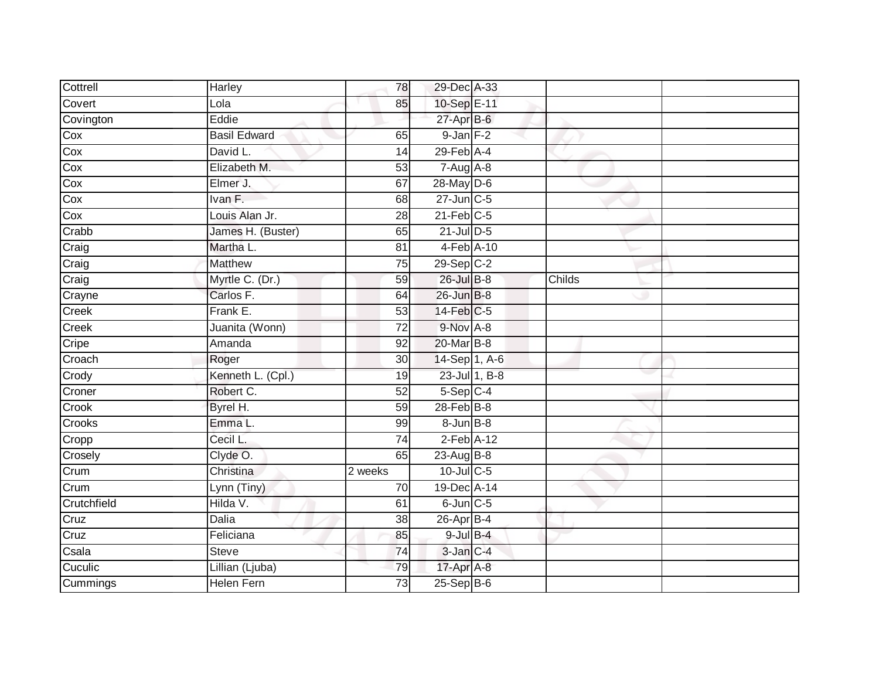| Cottrell     | Harley              | 78              | 29-Dec A-33             |               |        |  |
|--------------|---------------------|-----------------|-------------------------|---------------|--------|--|
| Covert       | Lola                | 85              | 10-Sep E-11             |               |        |  |
| Covington    | Eddie               |                 | 27-Apr B-6              |               |        |  |
| Cox          | <b>Basil Edward</b> | 65              | $9$ -Jan $F-2$          |               |        |  |
| Cox          | David L.            | 14              | $29$ -Feb $A$ -4        |               |        |  |
| Cox          | Elizabeth M.        | 53              | $7-Aug$ $A-8$           |               |        |  |
| Cox          | Elmer J.            | 67              | 28-May D-6              |               |        |  |
| Cox          | Ivan F.             | 68              | 27-Jun C-5              |               |        |  |
| Cox          | Louis Alan Jr.      | 28              | $21$ -Feb $C-5$         |               |        |  |
| Crabb        | James H. (Buster)   | 65              | $21$ -Jul $D-5$         |               |        |  |
| Craig        | Martha L.           | 81              | 4-Feb A-10              |               |        |  |
| Craig        | <b>Matthew</b>      | $\overline{75}$ | $29-Sep$ <sub>C-2</sub> |               |        |  |
| Craig        | Myrtle C. (Dr.)     | 59              | 26-Jul B-8              |               | Childs |  |
| Crayne       | Carlos F.           | 64              | 26-Jun B-8              |               |        |  |
| Creek        | Frank E.            | 53              | 14-Feb C-5              |               |        |  |
| <b>Creek</b> | Juanita (Wonn)      | 72              | 9-Nov A-8               |               |        |  |
| Cripe        | Amanda              | 92              | 20-Mar B-8              |               |        |  |
| Croach       | Roger               | 30              | 14-Sep 1, A-6           |               |        |  |
| Crody        | Kenneth L. (Cpl.)   | 19              |                         | 23-Jul 1, B-8 |        |  |
| Croner       | Robert C.           | 52              | 5-Sep C-4               |               |        |  |
| Crook        | Byrel H.            | 59              | $28$ -Feb $B-8$         |               |        |  |
| Crooks       | Emma L.             | 99              | $8 - Jun$ $B - 8$       |               |        |  |
| Cropp        | Cecil L.            | $\overline{74}$ | $2$ -Feb $A-12$         |               |        |  |
| Crosely      | Clyde O.            | 65              | 23-Aug B-8              |               |        |  |
| Crum         | Christina           | 2 weeks         | $10$ -Jul C-5           |               |        |  |
| Crum         | Lynn (Tiny)         | 70              | 19-Dec A-14             |               |        |  |
| Crutchfield  | Hilda V.            | 61              | $6$ -Jun $C$ -5         |               |        |  |
| Cruz         | Dalia               | 38              | $26$ -Apr $B$ -4        |               |        |  |
| Cruz         | Feliciana           | 85              | $9$ -Jul $B$ -4         |               |        |  |
| Csala        | <b>Steve</b>        | 74              | 3-Jan C-4               |               |        |  |
| Cuculic      | Lillian (Ljuba)     | 79              | 17-Apr A-8              |               |        |  |
| Cummings     | <b>Helen Fern</b>   | $\overline{73}$ | $25-Sep$ B-6            |               |        |  |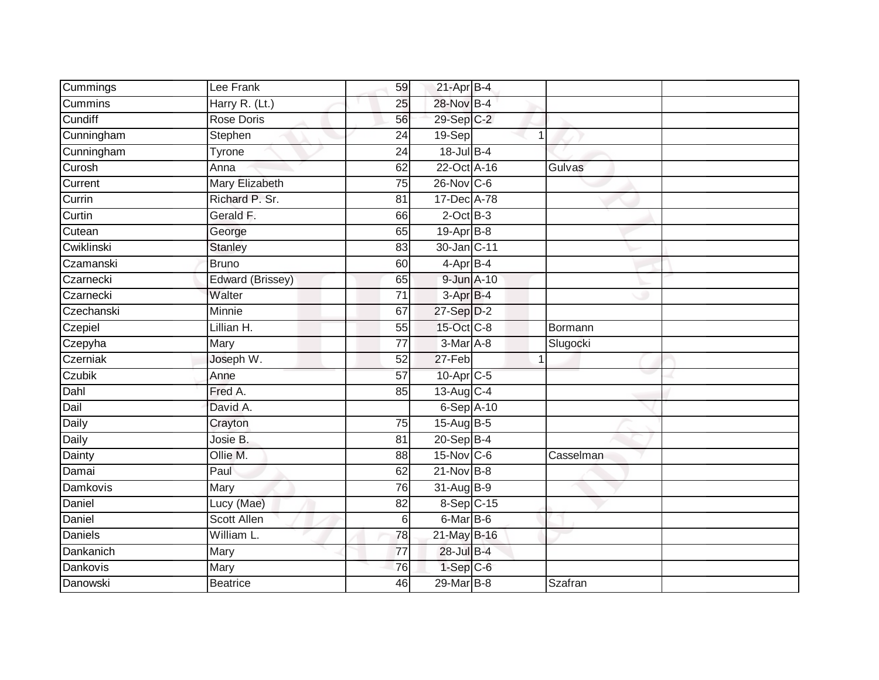| Cummings        | Lee Frank          | 59              | $21-Apr$ B-4          |   |                |
|-----------------|--------------------|-----------------|-----------------------|---|----------------|
| <b>Cummins</b>  | Harry R. (Lt.)     | 25              | 28-Nov B-4            |   |                |
| Cundiff         | <b>Rose Doris</b>  | 56              | 29-Sep C-2            |   |                |
| Cunningham      | Stephen            | 24              | 19-Sep                | 1 |                |
| Cunningham      | Tyrone             | $\overline{24}$ | 18-Jul B-4            |   |                |
| Curosh          | Anna               | 62              | 22-Oct A-16           |   | Gulvas         |
| Current         | Mary Elizabeth     | $\overline{75}$ | 26-Nov C-6            |   |                |
| Currin          | Richard P. Sr.     | 81              | 17-Dec A-78           |   |                |
| Curtin          | Gerald F.          | 66              | $2$ -Oct $B-3$        |   |                |
| Cutean          | George             | 65              | 19-Apr B-8            |   |                |
| Cwiklinski      | Stanley            | 83              | 30-Jan C-11           |   |                |
| Czamanski       | <b>Bruno</b>       | 60              | 4-Apr B-4             |   |                |
| Czarnecki       | Edward (Brissey)   | 65              | 9-Jun A-10            |   |                |
| Czarnecki       | Walter             | 71              | 3-Apr B-4             |   |                |
| Czechanski      | <b>Minnie</b>      | 67              | 27-Sep D-2            |   |                |
| Czepiel         | Lillian H.         | 55              | 15-Oct C-8            |   | Bormann        |
| Czepyha         | Mary               | $\overline{77}$ | $3-MarA-8$            |   | Slugocki       |
| Czerniak        | Joseph W.          | 52              | 27-Feb                | 1 |                |
| Czubik          | Anne               | 57              | 10-Apr <sub>C-5</sub> |   |                |
| Dahl            | Fred A.            | 85              | 13-Aug C-4            |   |                |
| Dail            | David A.           |                 | $6-Sep$ A-10          |   |                |
| Daily           | Crayton            | 75              | $15$ -Aug B-5         |   |                |
| Daily           | Josie B.           | 81              | 20-Sep B-4            |   |                |
| Dainty          | Ollie M.           | 88              | 15-Nov C-6            |   | Casselman      |
| Damai           | Paul               | 62              | $21$ -Nov B-8         |   |                |
| <b>Damkovis</b> | Mary               | 76              | 31-Aug B-9            |   |                |
| Daniel          | Lucy (Mae)         | 82              | 8-Sep C-15            |   |                |
| Daniel          | <b>Scott Allen</b> | 6               | 6-Mar B-6             |   |                |
| Daniels         | William L.         | 78              | 21-May B-16           |   |                |
| Dankanich       | Mary               | $\overline{77}$ | 28-Jul B-4            |   |                |
| Dankovis        | Mary               | $\overline{76}$ | $1-Sep$ $C-6$         |   |                |
| Danowski        | <b>Beatrice</b>    | 46              | 29-Mar B-8            |   | <b>Szafran</b> |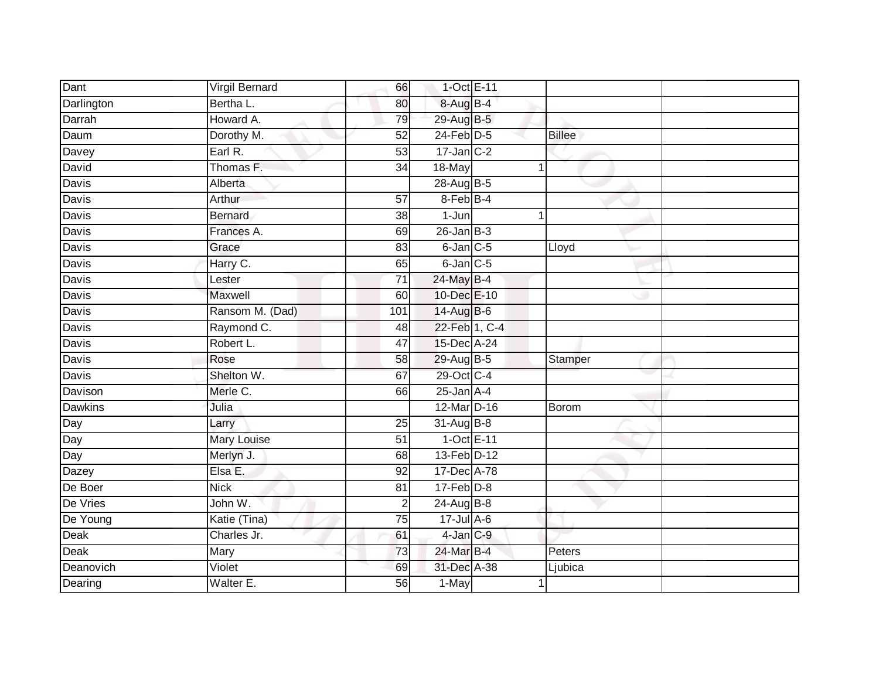| Dant           | Virgil Bernard  | 66              | 1-Oct E-11      |              |                |
|----------------|-----------------|-----------------|-----------------|--------------|----------------|
| Darlington     | Bertha L.       | 80              | 8-Aug B-4       |              |                |
| Darrah         | Howard A.       | 79              | 29-Aug B-5      |              |                |
| Daum           | Dorothy M.      | 52              | $24$ -Feb $D-5$ |              | <b>Billee</b>  |
| Davey          | Earl R.         | 53              | $17$ -Jan $C-2$ |              |                |
| David          | Thomas F.       | 34              | 18-May          | $\mathbf{1}$ |                |
| Davis          | Alberta         |                 | 28-Aug B-5      |              |                |
| Davis          | Arthur          | 57              | 8-Feb B-4       |              |                |
| Davis          | <b>Bernard</b>  | 38              | $1 - Jun$       | 1            |                |
| <b>Davis</b>   | Frances A.      | 69              | $26$ -Jan B-3   |              |                |
| Davis          | Grace           | 83              | $6$ -Jan $C$ -5 |              | Lloyd          |
| Davis          | Harry C.        | 65              | $6$ -Jan $C$ -5 |              |                |
| Davis          | Lester          | $\overline{71}$ | 24-May B-4      |              |                |
| Davis          | Maxwell         | 60              | 10-Dec E-10     |              |                |
| <b>Davis</b>   | Ransom M. (Dad) | 101             | 14-Aug B-6      |              |                |
| Davis          | Raymond C.      | 48              | 22-Feb 1, C-4   |              |                |
| <b>Davis</b>   | Robert L.       | 47              | 15-Dec A-24     |              |                |
| Davis          | Rose            | 58              | 29-Aug B-5      |              | <b>Stamper</b> |
| Davis          | Shelton W.      | 67              | 29-Oct C-4      |              |                |
| Davison        | Merle C.        | 66              | $25$ -Jan $A-4$ |              |                |
| <b>Dawkins</b> | Julia           |                 | 12-Mar D-16     |              | Borom          |
| Day            | Larry           | $\overline{25}$ | 31-Aug B-8      |              |                |
| Day            | Mary Louise     | 51              | $1-Oct$ E-11    |              |                |
| Day            | Merlyn J.       | 68              | 13-Feb D-12     |              |                |
| Dazey          | Elsa E.         | 92              | 17-Dec A-78     |              |                |
| De Boer        | <b>Nick</b>     | 81              | $17$ -Feb $D-8$ |              |                |
| De Vries       | John W.         | $\overline{c}$  | 24-Aug B-8      |              |                |
| De Young       | Katie (Tina)    | 75              | $17 -$ Jul A-6  |              |                |
| Deak           | Charles Jr.     | 61              | 4-Jan C-9       |              |                |
| Deak           | Mary            | 73              | 24-Mar B-4      |              | Peters         |
| Deanovich      | Violet          | 69              | 31-Dec A-38     |              | Ljubica        |
| Dearing        | Walter E.       | 56              | 1-May           | 1            |                |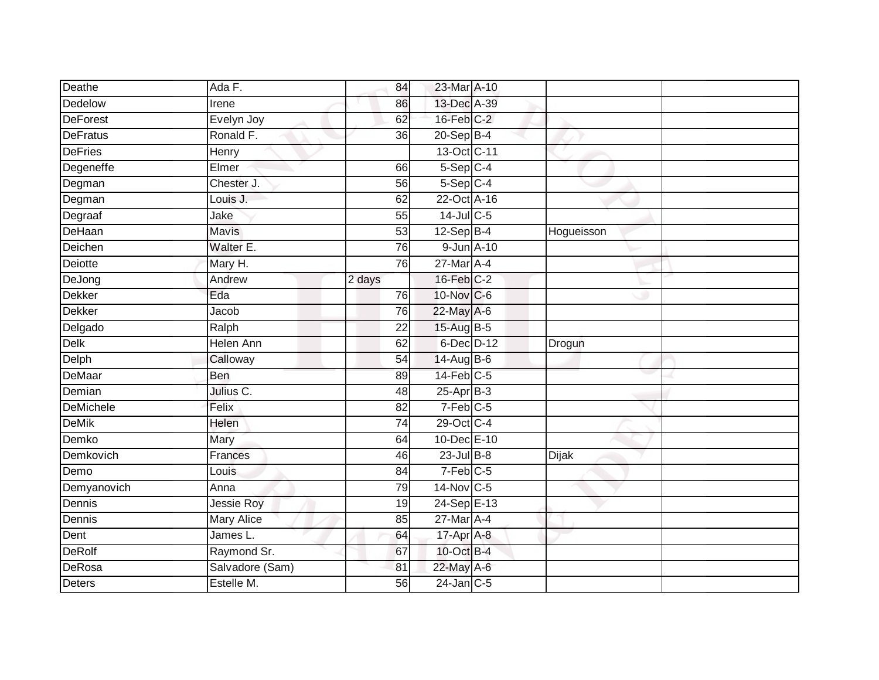| Deathe           | Ada F.            | 84              | 23-Mar A-10            |              |  |
|------------------|-------------------|-----------------|------------------------|--------------|--|
| Dedelow          | Irene             | 86              | 13-Dec A-39            |              |  |
| <b>DeForest</b>  | Evelyn Joy        | 62              | $16$ -Feb $C-2$        |              |  |
| <b>DeFratus</b>  | Ronald F.         | 36              | $20 - Sep$ B-4         |              |  |
| <b>DeFries</b>   | Henry             |                 | 13-Oct C-11            |              |  |
| Degeneffe        | Elmer             | 66              | $5-Sep$ C-4            |              |  |
| Degman           | Chester J.        | 56              | $5-Sep$ C-4            |              |  |
| Degman           | Louis J.          | 62              | 22-Oct A-16            |              |  |
| Degraaf          | Jake              | 55              | 14-Jul C-5             |              |  |
| DeHaan           | <b>Mavis</b>      | 53              | $12-SepB-4$            | Hogueisson   |  |
| Deichen          | Walter E.         | 76              | 9-Jun A-10             |              |  |
| Deiotte          | Mary H.           | 76              | 27-Mar A-4             |              |  |
| DeJong           | Andrew            | 2 days          | 16-Feb C-2             |              |  |
| <b>Dekker</b>    | Eda               | 76              | 10-Nov C-6             |              |  |
| <b>Dekker</b>    | Jacob             | 76              | 22-May A-6             |              |  |
| Delgado          | Ralph             | $\overline{22}$ | 15-Aug B-5             |              |  |
| Delk             | <b>Helen Ann</b>  | 62              | 6-Dec D-12             | Drogun       |  |
| Delph            | Calloway          | $\overline{54}$ | 14-Aug B-6             |              |  |
| DeMaar           | Ben               | 89              | $14$ -Feb $C-5$        |              |  |
| Demian           | Julius C.         | 48              | 25-Apr B-3             |              |  |
| <b>DeMichele</b> | Felix             | 82              | $7-Feb$ <sub>C-5</sub> |              |  |
| <b>DeMik</b>     | Helen             | $\overline{74}$ | 29-Oct C-4             |              |  |
| Demko            | Mary              | 64              | 10-Dec E-10            |              |  |
| Demkovich        | Frances           | 46              | $23$ -Jul $B-8$        | <b>Dijak</b> |  |
| Demo             | Louis             | 84              | $7-Feb$ C-5            |              |  |
| Demyanovich      | Anna              | 79              | 14-Nov C-5             |              |  |
| Dennis           | <b>Jessie Roy</b> | 19              | 24-Sep E-13            |              |  |
| Dennis           | <b>Mary Alice</b> | 85              | $27$ -Mar $A$ -4       |              |  |
| Dent             | James L.          | 64              | 17-Apr A-8             |              |  |
| DeRolf           | Raymond Sr.       | 67              | 10-Oct B-4             |              |  |
| DeRosa           | Salvadore (Sam)   | 81              | 22-May A-6             |              |  |
| Deters           | Estelle M.        | 56              | $24$ -Jan C-5          |              |  |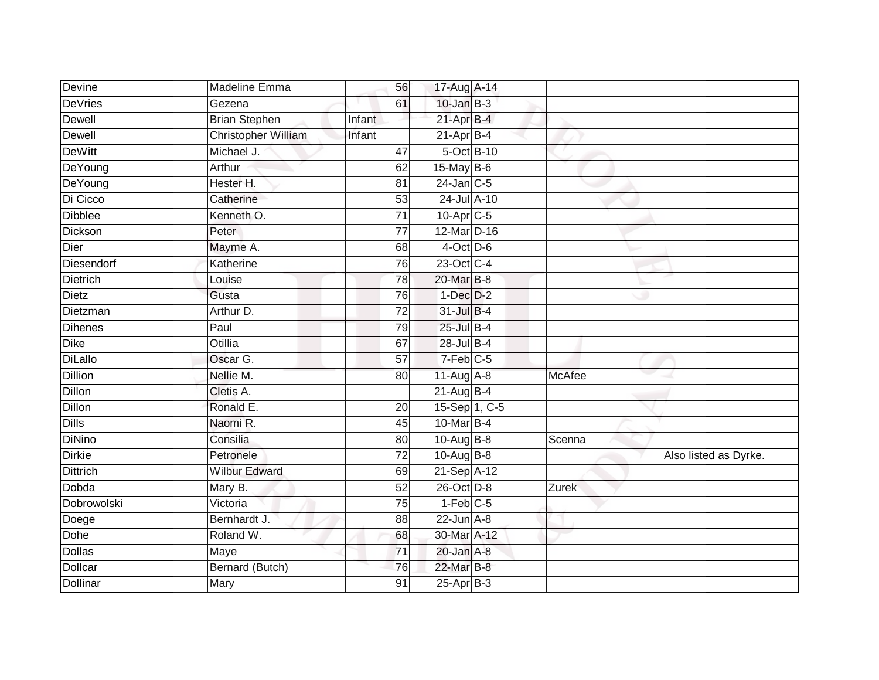| Devine          | Madeline Emma              | 56              | 17-Aug A-14                |            |               |                       |
|-----------------|----------------------------|-----------------|----------------------------|------------|---------------|-----------------------|
| <b>DeVries</b>  | Gezena                     | 61              | $10$ -Jan $B-3$            |            |               |                       |
| Dewell          | <b>Brian Stephen</b>       | Infant          | $21-AprB-4$                |            |               |                       |
| Dewell          | <b>Christopher William</b> | Infant          | $21-Apr$ B-4               |            |               |                       |
| <b>DeWitt</b>   | Michael J.                 | 47              |                            | 5-Oct B-10 |               |                       |
| DeYoung         | Arthur                     | 62              | 15-May B-6                 |            |               |                       |
| DeYoung         | Hester H.                  | 81              | $24$ -Jan $C-5$            |            |               |                       |
| Di Cicco        | Catherine                  | 53              | 24-Jul A-10                |            |               |                       |
| <b>Dibblee</b>  | Kenneth <sub>O.</sub>      | $\overline{71}$ | 10-Apr C-5                 |            |               |                       |
| Dickson         | Peter                      | 77              | 12-Mar D-16                |            |               |                       |
| Dier            | Mayme A.                   | 68              | $4$ -Oct D-6               |            |               |                       |
| Diesendorf      | Katherine                  | 76              | 23-Oct C-4                 |            |               |                       |
| <b>Dietrich</b> | Louise                     | 78              | 20-Mar B-8                 |            |               |                       |
| Dietz           | Gusta                      | 76              | $1-Dec$ $D-2$              |            |               |                       |
| Dietzman        | Arthur D.                  | $\overline{72}$ | 31-Jul B-4                 |            |               |                       |
| Dihenes         | Paul                       | 79              | 25-Jul B-4                 |            |               |                       |
| Dike            | <b>Otillia</b>             | 67              | 28-Jul B-4                 |            |               |                       |
| <b>DiLallo</b>  | Oscar G.                   | 57              | 7-Feb C-5                  |            |               |                       |
| <b>Dillion</b>  | Nellie M.                  | 80              | 11-Aug A-8                 |            | <b>McAfee</b> |                       |
| <b>Dillon</b>   | Cletis A.                  |                 | $21-AugB-4$                |            |               |                       |
| Dillon          | Ronald E.                  | 20              | 15-Sep 1, C-5              |            |               |                       |
| <b>Dills</b>    | Naomi R.                   | 45              | 10-Mar B-4                 |            |               |                       |
| DiNino          | Consilia                   | 80              | 10-Aug B-8                 |            | Scenna        |                       |
| Dirkie          | Petronele                  | $\overline{72}$ | 10-Aug B-8                 |            |               | Also listed as Dyrke. |
| <b>Dittrich</b> | <b>Wilbur Edward</b>       | 69              | $21-Sep \overline{A} - 12$ |            |               |                       |
| Dobda           | Mary B.                    | 52              | 26-Oct D-8                 |            | Zurek         |                       |
| Dobrowolski     | Victoria                   | 75              | $1-Feb$ C-5                |            |               |                       |
| Doege           | Bernhardt J.               | 88              | $22$ -Jun $A-8$            |            |               |                       |
| Dohe            | Roland W.                  | 68              | 30-Mar A-12                |            |               |                       |
| Dollas          | Maye                       | 71              | $20$ -Jan $A-8$            |            |               |                       |
| Dollcar         | Bernard (Butch)            | 76              | 22-Mar B-8                 |            |               |                       |
| <b>Dollinar</b> | Mary                       | 91              | $25$ -Apr $B-3$            |            |               |                       |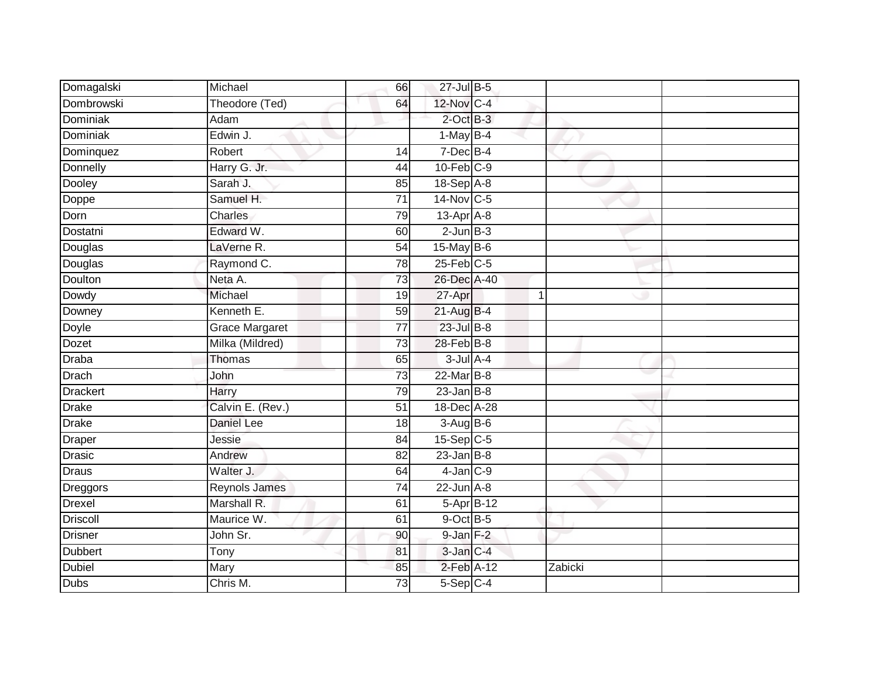| Domagalski      | Michael               | 66              | 27-Jul B-5        |         |  |
|-----------------|-----------------------|-----------------|-------------------|---------|--|
| Dombrowski      | Theodore (Ted)        | 64              | 12-Nov C-4        |         |  |
| <b>Dominiak</b> | Adam                  |                 | $2$ -Oct B-3      |         |  |
| Dominiak        | Edwin J.              |                 | $1-MayB-4$        |         |  |
| Dominquez       | Robert                | 14              | $7$ -Dec $B-4$    |         |  |
| Donnelly        | Harry G. Jr.          | 44              | $10$ -Feb $C-9$   |         |  |
| Dooley          | Sarah J.              | 85              | 18-Sep A-8        |         |  |
| Doppe           | Samuel H.             | $\overline{71}$ | $14$ -Nov $ C-5 $ |         |  |
| Dorn            | Charles               | 79              | 13-Apr A-8        |         |  |
| Dostatni        | Edward W.             | 60              | $2$ -Jun $B-3$    |         |  |
| Douglas         | LaVerne R.            | $\overline{54}$ | 15-May B-6        |         |  |
| Douglas         | Raymond C.            | 78              | $25$ -Feb $C$ -5  |         |  |
| Doulton         | Neta A.               | 73              | 26-Dec A-40       |         |  |
| Dowdy           | Michael               | 19              | 27-Apr            | 1       |  |
| Downey          | Kenneth E.            | 59              | 21-Aug B-4        |         |  |
| Doyle           | <b>Grace Margaret</b> | $\overline{77}$ | $23$ -Jul $B-8$   |         |  |
| Dozet           | Milka (Mildred)       | 73              | $28$ -Feb $B$ -8  |         |  |
| <b>Draba</b>    | Thomas                | 65              | $3$ -Jul $A-4$    |         |  |
| Drach           | John                  | 73              | 22-Mar B-8        |         |  |
| Drackert        | Harry                 | 79              | $23$ -Jan $B-8$   |         |  |
| <b>Drake</b>    | Calvin E. (Rev.)      | 51              | 18-Dec A-28       |         |  |
| <b>Drake</b>    | <b>Daniel Lee</b>     | 18              | $3-AugB-6$        |         |  |
| Draper          | Jessie                | 84              | $15-Sep$ C-5      |         |  |
| Drasic          | Andrew                | 82              | $23$ -Jan B-8     |         |  |
| Draus           | Walter J.             | 64              | $4$ -Jan $C-9$    |         |  |
| Dreggors        | <b>Reynols James</b>  | $\overline{74}$ | $22$ -Jun $A-8$   |         |  |
| <b>Drexel</b>   | Marshall R.           | 61              | $5-Apr$ B-12      |         |  |
| <b>Driscoll</b> | Maurice W.            | 61              | $9$ -Oct $B$ -5   |         |  |
| <b>Drisner</b>  | John Sr.              | 90              | $9$ -Jan $F-2$    |         |  |
| Dubbert         | Tony                  | 81              | 3-Jan C-4         |         |  |
| <b>Dubiel</b>   | Mary                  | 85              | $2$ -Feb $A-12$   | Zabicki |  |
| <b>Dubs</b>     | Chris M.              | 73              | $5-Sep$ C-4       |         |  |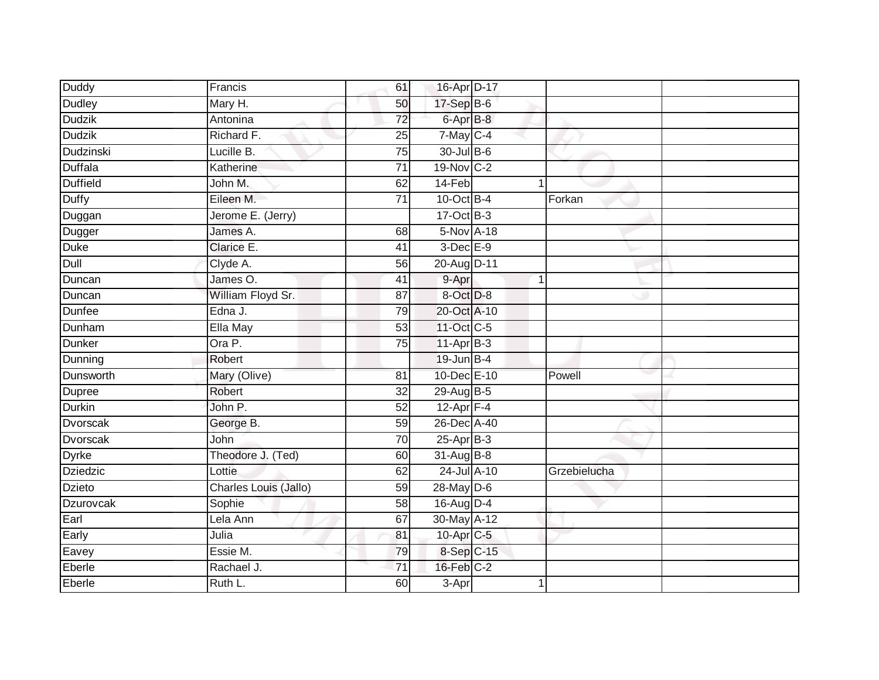| <b>Duddy</b>    | Francis               | 61              | 16-Apr D-17       |              |  |
|-----------------|-----------------------|-----------------|-------------------|--------------|--|
| Dudley          | Mary H.               | 50              | 17-Sep B-6        |              |  |
| <b>Dudzik</b>   | Antonina              | $\overline{72}$ | $6 -$ Apr $B - 8$ |              |  |
| <b>Dudzik</b>   | Richard F.            | 25              | $7$ -May $C-4$    |              |  |
| Dudzinski       | Lucille B.            | 75              | 30-Jul B-6        |              |  |
| Duffala         | Katherine             | $\overline{71}$ | 19-Nov C-2        |              |  |
| Duffield        | John M.               | 62              | 14-Feb            |              |  |
| <b>Duffy</b>    | Eileen M.             | 71              | 10-Oct B-4        | Forkan       |  |
| Duggan          | Jerome E. (Jerry)     |                 | $17-Oct$ B-3      |              |  |
| Dugger          | James A.              | 68              | 5-Nov A-18        |              |  |
| <b>Duke</b>     | Clarice E.            | 41              | $3$ -Dec $E-9$    |              |  |
| Dull            | Clyde A.              | 56              | 20-Aug D-11       |              |  |
| Duncan          | James O.              | 41              | 9-Apr             |              |  |
| Duncan          | William Floyd Sr.     | 87              | 8-Oct D-8         |              |  |
| Dunfee          | Edna J.               | 79              | 20-Oct A-10       |              |  |
| Dunham          | Ella May              | 53              | 11-Oct C-5        |              |  |
| Dunker          | Ora P.                | 75              | 11-Apr B-3        |              |  |
| Dunning         | Robert                |                 | 19-Jun B-4        |              |  |
| Dunsworth       | Mary (Olive)          | 81              | 10-Dec E-10       | Powell       |  |
| Dupree          | Robert                | 32              | 29-Aug B-5        |              |  |
| Durkin          | John P.               | 52              | $12$ -Apr $F-4$   |              |  |
| <b>Dvorscak</b> | George B.             | 59              | 26-Dec A-40       |              |  |
| <b>Dvorscak</b> | John                  | 70              | 25-Apr B-3        |              |  |
| Dyrke           | Theodore J. (Ted)     | 60              | 31-Aug B-8        |              |  |
| Dziedzic        | Lottie                | 62              | 24-Jul A-10       | Grzebielucha |  |
| Dzieto          | Charles Louis (Jallo) | 59              | $28$ -May $D-6$   |              |  |
| Dzurovcak       | Sophie                | 58              | 16-Aug D-4        |              |  |
| Earl            | Lela Ann              | 67              | 30-May A-12       |              |  |
| Early           | Julia                 | 81              | 10-Apr C-5        |              |  |
| Eavey           | Essie M.              | 79              | 8-Sep C-15        |              |  |
| Eberle          | Rachael J.            | 71              | $16$ -Feb $C-2$   |              |  |
| Eberle          | Ruth L.               | 60              | 3-Apr             |              |  |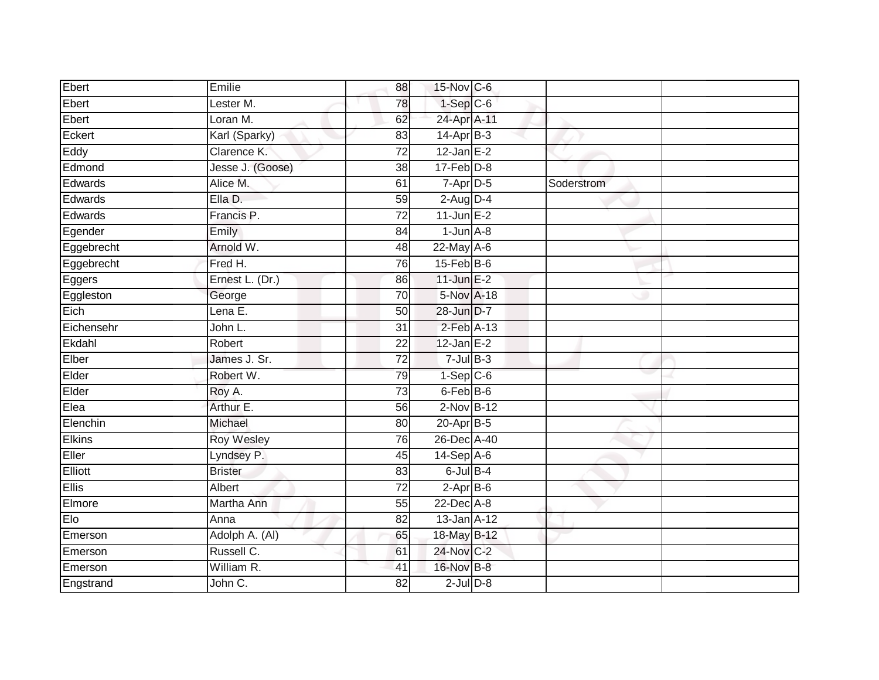| Ebert         | Emilie            | 88              | 15-Nov C-6        |            |  |
|---------------|-------------------|-----------------|-------------------|------------|--|
| Ebert         | Lester M.         | 78              | $1-Sep$ C-6       |            |  |
| Ebert         | Loran M.          | 62              | 24-Apr A-11       |            |  |
| Eckert        | Karl (Sparky)     | 83              | $14-Apr$ B-3      |            |  |
| Eddy          | Clarence K.       | $\overline{72}$ | $12$ -Jan $E-2$   |            |  |
| Edmond        | Jesse J. (Goose)  | 38              | $17$ -Feb $D-8$   |            |  |
| Edwards       | Alice M.          | 61              | 7-Apr D-5         | Soderstrom |  |
| Edwards       | Ella D.           | 59              | $2$ -Aug $D-4$    |            |  |
| Edwards       | Francis P.        | $\overline{72}$ | $11$ -Jun $E-2$   |            |  |
| Egender       | Emily             | 84              | $1$ -Jun $A - 8$  |            |  |
| Eggebrecht    | Arnold W.         | 48              | 22-May A-6        |            |  |
| Eggebrecht    | Fred H.           | 76              | $15$ -Feb $B$ -6  |            |  |
| <b>Eggers</b> | Ernest L. (Dr.)   | 86              | 11-Jun $E-2$      |            |  |
| Eggleston     | George            | 70              | 5-Nov A-18        |            |  |
| Eich          | Lena E.           | 50              | 28-Jun D-7        |            |  |
| Eichensehr    | John L.           | 31              | $2$ -Feb $A-13$   |            |  |
| Ekdahl        | Robert            | $\overline{22}$ | $12$ -Jan $E-2$   |            |  |
| Elber         | James J. Sr.      | $\overline{72}$ | $7 -$ Jul $B - 3$ |            |  |
| Elder         | Robert W.         | 79              | $1-Sep$ $C-6$     |            |  |
| Elder         | Roy A.            | $\overline{73}$ | 6-Feb B-6         |            |  |
| Elea          | Arthur E.         | 56              | $2-Nov$ B-12      |            |  |
| Elenchin      | Michael           | 80              | $20$ -Apr $B-5$   |            |  |
| Elkins        | <b>Roy Wesley</b> | 76              | 26-Dec A-40       |            |  |
| Eller         | Lyndsey P.        | 45              | $14-Sep$ A-6      |            |  |
| Elliott       | <b>Brister</b>    | 83              | $6$ -Jul $B-4$    |            |  |
| <b>Ellis</b>  | Albert            | 72              | $2-AprB-6$        |            |  |
| Elmore        | Martha Ann        | 55              | $22$ -Dec $A-8$   |            |  |
| Elo           | Anna              | 82              | 13-Jan A-12       |            |  |
| Emerson       | Adolph A. (Al)    | 65              | 18-May B-12       |            |  |
| Emerson       | Russell C.        | 61              | 24-Nov C-2        |            |  |
| Emerson       | William R.        | 41              | 16-Nov B-8        |            |  |
| Engstrand     | John C.           | $\overline{82}$ | $2$ -Jul $D-8$    |            |  |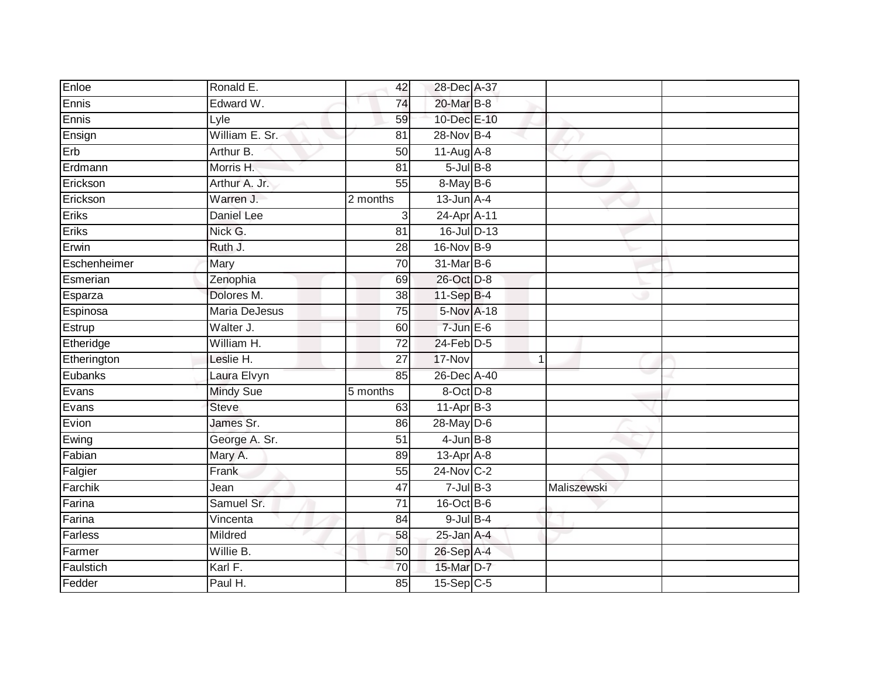| Enloe        | Ronald E.            | 42              | 28-Dec A-37       |              |             |  |
|--------------|----------------------|-----------------|-------------------|--------------|-------------|--|
| Ennis        | Edward W.            | 74              | 20-Mar B-8        |              |             |  |
| Ennis        | Lyle                 | 59              | 10-Dec E-10       |              |             |  |
| Ensign       | William E. Sr.       | 81              | 28-Nov B-4        |              |             |  |
| Erb          | Arthur B.            | 50              | $11-Aug$ A-8      |              |             |  |
| Erdmann      | Morris H.            | 81              | $5$ -Jul $B$ -8   |              |             |  |
| Erickson     | Arthur A. Jr.        | 55              | 8-May B-6         |              |             |  |
| Erickson     | Warren J.            | 2 months        | $13$ -Jun $A-4$   |              |             |  |
| Eriks        | Daniel Lee           | 3               | 24-Apr A-11       |              |             |  |
| Eriks        | Nick G.              | 81              | 16-Jul D-13       |              |             |  |
| Erwin        | Ruth J.              | 28              | 16-Nov B-9        |              |             |  |
| Eschenheimer | Mary                 | 70              | 31-Mar B-6        |              |             |  |
| Esmerian     | Zenophia             | 69              | 26-Oct D-8        |              |             |  |
| Esparza      | Dolores M.           | 38              | $11-Sep$ B-4      |              |             |  |
| Espinosa     | <b>Maria DeJesus</b> | 75              | 5-Nov A-18        |              |             |  |
| Estrup       | Walter J.            | 60              | $7 - Jun$ E-6     |              |             |  |
| Etheridge    | William H.           | $\overline{72}$ | $24$ -Feb $D-5$   |              |             |  |
| Etherington  | Leslie H.            | $\overline{27}$ | $17-Nov$          | $\mathbf{1}$ |             |  |
| Eubanks      | Laura Elvyn          | 85              | 26-Dec A-40       |              |             |  |
| Evans        | Mindy Sue            | 5 months        | 8-Oct D-8         |              |             |  |
| Evans        | <b>Steve</b>         | 63              | $11-AprB-3$       |              |             |  |
| Evion        | James Sr.            | 86              | $28$ -May $D-6$   |              |             |  |
| Ewing        | George A. Sr.        | 51              | $4$ -Jun $B-8$    |              |             |  |
| Fabian       | Mary A.              | 89              | $13$ -Apr $A$ -8  |              |             |  |
| Falgier      | Frank                | 55              | $24$ -Nov $ C-2 $ |              |             |  |
| Farchik      | Jean                 | 47              | $7 -$ Jul $B - 3$ |              | Maliszewski |  |
| Farina       | Samuel Sr.           | $\overline{71}$ | $16$ -Oct B-6     |              |             |  |
| Farina       | Vincenta             | 84              | $9$ -Jul $B$ -4   |              |             |  |
| Farless      | Mildred              | 58              | $25$ -Jan $A-4$   |              |             |  |
| Farmer       | Willie B.            | 50              | 26-Sep A-4        |              |             |  |
| Faulstich    | Karl F.              | 70              | 15-Mar D-7        |              |             |  |
| Fedder       | Paul H.              | 85              | $15-Sep$ $C-5$    |              |             |  |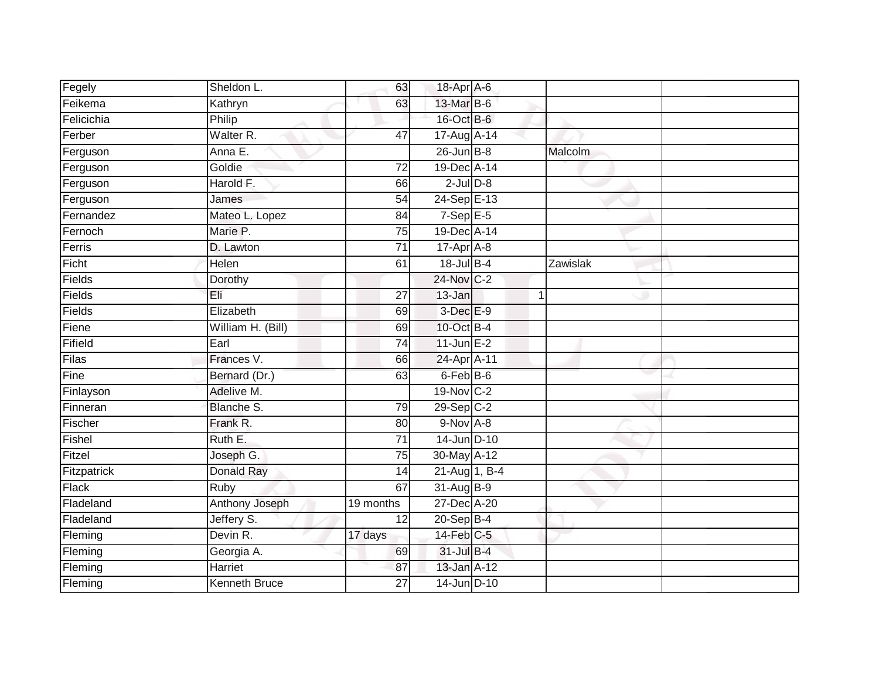| Fegely       | Sheldon L.           | 63              | 18-Apr A-6              |          |  |
|--------------|----------------------|-----------------|-------------------------|----------|--|
| Feikema      | Kathryn              | 63              | 13-Mar B-6              |          |  |
| Felicichia   | Philip               |                 | 16-Oct B-6              |          |  |
| Ferber       | Walter <sub>R.</sub> | 47              | 17-Aug A-14             |          |  |
| Ferguson     | Anna E.              |                 | $26$ -Jun $B-8$         | Malcolm  |  |
| Ferguson     | Goldie               | 72              | 19-Dec A-14             |          |  |
| Ferguson     | Harold F.            | 66              | $2$ -Jul $D-8$          |          |  |
| Ferguson     | James                | 54              | 24-Sep E-13             |          |  |
| Fernandez    | Mateo L. Lopez       | 84              | $7-Sep$ E-5             |          |  |
| Fernoch      | Marie P.             | $\overline{75}$ | 19-Dec A-14             |          |  |
| Ferris       | D. Lawton            | 71              | 17-Apr A-8              |          |  |
| Ficht        | Helen                | 61              | 18-Jul B-4              | Zawislak |  |
| Fields       | Dorothy              |                 | 24-Nov C-2              |          |  |
| Fields       | Eli                  | 27              | 13-Jan                  | 1        |  |
| Fields       | Elizabeth            | 69              | $3$ -Dec $E-9$          |          |  |
| Fiene        | William H. (Bill)    | 69              | 10-Oct B-4              |          |  |
| Fifield      | Earl                 | $\overline{74}$ | $11$ -Jun $E-2$         |          |  |
| Filas        | Frances V.           | 66              | 24-Apr A-11             |          |  |
| Fine         | Bernard (Dr.)        | 63              | 6-Feb B-6               |          |  |
| Finlayson    | Adelive M.           |                 | 19-Nov C-2              |          |  |
| Finneran     | <b>Blanche S.</b>    | 79              | $29-Sep$ <sub>C-2</sub> |          |  |
| Fischer      | Frank R.             | 80              | $9-NovA-8$              |          |  |
| Fishel       | Ruth E.              | 71              | $14$ -Jun $D-10$        |          |  |
| Fitzel       | Joseph G.            | $\overline{75}$ | 30-May A-12             |          |  |
| Fitzpatrick  | <b>Donald Ray</b>    | 14              | 21-Aug 1, B-4           |          |  |
| <b>Flack</b> | Ruby                 | 67              | 31-Aug B-9              |          |  |
| Fladeland    | Anthony Joseph       | 19 months       | 27-Dec A-20             |          |  |
| Fladeland    | Jeffery S.           | 12              | $20-SepB-4$             |          |  |
| Fleming      | Devin R.             | 17 days         | $14$ -Feb $C-5$         |          |  |
| Fleming      | Georgia A.           | 69              | 31-Jul B-4              |          |  |
| Fleming      | Harriet              | 87              | 13-Jan A-12             |          |  |
| Fleming      | <b>Kenneth Bruce</b> | $\overline{27}$ | 14-Jun D-10             |          |  |
|              |                      |                 |                         |          |  |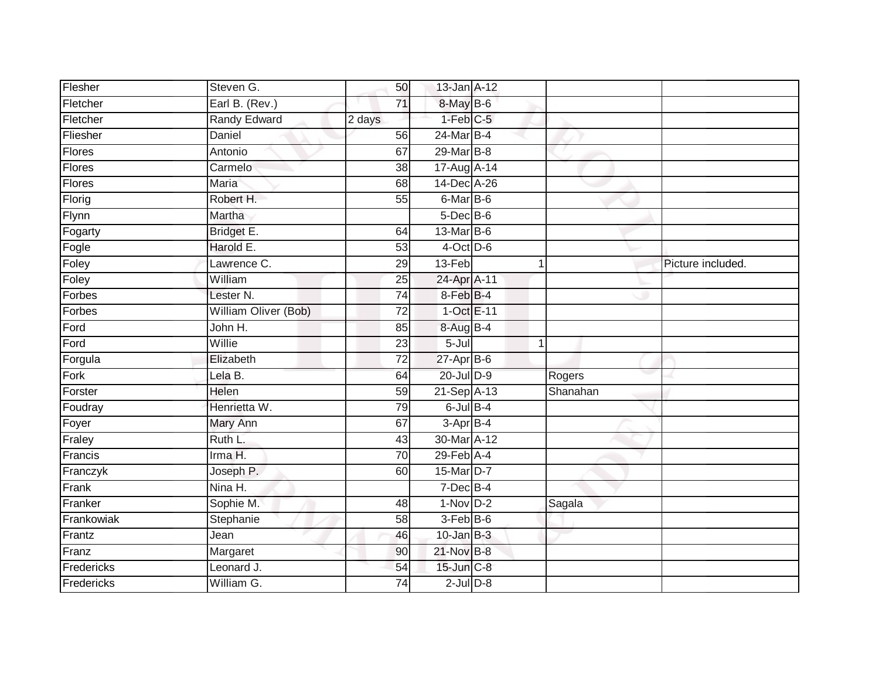| Flesher       | Steven G.                   | 50              | 13-Jan A-12      |              |          |                   |
|---------------|-----------------------------|-----------------|------------------|--------------|----------|-------------------|
| Fletcher      | Earl B. (Rev.)              | $\overline{71}$ | 8-May B-6        |              |          |                   |
| Fletcher      | <b>Randy Edward</b>         | 2 days          | $1-Feb$ $C-5$    |              |          |                   |
| Fliesher      | Daniel                      | 56              | 24-Mar B-4       |              |          |                   |
| <b>Flores</b> | Antonio                     | 67              | 29-Mar B-8       |              |          |                   |
| Flores        | Carmelo                     | 38              | 17-Aug A-14      |              |          |                   |
| Flores        | Maria                       | 68              | 14-Dec A-26      |              |          |                   |
| Florig        | Robert H.                   | 55              | 6-Mar B-6        |              |          |                   |
| Flynn         | Martha                      |                 | $5$ -Dec $B$ -6  |              |          |                   |
| Fogarty       | Bridget E.                  | 64              | 13-Mar B-6       |              |          |                   |
| Fogle         | Harold E.                   | 53              | $4$ -Oct D-6     |              |          |                   |
| Foley         | Lawrence C.                 | 29              | 13-Feb           | 1            |          | Picture included. |
| Foley         | William                     | 25              | 24-Apr A-11      |              |          |                   |
| Forbes        | Lester <sub>N.</sub>        | 74              | 8-Feb B-4        |              |          |                   |
| Forbes        | <b>William Oliver (Bob)</b> | $\overline{72}$ | 1-Oct E-11       |              |          |                   |
| Ford          | John H.                     | 85              | 8-Aug B-4        |              |          |                   |
| Ford          | Willie                      | $\overline{23}$ | $5 -$ Jul        | $\mathbf{1}$ |          |                   |
| Forgula       | Elizabeth                   | $\overline{72}$ | $27$ -Apr $B-6$  |              |          |                   |
| Fork          | Lela B.                     | 64              | 20-Jul D-9       |              | Rogers   |                   |
| Forster       | <b>Helen</b>                | $\overline{59}$ | 21-Sep A-13      |              | Shanahan |                   |
| Foudray       | Henrietta W.                | 79              | $6$ -Jul $B-4$   |              |          |                   |
| Foyer         | Mary Ann                    | 67              | $3-AprB-4$       |              |          |                   |
| Fraley        | Ruth L.                     | 43              | 30-Mar A-12      |              |          |                   |
| Francis       | Irma H.                     | 70              | $29$ -Feb $A$ -4 |              |          |                   |
| Franczyk      | Joseph P.                   | 60              | 15-Mar D-7       |              |          |                   |
| Frank         | $N$ ina H.                  |                 | $7$ -Dec $B-4$   |              |          |                   |
| Franker       | Sophie M.                   | 48              | $1-Nov$ D-2      |              | Sagala   |                   |
| Frankowiak    | Stephanie                   | 58              | $3-Feb B-6$      |              |          |                   |
| Frantz        | Jean                        | 46              | $10$ -Jan $B-3$  |              |          |                   |
| Franz         | Margaret                    | 90              | 21-Nov B-8       |              |          |                   |
| Fredericks    | Leonard J.                  | 54              | 15-Jun C-8       |              |          |                   |
| Fredericks    | William G.                  | $\overline{74}$ | $2$ -Jul $D-8$   |              |          |                   |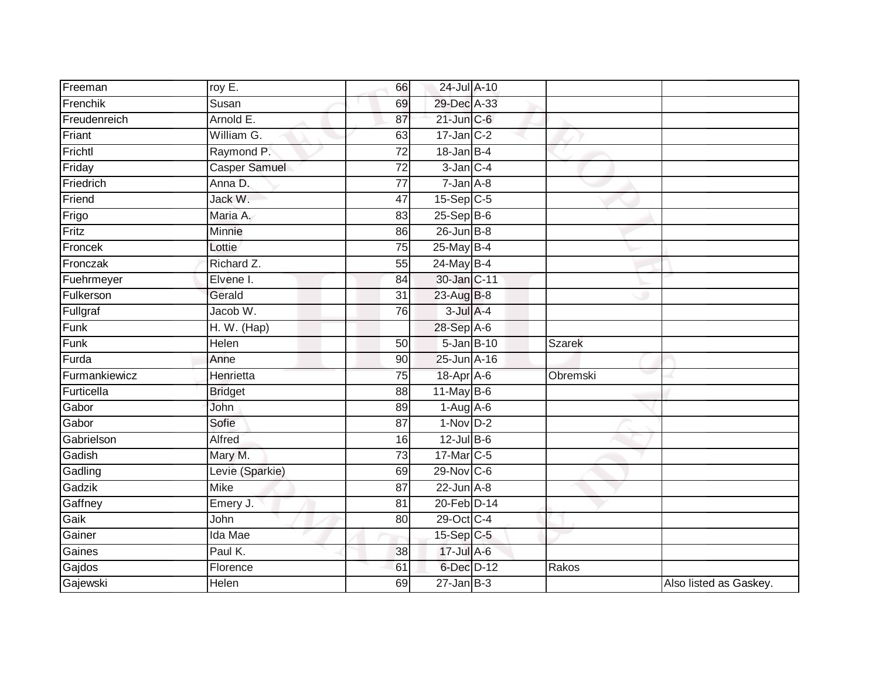| Freeman       | roy E.               | 66              | 24-Jul A-10       |          |                        |
|---------------|----------------------|-----------------|-------------------|----------|------------------------|
| Frenchik      | Susan                | 69              | 29-Dec A-33       |          |                        |
| Freudenreich  | Arnold E.            | 87              | $21$ -Jun $C-6$   |          |                        |
| Friant        | William G.           | 63              | $17$ -Jan C-2     |          |                        |
| Frichtl       | Raymond P.           | $\overline{72}$ | $18 - Jan$ $B-4$  |          |                        |
| Friday        | <b>Casper Samuel</b> | 72              | $3$ -Jan $C-4$    |          |                        |
| Friedrich     | Anna D.              | $\overline{77}$ | $7 - Jan A - 8$   |          |                        |
| Friend        | Jack W.              | 47              | $15-Sep$ C-5      |          |                        |
| Frigo         | Maria A.             | 83              | $25-SepB-6$       |          |                        |
| Fritz         | Minnie               | 86              | $26$ -Jun $B - 8$ |          |                        |
| Froncek       | Lottie               | 75              | 25-May B-4        |          |                        |
| Fronczak      | Richard Z.           | 55              | 24-May B-4        |          |                        |
| Fuehrmeyer    | Elvene I.            | 84              | 30-Jan C-11       |          |                        |
| Fulkerson     | Gerald               | 31              | 23-Aug B-8        |          |                        |
| Fullgraf      | Jacob W.             | 76              | $3$ -Jul $A-4$    |          |                        |
| Funk          | H. W. (Hap)          |                 | 28-Sep A-6        |          |                        |
| Funk          | <b>Helen</b>         | $\overline{50}$ | 5-Jan B-10        | Szarek   |                        |
| Furda         | Anne                 | 90              | 25-Jun A-16       |          |                        |
| Furmankiewicz | Henrietta            | $\overline{75}$ | 18-Apr A-6        | Obremski |                        |
| Furticella    | <b>Bridget</b>       | $\overline{88}$ | $11$ -May B-6     |          |                        |
| Gabor         | John                 | 89              | $1-Aug$ A-6       |          |                        |
| Gabor         | Sofie                | 87              | $1-Nov$ D-2       |          |                        |
| Gabrielson    | Alfred               | 16              | $12$ -Jul B-6     |          |                        |
| Gadish        | Mary M.              | 73              | 17-Mar C-5        |          |                        |
| Gadling       | Levie (Sparkie)      | 69              | 29-Nov C-6        |          |                        |
| Gadzik        | <b>Mike</b>          | 87              | $22$ -Jun $A-8$   |          |                        |
| Gaffney       | Emery J.             | 81              | 20-Feb D-14       |          |                        |
| Gaik          | John                 | 80              | 29-Oct C-4        |          |                        |
| Gainer        | Ida Mae              |                 | 15-Sep C-5        |          |                        |
| Gaines        | Paul K.              | 38              | 17-Jul A-6        |          |                        |
| Gajdos        | Florence             | 61              | 6-Dec D-12        | Rakos    |                        |
| Gajewski      | Helen                | 69              | $27$ -Jan B-3     |          | Also listed as Gaskey. |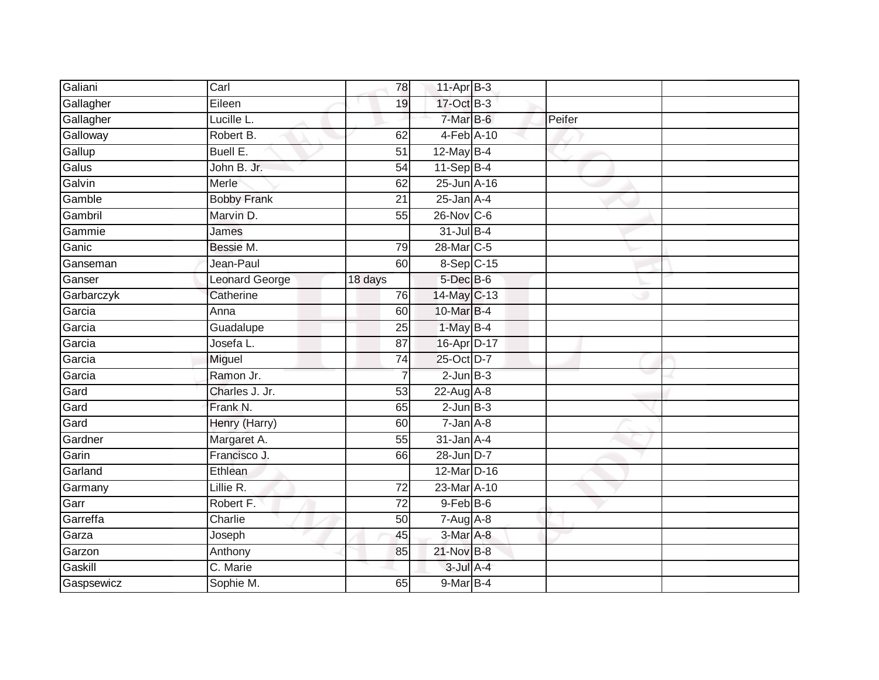| Galiani    | Carl               | 78              | $11-Apr$ B-3      |        |  |
|------------|--------------------|-----------------|-------------------|--------|--|
| Gallagher  | Eileen             | 19              | 17-Oct B-3        |        |  |
| Gallagher  | Lucille L.         |                 | 7-Mar B-6         | Peifer |  |
| Galloway   | Robert B.          | 62              | 4-Feb A-10        |        |  |
| Gallup     | Buell E.           | $\overline{51}$ | 12-May B-4        |        |  |
| Galus      | John B. Jr.        | 54              | $11-Sep$ B-4      |        |  |
| Galvin     | Merle              | 62              | 25-Jun A-16       |        |  |
| Gamble     | <b>Bobby Frank</b> | 21              | $25$ -Jan $A-4$   |        |  |
| Gambril    | Marvin D.          | 55              | $26$ -Nov $ C-6 $ |        |  |
| Gammie     | James              |                 | $31$ -Jul B-4     |        |  |
| Ganic      | Bessie M.          | 79              | 28-Mar C-5        |        |  |
| Ganseman   | Jean-Paul          | 60              | 8-Sep C-15        |        |  |
| Ganser     | Leonard George     | 18 days         | 5-Dec B-6         |        |  |
| Garbarczyk | Catherine          | 76              | 14-May C-13       |        |  |
| Garcia     | Anna               | 60              | 10-Mar B-4        |        |  |
| Garcia     | Guadalupe          | 25              | 1-May B-4         |        |  |
| Garcia     | Josefa L.          | $\overline{87}$ | 16-Apr D-17       |        |  |
| Garcia     | Miguel             | 74              | 25-Oct D-7        |        |  |
| Garcia     | Ramon Jr.          |                 | $2$ -Jun $B-3$    |        |  |
| Gard       | Charles J. Jr.     | 53              | $22$ -Aug A-8     |        |  |
| Gard       | Frank N.           | 65              | $2$ -Jun $B-3$    |        |  |
| Gard       | Henry (Harry)      | 60              | $7 - Jan A - 8$   |        |  |
| Gardner    | Margaret A.        | 55              | $31$ -Jan $A-4$   |        |  |
| Garin      | Francisco J.       | 66              | 28-Jun D-7        |        |  |
| Garland    | Ethlean            |                 | 12-Mar D-16       |        |  |
| Garmany    | Lillie R.          | 72              | 23-Mar A-10       |        |  |
| Garr       | Robert F.          | $\overline{72}$ | $9$ -Feb $B$ -6   |        |  |
| Garreffa   | Charlie            | 50              | $7-Aug$ $A-8$     |        |  |
| Garza      | Joseph             | 45              | $3-Mar$ A-8       |        |  |
| Garzon     | Anthony            | 85              | 21-Nov B-8        |        |  |
| Gaskill    | C. Marie           |                 | $3$ -Jul $A-4$    |        |  |
| Gaspsewicz | Sophie M.          | 65              | 9-Mar B-4         |        |  |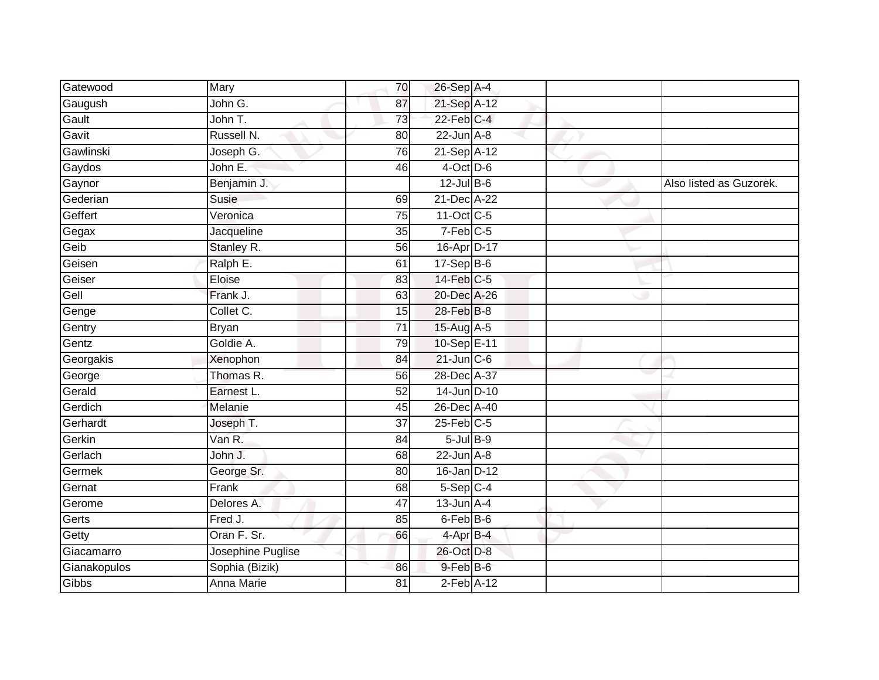| Gatewood     | Mary              | 70              | 26-Sep A-4             |  |                         |
|--------------|-------------------|-----------------|------------------------|--|-------------------------|
| Gaugush      | John G.           | 87              | 21-Sep A-12            |  |                         |
| Gault        | John T.           | 73              | $22$ -Feb $C-4$        |  |                         |
| Gavit        | Russell N.        | 80              | $22$ -Jun $A-8$        |  |                         |
| Gawlinski    | Joseph G.         | 76              | 21-Sep A-12            |  |                         |
| Gaydos       | John E.           | 46              | $4$ -Oct D-6           |  |                         |
| Gaynor       | Benjamin J.       |                 | $12$ -Jul $B-6$        |  | Also listed as Guzorek. |
| Gederian     | Susie             | 69              | 21-Dec A-22            |  |                         |
| Geffert      | Veronica          | 75              | 11-Oct C-5             |  |                         |
| Gegax        | Jacqueline        | 35              | $7-Feb$ <sub>C-5</sub> |  |                         |
| Geib         | Stanley R.        | 56              | 16-Apr D-17            |  |                         |
| Geisen       | Ralph E.          | 61              | $17-Sep$ B-6           |  |                         |
| Geiser       | Eloise            | 83              | $14$ -Feb $C-5$        |  |                         |
| Gell         | Frank J.          | 63              | 20-Dec A-26            |  |                         |
| Genge        | Collet C.         | 15              | 28-Feb B-8             |  |                         |
| Gentry       | <b>Bryan</b>      | $\overline{71}$ | 15-Aug A-5             |  |                         |
| Gentz        | Goldie A.         | 79              | 10-Sep E-11            |  |                         |
| Georgakis    | Xenophon          | 84              | $21$ -Jun $C - 6$      |  |                         |
| George       | Thomas R.         | 56              | 28-Dec A-37            |  |                         |
| Gerald       | Earnest L.        | 52              | 14-Jun D-10            |  |                         |
| Gerdich      | Melanie           | 45              | 26-Dec A-40            |  |                         |
| Gerhardt     | Joseph T.         | $\overline{37}$ | $25$ -Feb $C$ -5       |  |                         |
| Gerkin       | Van R.            | 84              | $5$ -Jul $B$ -9        |  |                         |
| Gerlach      | John J.           | 68              | $22$ -Jun $A-8$        |  |                         |
| Germek       | George Sr.        | 80              | 16-Jan D-12            |  |                         |
| Gernat       | Frank             | 68              | $5-Sep$ $C-4$          |  |                         |
| Gerome       | Delores A.        | $\overline{47}$ | $13$ -Jun $A-4$        |  |                         |
| Gerts        | Fred J.           | 85              | 6-Feb B-6              |  |                         |
| Getty        | Oran F. Sr.       | 66              | $4$ -Apr $B$ -4        |  |                         |
| Giacamarro   | Josephine Puglise |                 | 26-Oct D-8             |  |                         |
| Gianakopulos | Sophia (Bizik)    | 86              | $9$ -Feb $B$ -6        |  |                         |
| Gibbs        | Anna Marie        | 81              | $2$ -Feb $A-12$        |  |                         |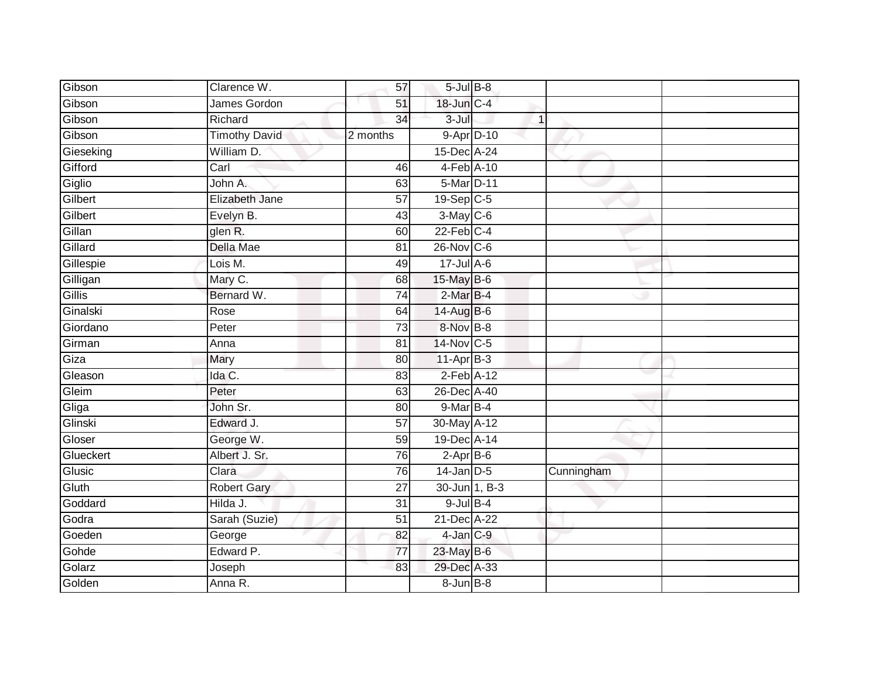| Gibson    | Clarence W.          | 57              | $5$ -Jul $B$ -8   |              |            |  |
|-----------|----------------------|-----------------|-------------------|--------------|------------|--|
| Gibson    | James Gordon         | 51              | 18-Jun C-4        |              |            |  |
| Gibson    | Richard              | $\overline{34}$ | $3 -$ Jul         | $\mathbf{1}$ |            |  |
| Gibson    | <b>Timothy David</b> | 2 months        | 9-Apr D-10        |              |            |  |
| Gieseking | William D.           |                 | 15-Dec A-24       |              |            |  |
| Gifford   | Carl                 | 46              | 4-Feb A-10        |              |            |  |
| Giglio    | John A.              | 63              | 5-Mar D-11        |              |            |  |
| Gilbert   | Elizabeth Jane       | 57              | 19-Sep C-5        |              |            |  |
| Gilbert   | Evelyn B.            | 43              | $3-May$ $C-6$     |              |            |  |
| Gillan    | glen R.              | 60              | $22$ -Feb $C-4$   |              |            |  |
| Gillard   | Della Mae            | 81              | $26$ -Nov $ C-6 $ |              |            |  |
| Gillespie | Lois M.              | 49              | $17 -$ Jul A-6    |              |            |  |
| Gilligan  | Mary C.              | 68              | 15-May B-6        |              |            |  |
| Gillis    | Bernard W.           | 74              | $2-MarB-4$        |              |            |  |
| Ginalski  | Rose                 | 64              | 14-Aug B-6        |              |            |  |
| Giordano  | Peter                | 73              | 8-Nov B-8         |              |            |  |
| Girman    | Anna                 | $\overline{81}$ | 14-Nov C-5        |              |            |  |
| Giza      | Mary                 | 80              | $11-AprB-3$       |              |            |  |
| Gleason   | Ida C.               | 83              | $2$ -Feb $A-12$   |              |            |  |
| Gleim     | Peter                | 63              | 26-Dec A-40       |              |            |  |
| Gliga     | John Sr.             | 80              | 9-Mar B-4         |              |            |  |
| Glinski   | Edward J.            | $\overline{57}$ | 30-May A-12       |              |            |  |
| Gloser    | George W.            | 59              | 19-Dec A-14       |              |            |  |
| Glueckert | Albert J. Sr.        | 76              | $2-AprB-6$        |              |            |  |
| Glusic    | Clara                | 76              | $14$ -Jan D-5     |              | Cunningham |  |
| Gluth     | <b>Robert Gary</b>   | 27              | 30-Jun 1, B-3     |              |            |  |
| Goddard   | Hilda J.             | $\overline{31}$ | $9$ -Jul $B$ -4   |              |            |  |
| Godra     | Sarah (Suzie)        | 51              | 21-Dec A-22       |              |            |  |
| Goeden    | George               | 82              | 4-Jan C-9         |              |            |  |
| Gohde     | Edward P.            | 77              | 23-May B-6        |              |            |  |
| Golarz    | Joseph               | 83              | 29-Dec A-33       |              |            |  |
| Golden    | Anna R.              |                 | 8-Jun B-8         |              |            |  |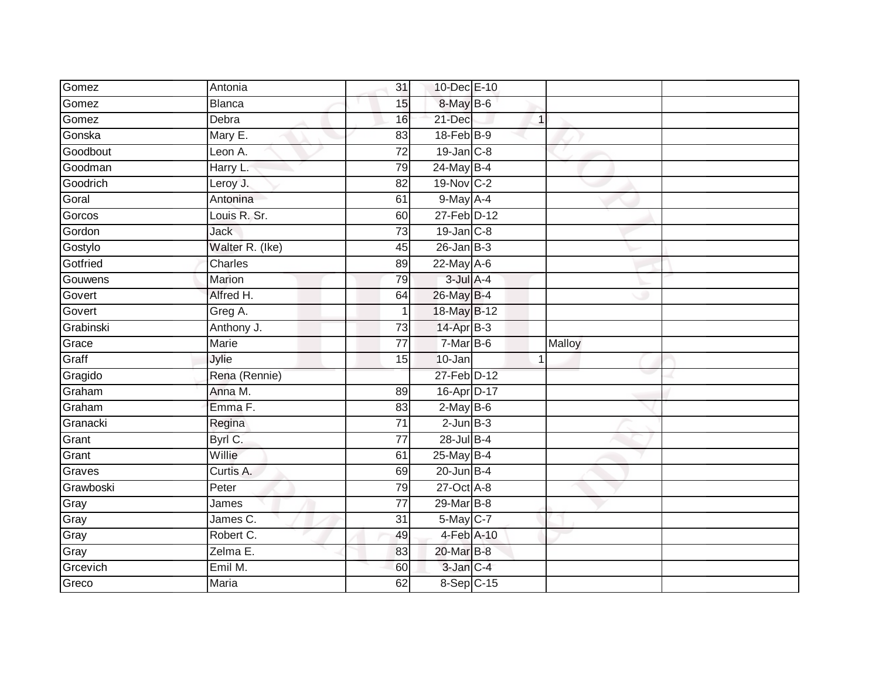| Gomez             | Antonia          | 31              | 10-Dec E-10                 |              |        |  |
|-------------------|------------------|-----------------|-----------------------------|--------------|--------|--|
| Gomez             | <b>Blanca</b>    | 15              | 8-May B-6                   |              |        |  |
| Gomez             | Debra            | 16              | 21-Dec                      | $\mathbf{1}$ |        |  |
| Gonska            | Mary E.          | 83              | 18-Feb B-9                  |              |        |  |
| Goodbout          | Leon A.          | $\overline{72}$ | 19-Jan C-8                  |              |        |  |
| Goodman           | Harry L:         | 79              | 24-May B-4                  |              |        |  |
| Goodrich          | Leroy J.         | 82              | 19-Nov C-2                  |              |        |  |
| Goral             | Antonina         | 61              | $9$ -May A-4                |              |        |  |
| Gorcos            | Louis R. Sr.     | 60              | 27-Feb D-12                 |              |        |  |
| Gordon            | Jack             | $\overline{73}$ | $19$ -Jan $C-8$             |              |        |  |
| Gostylo           | Walter R. (Ike)  | 45              | $26$ -Jan $B-3$             |              |        |  |
| Gotfried          | Charles          | 89              | 22-May A-6                  |              |        |  |
| Gouwens           | Marion           | 79              | $3$ -Jul $A-4$              |              |        |  |
| Govert            | Alfred H.        | 64              | 26-May B-4                  |              |        |  |
| Govert            | Greg A.          |                 | 18-May B-12                 |              |        |  |
| Grabinski         | Anthony J.       | 73              | 14-Apr B-3                  |              |        |  |
| Grace             | <b>Marie</b>     | $\overline{77}$ | $7-MarB-6$                  |              | Malloy |  |
| Graff             | Jylie            | 15              | 10-Jan                      | $\mathbf{1}$ |        |  |
| Gragido           | Rena (Rennie)    |                 | 27-Feb D-12                 |              |        |  |
| Graham            | Anna M.          |                 |                             |              |        |  |
|                   |                  | 89              | 16-Apr D-17                 |              |        |  |
| Graham            | Emma F.          | 83              | $2-MayB-6$                  |              |        |  |
| Granacki          | Regina           | 71              | $2$ -Jun $B-3$              |              |        |  |
| Grant             | Byrl C.          | 77              | $28$ -Jul B-4               |              |        |  |
| Grant             | Willie           | 61              | 25-May B-4                  |              |        |  |
| Graves            | Curtis A.        | 69              | $20$ -Jun B-4               |              |        |  |
| Grawboski         | Peter            | 79              | $27$ -Oct $\overline{A}$ -8 |              |        |  |
| Gray              | James            | $\overline{77}$ | 29-Mar B-8                  |              |        |  |
| Gray              | James C.         | 31              | 5-May C-7                   |              |        |  |
| Gray              | Robert C.        | 49              | 4-Feb A-10                  |              |        |  |
| Gray              | Zelma E.         | 83              | 20-Mar B-8                  |              |        |  |
| Grcevich<br>Greco | Emil M.<br>Maria | 60<br>62        | 3-Jan C-4<br>8-Sep C-15     |              |        |  |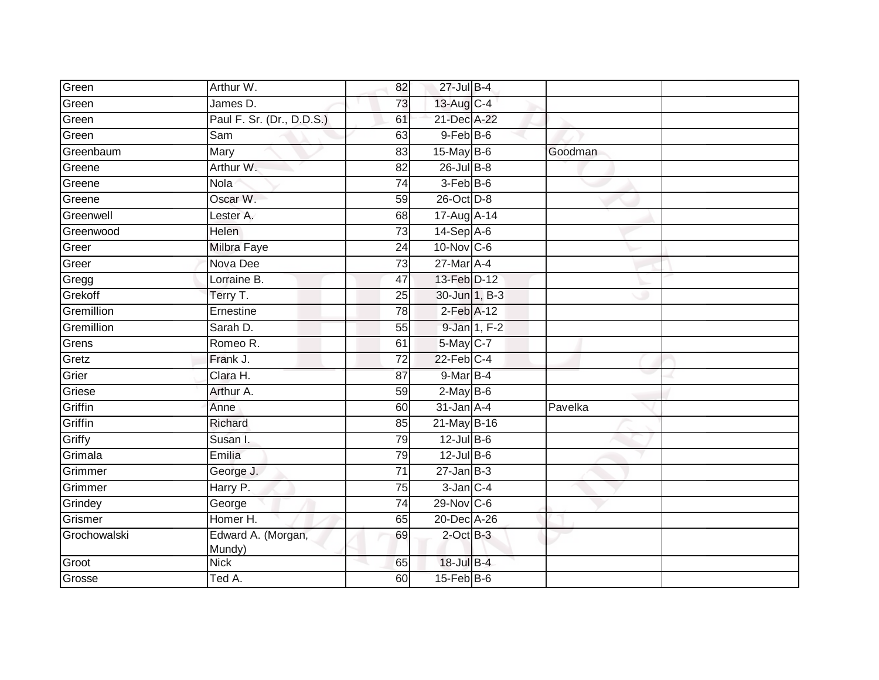| Green        | Arthur W.                    | 82              | 27-Jul B-4        |              |         |  |
|--------------|------------------------------|-----------------|-------------------|--------------|---------|--|
| Green        | James D.                     | 73              | 13-Aug C-4        |              |         |  |
| Green        | Paul F. Sr. (Dr., D.D.S.)    | 61              | 21-Dec A-22       |              |         |  |
| Green        | Sam                          | 63              | 9-Feb B-6         |              |         |  |
| Greenbaum    | Mary                         | 83              | $15$ -May B-6     |              | Goodman |  |
| Greene       | Arthur W.                    | $\overline{82}$ | $26$ -Jul $B-8$   |              |         |  |
| Greene       | Nola                         | 74              | 3-Feb B-6         |              |         |  |
| Greene       | Oscar W.                     | 59              | 26-Oct D-8        |              |         |  |
| Greenwell    | Lester A.                    | 68              | 17-Aug A-14       |              |         |  |
| Greenwood    | <b>Helen</b>                 | $\overline{73}$ | 14-Sep A-6        |              |         |  |
| Greer        | <b>Milbra Faye</b>           | $\overline{24}$ | $10$ -Nov $ C-6 $ |              |         |  |
| Greer        | Nova Dee                     | 73              | $27$ -Mar $A-4$   |              |         |  |
| Gregg        | Lorraine B.                  | 47              | 13-Feb D-12       |              |         |  |
| Grekoff      | Terry T.                     | 25              | 30-Jun 1, B-3     |              |         |  |
| Gremillion   | Ernestine                    | $\overline{78}$ | $2$ -Feb $A-12$   |              |         |  |
| Gremillion   | Sarah D.                     | 55              |                   | 9-Jan 1, F-2 |         |  |
| Grens        | Romeo R.                     | 61              | 5-May C-7         |              |         |  |
| Gretz        | Frank J.                     | $\overline{72}$ | $22$ -Feb $C-4$   |              |         |  |
| Grier        | Clara H.                     | 87              | 9-Mar B-4         |              |         |  |
| Griese       | Arthur A.                    | 59              | $2$ -May $B-6$    |              |         |  |
| Griffin      | Anne                         | 60              | $31$ -Jan $A$ -4  |              | Pavelka |  |
| Griffin      | Richard                      | 85              | 21-May B-16       |              |         |  |
| Griffy       | Susan I.                     | 79              | $12$ -Jul $B-6$   |              |         |  |
| Grimala      | Emilia                       | 79              | $12$ -Jul B-6     |              |         |  |
| Grimmer      | George J.                    | 71              | $27 - Jan$ $B-3$  |              |         |  |
| Grimmer      | Harry P.                     | 75              | $3$ -Jan $C-4$    |              |         |  |
| Grindey      | George                       | $\overline{74}$ | $29-Nov$ C-6      |              |         |  |
| Grismer      | Homer H.                     | 65              | 20-Dec A-26       |              |         |  |
| Grochowalski | Edward A. (Morgan,<br>Mundy) | 69              | $2$ -Oct $B-3$    |              |         |  |
| Groot        | <b>Nick</b>                  | 65              | 18-Jul B-4        |              |         |  |
| Grosse       | Ted A.                       | 60              | $15$ -Feb $B$ -6  |              |         |  |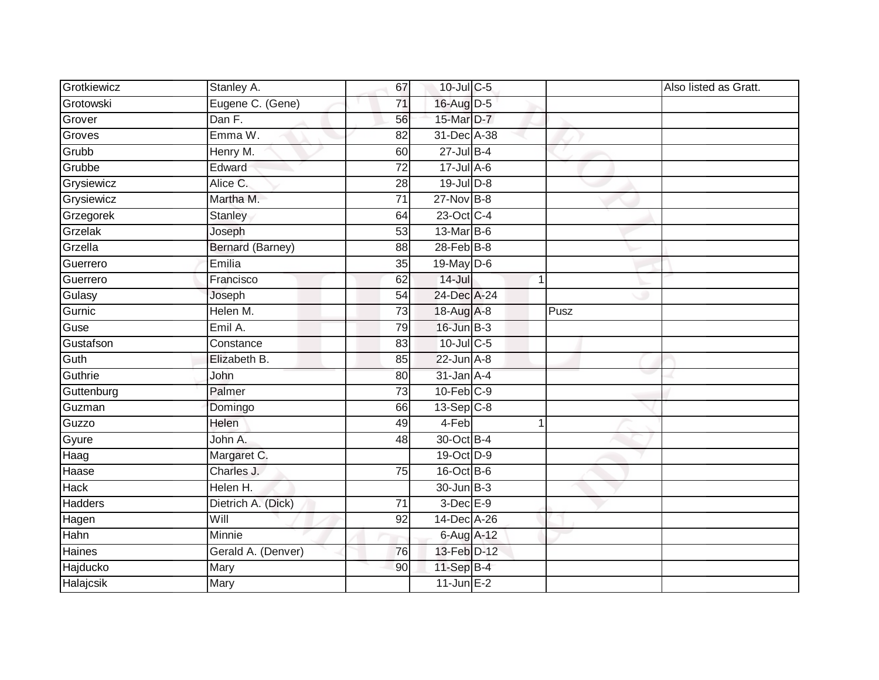| Grotkiewicz    | Stanley A.         | 67              | 10-Jul C-5      |   |      | Also listed as Gratt. |
|----------------|--------------------|-----------------|-----------------|---|------|-----------------------|
| Grotowski      | Eugene C. (Gene)   | 71              | 16-Aug D-5      |   |      |                       |
| Grover         | Dan F.             | 56              | 15-Mar D-7      |   |      |                       |
| Groves         | Emma W.            | 82              | 31-Dec A-38     |   |      |                       |
| Grubb          | Henry M.           | 60              | $27$ -Jul B-4   |   |      |                       |
| Grubbe         | Edward             | $\overline{72}$ | $17 -$ Jul A-6  |   |      |                       |
| Grysiewicz     | Alice C.           | 28              | $19$ -Jul $D-8$ |   |      |                       |
| Grysiewicz     | Martha M.          | 71              | $27$ -Nov $B-8$ |   |      |                       |
| Grzegorek      | <b>Stanley</b>     | 64              | 23-Oct C-4      |   |      |                       |
| Grzelak        | Joseph             | 53              | 13-Mar B-6      |   |      |                       |
| Grzella        | Bernard (Barney)   | 88              | 28-Feb B-8      |   |      |                       |
| Guerrero       | Emilia             | 35              | 19-May D-6      |   |      |                       |
| Guerrero       | Francisco          | 62              | $14 -$ Jul      | 1 |      |                       |
| Gulasy         | Joseph             | 54              | 24-Dec A-24     |   |      |                       |
| Gurnic         | Helen M.           | $\overline{73}$ | 18-Aug A-8      |   | Pusz |                       |
| Guse           | Emil A.            | 79              | $16$ -Jun $B-3$ |   |      |                       |
| Gustafson      | Constance          | 83              | $10$ -Jul C-5   |   |      |                       |
| Guth           | Elizabeth B.       | 85              | $22$ -Jun $A-8$ |   |      |                       |
| Guthrie        | John               | 80              | $31$ -Jan $A-4$ |   |      |                       |
| Guttenburg     | Palmer             | $\overline{73}$ | $10$ -Feb $C-9$ |   |      |                       |
| Guzman         | Domingo            | 66              | $13-Sep$ C-8    |   |      |                       |
| Guzzo          | Helen              | 49              | 4-Feb           |   |      |                       |
| Gyure          | John A.            | 48              | 30-Oct B-4      |   |      |                       |
| Haag           | Margaret C.        |                 | 19-Oct D-9      |   |      |                       |
| Haase          | Charles J.         | 75              | 16-Oct B-6      |   |      |                       |
| <b>Hack</b>    | Helen H.           |                 | 30-Jun B-3      |   |      |                       |
| <b>Hadders</b> | Dietrich A. (Dick) | $\overline{71}$ | 3-Dec E-9       |   |      |                       |
| Hagen          | Will               | 92              | 14-Dec A-26     |   |      |                       |
| Hahn           | Minnie             |                 | 6-Aug A-12      |   |      |                       |
| Haines         | Gerald A. (Denver) | 76              | 13-Feb D-12     |   |      |                       |
| Hajducko       | Mary               | 90              | 11-Sep B-4      |   |      |                       |
| Halajcsik      | Mary               |                 | $11$ -Jun E-2   |   |      |                       |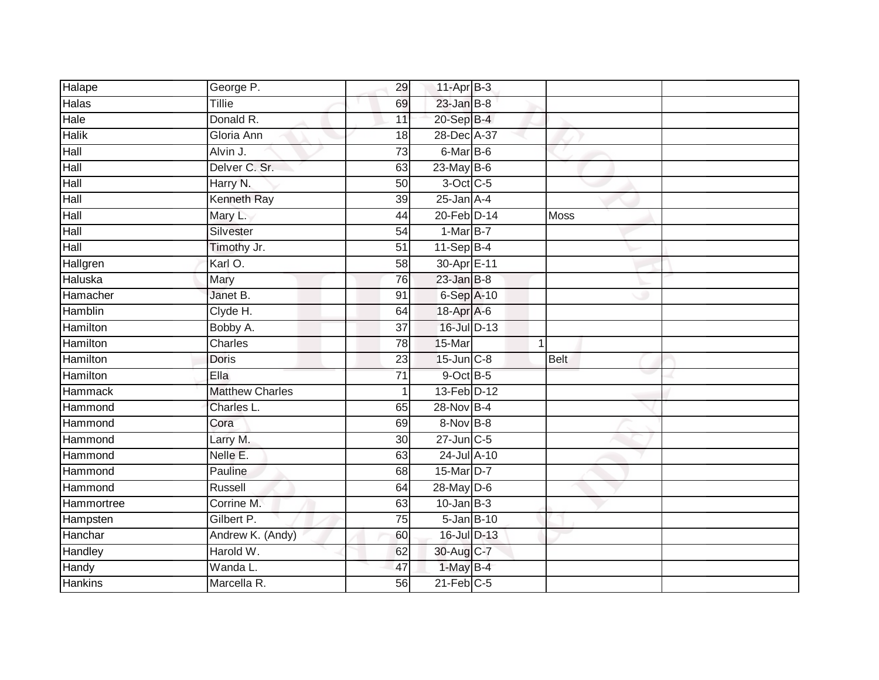| Halape         | George P.              | 29              | $11-Apr$ B-3     |   |      |  |
|----------------|------------------------|-----------------|------------------|---|------|--|
| <b>Halas</b>   | Tillie                 | 69              | $23$ -Jan $B-8$  |   |      |  |
| Hale           | Donald R.              | 11              | 20-Sep B-4       |   |      |  |
| <b>Halik</b>   | Gloria Ann             | 18              | 28-Dec A-37      |   |      |  |
| Hall           | Alvin J.               | 73              | 6-Mar B-6        |   |      |  |
| Hall           | Delver C. Sr.          | 63              | 23-May B-6       |   |      |  |
| Hall           | Harry N.               | 50              | 3-Oct C-5        |   |      |  |
| Hall           | Kenneth Ray            | 39              | $25$ -Jan $A-4$  |   |      |  |
| Hall           | Mary L.                | 44              | 20-Feb D-14      |   | Moss |  |
| Hall           | Silvester              | 54              | $1-MarB-7$       |   |      |  |
| Hall           | Timothy Jr.            | $\overline{51}$ | $11-Sep$ B-4     |   |      |  |
| Hallgren       | Karl O.                | 58              | 30-Apr E-11      |   |      |  |
| Haluska        | Mary                   | 76              | $23$ -Jan B-8    |   |      |  |
| Hamacher       | Janet B.               | 91              | 6-Sep A-10       |   |      |  |
| <b>Hamblin</b> | Clyde H.               | 64              | 18-Apr A-6       |   |      |  |
| Hamilton       | Bobby A.               | 37              | 16-Jul D-13      |   |      |  |
| Hamilton       | Charles                | 78              | 15-Mar           | 1 |      |  |
| Hamilton       | Doris                  | 23              | $15$ -Jun $C-8$  |   | Belt |  |
| Hamilton       | Ella                   | 71              | 9-Oct B-5        |   |      |  |
| <b>Hammack</b> | <b>Matthew Charles</b> | $\mathbf{1}$    | 13-Feb D-12      |   |      |  |
| Hammond        | Charles L.             | 65              | 28-Nov B-4       |   |      |  |
| Hammond        | Cora                   | 69              | 8-Nov B-8        |   |      |  |
| Hammond        | Larry M.               | 30 <sub>0</sub> | $27 - Jun$ C-5   |   |      |  |
| Hammond        | Nelle E.               | 63              | 24-Jul A-10      |   |      |  |
| Hammond        | Pauline                | 68              | 15-Mar D-7       |   |      |  |
| Hammond        | Russell                | 64              | 28-May D-6       |   |      |  |
| Hammortree     | Corrine M.             | 63              | $10$ -Jan B-3    |   |      |  |
| Hampsten       | Gilbert P.             | 75              | $5 - Jan$ $B-10$ |   |      |  |
| Hanchar        | Andrew K. (Andy)       | 60              | 16-Jul D-13      |   |      |  |
| Handley        | Harold W.              | 62              | 30-Aug C-7       |   |      |  |
| Handy          | Wanda L.               | 47              | 1-May B-4        |   |      |  |
| <b>Hankins</b> | Marcella R.            | 56              | $21$ -Feb $C-5$  |   |      |  |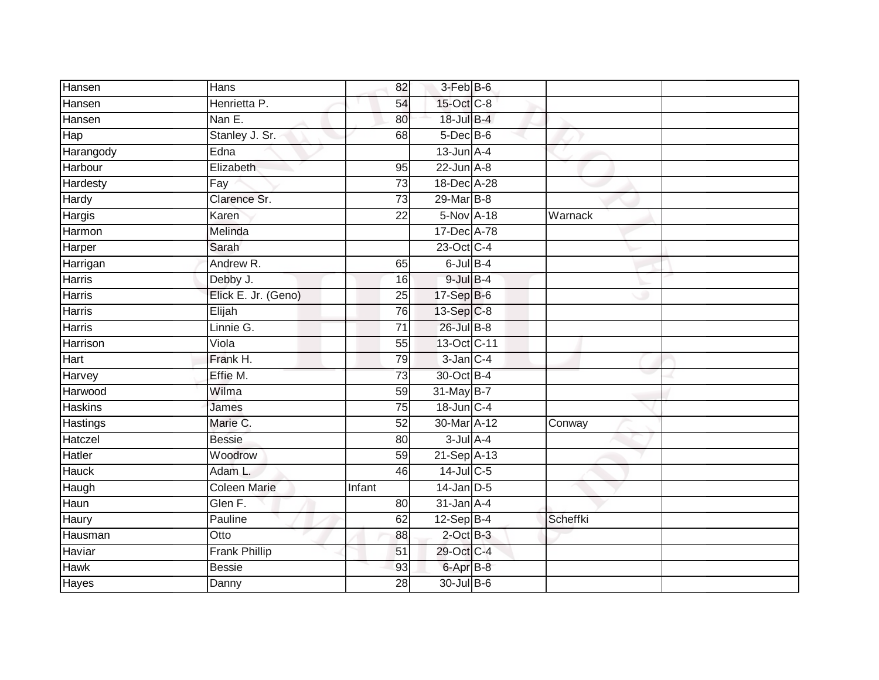| Hansen         | Hans                 | 82              | 3-Feb B-6       |          |  |
|----------------|----------------------|-----------------|-----------------|----------|--|
| Hansen         | Henrietta P.         | 54              | 15-Oct C-8      |          |  |
| Hansen         | Nan E.               | 80              | 18-Jul B-4      |          |  |
| Hap            | Stanley J. Sr.       | 68              | 5-Dec B-6       |          |  |
| Harangody      | Edna                 |                 | $13$ -Jun $A-4$ |          |  |
| Harbour        | Elizabeth            | 95              | $22$ -Jun $A-8$ |          |  |
| Hardesty       | Fay                  | 73              | 18-Dec A-28     |          |  |
| Hardy          | Clarence Sr.         | 73              | 29-Mar B-8      |          |  |
| Hargis         | Karen                | 22              | 5-Nov A-18      | Warnack  |  |
| Harmon         | Melinda              |                 | 17-Dec A-78     |          |  |
| Harper         | Sarah                |                 | 23-Oct C-4      |          |  |
| Harrigan       | Andrew R.            | 65              | $6$ -Jul $B-4$  |          |  |
| Harris         | Debby J.             | 16              | $9$ -Jul $B-4$  |          |  |
| Harris         | Elick E. Jr. (Geno)  | 25              | 17-Sep B-6      |          |  |
| <b>Harris</b>  | Elijah               | 76              | 13-Sep C-8      |          |  |
| Harris         | Linnie G.            | $\overline{71}$ | 26-Jul B-8      |          |  |
| Harrison       | Viola                | $\overline{55}$ | 13-Oct C-11     |          |  |
| Hart           | Frank H.             | 79              | $3$ -Jan $C-4$  |          |  |
| Harvey         | Effie M.             | 73              | 30-Oct B-4      |          |  |
| Harwood        | Wilma                | 59              | 31-May B-7      |          |  |
| <b>Haskins</b> | James                | 75              | 18-Jun C-4      |          |  |
| Hastings       | Marie C.             | 52              | 30-Mar A-12     | Conway   |  |
| Hatczel        | <b>Bessie</b>        | 80              | $3$ -Jul $A$ -4 |          |  |
| Hatler         | Woodrow              | 59              | 21-Sep A-13     |          |  |
| Hauck          | Adam L.              | 46              | 14-Jul C-5      |          |  |
| Haugh          | <b>Coleen Marie</b>  | Infant          | $14$ -Jan D-5   |          |  |
| Haun           | Glen F.              | 80              | $31$ -Jan $A-4$ |          |  |
| Haury          | Pauline              | 62              | $12-Sep$ B-4    | Scheffki |  |
| Hausman        | Otto                 | 88              | $2$ -Oct $B-3$  |          |  |
| Haviar         | <b>Frank Phillip</b> | 51              | 29-Oct C-4      |          |  |
| Hawk           | <b>Bessie</b>        | 93              | 6-Apr B-8       |          |  |
| <b>Hayes</b>   | Danny                | $\overline{28}$ | 30-Jul B-6      |          |  |
|                |                      |                 |                 |          |  |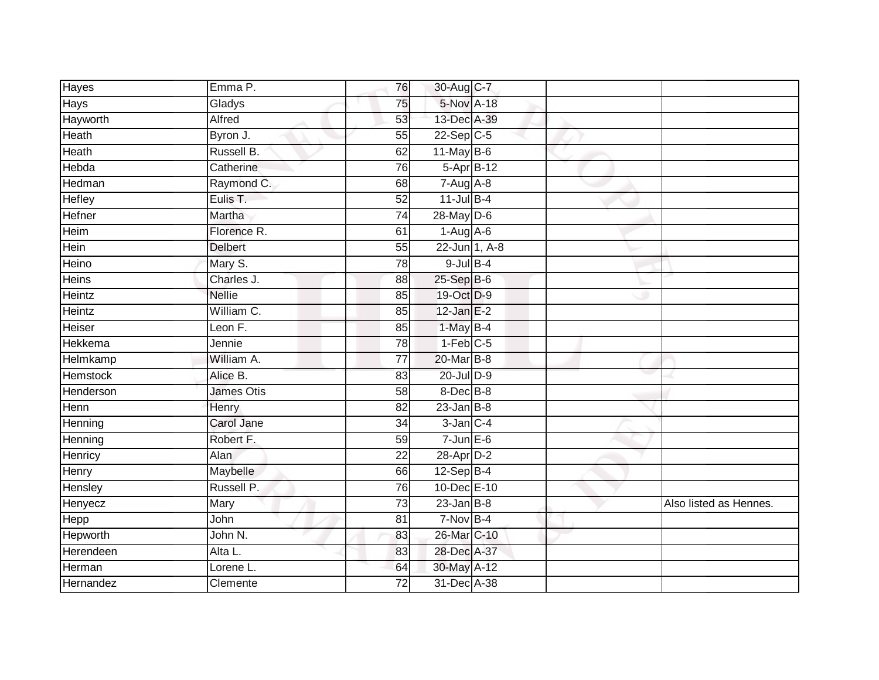| Hayes          | Emma P.        | 76              | 30-Aug C-7             |  |                        |
|----------------|----------------|-----------------|------------------------|--|------------------------|
| Hays           | Gladys         | 75              | 5-Nov A-18             |  |                        |
| Hayworth       | <b>Alfred</b>  | 53              | 13-Dec A-39            |  |                        |
| Heath          | Byron J.       | 55              | $22-Sep$ C-5           |  |                        |
| Heath          | Russell B.     | 62              | $11$ -May B-6          |  |                        |
| Hebda          | Catherine      | 76              | 5-Apr B-12             |  |                        |
| Hedman         | Raymond C.     | 68              | $7-Aug$ A-8            |  |                        |
| Hefley         | Eulis T.       | 52              | $11$ -Jul B-4          |  |                        |
| Hefner         | Martha         | 74              | 28-May D-6             |  |                        |
| Heim           | Florence R.    | 61              | $1-Aug$ A-6            |  |                        |
| Hein           | <b>Delbert</b> | 55              | 22-Jun 1, A-8          |  |                        |
| Heino          | Mary S.        | 78              | $9$ -Jul $B$ -4        |  |                        |
| <b>Heins</b>   | Charles J.     | 88              | 25-Sep B-6             |  |                        |
| Heintz         | <b>Nellie</b>  | 85              | 19-Oct D-9             |  |                        |
| <b>Heintz</b>  | William C.     | 85              | $12$ -Jan E-2          |  |                        |
| Heiser         | Leon F.        | 85              | $1$ -May B-4           |  |                        |
| <b>Hekkema</b> | Jennie         | 78              | $1-Feb$ <sub>C-5</sub> |  |                        |
| Helmkamp       | William A.     | 77              | 20-Mar B-8             |  |                        |
| Hemstock       | Alice B.       | 83              | 20-Jul D-9             |  |                        |
| Henderson      | James Otis     | 58              | 8-Dec B-8              |  |                        |
| Henn           | Henry          | 82              | $23$ -Jan $B-8$        |  |                        |
| Henning        | Carol Jane     | $\overline{34}$ | $3$ -Jan $C-4$         |  |                        |
| Henning        | Robert F.      | 59              | $7$ -Jun $E$ -6        |  |                        |
| Henricy        | Alan           | $\overline{22}$ | 28-Apr D-2             |  |                        |
| Henry          | Maybelle       | 66              | $12-Sep B-4$           |  |                        |
| Hensley        | Russell P.     | 76              | 10-Dec E-10            |  |                        |
| Henyecz        | Mary           | $\overline{73}$ | $23$ -Jan $B-8$        |  | Also listed as Hennes. |
| Hepp           | John           | 81              | $7-Nov$ B-4            |  |                        |
| Hepworth       | John N.        | 83              | 26-Mar C-10            |  |                        |
| Herendeen      | Alta L.        | 83              | 28-Dec A-37            |  |                        |
| Herman         | Lorene L.      | 64              | 30-May A-12            |  |                        |
| Hernandez      | Clemente       | $\overline{72}$ | 31-Dec A-38            |  |                        |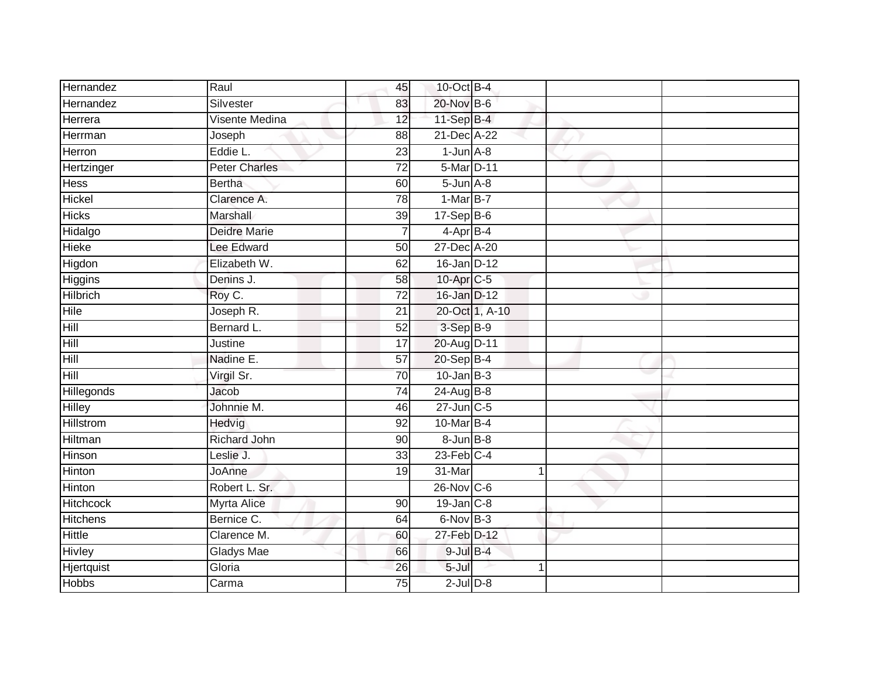| Hernandez        | Raul                 | 45              | 10-Oct B-4        |                |   |  |
|------------------|----------------------|-----------------|-------------------|----------------|---|--|
| Hernandez        | Silvester            | 83              | 20-Nov B-6        |                |   |  |
| Herrera          | Visente Medina       | 12              | 11-Sep B-4        |                |   |  |
| Herrman          | Joseph               | 88              | 21-Dec A-22       |                |   |  |
| Herron           | Eddie L.             | 23              | $1$ -Jun $A-8$    |                |   |  |
| Hertzinger       | <b>Peter Charles</b> | $\overline{72}$ | 5-Mar D-11        |                |   |  |
| Hess             | <b>Bertha</b>        | 60              | $5 - Jun$ $A - 8$ |                |   |  |
| Hickel           | Clarence A.          | 78              | $1-MarB-7$        |                |   |  |
| <b>Hicks</b>     | Marshall             | 39              | 17-Sep B-6        |                |   |  |
| Hidalgo          | <b>Deidre Marie</b>  | $\overline{7}$  | $4$ -Apr $B$ -4   |                |   |  |
| <b>Hieke</b>     | Lee Edward           | 50              | 27-Dec A-20       |                |   |  |
| Higdon           | Elizabeth W.         | 62              | $16$ -Jan D-12    |                |   |  |
| <b>Higgins</b>   | Denins J.            | 58              | 10-Apr C-5        |                |   |  |
| <b>Hilbrich</b>  | Roy C.               | $\overline{72}$ | 16-Jan D-12       |                |   |  |
| Hile             | Joseph R.            | $\overline{21}$ |                   | 20-Oct 1, A-10 |   |  |
| Hill             | Bernard L.           | $\overline{52}$ | 3-Sep B-9         |                |   |  |
| Hill             | Justine              | $\overline{17}$ | 20-Aug D-11       |                |   |  |
| Hill             | Nadine E.            | $\overline{57}$ | $20 - Sep$ B-4    |                |   |  |
| Hill             | Virgil Sr.           | 70              | $10$ -Jan B-3     |                |   |  |
| Hillegonds       | Jacob                | 74              | 24-Aug B-8        |                |   |  |
| Hilley           | Johnnie M.           | 46              | $27$ -Jun $C-5$   |                |   |  |
| <b>Hillstrom</b> | Hedvig               | $\overline{92}$ | 10-Mar B-4        |                |   |  |
| Hiltman          | <b>Richard John</b>  | 90              | $8 - Jun$ $B-8$   |                |   |  |
| Hinson           | Leslie J.            | 33              | $23$ -Feb $C-4$   |                |   |  |
| Hinton           | JoAnne               | 19              | 31-Mar            |                | 1 |  |
| <b>Hinton</b>    | Robert L. Sr.        |                 | 26-Nov C-6        |                |   |  |
| <b>Hitchcock</b> | <b>Myrta Alice</b>   | 90              | $19$ -Jan $C-8$   |                |   |  |
| <b>Hitchens</b>  | Bernice C.           | 64              | 6-Nov B-3         |                |   |  |
| <b>Hittle</b>    | Clarence M.          | 60              | 27-Feb D-12       |                |   |  |
| <b>Hivley</b>    | Gladys Mae           | 66              | $9$ -Jul $B$ -4   |                |   |  |
| Hjertquist       | Gloria               | 26              | 5-Jul             |                | 4 |  |
| <b>Hobbs</b>     | Carma                | 75              | $2$ -Jul $D-8$    |                |   |  |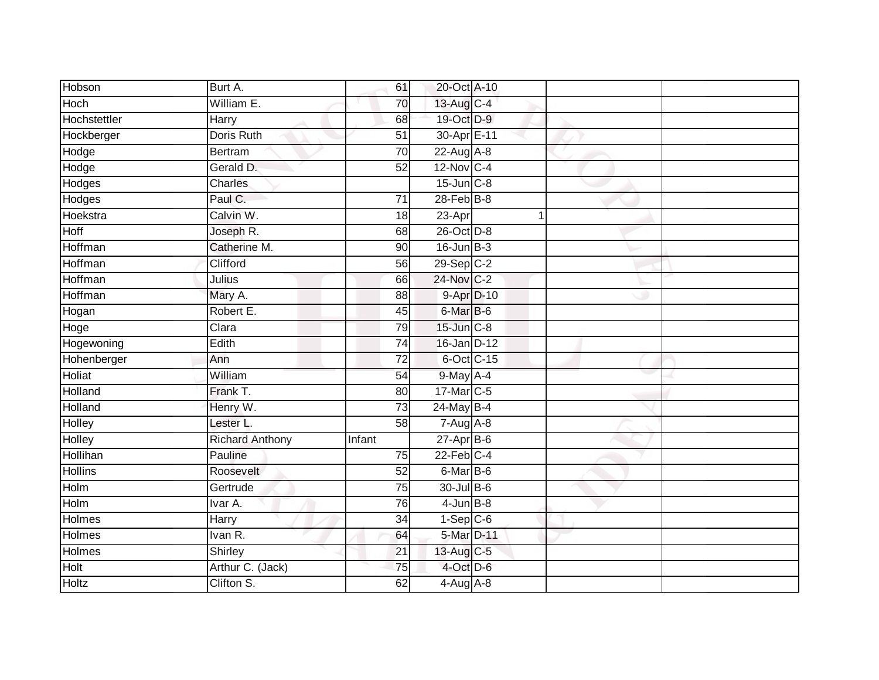| Hobson            | Burt A.                | 61              | 20-Oct A-10             |   |  |
|-------------------|------------------------|-----------------|-------------------------|---|--|
| Hoch              | William E.             | 70              | 13-Aug C-4              |   |  |
| Hochstettler      | Harry                  | 68              | 19-Oct D-9              |   |  |
| Hockberger        | Doris Ruth             | 51              | 30-Apr E-11             |   |  |
| Hodge             | <b>Bertram</b>         | $\overline{70}$ | $22$ -Aug A-8           |   |  |
| Hodge             | Gerald D.              | 52              | 12-Nov C-4              |   |  |
| <b>Hodges</b>     | Charles                |                 | $15$ -Jun $C-8$         |   |  |
| Hodges            | Paul C.                | 71              | $28$ -Feb $B-8$         |   |  |
| Hoekstra          | Calvin W.              | 18              | 23-Apr                  | 1 |  |
| Hoff              | Joseph R.              | 68              | $26$ -Oct $D-8$         |   |  |
| Hoffman           | Catherine M.           | 90              | $16$ -Jun $B-3$         |   |  |
| Hoffman           | Clifford               | 56              | $29-Sep$ <sub>C-2</sub> |   |  |
| Hoffman           | Julius                 | 66              | 24-Nov C-2              |   |  |
| Hoffman           | Mary A.                | 88              | 9-Apr D-10              |   |  |
| Hogan             | Robert E.              | 45              | 6-Mar B-6               |   |  |
| Hoge              | Clara                  | 79              | $15$ -Jun $C-8$         |   |  |
| <b>Hogewoning</b> | Edith                  | 74              | 16-Jan D-12             |   |  |
| Hohenberger       | Ann                    | 72              | 6-Oct C-15              |   |  |
| Holiat            | William                | 54              | $9$ -May $A$ -4         |   |  |
| Holland           | Frank T.               | 80              | 17-Mar C-5              |   |  |
| Holland           | Henry W.               | 73              | 24-May B-4              |   |  |
| <b>Holley</b>     | Lester L.              | 58              | $7 - Aug$ $A - 8$       |   |  |
| Holley            | <b>Richard Anthony</b> | Infant          | $27$ -Apr $B$ -6        |   |  |
| Hollihan          | Pauline                | $\overline{75}$ | $22$ -Feb $C-4$         |   |  |
| <b>Hollins</b>    | Roosevelt              | 52              | $6$ -Mar $B$ -6         |   |  |
| Holm              | Gertrude               | 75              | 30-Jul B-6              |   |  |
| Holm              | Ivar A.                | 76              | $4$ -Jun $B-8$          |   |  |
| Holmes            | Harry                  | 34              | $1-Sep$ $C-6$           |   |  |
| Holmes            | Ivan R.                | 64              | 5-Mar D-11              |   |  |
| Holmes            | Shirley                | 21              | 13-Aug C-5              |   |  |
| Holt              | Arthur C. (Jack)       | 75              | 4-Oct D-6               |   |  |
| <b>Holtz</b>      | Clifton S.             | 62              | $4-Aug$ $A-8$           |   |  |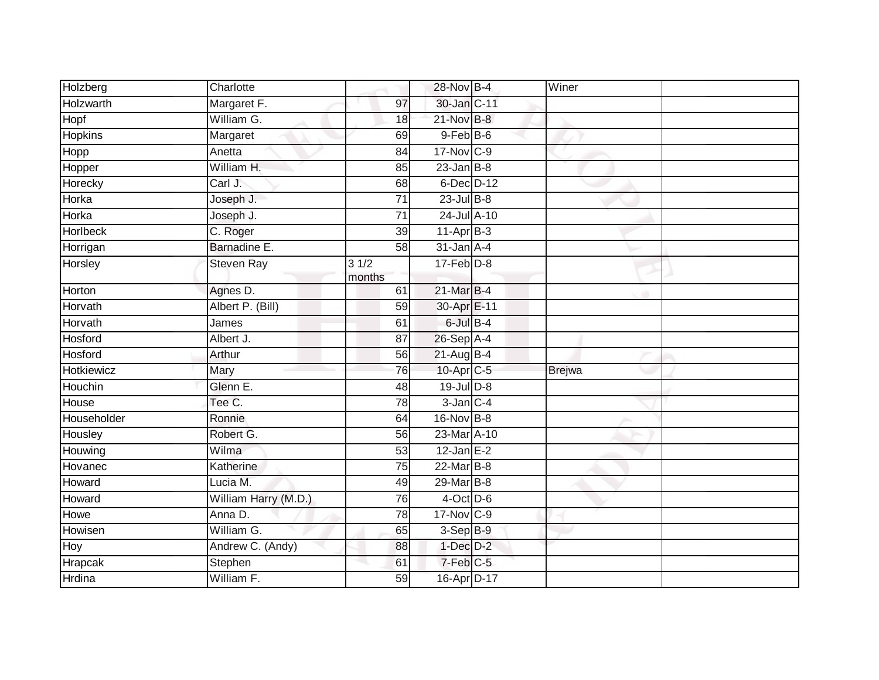| Holzberg        | Charlotte            |                 | 28-Nov B-4                   | Winer         |  |
|-----------------|----------------------|-----------------|------------------------------|---------------|--|
| Holzwarth       | Margaret F.          | 97              | 30-Jan C-11                  |               |  |
| Hopf            | William G.           | 18              | $21$ -Nov $B-8$              |               |  |
| <b>Hopkins</b>  | Margaret             | 69              | $9$ -Feb $B$ -6              |               |  |
| Hopp            | Anetta               | 84              | 17-Nov C-9                   |               |  |
| Hopper          | William H.           | 85              | $23$ -Jan B-8                |               |  |
| Horecky         | Carl J.              | 68              | 6-Dec D-12                   |               |  |
| Horka           | Joseph J.            | 71              | $23$ -Jul B-8                |               |  |
| Horka           | Joseph J.            | 71              | 24-Jul A-10                  |               |  |
| <b>Horlbeck</b> | C. Roger             | $\overline{39}$ | $11-Apr$ B-3                 |               |  |
| Horrigan        | Barnadine E.         | $\overline{58}$ | $31$ -Jan $A-4$              |               |  |
| Horsley         | Steven Ray           | 31/2<br>months  | $17$ -Feb $D-8$              |               |  |
| Horton          | Agnes D.             | 61              | 21-Mar B-4                   |               |  |
| Horvath         | Albert P. (Bill)     | 59              | 30-Apr E-11                  |               |  |
| Horvath         | James                | 61              | $6$ -Jul $B-4$               |               |  |
| Hosford         | Albert J.            | 87              | 26-Sep A-4                   |               |  |
| Hosford         | Arthur               | 56              | 21-Aug B-4                   |               |  |
| Hotkiewicz      | Mary                 | 76              | 10-Apr C-5                   | <b>Brejwa</b> |  |
| Houchin         | Glenn E.             | 48              | $19$ -Jul $D-8$              |               |  |
| House           | Tee C.               | 78              | $3$ -Jan $C-4$               |               |  |
| Householder     | Ronnie               | 64              | 16-Nov B-8                   |               |  |
| Housley         | Robert G.            | 56              | $23$ -Mar $\overline{A}$ -10 |               |  |
| Houwing         | Wilma                | 53              | $12$ -Jan E-2                |               |  |
| Hovanec         | Katherine            | 75              | 22-Mar B-8                   |               |  |
| Howard          | Lucia M.             | 49              | 29-Mar B-8                   |               |  |
| Howard          | William Harry (M.D.) | 76              | $4$ -Oct $\overline{D}$ -6   |               |  |
| Howe            | Anna D.              | 78              | 17-Nov C-9                   |               |  |
| Howisen         | William G.           | 65              | $3-Sep$ B-9                  |               |  |
| Hoy             | Andrew C. (Andy)     | 88              | $1$ -Dec $D-2$               |               |  |
| Hrapcak         | Stephen              | 61              | 7-Feb C-5                    |               |  |
| Hrdina          | William F.           | 59              | 16-Apr D-17                  |               |  |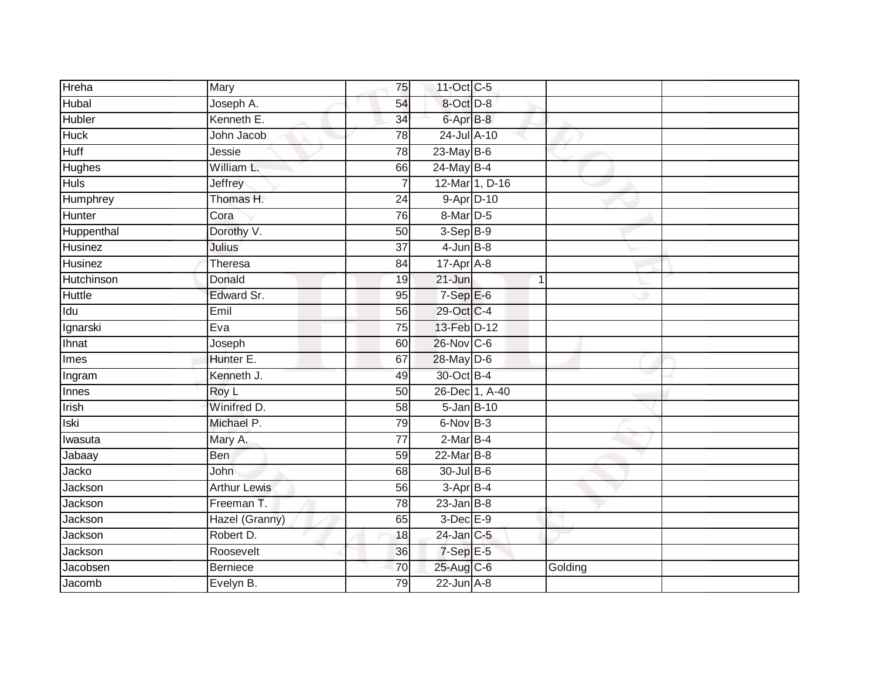| Hreha         | Mary                | 75              | 11-Oct C-5       |                |         |  |
|---------------|---------------------|-----------------|------------------|----------------|---------|--|
| Hubal         | Joseph A.           | 54              | 8-Oct D-8        |                |         |  |
| Hubler        | Kenneth E.          | $\overline{34}$ | 6-Apr B-8        |                |         |  |
| <b>Huck</b>   | John Jacob          | 78              | 24-Jul A-10      |                |         |  |
| <b>Huff</b>   | Jessie              | 78              | $23$ -May $B-6$  |                |         |  |
| Hughes        | William L.          | 66              | 24-May B-4       |                |         |  |
| <b>Huls</b>   | Jeffrey             | $\overline{7}$  |                  | 12-Mar 1, D-16 |         |  |
| Humphrey      | Thomas H.           | 24              | 9-Apr D-10       |                |         |  |
| <b>Hunter</b> | Cora                | 76              | 8-Mar D-5        |                |         |  |
| Huppenthal    | Dorothy V.          | 50              | 3-Sep B-9        |                |         |  |
| Husinez       | Julius              | $\overline{37}$ | $4$ -Jun $B-8$   |                |         |  |
| Husinez       | Theresa             | 84              | 17-Apr A-8       |                |         |  |
| Hutchinson    | Donald              | 19              | $21 - Jun$       | $\overline{1}$ |         |  |
| <b>Huttle</b> | Edward Sr.          | 95              | $7-Sep$ E-6      |                |         |  |
| Idu           | Emil                | 56              | 29-Oct C-4       |                |         |  |
| Ignarski      | Eva                 | 75              | 13-Feb D-12      |                |         |  |
| Ihnat         | Joseph              | 60              | 26-Nov C-6       |                |         |  |
| Imes          | Hunter E.           | 67              | 28-May D-6       |                |         |  |
| Ingram        | Kenneth J.          | 49              | 30-Oct B-4       |                |         |  |
| <b>Innes</b>  | Roy L               | 50              |                  | 26-Dec 1, A-40 |         |  |
| Irish         | Winifred D.         | 58              | $5 - Jan$ $B-10$ |                |         |  |
| <b>Iski</b>   | Michael P.          | 79              | 6-Nov B-3        |                |         |  |
| Iwasuta       | Mary A.             | 77              | $2-MarB-4$       |                |         |  |
| Jabaay        | Ben                 | 59              | $22$ -Mar $B-8$  |                |         |  |
| Jacko         | John                | 68              | 30-Jul B-6       |                |         |  |
| Jackson       | <b>Arthur Lewis</b> | 56              | $3-AprB-4$       |                |         |  |
| Jackson       | Freeman T.          | 78              | $23$ -Jan B-8    |                |         |  |
| Jackson       | Hazel (Granny)      | 65              | $3$ -Dec $E-9$   |                |         |  |
| Jackson       | Robert D.           | 18              | 24-Jan C-5       |                |         |  |
| Jackson       | Roosevelt           | 36              | 7-Sep E-5        |                |         |  |
| Jacobsen      | <b>Berniece</b>     | 70              | 25-Aug C-6       |                | Golding |  |
| Jacomb        | Evelyn B.           | 79              | $22$ -Jun $A-8$  |                |         |  |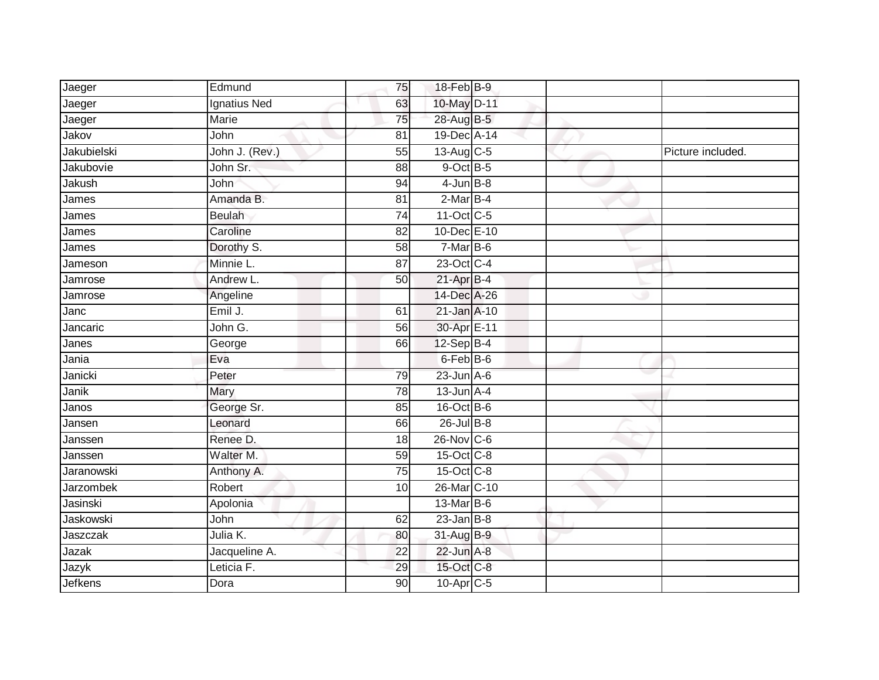| Jaeger         | Edmund              | 75              | 18-Feb B-9            |  |                   |
|----------------|---------------------|-----------------|-----------------------|--|-------------------|
| Jaeger         | <b>Ignatius Ned</b> | 63              | 10-May D-11           |  |                   |
| Jaeger         | Marie               | 75              | 28-Aug B-5            |  |                   |
| Jakov          | John                | 81              | 19-Dec A-14           |  |                   |
| Jakubielski    | John J. (Rev.)      | 55              | 13-Aug C-5            |  | Picture included. |
| Jakubovie      | John Sr.            | 88              | $9$ -Oct $B$ -5       |  |                   |
| Jakush         | John                | 94              | $4$ -Jun $B-8$        |  |                   |
| James          | Amanda B.           | 81              | $2-MarB-4$            |  |                   |
| James          | <b>Beulah</b>       | 74              | 11-Oct C-5            |  |                   |
| James          | Caroline            | $\overline{82}$ | 10-Dec E-10           |  |                   |
| James          | Dorothy S.          | $\overline{58}$ | 7-Mar B-6             |  |                   |
| Jameson        | Minnie L.           | 87              | 23-Oct C-4            |  |                   |
| Jamrose        | Andrew L.           | 50              | $21-AprB-4$           |  |                   |
| Jamrose        | Angeline            |                 | 14-Dec A-26           |  |                   |
| Janc           | Emil J.             | 61              | $21$ -Jan $A-10$      |  |                   |
| Jancaric       | John G.             | 56              | 30-Apr E-11           |  |                   |
| Janes          | George              | 66              | $12-Sep$ B-4          |  |                   |
| Jania          | Eva                 |                 | 6-Feb B-6             |  |                   |
| Janicki        | Peter               | 79              | $23$ -Jun $A-6$       |  |                   |
| Janik          | Mary                | $\overline{78}$ | $13$ -Jun $A-4$       |  |                   |
| Janos          | George Sr.          | 85              | 16-Oct B-6            |  |                   |
| Jansen         | Leonard             | 66              | $26$ -Jul $B-8$       |  |                   |
| Janssen        | Renee D.            | 18              | 26-Nov C-6            |  |                   |
| Janssen        | Walter M.           | 59              | 15-Oct C-8            |  |                   |
| Jaranowski     | Anthony A.          | 75              | 15-Oct C-8            |  |                   |
| Jarzombek      | Robert              | 10              | 26-Mar C-10           |  |                   |
| Jasinski       | Apolonia            |                 | 13-Mar B-6            |  |                   |
| Jaskowski      | John                | 62              | $23$ -Jan B-8         |  |                   |
| Jaszczak       | Julia K.            | 80              | 31-Aug B-9            |  |                   |
| Jazak          | Jacqueline A.       | 22              | $22$ -Jun $A-8$       |  |                   |
| Jazyk          | Leticia F.          | 29              | 15-Oct C-8            |  |                   |
| <b>Jefkens</b> | Dora                | 90              | 10-Apr <sub>C-5</sub> |  |                   |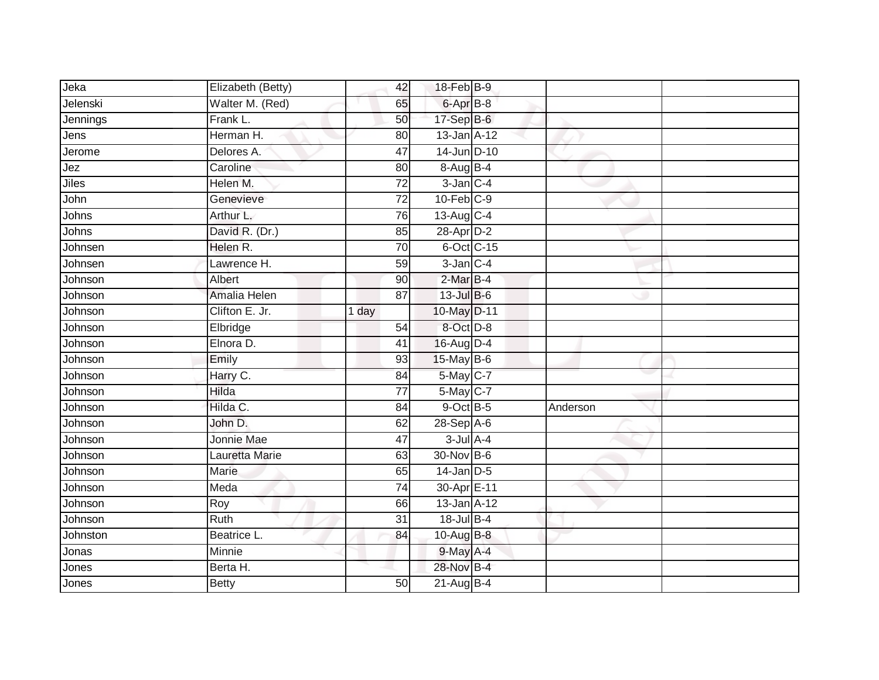| Jeka     | Elizabeth (Betty) | 42              | 18-Feb B-9       |          |  |
|----------|-------------------|-----------------|------------------|----------|--|
| Jelenski | Walter M. (Red)   | 65              | 6-Apr B-8        |          |  |
| Jennings | Frank L.          | 50              | 17-Sep B-6       |          |  |
| Jens     | Herman H.         | 80              | 13-Jan A-12      |          |  |
| Jerome   | Delores A.        | 47              | 14-Jun D-10      |          |  |
| Jez      | Caroline          | 80              | 8-Aug B-4        |          |  |
| Jiles    | Helen M.          | $\overline{72}$ | $3$ -Jan $C-4$   |          |  |
| John     | Genevieve         | 72              | $10$ -Feb $C-9$  |          |  |
| Johns    | Arthur L.         | 76              | 13-Aug C-4       |          |  |
| Johns    | David R. (Dr.)    | 85              | 28-Apr D-2       |          |  |
| Johnsen  | Helen R.          | 70              | $6$ -Oct $C$ -15 |          |  |
| Johnsen  | Lawrence H.       | 59              | $3$ -Jan $C-4$   |          |  |
| Johnson  | Albert            | 90              | $2$ -Mar $B-4$   |          |  |
| Johnson  | Amalia Helen      | 87              | $13$ -Jul B-6    |          |  |
| Johnson  | Clifton E. Jr.    | 1 day           | 10-May D-11      |          |  |
| Johnson  | Elbridge          | 54              | 8-Oct D-8        |          |  |
| Johnson  | Elnora D.         | $\overline{41}$ | 16-Aug D-4       |          |  |
| Johnson  | Emily             | 93              | 15-May B-6       |          |  |
| Johnson  | Harry C.          | 84              | 5-May C-7        |          |  |
| Johnson  | Hilda             | 77              | 5-May C-7        |          |  |
| Johnson  | Hilda C.          | 84              | $9$ -Oct $B$ -5  | Anderson |  |
| Johnson  | John D.           | 62              | 28-Sep A-6       |          |  |
| Johnson  | Jonnie Mae        | 47              | $3$ -Jul $A-4$   |          |  |
| Johnson  | Lauretta Marie    | 63              | 30-Nov B-6       |          |  |
| Johnson  | Marie             | 65              | $14$ -Jan $D-5$  |          |  |
| Johnson  | Meda              | 74              | 30-Apr E-11      |          |  |
| Johnson  | Roy               | 66              | 13-Jan A-12      |          |  |
| Johnson  | Ruth              | 31              | 18-Jul B-4       |          |  |
| Johnston | Beatrice L.       | 84              | 10-Aug B-8       |          |  |
| Jonas    | Minnie            |                 | 9-May A-4        |          |  |
| Jones    | Berta H.          |                 | 28-Nov B-4       |          |  |
| Jones    | <b>Betty</b>      | 50              | 21-Aug B-4       |          |  |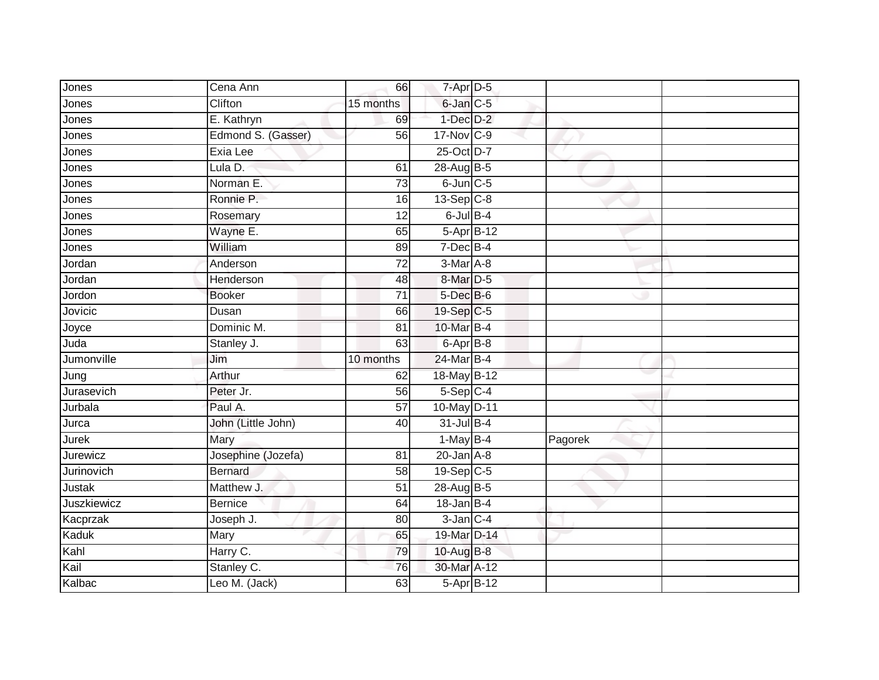| Jones         | Cena Ann           | 66              | $7 - Apr$ $D-5$            |            |         |  |
|---------------|--------------------|-----------------|----------------------------|------------|---------|--|
| Jones         | Clifton            | 15 months       | 6-Jan C-5                  |            |         |  |
| Jones         | E. Kathryn         | 69              | $1$ -Dec $D-2$             |            |         |  |
| Jones         | Edmond S. (Gasser) | 56              | 17-Nov C-9                 |            |         |  |
| Jones         | Exia Lee           |                 | 25-Oct D-7                 |            |         |  |
| Jones         | Lula D.            | 61              | 28-Aug B-5                 |            |         |  |
| Jones         | Norman E.          | 73              | $6$ -Jun $\overline{C}$ -5 |            |         |  |
| Jones         | Ronnie P.          | 16              | $13-Sep$ C-8               |            |         |  |
| Jones         | Rosemary           | 12              | $6$ -Jul $B-4$             |            |         |  |
| Jones         | Wayne E.           | 65              |                            | 5-Apr B-12 |         |  |
| Jones         | William            | 89              | 7-Dec B-4                  |            |         |  |
| Jordan        | Anderson           | $\overline{72}$ | 3-Mar A-8                  |            |         |  |
| Jordan        | Henderson          | 48              | 8-Mar D-5                  |            |         |  |
| Jordon        | <b>Booker</b>      | $\overline{71}$ | $5$ -Dec $B$ -6            |            |         |  |
| Jovicic       | Dusan              | 66              | 19-Sep C-5                 |            |         |  |
| Joyce         | Dominic M.         | $\overline{81}$ | 10-Mar B-4                 |            |         |  |
| Juda          | Stanley J.         | 63              | 6-Apr B-8                  |            |         |  |
| Jumonville    | Jim                | 10 months       | 24-Mar B-4                 |            |         |  |
| Jung          | Arthur             | 62              | 18-May B-12                |            |         |  |
| Jurasevich    | Peter Jr.          | 56              | $5-Sep$ C-4                |            |         |  |
| Jurbala       | Paul A.            | 57              | 10-May D-11                |            |         |  |
| Jurca         | John (Little John) | 40              | 31-Jul B-4                 |            |         |  |
| Jurek         | Mary               |                 | $1-MayB-4$                 |            | Pagorek |  |
| Jurewicz      | Josephine (Jozefa) | 81              | $20$ -Jan $A-8$            |            |         |  |
| Jurinovich    | <b>Bernard</b>     | 58              | $19-Sep$ <sub>C-5</sub>    |            |         |  |
| <b>Justak</b> | Matthew J.         | $\overline{51}$ | 28-Aug B-5                 |            |         |  |
| Juszkiewicz   | <b>Bernice</b>     | 64              | $18$ -Jan B-4              |            |         |  |
| Kacprzak      | Joseph J.          | 80              | $3$ -Jan $C-4$             |            |         |  |
| Kaduk         | Mary               | 65              | 19-Mar D-14                |            |         |  |
| Kahl          | Harry C.           | 79              | $10$ -Aug $B$ -8           |            |         |  |
| Kail          | Stanley C.         | 76              | 30-Mar A-12                |            |         |  |
| Kalbac        | Leo M. (Jack)      | 63              |                            | 5-Apr B-12 |         |  |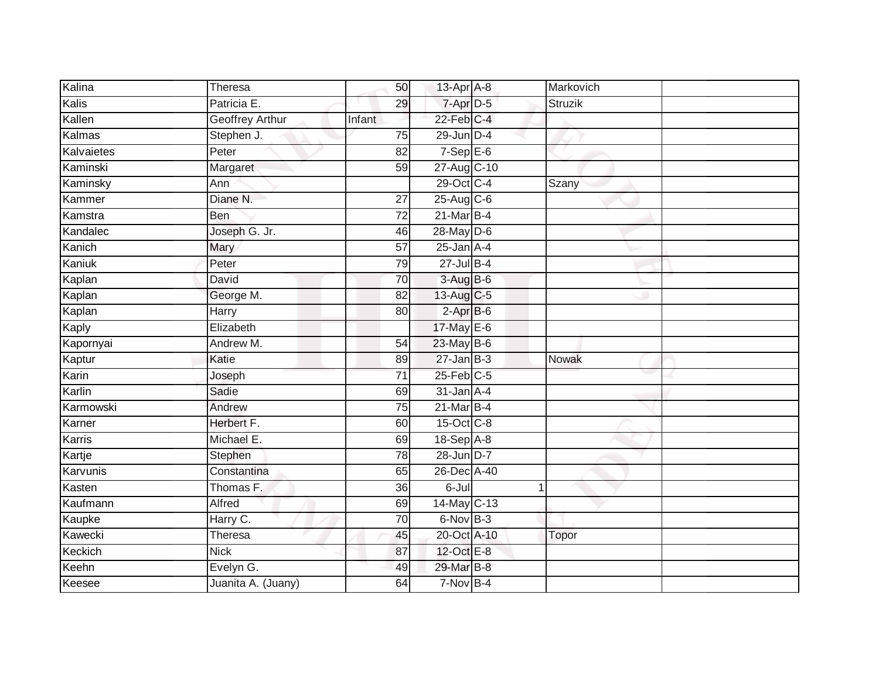| Kalina     | Theresa            | 50              | 13-Apr A-8       | Markovich    |  |
|------------|--------------------|-----------------|------------------|--------------|--|
| Kalis      | Patricia E.        | 29              | 7-Apr D-5        | Struzik      |  |
| Kallen     | Geoffrey Arthur    | Infant          | $22$ -Feb $C-4$  |              |  |
| Kalmas     | Stephen J.         | 75              | 29-Jun D-4       |              |  |
| Kalvaietes | Peter              | $\overline{82}$ | $7-Sep$ E-6      |              |  |
| Kaminski   | Margaret           | 59              | 27-Aug C-10      |              |  |
| Kaminsky   | Ann                |                 | 29-Oct C-4       | Szany        |  |
| Kammer     | Diane N.           | 27              | 25-Aug C-6       |              |  |
| Kamstra    | Ben                | 72              | $21$ -Mar $B-4$  |              |  |
| Kandalec   | Joseph G. Jr.      | 46              | 28-May D-6       |              |  |
| Kanich     | Mary               | 57              | $25$ -Jan $A-4$  |              |  |
| Kaniuk     | Peter              | 79              | $27$ -Jul B-4    |              |  |
| Kaplan     | David              | 70              | $3-AugB-6$       |              |  |
| Kaplan     | George M.          | 82              | 13-Aug C-5       |              |  |
| Kaplan     | Harry              | 80              | $2-AprB-6$       |              |  |
| Kaply      | Elizabeth          |                 | 17-May E-6       |              |  |
| Kapornyai  | Andrew M.          | 54              | 23-May B-6       |              |  |
| Kaptur     | Katie              | 89              | $27$ -Jan B-3    | <b>Nowak</b> |  |
| Karin      | Joseph             | 71              | $25$ -Feb $C$ -5 |              |  |
| Karlin     | Sadie              | 69              | $31$ -Jan $A-4$  |              |  |
| Karmowski  | Andrew             | 75              | $21$ -Mar $B-4$  |              |  |
| Karner     | Herbert F.         | 60              | 15-Oct C-8       |              |  |
| Karris     | Michael E.         | 69              | $18-Sep$ A-8     |              |  |
| Kartje     | Stephen            | $\overline{78}$ | 28-Jun D-7       |              |  |
| Karvunis   | Constantina        | 65              | 26-Dec A-40      |              |  |
| Kasten     | Thomas F.          | 36              | $6 -$ Jul        | 1            |  |
| Kaufmann   | <b>Alfred</b>      | 69              | 14-May C-13      |              |  |
| Kaupke     | Harry C.           | 70              | $6$ -Nov $B-3$   |              |  |
| Kawecki    | Theresa            | 45              | 20-Oct A-10      | Topor        |  |
| Keckich    | <b>Nick</b>        | 87              | 12-Oct E-8       |              |  |
| Keehn      | Evelyn G.          | 49              | 29-Mar B-8       |              |  |
| Keesee     | Juanita A. (Juany) | 64              | $7-Nov$ B-4      |              |  |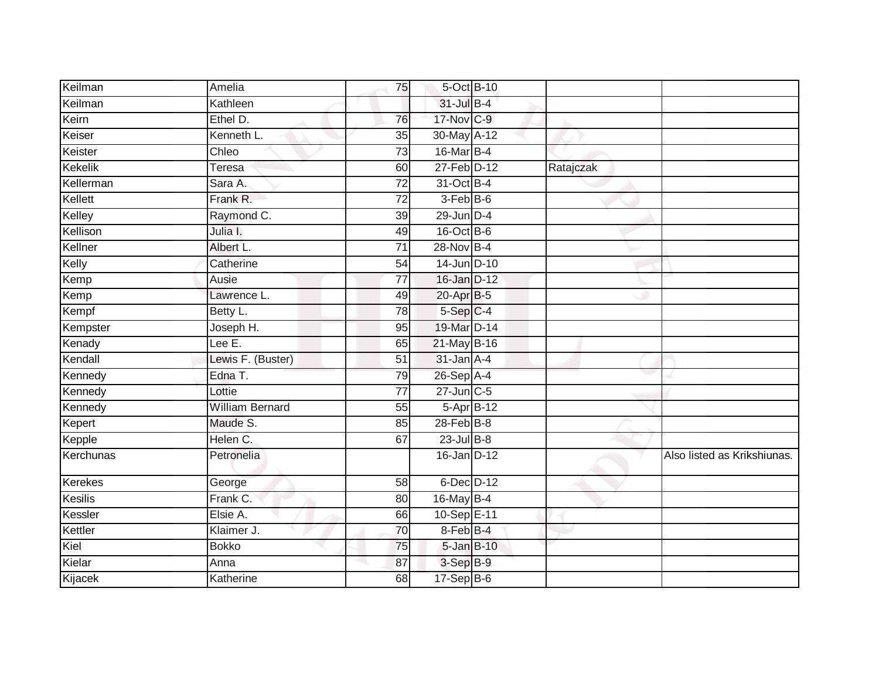| Keilman        | Amelia                 | 75              | 5-Oct B-10       |           |                             |
|----------------|------------------------|-----------------|------------------|-----------|-----------------------------|
| Keilman        | Kathleen               |                 | $31$ -Jul B-4    |           |                             |
| Keirn          | Ethel D.               | 76              | 17-Nov C-9       |           |                             |
| Keiser         | Kenneth L.             | 35              | 30-May A-12      |           |                             |
| Keister        | Chleo                  | 73              | 16-Mar B-4       |           |                             |
| Kekelik        | Teresa                 | 60              | 27-Feb D-12      | Ratajczak |                             |
| Kellerman      | Sara A.                | 72              | 31-Oct B-4       |           |                             |
| Kellett        | Frank R.               | 72              | $3-FebB-6$       |           |                             |
| Kelley         | Raymond C.             | 39              | $29$ -Jun $D-4$  |           |                             |
| Kellison       | Julia I.               | 49              | 16-Oct B-6       |           |                             |
| Kellner        | Albert L.              | 71              | 28-Nov B-4       |           |                             |
| Kelly          | Catherine              | 54              | 14-Jun D-10      |           |                             |
| Kemp           | Ausie                  | 77              | $16$ -Jan $D-12$ |           |                             |
| Kemp           | Lawrence L.            | 49              | 20-Apr B-5       |           |                             |
| Kempf          | Betty L.               | 78              | $5-Sep$ $C-4$    |           |                             |
| Kempster       | Joseph H.              | 95              | 19-Mar D-14      |           |                             |
| Kenady         | Lee $\overline{E}$ .   | 65              | 21-May B-16      |           |                             |
| Kendall        | Lewis F. (Buster)      | 51              | $31$ -Jan $A-4$  |           |                             |
| Kennedy        | Edna T.                | 79              | 26-Sep A-4       |           |                             |
| Kennedy        | Lottie                 | 77              | $27$ -Jun $C-5$  |           |                             |
| Kennedy        | <b>William Bernard</b> | 55              | 5-Apr B-12       |           |                             |
| Kepert         | Maude S.               | $\overline{85}$ | $28$ -Feb $B-8$  |           |                             |
| Kepple         | Helen C.               | 67              | $23$ -Jul $B-8$  |           |                             |
| Kerchunas      | Petronelia             |                 | 16-Jan D-12      |           | Also listed as Krikshiunas. |
| Kerekes        | George                 | 58              | $6$ -Dec $D-12$  |           |                             |
| <b>Kesilis</b> | Frank C.               | 80              | 16-May B-4       |           |                             |
| Kessler        | Elsie A.               | 66              | 10-Sep E-11      |           |                             |
| Kettler        | Klaimer J.             | $\overline{70}$ | 8-Feb B-4        |           |                             |
| Kiel           | <b>Bokko</b>           | 75              | 5-Jan B-10       |           |                             |
| Kielar         | Anna                   | 87              | 3-Sep B-9        |           |                             |
| Kijacek        | Katherine              | 68              | $17-Sep$ B-6     |           |                             |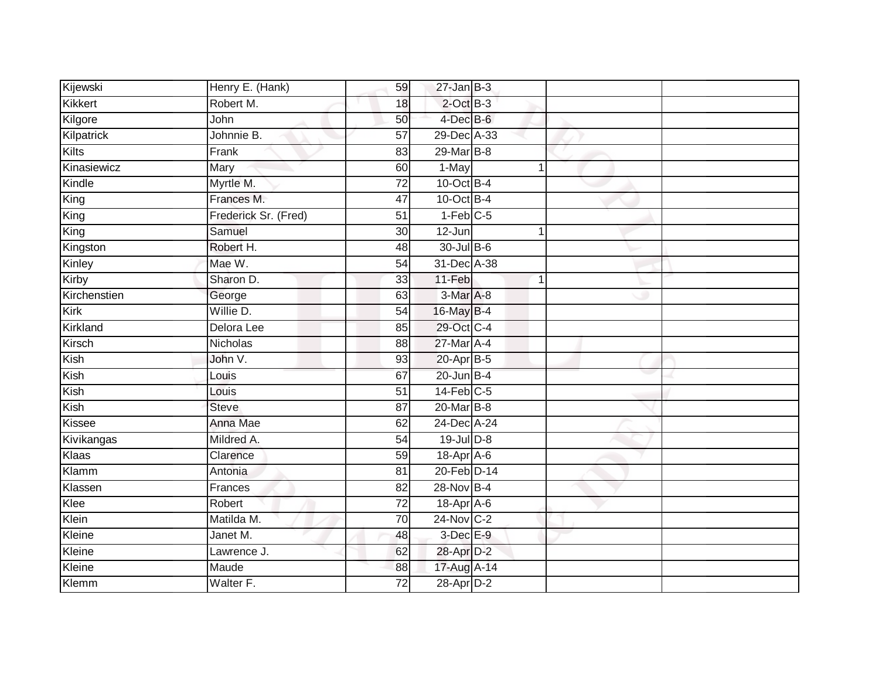| Kijewski     | Henry E. (Hank)      | 59              | $27$ -Jan B-3          |                |  |
|--------------|----------------------|-----------------|------------------------|----------------|--|
| Kikkert      | Robert M.            | 18              | $2$ -Oct $B-3$         |                |  |
| Kilgore      | John                 | 50              | $4$ -Dec $B$ -6        |                |  |
| Kilpatrick   | Johnnie B.           | 57              | 29-Dec A-33            |                |  |
| Kilts        | Frank                | $\overline{83}$ | 29-Mar B-8             |                |  |
| Kinasiewicz  | Mary                 | 60              | 1-May                  | $\mathbf{1}$   |  |
| Kindle       | Myrtle M.            | $\overline{72}$ | $10$ -Oct B-4          |                |  |
| King         | Frances M.           | 47              | 10-Oct B-4             |                |  |
| King         | Frederick Sr. (Fred) | 51              | $1-Feb$ <sub>C-5</sub> |                |  |
| King         | Samuel               | 30              | 12-Jun                 |                |  |
| Kingston     | Robert H.            | 48              | 30-Jul B-6             |                |  |
| Kinley       | Mae W.               | 54              | 31-Dec A-38            |                |  |
| Kirby        | Sharon D.            | 33              | $11-Feb$               | $\overline{1}$ |  |
| Kirchenstien | George               | 63              | 3-Mar A-8              |                |  |
| Kirk         | Willie D.            | $\overline{54}$ | 16-May B-4             |                |  |
| Kirkland     | Delora Lee           | 85              | 29-Oct C-4             |                |  |
| Kirsch       | Nicholas             | 88              | 27-Mar A-4             |                |  |
| Kish         | John V.              | 93              | 20-Apr B-5             |                |  |
| Kish         | Louis                | 67              | $20$ -Jun $B-4$        |                |  |
| Kish         | Louis                | 51              | $14$ -Feb $C-5$        |                |  |
| Kish         | <b>Steve</b>         | 87              | 20-Mar B-8             |                |  |
| Kissee       | Anna Mae             | 62              | 24-Dec A-24            |                |  |
| Kivikangas   | Mildred A.           | 54              | 19-Jul D-8             |                |  |
| Klaas        | Clarence             | 59              | 18-Apr A-6             |                |  |
| Klamm        | Antonia              | 81              | 20-Feb D-14            |                |  |
| Klassen      | Frances              | 82              | 28-Nov B-4             |                |  |
| Klee         | Robert               | $\overline{72}$ | 18-Apr A-6             |                |  |
| Klein        | Matilda M.           | 70              | 24-Nov C-2             |                |  |
| Kleine       | Janet M.             | 48              | 3-Dec E-9              |                |  |
| Kleine       | Lawrence J.          | 62              | 28-Apr D-2             |                |  |
| Kleine       | Maude                | 88              | 17-Aug A-14            |                |  |
| Klemm        | Walter F.            | $\overline{72}$ | 28-Apr D-2             |                |  |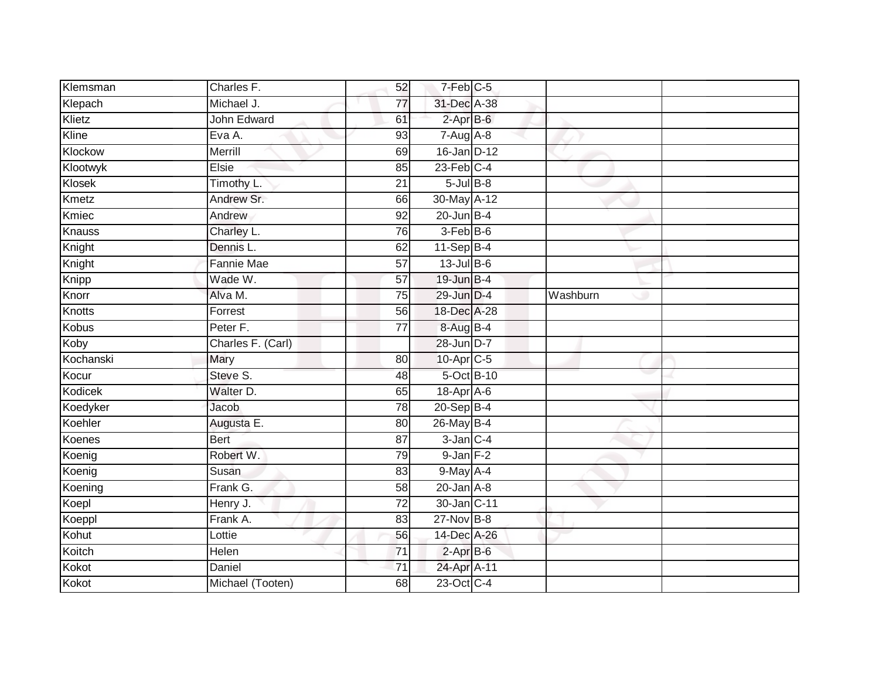| Klemsman      | Charles F.        | 52              | 7-Feb C-5       |          |  |
|---------------|-------------------|-----------------|-----------------|----------|--|
| Klepach       | Michael J.        | 77              | 31-Dec A-38     |          |  |
| Klietz        | John Edward       | 61              | $2$ -Apr $B$ -6 |          |  |
| Kline         | Eva A.            | 93              | $7-Aug$ A-8     |          |  |
| Klockow       | Merrill           | 69              | 16-Jan D-12     |          |  |
| Klootwyk      | Elsie             | 85              | $23$ -Feb $C-4$ |          |  |
| Klosek        | Timothy L.        | 21              | $5$ -Jul $B$ -8 |          |  |
| Kmetz         | Andrew Sr.        | 66              | 30-May A-12     |          |  |
| Kmiec         | Andrew            | 92              | $20$ -Jun $B-4$ |          |  |
| <b>Knauss</b> | Charley L.        | 76              | 3-Feb B-6       |          |  |
| Knight        | Dennis L.         | 62              | $11-Sep$ B-4    |          |  |
| Knight        | Fannie Mae        | 57              | $13$ -Jul B-6   |          |  |
| Knipp         | Wade W.           | 57              | $19$ -Jun $B-4$ |          |  |
| Knorr         | Alva M.           | 75              | 29-Jun D-4      | Washburn |  |
| <b>Knotts</b> | Forrest           | 56              | 18-Dec A-28     |          |  |
| <b>Kobus</b>  | Peter F.          | 77              | 8-Aug B-4       |          |  |
| Koby          | Charles F. (Carl) |                 | 28-Jun D-7      |          |  |
| Kochanski     | Mary              | 80              | 10-Apr C-5      |          |  |
| Kocur         | Steve S.          | 48              | 5-Oct B-10      |          |  |
| Kodicek       | Walter D.         | 65              | 18-Apr A-6      |          |  |
| Koedyker      | Jacob             | 78              | 20-Sep B-4      |          |  |
| Koehler       | Augusta E.        | 80              | 26-May B-4      |          |  |
| Koenes        | <b>Bert</b>       | 87              | $3$ -Jan $C-4$  |          |  |
| Koenig        | Robert W.         | 79              | $9$ -Jan $F-2$  |          |  |
| Koenig        | Susan             | 83              | 9-May A-4       |          |  |
| Koening       | Frank G.          | 58              | $20$ -Jan $A-8$ |          |  |
| Koepl         | Henry J.          | $\overline{72}$ | 30-Jan C-11     |          |  |
| Koeppl        | Frank A.          | 83              | $27$ -Nov B-8   |          |  |
| Kohut         | Lottie            | 56              | 14-Dec A-26     |          |  |
| Koitch        | Helen             | $\overline{71}$ | $2-AprB-6$      |          |  |
| Kokot         | Daniel            | $\overline{71}$ | 24-Apr A-11     |          |  |
| Kokot         | Michael (Tooten)  | 68              | 23-Oct C-4      |          |  |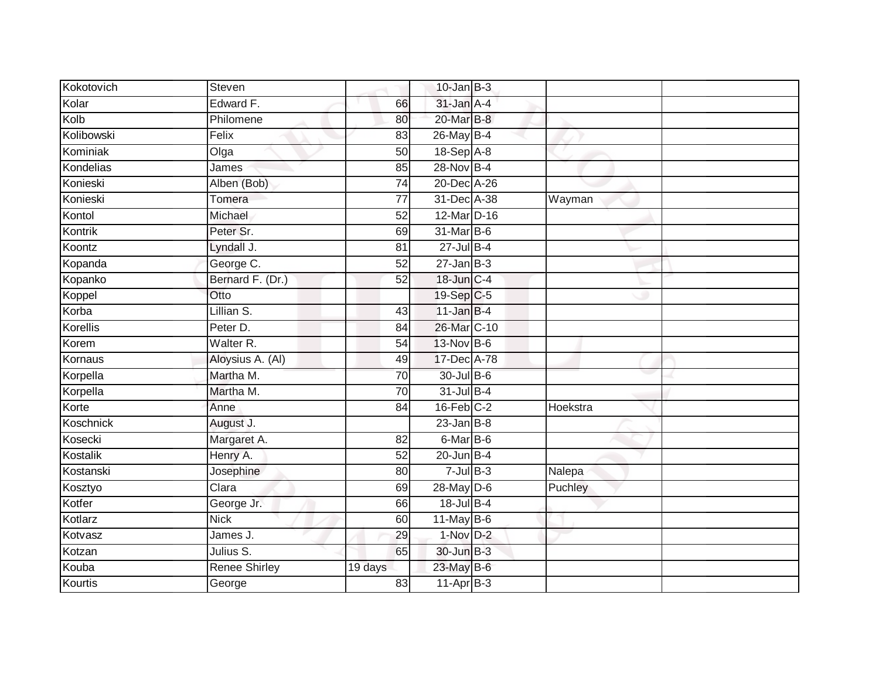| Kokotovich | Steven           |                 | $10$ -Jan $B-3$ |          |  |
|------------|------------------|-----------------|-----------------|----------|--|
| Kolar      | Edward F.        | 66              | 31-Jan A-4      |          |  |
| Kolb       | Philomene        | 80              | 20-Mar B-8      |          |  |
| Kolibowski | Felix            | 83              | 26-May B-4      |          |  |
| Kominiak   | Olga             | 50              | 18-Sep A-8      |          |  |
| Kondelias  | James            | 85              | 28-Nov B-4      |          |  |
| Konieski   | Alben (Bob)      | 74              | 20-Dec A-26     |          |  |
| Konieski   | Tomera           | $\overline{77}$ | 31-Dec A-38     | Wayman   |  |
| Kontol     | Michael          | 52              | 12-Mar D-16     |          |  |
| Kontrik    | Peter Sr.        | 69              | 31-Mar B-6      |          |  |
| Koontz     | Lyndall J.       | 81              | $27 -$ Jul B-4  |          |  |
| Kopanda    | George C.        | $\overline{52}$ | $27$ -Jan $B-3$ |          |  |
| Kopanko    | Bernard F. (Dr.) | 52              | 18-Jun C-4      |          |  |
| Koppel     | Otto             |                 | 19-Sep C-5      |          |  |
| Korba      | Lillian S.       | 43              | $11$ -Jan B-4   |          |  |
| Korellis   | Peter D.         | 84              | 26-Mar C-10     |          |  |
| Korem      | Walter R.        | 54              | 13-Nov B-6      |          |  |
| Kornaus    | Aloysius A. (Al) | 49              | 17-Dec A-78     |          |  |
| Korpella   | Martha M.        | 70              | 30-Jul B-6      |          |  |
| Korpella   | Martha M.        | 70              | 31-Jul B-4      |          |  |
| Korte      | Anne             | 84              | $16$ -Feb $C-2$ | Hoekstra |  |
| Koschnick  | August J.        |                 | $23$ -Jan B-8   |          |  |
| Kosecki    | Margaret A.      | 82              | 6-Mar B-6       |          |  |
| Kostalik   | Henry A.         | $\overline{52}$ | $20$ -Jun B-4   |          |  |
| Kostanski  | Josephine        | 80              | $7$ -Jul $B-3$  | Nalepa   |  |
| Kosztyo    | Clara            | 69              | $28$ -May $D-6$ | Puchley  |  |
| Kotfer     | George Jr.       | 66              | 18-Jul B-4      |          |  |
| Kotlarz    | <b>Nick</b>      | 60              | $11$ -May B-6   |          |  |
| Kotvasz    | James J.         | 29              | 1-Nov D-2       |          |  |
| Kotzan     | Julius S.        | 65              | 30-Jun B-3      |          |  |
| Kouba      | Renee Shirley    | 19 days         | 23-May B-6      |          |  |
| Kourtis    | George           | 83              | $11-AprB-3$     |          |  |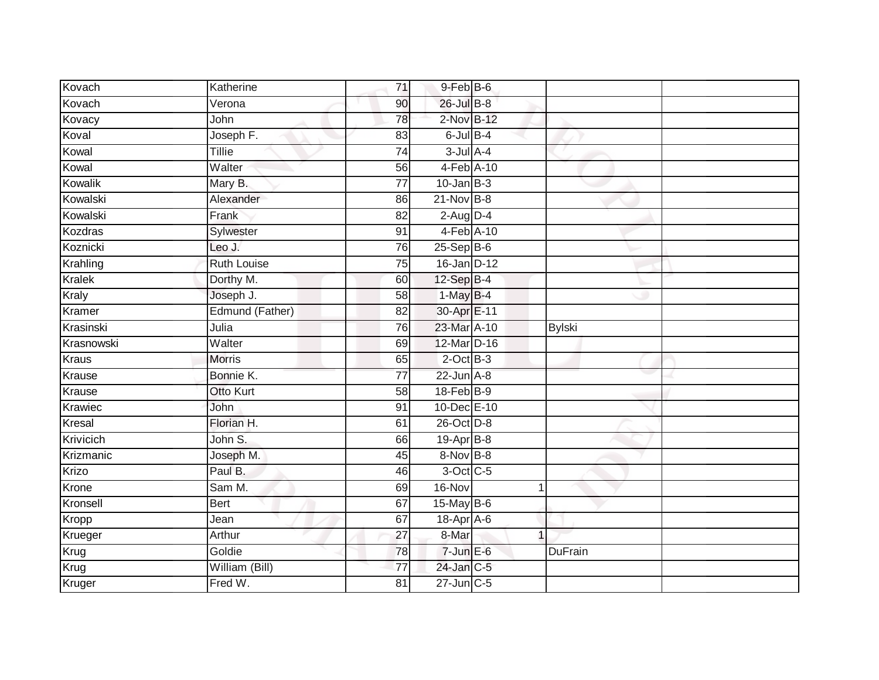| Kovach        | Katherine          | 71              | 9-Feb B-6        |                |  |
|---------------|--------------------|-----------------|------------------|----------------|--|
| Kovach        | Verona             | 90              | 26-Jul B-8       |                |  |
| Kovacy        | John               | 78              | 2-Nov B-12       |                |  |
| Koval         | Joseph F.          | 83              | $6$ -Jul $B-4$   |                |  |
| Kowal         | <b>Tillie</b>      | $\overline{74}$ | $3$ -Jul $A-4$   |                |  |
| Kowal         | Walter             | 56              | 4-Feb A-10       |                |  |
| Kowalik       | Mary B.            | $\overline{77}$ | $10 - Jan$ $B-3$ |                |  |
| Kowalski      | Alexander          | 86              | $21-Nov$ B-8     |                |  |
| Kowalski      | Frank              | 82              | $2$ -Aug $D-4$   |                |  |
| Kozdras       | Sylwester          | 91              | 4-Feb A-10       |                |  |
| Koznicki      | Leo J.             | 76              | $25-Sep$ B-6     |                |  |
| Krahling      | <b>Ruth Louise</b> | 75              | $16$ -Jan D-12   |                |  |
| <b>Kralek</b> | Dorthy M.          | 60              | 12-Sep B-4       |                |  |
| Kraly         | Joseph J.          | 58              | $1-MayB-4$       |                |  |
| Kramer        | Edmund (Father)    | $\overline{82}$ | 30-Apr E-11      |                |  |
| Krasinski     | Julia              | 76              | 23-Mar A-10      | <b>Bylski</b>  |  |
| Krasnowski    | Walter             | 69              | 12-Mar D-16      |                |  |
| <b>Kraus</b>  | <b>Morris</b>      | 65              | $2$ -Oct $B-3$   |                |  |
| Krause        | Bonnie K.          | 77              | $22$ -Jun $A-8$  |                |  |
| Krause        | Otto Kurt          | 58              | 18-Feb B-9       |                |  |
| Krawiec       | John               | 91              | 10-Dec E-10      |                |  |
| Kresal        | Florian H.         | 61              | $26$ -Oct $D-8$  |                |  |
| Krivicich     | John S.            | 66              | 19-Apr B-8       |                |  |
| Krizmanic     | Joseph M.          | 45              | 8-Nov B-8        |                |  |
| Krizo         | Paul B.            | 46              | 3-Oct C-5        |                |  |
| Krone         | Sam M.             | 69              | 16-Nov           | 1              |  |
| Kronsell      | <b>Bert</b>        | 67              | 15-May B-6       |                |  |
| Kropp         | Jean               | 67              | 18-Apr A-6       |                |  |
| Krueger       | Arthur             | 27              | 8-Mar            | 1              |  |
| Krug          | Goldie             | 78              | $7$ -Jun $E$ -6  | <b>DuFrain</b> |  |
| Krug          | William (Bill)     | 77              | 24-Jan C-5       |                |  |
| Kruger        | Fred W.            | $\overline{81}$ | $27$ -Jun $C-5$  |                |  |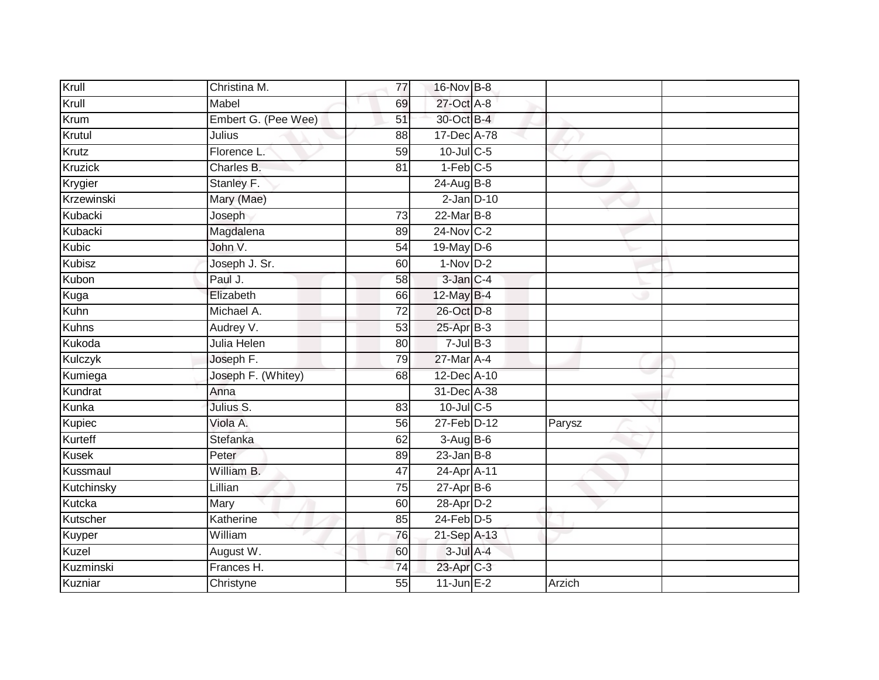| Krull          | Christina M.        | 77              | 16-Nov B-8             |        |  |
|----------------|---------------------|-----------------|------------------------|--------|--|
| Krull          | Mabel               | 69              | 27-Oct A-8             |        |  |
| Krum           | Embert G. (Pee Wee) | 51              | 30-Oct B-4             |        |  |
| Krutul         | Julius              | 88              | 17-Dec A-78            |        |  |
| Krutz          | Florence L.         | $\overline{59}$ | $10$ -Jul C-5          |        |  |
| <b>Kruzick</b> | Charles B.          | 81              | $1-Feb$ <sub>C-5</sub> |        |  |
| Krygier        | Stanley F.          |                 | 24-Aug B-8             |        |  |
| Krzewinski     | Mary (Mae)          |                 | $2$ -Jan $D-10$        |        |  |
| Kubacki        | Joseph              | 73              | 22-Mar B-8             |        |  |
| Kubacki        | Magdalena           | 89              | 24-Nov C-2             |        |  |
| Kubic          | John V.             | 54              | 19-May D-6             |        |  |
| Kubisz         | Joseph J. Sr.       | 60              | $1-Nov$ D-2            |        |  |
| Kubon          | Paul J.             | 58              | 3-Jan C-4              |        |  |
| Kuga           | Elizabeth           | 66              | 12-May B-4             |        |  |
| Kuhn           | Michael A.          | $\overline{72}$ | 26-Oct D-8             |        |  |
| <b>Kuhns</b>   | Audrey V.           | 53              | $25$ -Apr $B-3$        |        |  |
| Kukoda         | Julia Helen         | 80              | $7$ -Jul $B-3$         |        |  |
| Kulczyk        | Joseph F.           | 79              | 27-Mar A-4             |        |  |
| Kumiega        | Joseph F. (Whitey)  | 68              | 12-Dec A-10            |        |  |
| Kundrat        | Anna                |                 | 31-Dec A-38            |        |  |
| Kunka          | Julius S.           | 83              | 10-Jul C-5             |        |  |
| Kupiec         | Viola A.            | 56              | 27-Feb D-12            | Parysz |  |
| Kurteff        | Stefanka            | 62              | $3-AugB-6$             |        |  |
| <b>Kusek</b>   | Peter               | 89              | $23$ -Jan B-8          |        |  |
| Kussmaul       | William B.          | 47              | 24-Apr A-11            |        |  |
| Kutchinsky     | Lillian             | 75              | $27$ -Apr $B$ -6       |        |  |
| Kutcka         | Mary                | 60              | 28-Apr D-2             |        |  |
| Kutscher       | Katherine           | 85              | $24$ -Feb $D-5$        |        |  |
| Kuyper         | William             | 76              | $21-Sep$ A-13          |        |  |
| Kuzel          | August W.           | 60              | $3$ -Jul $A-4$         |        |  |
| Kuzminski      | Frances H.          | $\overline{74}$ | 23-Apr C-3             |        |  |
| Kuzniar        | Christyne           | $\overline{55}$ | $11$ -Jun E-2          | Arzich |  |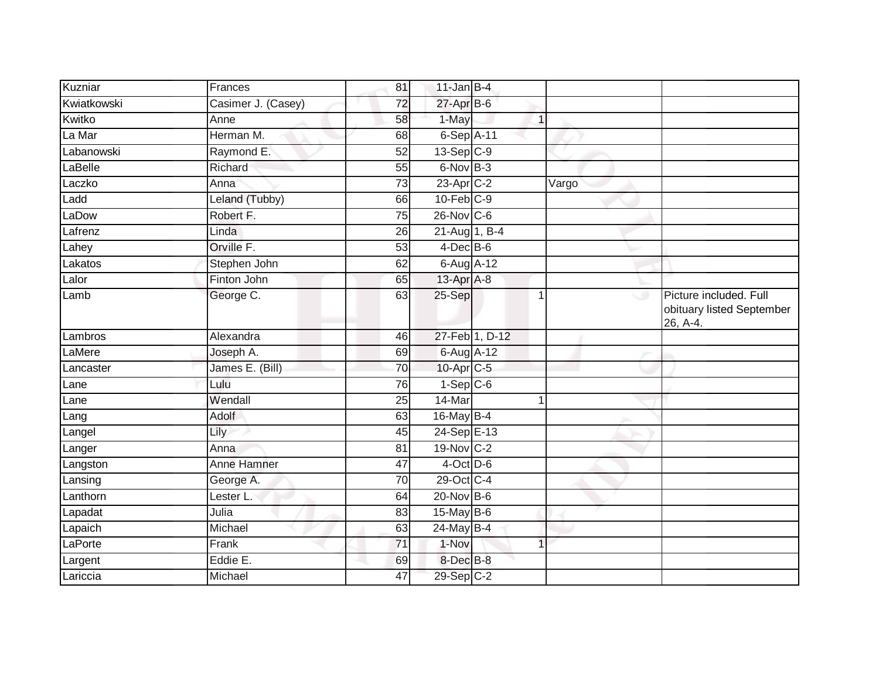| Kuzniar     | Frances            | 81              | $11$ -Jan B-4              |                |       |                                                                 |
|-------------|--------------------|-----------------|----------------------------|----------------|-------|-----------------------------------------------------------------|
| Kwiatkowski | Casimer J. (Casey) | $\overline{72}$ | 27-Apr B-6                 |                |       |                                                                 |
| Kwitko      | Anne               | 58              | 1-May                      | $\mathbf{1}$   |       |                                                                 |
| La Mar      | Herman M.          | 68              | $6-Sep$ A-11               |                |       |                                                                 |
| Labanowski  | Raymond E.         | 52              | $13-Sep C-9$               |                |       |                                                                 |
| LaBelle     | Richard            | 55              | $6$ -Nov $B-3$             |                |       |                                                                 |
| Laczko      | Anna               | 73              | 23-Apr C-2                 |                | Vargo |                                                                 |
| Ladd        | Leland (Tubby)     | 66              | $10$ -Feb $C-9$            |                |       |                                                                 |
| LaDow       | Robert F.          | 75              | $26$ -Nov $ C-6 $          |                |       |                                                                 |
| Lafrenz     | Linda              | 26              | 21-Aug 1, B-4              |                |       |                                                                 |
| Lahey       | Orville F.         | 53              | $4$ -Dec $B$ -6            |                |       |                                                                 |
| Lakatos     | Stephen John       | 62              | $6$ -Aug $\overline{A-12}$ |                |       |                                                                 |
| Lalor       | Finton John        | 65              | 13-Apr A-8                 |                |       |                                                                 |
| Lamb        | George C.          | 63              | 25-Sep                     | 1              | ت     | Picture included. Full<br>obituary listed September<br>26, A-4. |
| Lambros     | Alexandra          | 46              |                            | 27-Feb 1, D-12 |       |                                                                 |
| LaMere      | Joseph A.          | 69              | 6-Aug A-12                 |                |       |                                                                 |
| Lancaster   | James E. (Bill)    | 70              | 10-Apr C-5                 |                |       |                                                                 |
| Lane        | Lulu               | 76              | $1-Sep$ $C-6$              |                |       |                                                                 |
| Lane        | Wendall            | 25              | 14-Mar                     |                |       |                                                                 |
| Lang        | <b>Adolf</b>       | 63              | 16-May B-4                 |                |       |                                                                 |
| Langel      | Lily               | 45              | 24-Sep E-13                |                |       |                                                                 |
| Langer      | Anna               | 81              | 19-Nov C-2                 |                |       |                                                                 |
| Langston    | <b>Anne Hamner</b> | $\overline{47}$ | $4$ -Oct D-6               |                |       |                                                                 |
| Lansing     | George A.          | 70              | 29-Oct C-4                 |                |       |                                                                 |
| Lanthorn    | Lester L.          | 64              | $20$ -Nov $B-6$            |                |       |                                                                 |
| Lapadat     | Julia              | 83              | 15-May B-6                 |                |       |                                                                 |
| Lapaich     | Michael            | 63              | 24-May B-4                 |                |       |                                                                 |
| LaPorte     | Frank              | 71              | 1-Nov                      | 1              |       |                                                                 |
| Largent     | Eddie E.           | 69              | 8-Dec B-8                  |                |       |                                                                 |
| Lariccia    | Michael            | 47              | 29-Sep C-2                 |                |       |                                                                 |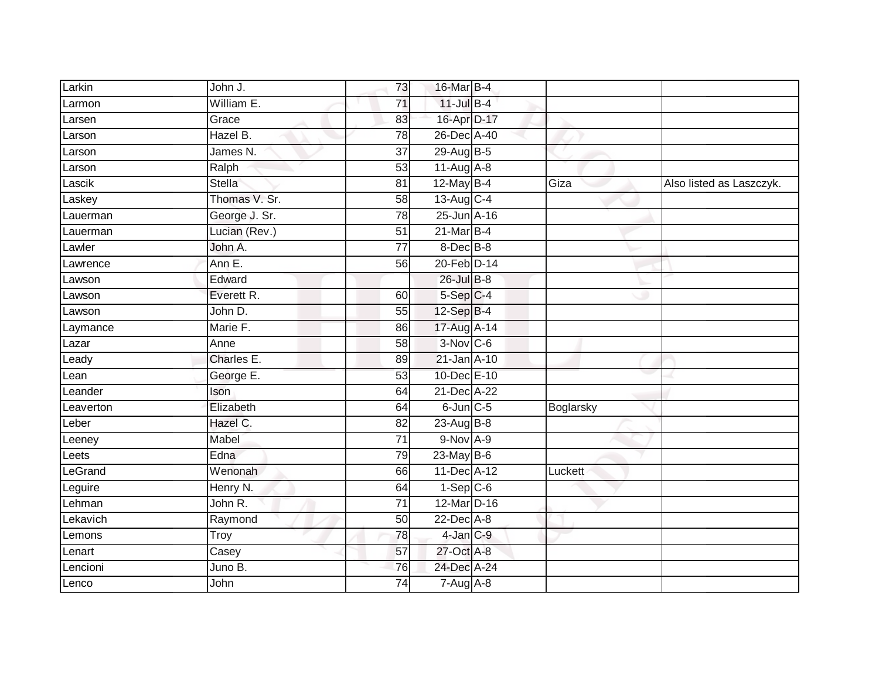| Larkin          | John J.       | 73              | 16-Mar B-4        |           |                          |
|-----------------|---------------|-----------------|-------------------|-----------|--------------------------|
| Larmon          | William E.    | 71              | $11$ -Jul B-4     |           |                          |
| Larsen          | Grace         | 83              | 16-Apr D-17       |           |                          |
| Larson          | Hazel B.      | 78              | 26-Dec A-40       |           |                          |
| Larson          | James N.      | $\overline{37}$ | 29-Aug B-5        |           |                          |
| Larson          | Ralph         | 53              | 11-Aug A-8        |           |                          |
| Lascik          | <b>Stella</b> | 81              | 12-May B-4        | Giza      | Also listed as Laszczyk. |
| Laskey          | Thomas V. Sr. | 58              | 13-Aug C-4        |           |                          |
| Lauerman        | George J. Sr. | 78              | 25-Jun A-16       |           |                          |
| Lauerman        | Lucian (Rev.) | 51              | $21$ -Mar $B-4$   |           |                          |
| Lawler          | John A.       | 77              | 8-Dec B-8         |           |                          |
| Lawrence        | Ann E.        | 56              | 20-Feb D-14       |           |                          |
| Lawson          | Edward        |                 | $26$ -Jul B-8     |           |                          |
| Lawson          | Everett R.    | 60              | 5-Sep C-4         |           |                          |
| Lawson          | John D.       | 55              | 12-Sep B-4        |           |                          |
| Laymance        | Marie F.      | 86              | 17-Aug A-14       |           |                          |
| Lazar           | Anne          | $\overline{58}$ | $3-Nov$ C-6       |           |                          |
| Leady           | Charles E.    | 89              | 21-Jan A-10       |           |                          |
| -ean            | George E.     | 53              | 10-Dec E-10       |           |                          |
| Leander         | Ison          | 64              | 21-Dec A-22       |           |                          |
| Leaverton       | Elizabeth     | 64              | $6$ -Jun $C$ -5   | Boglarsky |                          |
| Leber           | Hazel C.      | 82              | 23-Aug $B-8$      |           |                          |
| Leeney          | Mabel         | 71              | $9-Nov A-9$       |           |                          |
| Leets           | Edna          | 79              | 23-May $B-6$      |           |                          |
| LeGrand         | Wenonah       | 66              | 11-Dec A-12       | Luckett   |                          |
| Leguire         | Henry N.      | 64              | $1-Sep$ C-6       |           |                          |
| Lehman          | John R.       | $\overline{71}$ | 12-Mar D-16       |           |                          |
| <b>Lekavich</b> | Raymond       | 50              | 22-Dec A-8        |           |                          |
| Lemons          | Troy          | 78              | $4$ -Jan $C-9$    |           |                          |
| Lenart          | Casey         | 57              | 27-Oct A-8        |           |                          |
| Lencioni        | Juno B.       | 76              | 24-Dec A-24       |           |                          |
| Lenco           | John          | $\overline{74}$ | $7 - Aug$ $A - 8$ |           |                          |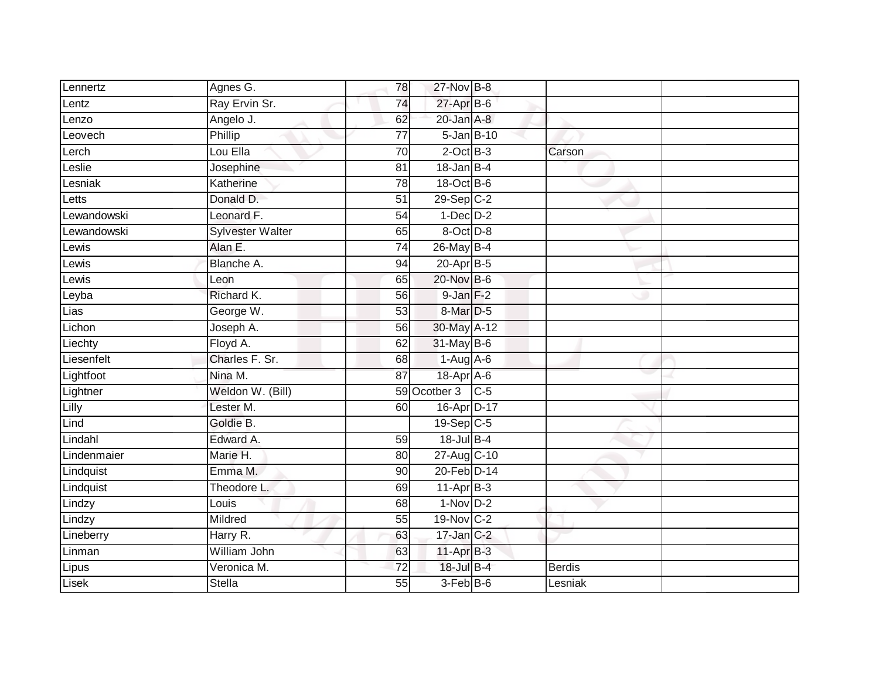| Lennertz    | Agnes G.                | 78              | 27-Nov B-8              |                  |               |  |
|-------------|-------------------------|-----------------|-------------------------|------------------|---------------|--|
| Lentz       | Ray Ervin Sr.           | 74              | 27-Apr B-6              |                  |               |  |
| Lenzo       | Angelo J.               | 62              | $20$ -Jan $A-8$         |                  |               |  |
| Leovech     | Phillip                 | 77              |                         | $5 - Jan$ $B-10$ |               |  |
| Lerch       | Lou Ella                | $\overline{70}$ | $2$ -Oct $B-3$          |                  | Carson        |  |
| Leslie      | Josephine               | 81              | $18 - Jan$ $B-4$        |                  |               |  |
| Lesniak     | Katherine               | 78              | 18-Oct B-6              |                  |               |  |
| Letts       | Donald D.               | $\overline{51}$ | $29-Sep$ $C-2$          |                  |               |  |
| Lewandowski | Leonard F.              | 54              | $1-Dec$ $D-2$           |                  |               |  |
| Lewandowski | <b>Sylvester Walter</b> | 65              | 8-Oct D-8               |                  |               |  |
| Lewis       | Alan E.                 | 74              | 26-May B-4              |                  |               |  |
| Lewis       | Blanche A.              | 94              | $20 - Apr$ B-5          |                  |               |  |
| Lewis       | Leon                    | 65              | 20-Nov B-6              |                  |               |  |
| Leyba       | Richard K.              | 56              | $9 - Jan F-2$           |                  |               |  |
| Lias        | George W.               | 53              | 8-Mar D-5               |                  |               |  |
| Lichon      | Joseph A.               | 56              | 30-May A-12             |                  |               |  |
| Liechty     | Floyd A.                | 62              | 31-May B-6              |                  |               |  |
| Liesenfelt  | Charles F. Sr.          | 68              | $1-Aug$ A-6             |                  |               |  |
| Lightfoot   | Nina M.                 | 87              | 18-Apr A-6              |                  |               |  |
| Lightner    | Weldon W. (Bill)        |                 | 59 Ocotber 3 C-5        |                  |               |  |
| Lilly       | Lester M.               | 60              | 16-Apr D-17             |                  |               |  |
| Lind        | Goldie B.               |                 | $19-Sep$ <sub>C-5</sub> |                  |               |  |
| Lindahl     | Edward A.               | 59              | $18$ -Jul B-4           |                  |               |  |
| Lindenmaier | Marie H.                | 80              | 27-Aug C-10             |                  |               |  |
| Lindquist   | Emma M.                 | 90              | 20-Feb D-14             |                  |               |  |
| Lindquist   | Theodore L.             | 69              | $11$ -Apr $B-3$         |                  |               |  |
| Lindzy      | Louis                   | $\overline{68}$ | $1-Nov$ D-2             |                  |               |  |
| Lindzy      | Mildred                 | 55              | 19-Nov C-2              |                  |               |  |
| Lineberry   | Harry R.                | 63              | $17$ -Jan $C-2$         |                  |               |  |
| Linman      | William John            | 63              | 11-Apr B-3              |                  |               |  |
| Lipus       | Veronica M.             | 72              | 18-Jul B-4              |                  | <b>Berdis</b> |  |
| Lisek       | <b>Stella</b>           | 55              | $3-Feb$ $B-6$           |                  | Lesniak       |  |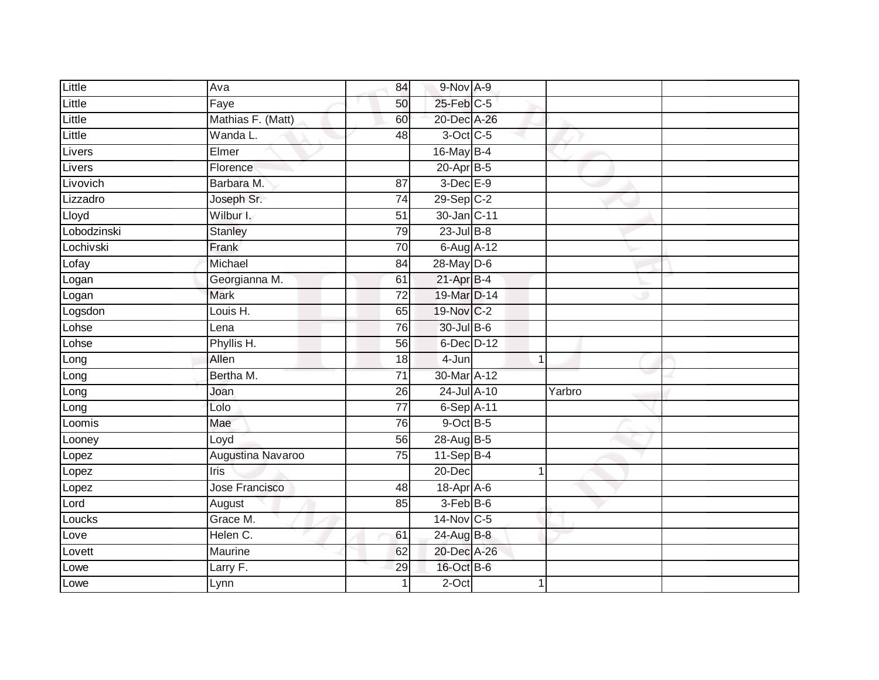| Little      | Ava               | 84              | 9-Nov A-9        |        |  |
|-------------|-------------------|-----------------|------------------|--------|--|
| Little      | Faye              | 50              | $25$ -Feb $C$ -5 |        |  |
| Little      | Mathias F. (Matt) | 60              | 20-Dec A-26      |        |  |
| Little      | Wanda L.          | 48              | 3-Oct C-5        |        |  |
| Livers      | Elmer             |                 | 16-May B-4       |        |  |
| Livers      | Florence          |                 | $20 - Apr$ B-5   |        |  |
| Livovich    | Barbara M.        | 87              | $3$ -Dec $E-9$   |        |  |
| Lizzadro    | Joseph Sr.        | 74              | 29-Sep C-2       |        |  |
| Lloyd       | Wilbur I.         | 51              | 30-Jan C-11      |        |  |
| Lobodzinski | <b>Stanley</b>    | 79              | $23$ -Jul $B-8$  |        |  |
| Lochivski   | Frank             | 70              | 6-Aug A-12       |        |  |
| Lofay       | Michael           | $\overline{84}$ | $28$ -May $D-6$  |        |  |
| Logan       | Georgianna M.     | 61              | 21-Apr B-4       |        |  |
| Logan       | <b>Mark</b>       | $\overline{72}$ | 19-Mar D-14      |        |  |
| Logsdon     | Louis H.          | 65              | 19-Nov C-2       |        |  |
| Lohse       | Lena              | 76              | 30-Jul B-6       |        |  |
| Lohse       | Phyllis H.        | 56              | 6-Dec D-12       |        |  |
| Long        | Allen             | 18              | 4-Jun            |        |  |
| Long        | Bertha M.         | $\overline{71}$ | 30-Mar A-12      |        |  |
| Long        | Joan              | 26              | 24-Jul A-10      | Yarbro |  |
| Long        | Lolo              | $\overline{77}$ | $6-Sep$ A-11     |        |  |
| Loomis      | Mae               | 76              | $9$ -Oct $B$ -5  |        |  |
| Looney      | Loyd              | 56              | 28-Aug B-5       |        |  |
| Lopez       | Augustina Navaroo | 75              | $11-Sep$ B-4     |        |  |
| Lopez       | <b>Iris</b>       |                 | 20-Dec           |        |  |
| Lopez       | Jose Francisco    | 48              | 18-Apr A-6       |        |  |
| Lord        | August            | 85              | $3-FebB-6$       |        |  |
| Loucks      | Grace M.          |                 | $14$ -Nov C-5    |        |  |
| Love        | Helen C.          | 61              | 24-Aug B-8       |        |  |
| Lovett      | Maurine           | 62              | 20-Dec A-26      |        |  |
| Lowe        | Larry F.          | 29              | 16-Oct B-6       |        |  |
| Lowe        | Lynn              | 1               | $2$ -Oct         |        |  |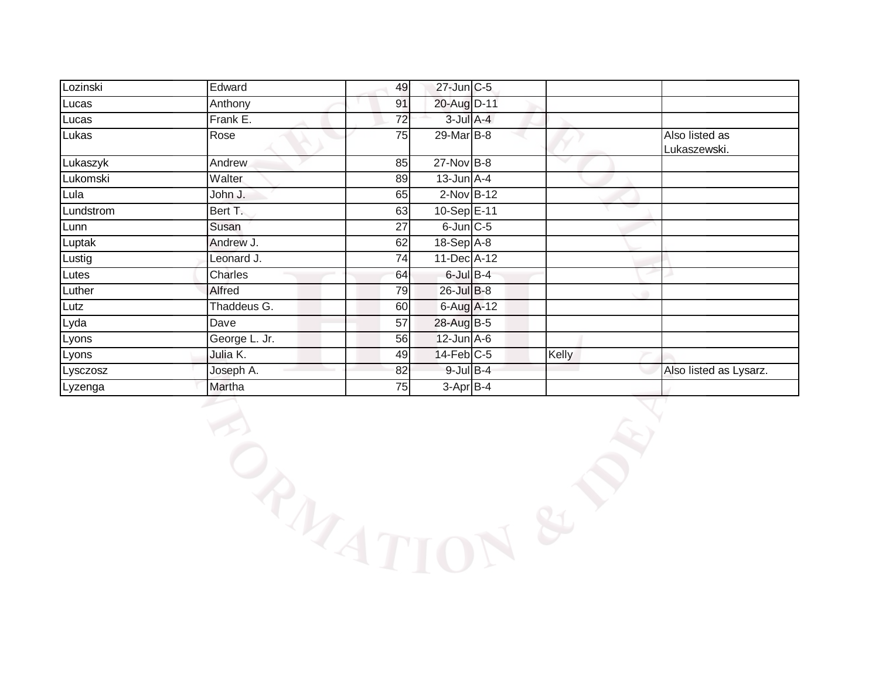| Lozinski  | Edward        | 49 | 27-Jun C-5            |       |                                |
|-----------|---------------|----|-----------------------|-------|--------------------------------|
| Lucas     | Anthony       | 91 | 20-Aug D-11           |       |                                |
| Lucas     | Frank E.      | 72 | $3$ -Jul $A$ -4       |       |                                |
| Lukas     | Rose          | 75 | $29$ -Mar $B$ -8      |       | Also listed as<br>Lukaszewski. |
| Lukaszyk  | Andrew        | 85 | $27$ -Nov B-8         |       |                                |
| Lukomski  | Walter        | 89 | $13$ -Jun $A$ -4      |       |                                |
| Lula      | John J.       | 65 | $2$ -Nov $B-12$       |       |                                |
| Lundstrom | Bert T.       | 63 | $10-Sep \boxed{E-11}$ |       |                                |
| Lunn      | Susan         | 27 | $6$ -Jun $C$ -5       |       |                                |
| Luptak    | Andrew J.     | 62 | $18-Sep$ $A-8$        |       |                                |
| Lustig    | Leonard J.    | 74 | 11-Dec A-12           |       |                                |
| Lutes     | Charles       | 64 | $6$ -Jul $B-4$        |       |                                |
| Luther    | Alfred        | 79 | $26$ -Jul B-8         |       |                                |
| Lutz      | Thaddeus G.   | 60 | 6-Aug A-12            |       |                                |
| $Lyd$ a   | Dave          | 57 | 28-Aug B-5            |       |                                |
| Lyons     | George L. Jr. | 56 | $12$ -Jun $A$ -6      |       |                                |
| Lyons     | Julia K.      | 49 | $14$ -Feb $C-5$       | Kelly |                                |
| Lysczosz  | Joseph A.     | 82 | $9$ -Jul $B$ -4       |       | Also listed as Lysarz.         |
| Lyzenga   | Martha        | 75 | $3-Apr$ B-4           |       |                                |

**BARTION & PRI**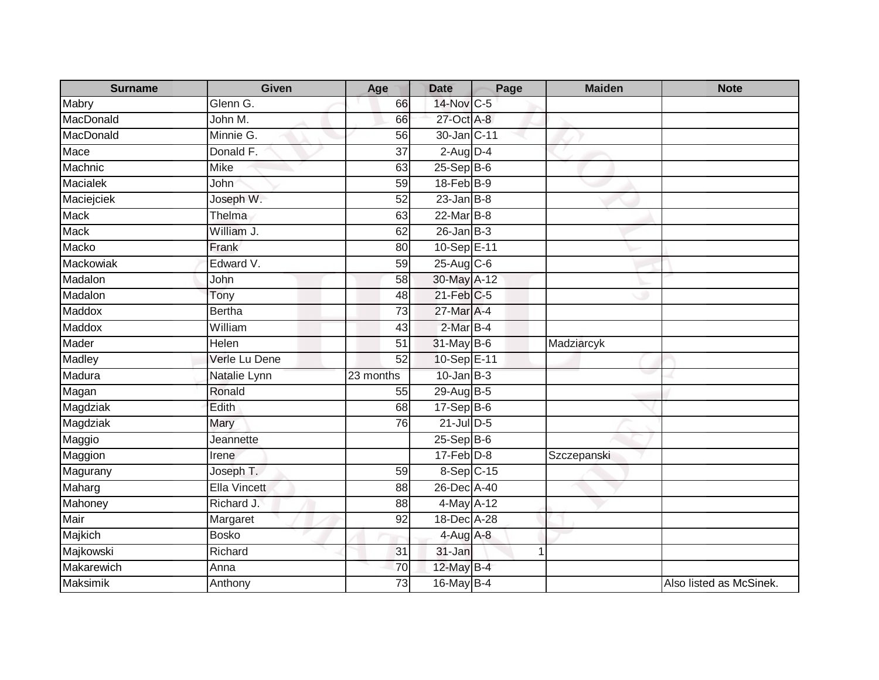| <b>Surname</b> | <b>Given</b>        | Age             | <b>Date</b>      | Page | <b>Maiden</b> | <b>Note</b>             |
|----------------|---------------------|-----------------|------------------|------|---------------|-------------------------|
| Mabry          | Glenn G.            | 66              | 14-Nov C-5       |      |               |                         |
| MacDonald      | John M.             | 66              | 27-Oct A-8       |      |               |                         |
| MacDonald      | Minnie G.           | 56              | 30-Jan C-11      |      |               |                         |
| Mace           | Donald F.           | $\overline{37}$ | $2$ -Aug $D-4$   |      |               |                         |
| Machnic        | Mike                | 63              | $25-$ Sep $B-6$  |      |               |                         |
| Macialek       | John                | 59              | 18-Feb B-9       |      |               |                         |
| Maciejciek     | Joseph W.           | 52              | $23$ -Jan B-8    |      |               |                         |
| <b>Mack</b>    | Thelma              | 63              | 22-Mar B-8       |      |               |                         |
| <b>Mack</b>    | William J.          | 62              | $26$ -Jan $B-3$  |      |               |                         |
| Macko          | Frank               | 80              | 10-Sep E-11      |      |               |                         |
| Mackowiak      | Edward V.           | 59              | $25$ -Aug C-6    |      |               |                         |
| Madalon        | John                | 58              | 30-May A-12      |      |               |                         |
| Madalon        | Tony                | 48              | 21-Feb C-5       |      |               |                         |
| Maddox         | <b>Bertha</b>       | $\overline{73}$ | 27-Mar A-4       |      |               |                         |
| Maddox         | William             | 43              | 2-Mar B-4        |      |               |                         |
| Mader          | Helen               | 51              | 31-May B-6       |      | Madziarcyk    |                         |
| Madley         | Verle Lu Dene       | 52              | 10-Sep E-11      |      |               |                         |
| Madura         | Natalie Lynn        | 23 months       | $10$ -Jan $B-3$  |      |               |                         |
| Magan          | Ronald              | 55              | 29-Aug B-5       |      |               |                         |
| Magdziak       | Edith               | 68              | 17-Sep B-6       |      |               |                         |
| Magdziak       | Mary                | 76              | $21$ -Jul D-5    |      |               |                         |
| Maggio         | Jeannette           |                 | $25-$ Sep $B-6$  |      |               |                         |
| Maggion        | Irene               |                 | $17 - Feb$ $D-8$ |      | Szczepanski   |                         |
| Magurany       | Joseph T.           | 59              | 8-Sep C-15       |      |               |                         |
| Maharg         | <b>Ella Vincett</b> | 88              | 26-Dec A-40      |      |               |                         |
| Mahoney        | Richard J.          | 88              | 4-May A-12       |      |               |                         |
| Mair           | Margaret            | 92              | 18-Dec A-28      |      |               |                         |
| Majkich        | <b>Bosko</b>        |                 | 4-Aug A-8        |      |               |                         |
| Majkowski      | Richard             | 31              | 31-Jan           |      | 1             |                         |
| Makarewich     | Anna                | 70              | 12-May B-4       |      |               |                         |
| Maksimik       | Anthony             | $\overline{73}$ | 16-May B-4       |      |               | Also listed as McSinek. |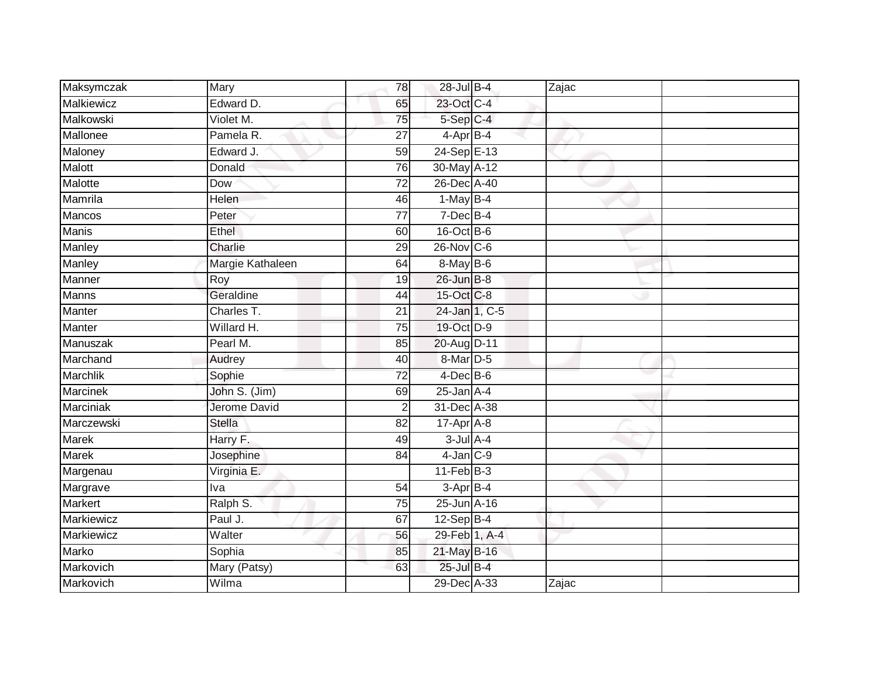| Maksymczak        | Mary             | 78              | 28-Jul B-4        | Zajac |  |
|-------------------|------------------|-----------------|-------------------|-------|--|
| Malkiewicz        | Edward D.        | 65              | 23-Oct C-4        |       |  |
| Malkowski         | Violet M.        | 75              | 5-Sep C-4         |       |  |
| Mallonee          | Pamela R.        | 27              | 4-Apr B-4         |       |  |
| Maloney           | Edward J.        | 59              | 24-Sep E-13       |       |  |
| Malott            | Donald           | 76              | 30-May A-12       |       |  |
| Malotte           | Dow              | 72              | 26-Dec A-40       |       |  |
| Mamrila           | Helen            | 46              | $1-May$ B-4       |       |  |
| Mancos            | Peter            | $\overline{77}$ | $7$ -Dec $B-4$    |       |  |
| <b>Manis</b>      | <b>Ethel</b>     | 60              | 16-Oct B-6        |       |  |
| Manley            | Charlie          | 29              | $26$ -Nov $ C-6 $ |       |  |
| Manley            | Margie Kathaleen | 64              | 8-May B-6         |       |  |
| Manner            | Roy              | 19              | 26-Jun B-8        |       |  |
| Manns             | Geraldine        | 44              | 15-Oct C-8        |       |  |
| Manter            | Charles T.       | 21              | 24-Jan 1, C-5     |       |  |
| Manter            | Willard H.       | 75              | 19-Oct D-9        |       |  |
| Manuszak          | Pearl M.         | 85              | 20-Aug D-11       |       |  |
| Marchand          | Audrey           | 40              | 8-Mar D-5         |       |  |
| Marchlik          | Sophie           | 72              | $4$ -Dec $B$ -6   |       |  |
| <b>Marcinek</b>   | John S. (Jim)    | 69              | $25$ -Jan $A-4$   |       |  |
| Marciniak         | Jerome David     | $\overline{2}$  | 31-Dec A-38       |       |  |
| Marczewski        | Stella           | 82              | 17-Apr A-8        |       |  |
| Marek             | Harry F.         | 49              | $3$ -Jul $A$ -4   |       |  |
| <b>Marek</b>      | Josephine        | 84              | $4$ -Jan $C-9$    |       |  |
| Margenau          | Virginia E.      |                 | $11-Feb$ B-3      |       |  |
| Margrave          | Iva              | 54              | $3-AprB-4$        |       |  |
| Markert           | Ralph S.         | $\overline{75}$ | 25-Jun A-16       |       |  |
| <b>Markiewicz</b> | Paul J.          | 67              | $12-SepB-4$       |       |  |
| Markiewicz        | Walter           | 56              | 29-Feb 1, A-4     |       |  |
| Marko             | Sophia           | 85              | 21-May B-16       |       |  |
| Markovich         | Mary (Patsy)     | 63              | 25-Jul B-4        |       |  |
| Markovich         | Wilma            |                 | 29-Dec A-33       | Zajac |  |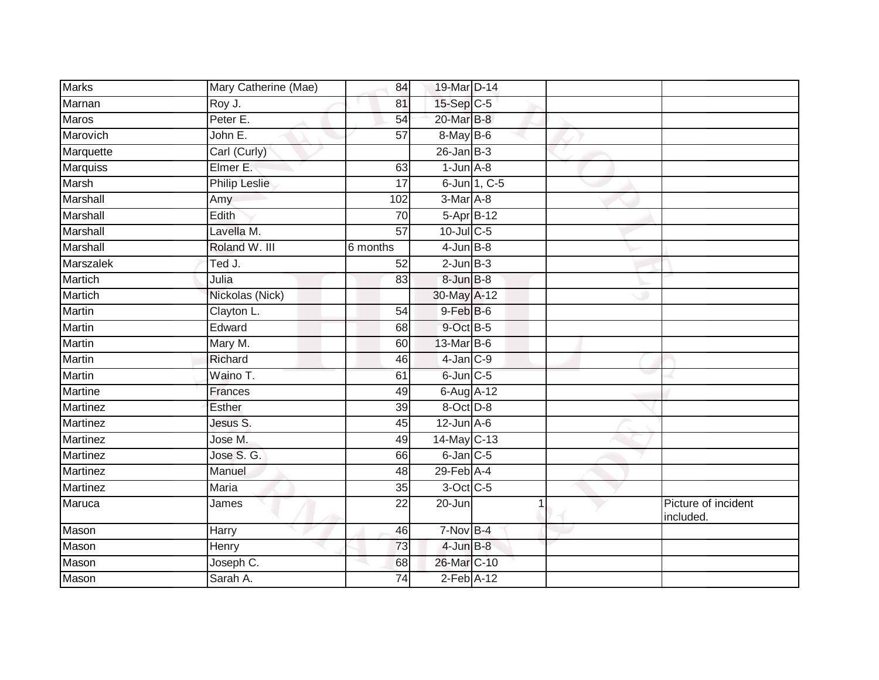| <b>Marks</b>    | Mary Catherine (Mae) | 84              | 19-Mar D-14                 |              |                                  |
|-----------------|----------------------|-----------------|-----------------------------|--------------|----------------------------------|
| Marnan          | Roy J.               | 81              | $15-Sep$ C-5                |              |                                  |
| Maros           | Peter E.             | 54              | 20-Mar B-8                  |              |                                  |
| Marovich        | John E.              | $\overline{57}$ | 8-May B-6                   |              |                                  |
| Marquette       | Carl (Curly)         |                 | $26$ -Jan $B-3$             |              |                                  |
| Marquiss        | Elmer E.             | 63              | $1$ -Jun $A - 8$            |              |                                  |
| Marsh           | <b>Philip Leslie</b> | 17              |                             | 6-Jun 1, C-5 |                                  |
| Marshall        | Amy                  | 102             | 3-Mar A-8                   |              |                                  |
| Marshall        | Edith                | 70              | 5-Apr B-12                  |              |                                  |
| <b>Marshall</b> | Lavella M.           | $\overline{57}$ | 10-Jul C-5                  |              |                                  |
| Marshall        | Roland W. III        | 6 months        | $4$ -Jun $B-8$              |              |                                  |
| Marszalek       | Ted J.               | 52              | $2$ -Jun $B-3$              |              |                                  |
| <b>Martich</b>  | Julia                | 83              | 8-Jun B-8                   |              |                                  |
| Martich         | Nickolas (Nick)      |                 | 30-May A-12                 |              |                                  |
| <b>Martin</b>   | Clayton L.           | 54              | $9$ -Feb $B$ -6             |              |                                  |
| Martin          | Edward               | 68              | 9-Oct B-5                   |              |                                  |
| <b>Martin</b>   | Mary M.              | 60              | 13-Mar B-6                  |              |                                  |
| Martin          | Richard              | 46              | $4$ -Jan $ C-9 $            |              |                                  |
| Martin          | Waino T.             | 61              | $6$ -Jun $C$ -5             |              |                                  |
| <b>Martine</b>  | Frances              | 49              | 6-Aug A-12                  |              |                                  |
| Martinez        | Esther               | 39              | 8-Oct D-8                   |              |                                  |
| Martinez        | Jesus S.             | 45              | $12$ -Jun $A-6$             |              |                                  |
| Martinez        | Jose M.              | 49              | 14-May C-13                 |              |                                  |
| Martinez        | Jose S. G.           | 66              | 6-Jan C-5                   |              |                                  |
| Martinez        | Manuel               | 48              | $29$ -Feb $\overline{A}$ -4 |              |                                  |
| Martinez        | <b>Maria</b>         | 35              | 3-Oct C-5                   |              |                                  |
| Maruca          | James                | $\overline{22}$ | 20-Jun                      |              | Picture of incident<br>included. |
| Mason           | Harry                | 46              | $7-Nov$ B-4                 |              |                                  |
| Mason           | Henry                | 73              | $4$ -Jun $B-8$              |              |                                  |
| Mason           | Joseph C.            | 68              | 26-Mar C-10                 |              |                                  |
| Mason           | Sarah A.             | 74              | $2$ -Feb $\overline{A}$ -12 |              |                                  |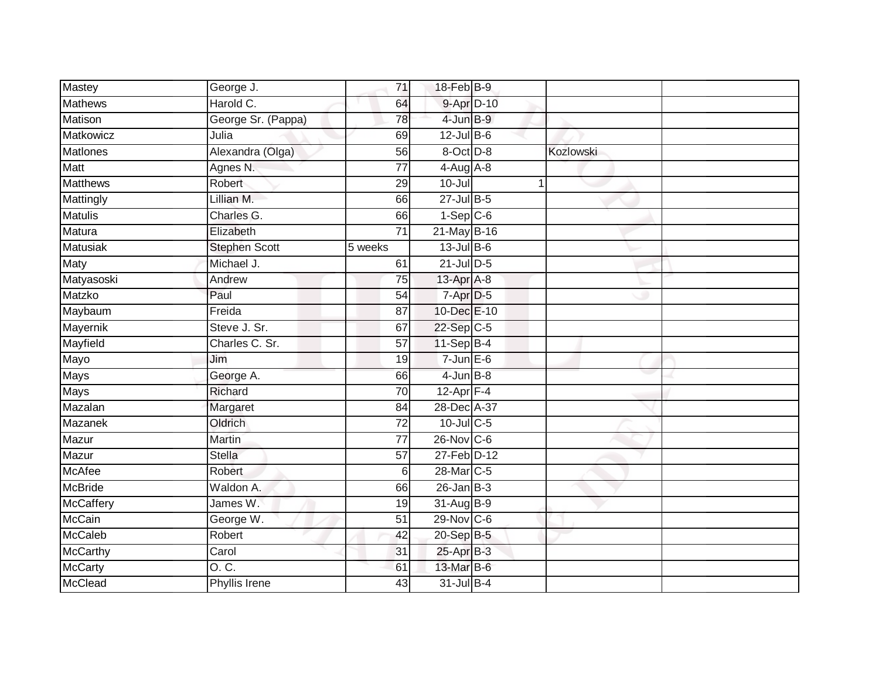| Mastey           | George J.            | 71              | 18-Feb B-9       |           |  |
|------------------|----------------------|-----------------|------------------|-----------|--|
| <b>Mathews</b>   | Harold C.            | 64              | 9-Apr D-10       |           |  |
| <b>Matison</b>   | George Sr. (Pappa)   | $\overline{78}$ | 4-Jun B-9        |           |  |
| Matkowicz        | Julia                | 69              | $12$ -Jul $B-6$  |           |  |
| <b>Matlones</b>  | Alexandra (Olga)     | $\overline{56}$ | 8-Oct D-8        | Kozlowski |  |
| Matt             | Agnes N.             | 77              | $4$ -Aug $A$ -8  |           |  |
| <b>Matthews</b>  | Robert               | 29              | $10 -$ Jul       |           |  |
| Mattingly        | Lillian M.           | 66              | $27$ -Jul $B-5$  |           |  |
| <b>Matulis</b>   | Charles G.           | 66              | $1-Sep$ $C-6$    |           |  |
| Matura           | Elizabeth            | $\overline{71}$ | 21-May B-16      |           |  |
| <b>Matusiak</b>  | <b>Stephen Scott</b> | 5 weeks         | $13$ -Jul B-6    |           |  |
| Maty             | Michael J.           | 61              | $21$ -Jul $D-5$  |           |  |
| Matyasoski       | Andrew               | 75              | 13-Apr A-8       |           |  |
| Matzko           | Paul                 | 54              | 7-Apr D-5        |           |  |
| Maybaum          | Freida               | 87              | 10-Dec E-10      |           |  |
| Mayernik         | Steve J. Sr.         | 67              | 22-Sep C-5       |           |  |
| Mayfield         | Charles C. Sr.       | 57              | 11-Sep B-4       |           |  |
| Mayo             | Jim                  | 19              | $7$ -Jun $E$ -6  |           |  |
| <b>Mays</b>      | George A.            | 66              | $4$ -Jun $B-8$   |           |  |
| <b>Mays</b>      | Richard              | 70              | 12-Apr $F-4$     |           |  |
| Mazalan          | Margaret             | 84              | 28-Dec A-37      |           |  |
| <b>Mazanek</b>   | Oldrich              | $\overline{72}$ | $10$ -Jul $C$ -5 |           |  |
| Mazur            | Martin               | 77              | 26-Nov C-6       |           |  |
| Mazur            | Stella               | 57              | 27-Feb D-12      |           |  |
| <b>McAfee</b>    | Robert               | 6               | 28-Mar C-5       |           |  |
| <b>McBride</b>   | Waldon A.            | 66              | $26$ -Jan B-3    |           |  |
| <b>McCaffery</b> | James W.             | 19              | 31-Aug B-9       |           |  |
| <b>McCain</b>    | George W.            | 51              | 29-Nov C-6       |           |  |
| <b>McCaleb</b>   | Robert               | 42              | 20-Sep B-5       |           |  |
| <b>McCarthy</b>  | Carol                | 31              | 25-Apr B-3       |           |  |
| <b>McCarty</b>   | 0. C.                | 61              | 13-Mar B-6       |           |  |
| <b>McClead</b>   | <b>Phyllis Irene</b> | 43              | 31-Jul B-4       |           |  |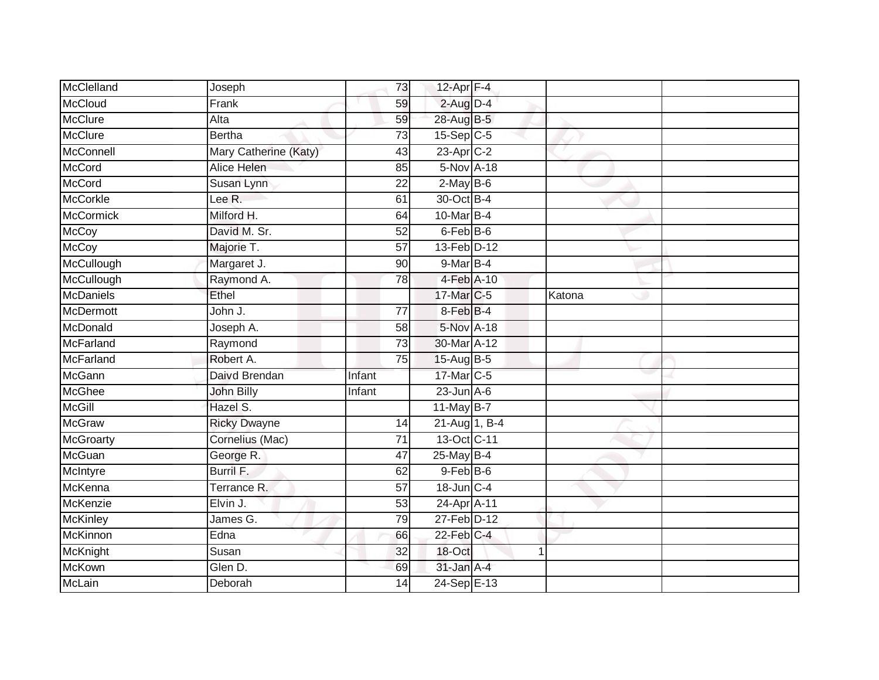| McClelland       | Joseph                | 73              | 12-Apr F-4      |        |  |
|------------------|-----------------------|-----------------|-----------------|--------|--|
| McCloud          | Frank                 | 59              | $2$ -Aug $D-4$  |        |  |
| <b>McClure</b>   | Alta                  | 59              | 28-Aug B-5      |        |  |
| McClure          | <b>Bertha</b>         | 73              | $15-Sep$ $C-5$  |        |  |
| McConnell        | Mary Catherine (Katy) | 43              | $23$ -Apr $C-2$ |        |  |
| <b>McCord</b>    | Alice Helen           | 85              | 5-Nov A-18      |        |  |
| <b>McCord</b>    | Susan Lynn            | 22              | $2-MayB-6$      |        |  |
| <b>McCorkle</b>  | Lee R.                | 61              | 30-Oct B-4      |        |  |
| <b>McCormick</b> | Milford H.            | 64              | 10-Mar B-4      |        |  |
| <b>McCoy</b>     | David M. Sr.          | 52              | 6-Feb B-6       |        |  |
| <b>McCoy</b>     | Majorie T.            | 57              | 13-Feb D-12     |        |  |
| McCullough       | Margaret J.           | 90              | 9-Mar B-4       |        |  |
| McCullough       | Raymond A.            | 78              | 4-Feb A-10      |        |  |
| <b>McDaniels</b> | Ethel                 |                 | 17-Mar C-5      | Katona |  |
| <b>McDermott</b> | John J.               | $\overline{77}$ | 8-Feb B-4       |        |  |
| McDonald         | Joseph A.             | 58              | 5-Nov A-18      |        |  |
| McFarland        | Raymond               | 73              | 30-Mar A-12     |        |  |
| McFarland        | Robert A.             | 75              | 15-Aug B-5      |        |  |
| McGann           | Daivd Brendan         | Infant          | 17-Mar C-5      |        |  |
| <b>McGhee</b>    | John Billy            | Infant          | $23$ -Jun $A-6$ |        |  |
| <b>McGill</b>    | Hazel S.              |                 | $11$ -May B-7   |        |  |
| <b>McGraw</b>    | <b>Ricky Dwayne</b>   | 14              | 21-Aug 1, B-4   |        |  |
| McGroarty        | Cornelius (Mac)       | 71              | 13-Oct C-11     |        |  |
| McGuan           | George R.             | 47              | 25-May B-4      |        |  |
| McIntyre         | Burril F.             | 62              | $9$ -Feb $B$ -6 |        |  |
| McKenna          | Terrance R.           | 57              | 18-Jun C-4      |        |  |
| McKenzie         | Elvin J.              | 53              | 24-Apr A-11     |        |  |
| McKinley         | James G.              | 79              | 27-Feb D-12     |        |  |
| McKinnon         | Edna                  | 66              | $22$ -Feb $C-4$ |        |  |
| McKnight         | Susan                 | 32              | 18-Oct          | -1     |  |
| McKown           | Glen D.               | 69              | 31-Jan A-4      |        |  |
| McLain           | Deborah               | 14              | 24-Sep E-13     |        |  |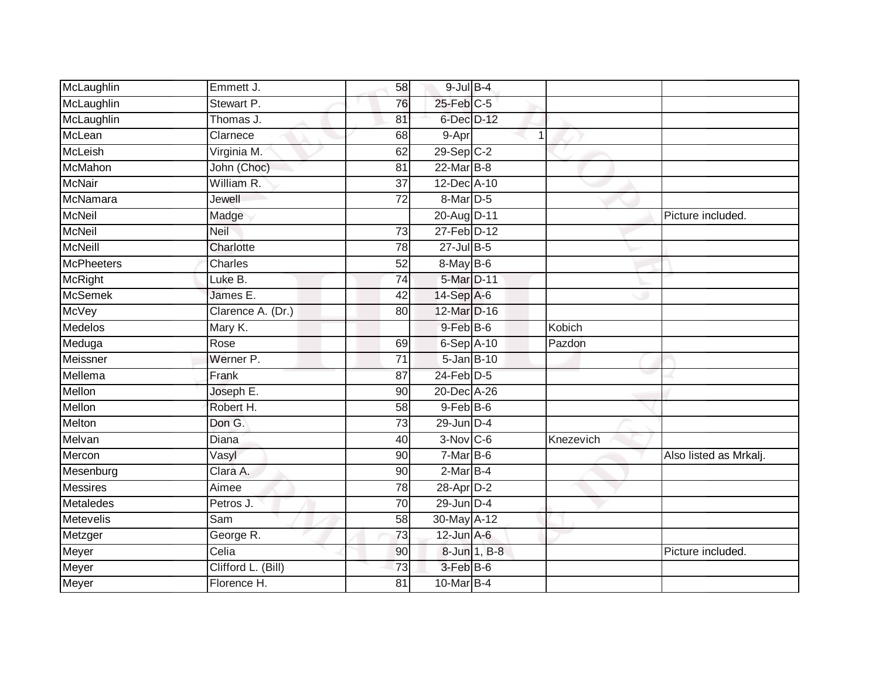| McLaughlin        | Emmett J.          | 58              | $9$ -Jul $B$ -4  |              |           |                        |
|-------------------|--------------------|-----------------|------------------|--------------|-----------|------------------------|
| McLaughlin        | Stewart P.         | 76              | $25$ -Feb $C$ -5 |              |           |                        |
| McLaughlin        | Thomas J.          | 81              | 6-Dec D-12       |              |           |                        |
| McLean            | Clarnece           | 68              | 9-Apr            |              |           |                        |
| McLeish           | Virginia M.        | 62              | 29-Sep C-2       |              |           |                        |
| McMahon           | John (Choc)        | 81              | 22-Mar B-8       |              |           |                        |
| <b>McNair</b>     | William R.         | 37              | 12-Dec A-10      |              |           |                        |
| McNamara          | Jewell             | 72              | $8-Mar$ D-5      |              |           |                        |
| <b>McNeil</b>     | Madge              |                 | 20-Aug D-11      |              |           | Picture included.      |
| <b>McNeil</b>     | <b>Neil</b>        | 73              | 27-Feb D-12      |              |           |                        |
| <b>McNeill</b>    | Charlotte          | 78              | $27 -$ Jul B-5   |              |           |                        |
| <b>McPheeters</b> | Charles            | 52              | 8-May B-6        |              |           |                        |
| <b>McRight</b>    | Luke B.            | $\overline{74}$ | 5-Mar D-11       |              |           |                        |
| <b>McSemek</b>    | James E.           | 42              | 14-Sep A-6       |              |           |                        |
| <b>McVey</b>      | Clarence A. (Dr.)  | 80              | 12-Mar D-16      |              |           |                        |
| <b>Medelos</b>    | Mary K.            |                 | $9$ -Feb $B$ -6  |              | Kobich    |                        |
| Meduga            | Rose               | 69              | $6-$ Sep $A-10$  |              | Pazdon    |                        |
| Meissner          | Werner P.          | 71              | $5 - Jan$ $B-10$ |              |           |                        |
| Mellema           | Frank              | 87              | 24-Feb D-5       |              |           |                        |
| Mellon            | Joseph E.          | 90              | 20-Dec A-26      |              |           |                        |
| Mellon            | Robert H.          | 58              | $9$ -Feb $B$ -6  |              |           |                        |
| Melton            | Don G.             | $\overline{73}$ | $29$ -Jun $D-4$  |              |           |                        |
| Melvan            | Diana              | 40              | $3-Nov$ C-6      |              | Knezevich |                        |
| Mercon            | Vasyl              | 90              | $7-MarB-6$       |              |           | Also listed as Mrkalj. |
| Mesenburg         | Clara A.           | 90              | $2-MarB-4$       |              |           |                        |
| <b>Messires</b>   | Aimee              | 78              | 28-Apr D-2       |              |           |                        |
| <b>Metaledes</b>  | Petros J.          | $\overline{70}$ | $29$ -Jun $D-4$  |              |           |                        |
| Metevelis         | Sam                | 58              | 30-May A-12      |              |           |                        |
| Metzger           | George R.          | 73              | $12$ -Jun $A-6$  |              |           |                        |
| Meyer             | Celia              | 90              |                  | 8-Jun 1, B-8 |           | Picture included.      |
| Meyer             | Clifford L. (Bill) | 73              | 3-Feb B-6        |              |           |                        |
| Meyer             | Florence H.        | $\overline{81}$ | 10-Mar B-4       |              |           |                        |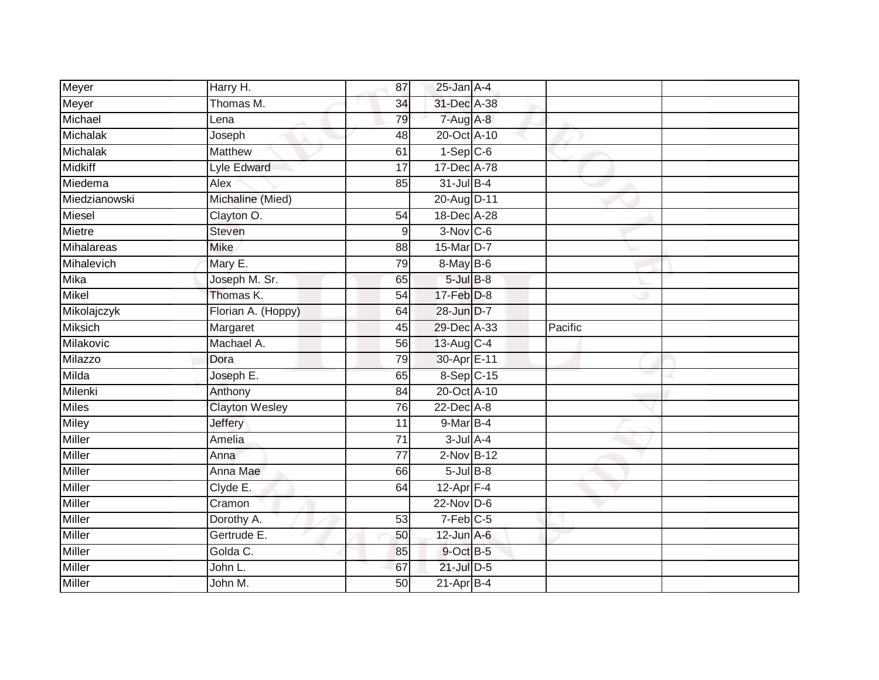| Meyer           | Harry H.              | 87              | $25$ -Jan $A-4$        |         |  |
|-----------------|-----------------------|-----------------|------------------------|---------|--|
| Meyer           | Thomas M.             | 34              | 31-Dec A-38            |         |  |
| Michael         | Lena                  | 79              | 7-Aug A-8              |         |  |
| <b>Michalak</b> | Joseph                | 48              | 20-Oct A-10            |         |  |
| <b>Michalak</b> | <b>Matthew</b>        | 61              | $1-Sep$ C-6            |         |  |
| <b>Midkiff</b>  | Lyle Edward           | 17              | 17-Dec A-78            |         |  |
| Miedema         | Alex                  | 85              | $31$ -Jul B-4          |         |  |
| Miedzianowski   | Michaline (Mied)      |                 | 20-Aug D-11            |         |  |
| <b>Miesel</b>   | Clayton O.            | 54              | 18-Dec A-28            |         |  |
| <b>Mietre</b>   | Steven                | 9               | $3-Nov$ $C-6$          |         |  |
| Mihalareas      | <b>Mike</b>           | 88              | 15-Mar D-7             |         |  |
| Mihalevich      | Mary E.               | 79              | 8-May B-6              |         |  |
| <b>Mika</b>     | Joseph M. Sr.         | 65              | $5$ -Jul $B$ -8        |         |  |
| Mikel           | Thomas K.             | 54              | 17-Feb D-8             |         |  |
| Mikolajczyk     | Florian A. (Hoppy)    | 64              | 28-Jun D-7             |         |  |
| Miksich         | Margaret              | 45              | 29-Dec A-33            | Pacific |  |
| Milakovic       | Machael A.            | 56              | 13-Aug C-4             |         |  |
| Milazzo         | Dora                  | 79              | 30-Apr E-11            |         |  |
| Milda           | Joseph E.             | 65              | 8-Sep C-15             |         |  |
| Milenki         | Anthony               | $\overline{84}$ | 20-Oct A-10            |         |  |
| <b>Miles</b>    | <b>Clayton Wesley</b> | 76              | 22-Dec A-8             |         |  |
| <b>Miley</b>    | <b>Jeffery</b>        | $\overline{11}$ | $9-MarB-4$             |         |  |
| <b>Miller</b>   | Amelia                | 71              | $3$ -Jul $A$ -4        |         |  |
| <b>Miller</b>   | Anna                  | $\overline{77}$ | $2-Nov$ B-12           |         |  |
| Miller          | Anna Mae              | 66              | $5$ -Jul $B$ -8        |         |  |
| <b>Miller</b>   | Clyde E.              | 64              | $12$ -Apr $F-4$        |         |  |
| <b>Miller</b>   | Cramon                |                 | $22$ -Nov D-6          |         |  |
| Miller          | Dorothy A.            | 53              | $7-Feb$ <sub>C-5</sub> |         |  |
| <b>Miller</b>   | Gertrude E.           | 50              | $12$ -Jun $A-6$        |         |  |
| Miller          | Golda C.              | 85              | 9-Oct B-5              |         |  |
| Miller          | John L.               | 67              | 21-Jul D-5             |         |  |
| Miller          | John M.               | 50              | $21-AprB-4$            |         |  |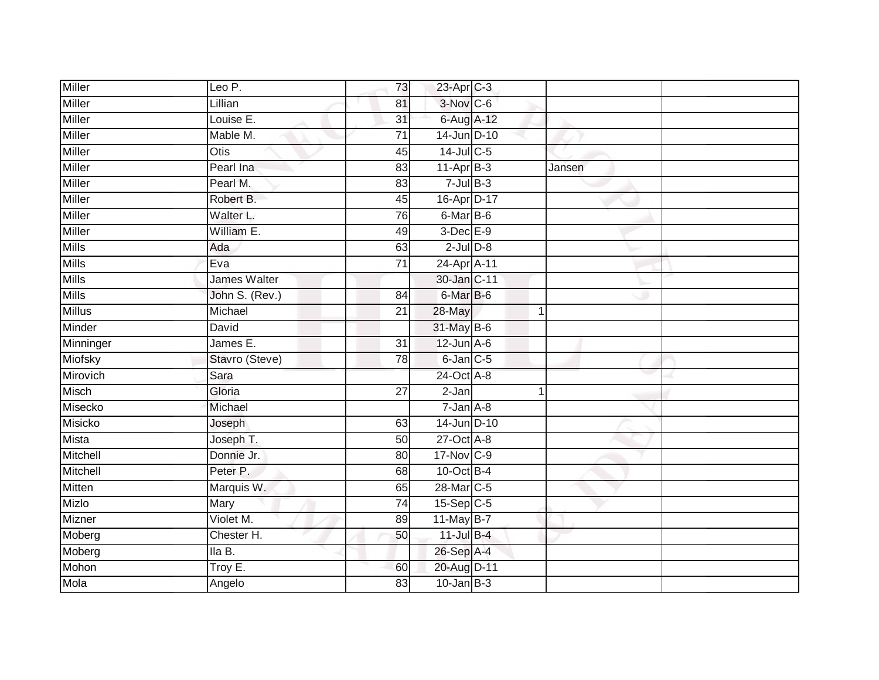| <b>Miller</b> | Leo P.         |                 |                  |        |  |
|---------------|----------------|-----------------|------------------|--------|--|
|               |                | 73              | 23-Apr C-3       |        |  |
| <b>Miller</b> | Lillian        | 81              | 3-Nov C-6        |        |  |
| <b>Miller</b> | Louise E.      | $\overline{31}$ | 6-Aug A-12       |        |  |
| <b>Miller</b> | Mable M.       | $\overline{71}$ | 14-Jun D-10      |        |  |
| <b>Miller</b> | <b>Otis</b>    | $\overline{45}$ | 14-Jul C-5       |        |  |
| Miller        | Pearl Ina      | 83              | $11-AprB-3$      | Jansen |  |
| Miller        | Pearl M.       | 83              | $7$ -Jul $B-3$   |        |  |
| Miller        | Robert B.      | 45              | 16-Apr D-17      |        |  |
| <b>Miller</b> | Walter L.      | 76              | 6-Mar B-6        |        |  |
| <b>Miller</b> | William E.     | 49              | 3-Dec E-9        |        |  |
| <b>Mills</b>  | Ada            | 63              | $2$ -Jul $D-8$   |        |  |
| <b>Mills</b>  | Eva            | $\overline{71}$ | 24-Apr A-11      |        |  |
| <b>Mills</b>  | James Walter   |                 | 30-Jan C-11      |        |  |
| Mills         | John S. (Rev.) | 84              | 6-Mar B-6        |        |  |
| <b>Millus</b> | Michael        | $\overline{21}$ | 28-May           | 1      |  |
| Minder        | David          |                 | 31-May B-6       |        |  |
| Minninger     | James E.       | $\overline{31}$ | $12$ -Jun $A$ -6 |        |  |
| Miofsky       | Stavro (Steve) | 78              | $6$ -Jan $C$ -5  |        |  |
| Mirovich      | Sara           |                 | 24-Oct A-8       |        |  |
| Misch         | Gloria         | $\overline{27}$ | $2-Jan$          | 1      |  |
| Misecko       | Michael        |                 | $7 - Jan A - 8$  |        |  |
| Misicko       | Joseph         | 63              | 14-Jun D-10      |        |  |
| <b>Mista</b>  | Joseph T.      | 50              | $27$ -Oct $A-8$  |        |  |
| Mitchell      | Donnie Jr.     | 80              | 17-Nov C-9       |        |  |
| Mitchell      | Peter P.       | 68              | 10-Oct B-4       |        |  |
| Mitten        | Marquis W.     | 65              | 28-Mar C-5       |        |  |
| Mizlo         | Mary           | 74              | 15-Sep C-5       |        |  |
| Mizner        | Violet M.      | 89              | 11-May B-7       |        |  |
| Moberg        | Chester H.     | 50              | 11-Jul B-4       |        |  |
| Moberg        | lla B.         |                 | 26-Sep A-4       |        |  |
| Mohon         | Troy E.        | 60              | 20-Aug D-11      |        |  |
| Mola          | Angelo         | 83              | $10 - Jan$ $B-3$ |        |  |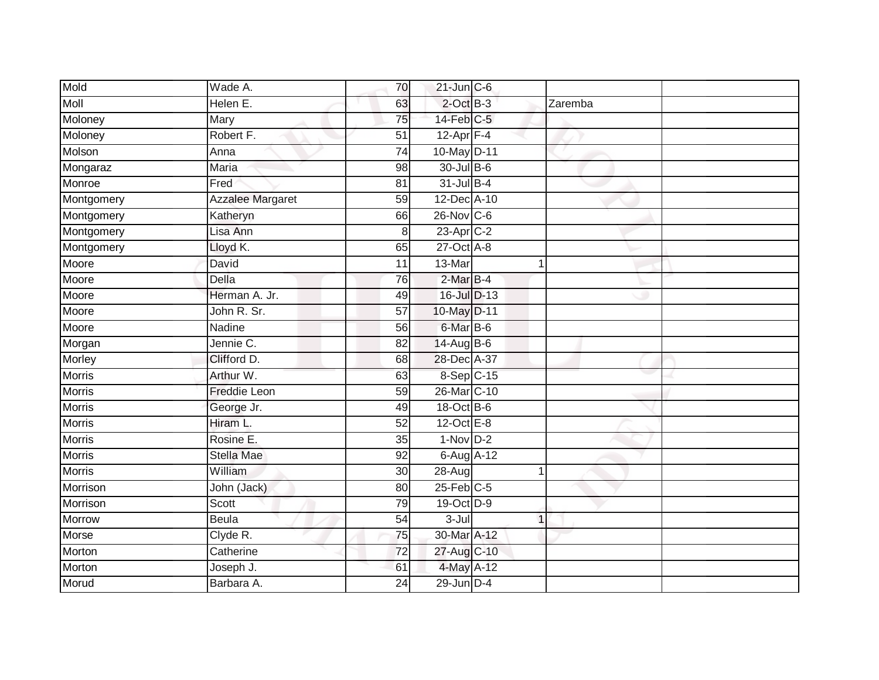| Mold          | Wade A.                 | 70              | $21$ -Jun $C - 6$ |              |  |
|---------------|-------------------------|-----------------|-------------------|--------------|--|
| <b>Moll</b>   | Helen E.                | 63              | $2$ -Oct $B-3$    | Zaremba      |  |
| Moloney       | Mary                    | 75              | 14-Feb C-5        |              |  |
| Moloney       | Robert F.               | 51              | $12$ -Apr $F-4$   |              |  |
| Molson        | Anna                    | $\overline{74}$ | 10-May D-11       |              |  |
| Mongaraz      | Maria                   | 98              | 30-Jul B-6        |              |  |
| Monroe        | Fred                    | 81              | $31$ -Jul B-4     |              |  |
| Montgomery    | <b>Azzalee Margaret</b> | 59              | 12-Dec A-10       |              |  |
| Montgomery    | Katheryn                | 66              | 26-Nov C-6        |              |  |
| Montgomery    | Lisa Ann                | 8               | 23-Apr C-2        |              |  |
| Montgomery    | Lloyd K.                | 65              | $27$ -Oct $A-8$   |              |  |
| Moore         | David                   | 11              | 13-Mar            | $\mathbf{1}$ |  |
| Moore         | Della                   | 76              | $2$ -Mar $B-4$    |              |  |
| Moore         | Herman A. Jr.           | 49              | 16-Jul D-13       |              |  |
| Moore         | John R. Sr.             | $\overline{57}$ | 10-May D-11       |              |  |
| Moore         | Nadine                  | 56              | 6-Mar B-6         |              |  |
| Morgan        | Jennie C.               | $\overline{82}$ | 14-Aug B-6        |              |  |
| Morley        | Clifford D.             | 68              | 28-Dec A-37       |              |  |
| <b>Morris</b> | Arthur W.               | 63              | 8-Sep C-15        |              |  |
| <b>Morris</b> | <b>Freddie Leon</b>     | $\overline{59}$ | 26-Mar C-10       |              |  |
| <b>Morris</b> | George Jr.              | 49              | 18-Oct B-6        |              |  |
| <b>Morris</b> | Hiram L.                | $\overline{52}$ | $12$ -Oct $E - 8$ |              |  |
| <b>Morris</b> | Rosine E.               | 35              | $1-Nov$ D-2       |              |  |
| Morris        | Stella Mae              | 92              | 6-Aug A-12        |              |  |
| <b>Morris</b> | William                 | 30              | 28-Aug            |              |  |
| Morrison      | John (Jack)             | 80              | $25$ -Feb $C$ -5  |              |  |
| Morrison      | Scott                   | 79              | 19-Oct D-9        |              |  |
| Morrow        | <b>Beula</b>            | 54              | $3 -$ Jul         | $\mathbf 1$  |  |
| Morse         | Clyde R.                | 75              | 30-Mar A-12       |              |  |
| Morton        | Catherine               | 72              | 27-Aug C-10       |              |  |
| Morton        | Joseph J.               | 61              | 4-May A-12        |              |  |
| Morud         | Barbara A.              | $\overline{24}$ | 29-Jun D-4        |              |  |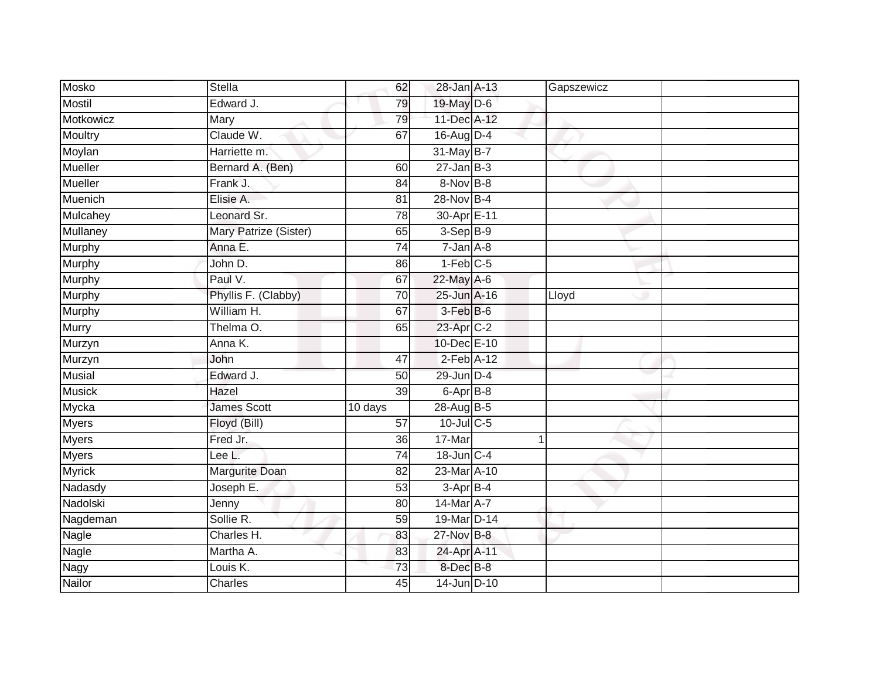| Mosko          | <b>Stella</b>         | 62              | 28-Jan A-13            | Gapszewicz |  |
|----------------|-----------------------|-----------------|------------------------|------------|--|
| <b>Mostil</b>  | Edward J.             | 79              | 19-May D-6             |            |  |
| Motkowicz      | Mary                  | 79              | 11-Dec A-12            |            |  |
| Moultry        | Claude W.             | 67              | $16$ -Aug $D-4$        |            |  |
| Moylan         | Harriette m.          |                 | 31-May B-7             |            |  |
| <b>Mueller</b> | Bernard A. (Ben)      | 60              | $27$ -Jan B-3          |            |  |
| Mueller        | Frank J.              | 84              | 8-Nov B-8              |            |  |
| Muenich        | Elisie A.             | 81              | 28-Nov B-4             |            |  |
| Mulcahey       | Leonard Sr.           | 78              | 30-Apr E-11            |            |  |
| Mullaney       | Mary Patrize (Sister) | 65              | 3-Sep B-9              |            |  |
| Murphy         | Anna E.               | 74              | $7 - Jan A - 8$        |            |  |
| Murphy         | John D.               | 86              | $1-Feb$ <sub>C-5</sub> |            |  |
| Murphy         | Paul V.               | 67              | 22-May A-6             |            |  |
| Murphy         | Phyllis F. (Clabby)   | 70              | 25-Jun A-16            | Lloyd      |  |
| <b>Murphy</b>  | William H.            | 67              | 3-Feb B-6              |            |  |
| <b>Murry</b>   | Thelma O.             | 65              | 23-Apr C-2             |            |  |
| Murzyn         | Anna K.               |                 | 10-Dec E-10            |            |  |
| Murzyn         | John                  | 47              | $2-Feb$ A-12           |            |  |
| <b>Musial</b>  | Edward J.             | 50              | 29-Jun D-4             |            |  |
| <b>Musick</b>  | Hazel                 | 39              | 6-Apr B-8              |            |  |
| Mycka          | <b>James Scott</b>    | 10 days         | 28-Aug B-5             |            |  |
| <b>Myers</b>   | Floyd (Bill)          | $\overline{57}$ | $10$ -Jul $C$ -5       |            |  |
| Myers          | Fred Jr.              | 36              | 17-Mar                 | 1          |  |
| <b>Myers</b>   | Lee L.                | 74              | 18-Jun C-4             |            |  |
| <b>Myrick</b>  | Margurite Doan        | $\overline{82}$ | 23-Mar A-10            |            |  |
| Nadasdy        | Joseph E.             | 53              | $3-AprB-4$             |            |  |
| Nadolski       | Jenny                 | 80              | 14-Mar A-7             |            |  |
| Nagdeman       | Sollie R.             | 59              | 19-Mar D-14            |            |  |
| <b>Nagle</b>   | Charles H.            | 83              | 27-Nov B-8             |            |  |
| Nagle          | Martha A.             | 83              | 24-Apr A-11            |            |  |
| Nagy           | Louis K.              | 73              | 8-Dec B-8              |            |  |
| Nailor         | Charles               | 45              | 14-Jun D-10            |            |  |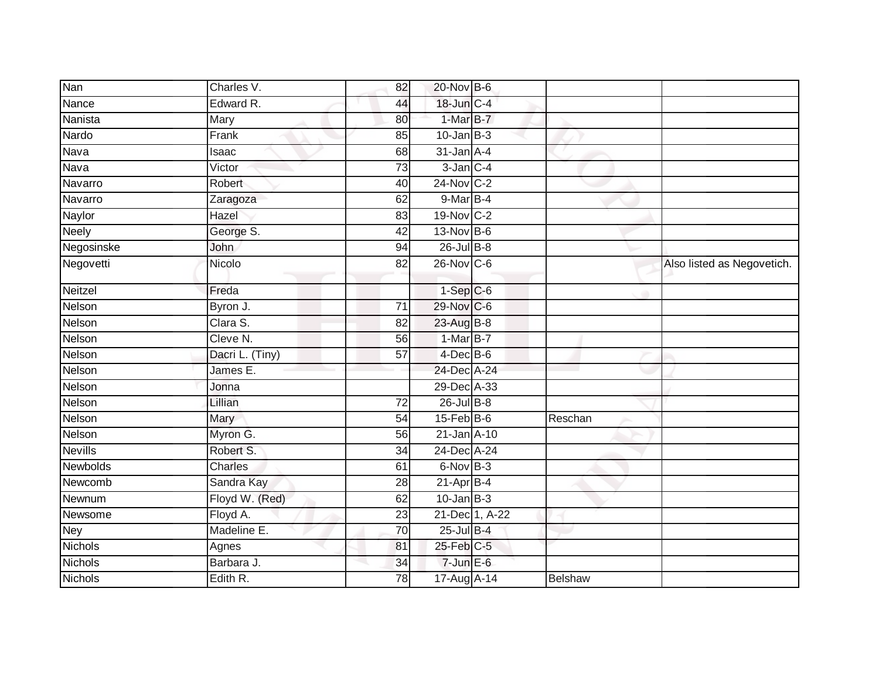| Nan             | Charles V.      | 82              | 20-Nov B-6       |                |                            |
|-----------------|-----------------|-----------------|------------------|----------------|----------------------------|
| Nance           | Edward R.       | 44              | 18-Jun C-4       |                |                            |
| Nanista         | Mary            | 80              | 1-Mar B-7        |                |                            |
| Nardo           | Frank           | 85              | $10$ -Jan B-3    |                |                            |
| Nava            | Isaac           | 68              | $31$ -Jan $A-4$  |                |                            |
| Nava            | Victor          | 73              | $3$ -Jan $C-4$   |                |                            |
| Navarro         | Robert          | 40              | 24-Nov C-2       |                |                            |
| Navarro         | Zaragoza        | 62              | 9-Mar B-4        |                |                            |
| Naylor          | Hazel           | 83              | 19-Nov C-2       |                |                            |
| <b>Neely</b>    | George S.       | 42              | 13-Nov B-6       |                |                            |
| Negosinske      | John            | 94              | $26$ -Jul B-8    |                |                            |
| Negovetti       | Nicolo          | 82              | 26-Nov C-6       |                | Also listed as Negovetich. |
| Neitzel         | Freda           |                 | $1-Sep$ $C-6$    |                |                            |
| Nelson          | Byron J.        | 71              | 29-Nov C-6       |                |                            |
| Nelson          | Clara S.        | 82              | 23-Aug B-8       |                |                            |
| Nelson          | Cleve N.        | 56              | 1-Mar B-7        |                |                            |
| Nelson          | Dacri L. (Tiny) | 57              | $4$ -Dec $B$ -6  |                |                            |
| Nelson          | James E.        |                 | 24-Dec A-24      |                |                            |
| Nelson          | Jonna           |                 | 29-Dec A-33      |                |                            |
| Nelson          | Lillian         | 72              | $26$ -Jul B-8    |                |                            |
| Nelson          | Mary            | 54              | $15$ -Feb $B$ -6 | Reschan        |                            |
| Nelson          | Myron G.        | 56              | 21-Jan A-10      |                |                            |
| <b>Nevills</b>  | Robert S.       | 34              | 24-Dec A-24      |                |                            |
| <b>Newbolds</b> | Charles         | 61              | $6-NovB-3$       |                |                            |
| Newcomb         | Sandra Kay      | 28              | $21-Apr$ B-4     |                |                            |
| Newnum          | Floyd W. (Red)  | 62              | $10$ -Jan B-3    |                |                            |
| Newsome         | Floyd A.        | $\overline{23}$ | 21-Dec 1, A-22   |                |                            |
| <b>Ney</b>      | Madeline E.     | $\overline{70}$ | 25-Jul B-4       |                |                            |
| <b>Nichols</b>  | Agnes           | 81              | $25$ -Feb $C-5$  |                |                            |
| <b>Nichols</b>  | Barbara J.      | 34              | $7$ -Jun $E$ -6  |                |                            |
| <b>Nichols</b>  | Edith R.        | 78              | 17-Aug A-14      | <b>Belshaw</b> |                            |
|                 |                 |                 |                  |                |                            |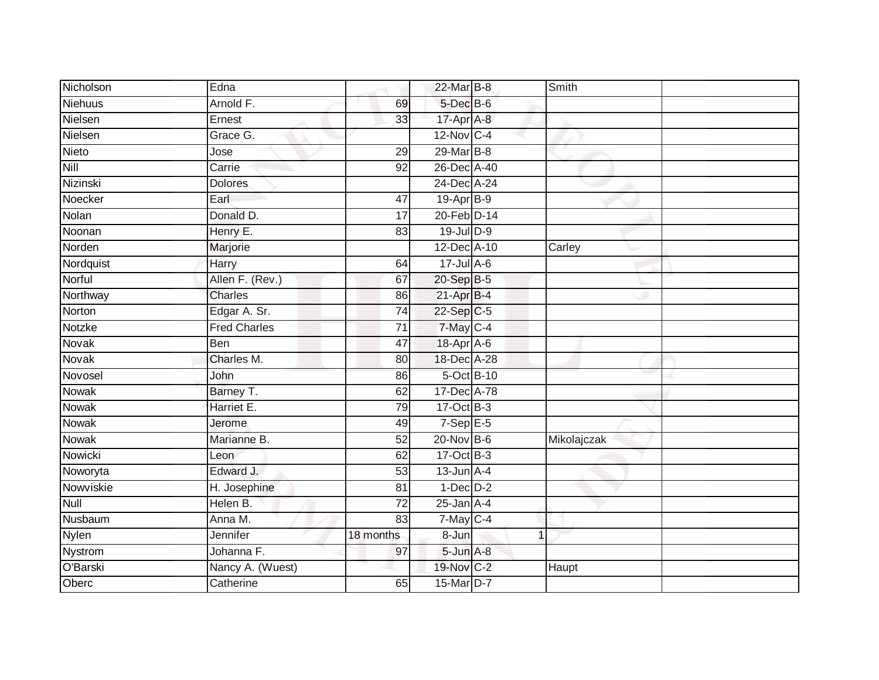| Nicholson      | Edna                |                 | 22-Mar B-8        |            | Smith       |  |
|----------------|---------------------|-----------------|-------------------|------------|-------------|--|
| <b>Niehuus</b> | Arnold F.           | 69              | 5-Dec B-6         |            |             |  |
| Nielsen        | Ernest              | 33              | $17$ -Apr $A$ -8  |            |             |  |
| Nielsen        | Grace G.            |                 | $12$ -Nov $ C-4 $ |            |             |  |
| <b>Nieto</b>   | Jose                | 29              | 29-Mar B-8        |            |             |  |
| Nill           | Carrie              | $\overline{92}$ | 26-Dec A-40       |            |             |  |
| Nizinski       | <b>Dolores</b>      |                 | 24-Dec A-24       |            |             |  |
| Noecker        | Earl                | 47              | 19-Apr B-9        |            |             |  |
| Nolan          | Donald D.           | 17              | 20-Feb D-14       |            |             |  |
| Noonan         | Henry E.            | 83              | 19-Jul D-9        |            |             |  |
| Norden         | Marjorie            |                 | 12-Dec A-10       |            | Carley      |  |
| Nordquist      | Harry               | 64              | $17 -$ Jul A-6    |            |             |  |
| Norful         | Allen F. (Rev.)     | 67              | 20-Sep B-5        |            |             |  |
| Northway       | Charles             | 86              | $21-AprB-4$       |            |             |  |
| Norton         | Edgar A. Sr.        | $\overline{74}$ | $22-Sep C-5$      |            |             |  |
| <b>Notzke</b>  | <b>Fred Charles</b> | $\overline{71}$ | 7-May C-4         |            |             |  |
| <b>Novak</b>   | Ben                 | 47              | 18-Apr A-6        |            |             |  |
| Novak          | Charles M.          | 80              | 18-Dec A-28       |            |             |  |
| Novosel        | John                | 86              |                   | 5-Oct B-10 |             |  |
| <b>Nowak</b>   | Barney T.           | 62              | 17-Dec A-78       |            |             |  |
| Nowak          | Harriet E.          | 79              | 17-Oct B-3        |            |             |  |
| <b>Nowak</b>   | Jerome              | 49              | $7-Sep$ E-5       |            |             |  |
| <b>Nowak</b>   | Marianne B.         | 52              | $20$ -Nov $B-6$   |            | Mikolajczak |  |
| Nowicki        | Leon                | 62              | 17-Oct B-3        |            |             |  |
| Noworyta       | Edward J.           | 53              | $13$ -Jun $A-4$   |            |             |  |
| Nowviskie      | H. Josephine        | 81              | $1-Dec$ $D-2$     |            |             |  |
| <b>Null</b>    | Helen B.            | $\overline{72}$ | $25$ -Jan $A-4$   |            |             |  |
| Nusbaum        | Anna M.             | 83              | $7$ -May $C-4$    |            |             |  |
| Nylen          | Jennifer            | 18 months       | 8-Jun             |            | 1           |  |
| Nystrom        | Johanna F.          | 97              | $5$ -Jun $A-8$    |            |             |  |
| O'Barski       | Nancy A. (Wuest)    |                 | 19-Nov C-2        |            | Haupt       |  |
| Oberc          | Catherine           | 65              | 15-Mar D-7        |            |             |  |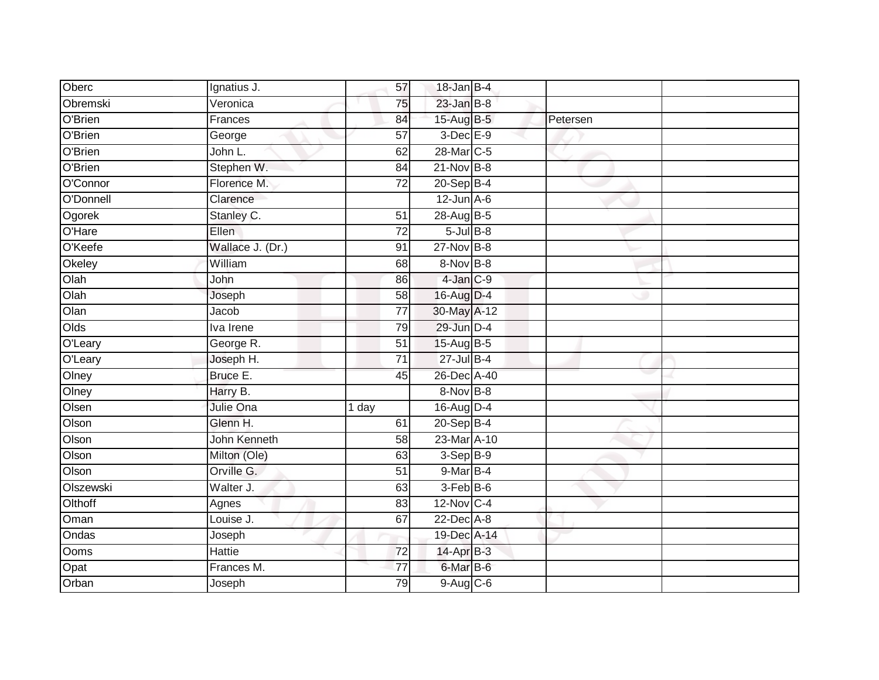| Oberc     | Ignatius J.      | 57              | 18-Jan B-4      |          |  |
|-----------|------------------|-----------------|-----------------|----------|--|
| Obremski  | Veronica         | 75              | $23$ -Jan B-8   |          |  |
| O'Brien   | Frances          | 84              | 15-Aug B-5      | Petersen |  |
| O'Brien   | George           | 57              | $3$ -Dec $E-9$  |          |  |
| O'Brien   | John L.          | 62              | 28-Mar C-5      |          |  |
| O'Brien   | Stephen W.       | 84              | $21-Nov$ B-8    |          |  |
| O'Connor  | Florence M.      | 72              | $20-Sep$ B-4    |          |  |
| O'Donnell | Clarence         |                 | $12$ -Jun $A-6$ |          |  |
| Ogorek    | Stanley C.       | 51              | 28-Aug B-5      |          |  |
| O'Hare    | Ellen.           | $\overline{72}$ | $5$ -Jul $B-8$  |          |  |
| O'Keefe   | Wallace J. (Dr.) | 91              | $27$ -Nov $B-8$ |          |  |
| Okeley    | William          | 68              | 8-Nov B-8       |          |  |
| Olah      | John             | 86              | $4$ -Jan $C-9$  |          |  |
| Olah      | Joseph           | 58              | 16-Aug D-4      |          |  |
| Olan      | Jacob            | $\overline{77}$ | 30-May A-12     |          |  |
| Olds      | Iva Irene        | 79              | 29-Jun D-4      |          |  |
| O'Leary   | George R.        | 51              | 15-Aug B-5      |          |  |
| O'Leary   | Joseph H.        | $\overline{71}$ | 27-Jul B-4      |          |  |
| Olney     | Bruce E.         | 45              | 26-Dec A-40     |          |  |
| Olney     | Harry B.         |                 | 8-Nov B-8       |          |  |
| Olsen     | <b>Julie Ona</b> | 1 day           | 16-Aug D-4      |          |  |
| Olson     | Glenn H.         | 61              | 20-Sep B-4      |          |  |
| Olson     | John Kenneth     | 58              | 23-Mar A-10     |          |  |
| Olson     | Milton (Ole)     | 63              | 3-Sep B-9       |          |  |
| Olson     | Orville G.       | $\overline{51}$ | 9-Mar B-4       |          |  |
| Olszewski | Walter J.        | 63              | 3-Feb B-6       |          |  |
| Olthoff   | Agnes            | 83              | 12-Nov C-4      |          |  |
| Oman      | Louise J.        | 67              | $22$ -Dec $A-8$ |          |  |
| Ondas     | Joseph           |                 | 19-Dec A-14     |          |  |
| Ooms      | <b>Hattie</b>    | 72              | 14-Apr B-3      |          |  |
| Opat      | Frances M.       | 77              | 6-Mar B-6       |          |  |
| Orban     | Joseph           | 79              | 9-Aug C-6       |          |  |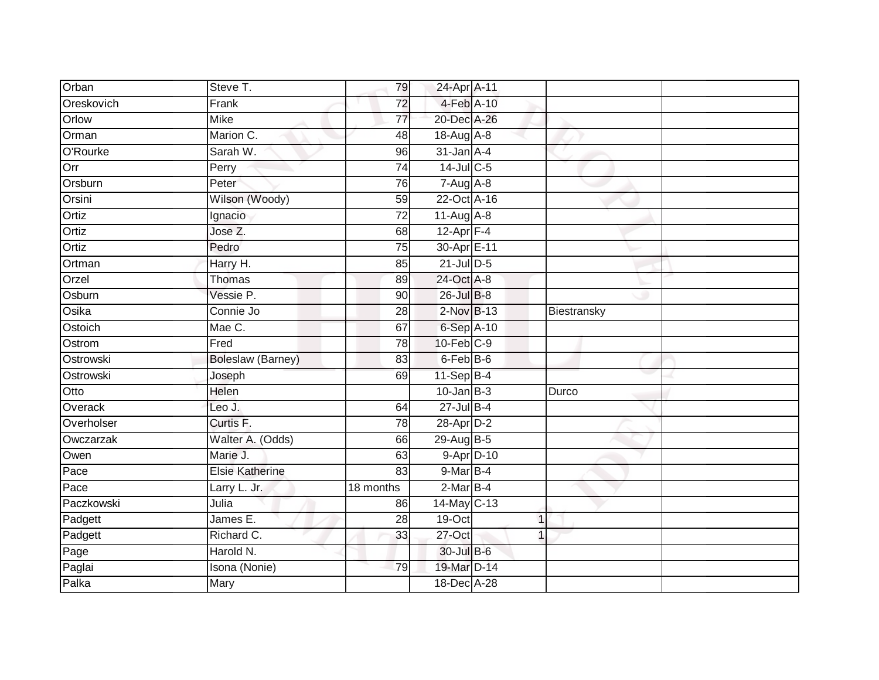| Orban      | Steve T.                 | 79              | 24-Apr A-11     |              |             |  |
|------------|--------------------------|-----------------|-----------------|--------------|-------------|--|
| Oreskovich | Frank                    | 72              | 4-Feb A-10      |              |             |  |
| Orlow      | <b>Mike</b>              | 77              | 20-Dec A-26     |              |             |  |
| Orman      | Marion C.                | 48              | 18-Aug A-8      |              |             |  |
| O'Rourke   | Sarah W.                 | $\overline{96}$ | $31$ -Jan $A-4$ |              |             |  |
| Orr        | Perry                    | 74              | 14-Jul C-5      |              |             |  |
| Orsburn    | Peter                    | 76              | $7-Aug$ A-8     |              |             |  |
| Orsini     | Wilson (Woody)           | 59              | 22-Oct A-16     |              |             |  |
| Ortiz      | Ignacio                  | 72              | $11-Aug$ A-8    |              |             |  |
| Ortiz      | Jose Z.                  | 68              | 12-Apr $F-4$    |              |             |  |
| Ortiz      | Pedro                    | 75              | 30-Apr E-11     |              |             |  |
| Ortman     | Harry H.                 | 85              | $21$ -Jul $D-5$ |              |             |  |
| Orzel      | <b>Thomas</b>            | 89              | 24-Oct A-8      |              |             |  |
| Osburn     | Vessie P.                | 90              | 26-Jul B-8      |              |             |  |
| Osika      | Connie Jo                | 28              | 2-Nov B-13      |              | Biestransky |  |
| Ostoich    | Mae C.                   | 67              | 6-Sep A-10      |              |             |  |
| Ostrom     | Fred                     | 78              | $10$ -Feb $C-9$ |              |             |  |
| Ostrowski  | <b>Boleslaw (Barney)</b> | 83              | $6$ -Feb $B$ -6 |              |             |  |
| Ostrowski  | Joseph                   | 69              | $11-Sep$ B-4    |              |             |  |
| Otto       | Helen                    |                 | $10$ -Jan B-3   |              | Durco       |  |
| Overack    | Leo J.                   | 64              | $27 -$ Jul B-4  |              |             |  |
| Overholser | Curtis <sub>F.</sub>     | $\overline{78}$ | 28-Apr D-2      |              |             |  |
| Owczarzak  | Walter A. (Odds)         | 66              | 29-Aug B-5      |              |             |  |
| Owen       | Marie J.                 | 63              | 9-Apr D-10      |              |             |  |
| Pace       | <b>Elsie Katherine</b>   | 83              | $9$ -Mar $B$ -4 |              |             |  |
| Pace       | Larry L. Jr.             | 18 months       | $2-MarB-4$      |              |             |  |
| Paczkowski | Julia                    | 86              | 14-May C-13     |              |             |  |
| Padgett    | James E.                 | 28              | 19-Oct          | $\mathbf{1}$ |             |  |
| Padgett    | Richard C.               | 33              | 27-Oct          | 1            |             |  |
| Page       | Harold N.                |                 | 30-Jul B-6      |              |             |  |
| Paglai     | Isona (Nonie)            | 79              | 19-Mar D-14     |              |             |  |
| Palka      | <b>Mary</b>              |                 | 18-Dec A-28     |              |             |  |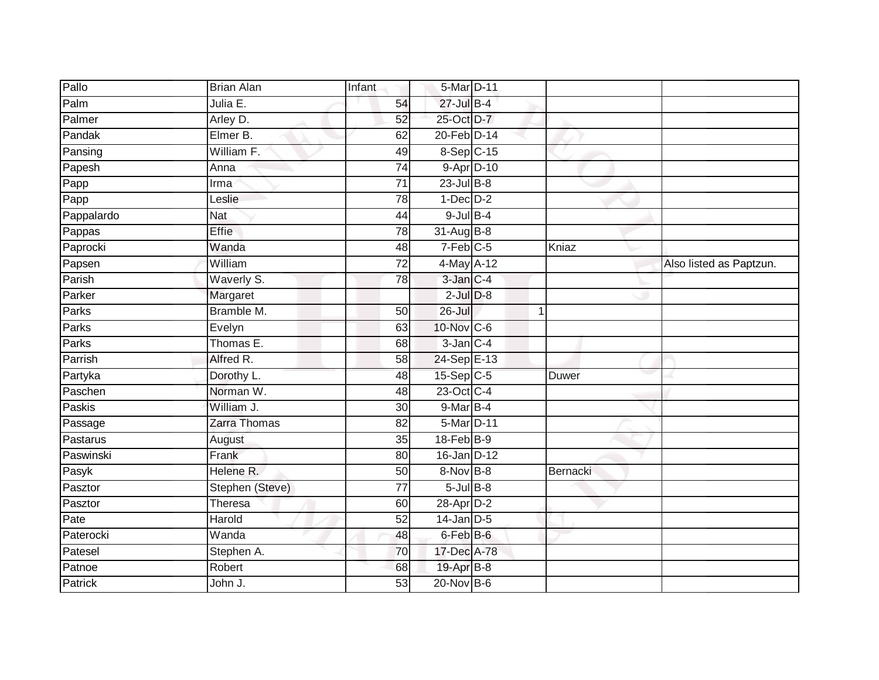| Pallo      | <b>Brian Alan</b>   | Infant          | 5-Mar D-11      |             |                         |
|------------|---------------------|-----------------|-----------------|-------------|-------------------------|
| Palm       | Julia E.            | 54              | $27$ -Jul B-4   |             |                         |
| Palmer     | Arley D.            | 52              | 25-Oct D-7      |             |                         |
| Pandak     | Elmer B.            | 62              | 20-Feb D-14     |             |                         |
| Pansing    | William F.          | 49              | 8-Sep C-15      |             |                         |
| Papesh     | Anna                | 74              | 9-Apr D-10      |             |                         |
| Papp       | Irma                | $\overline{71}$ | $23$ -Jul B-8   |             |                         |
| Papp       | Leslie              | 78              | $1-Dec$ $D-2$   |             |                         |
| Pappalardo | <b>Nat</b>          | 44              | $9$ -Jul $B$ -4 |             |                         |
| Pappas     | Effie               | 78              | 31-Aug B-8      |             |                         |
| Paprocki   | Wanda               | 48              | $7-Feb$ C-5     | Kniaz       |                         |
| Papsen     | William             | 72              | 4-May A-12      |             | Also listed as Paptzun. |
| Parish     | Waverly S.          | 78              | $3$ -Jan $C-4$  |             |                         |
| Parker     | Margaret            |                 | $2$ -Jul $D-8$  |             |                         |
| Parks      | Bramble M.          | 50              | $26 -$ Jul      | $\mathbf 1$ |                         |
| Parks      | Evelyn              | 63              | 10-Nov C-6      |             |                         |
| Parks      | Thomas E.           | 68              | $3$ -Jan $C-4$  |             |                         |
| Parrish    | Alfred R.           | 58              | 24-Sep E-13     |             |                         |
| Partyka    | Dorothy L.          | 48              | $15-Sep$ $C-5$  | Duwer       |                         |
| Paschen    | Norman W.           | $\overline{48}$ | 23-Oct C-4      |             |                         |
| Paskis     | William J.          | 30              | 9-Mar B-4       |             |                         |
| Passage    | Zarra Thomas        | 82              | 5-Mar D-11      |             |                         |
| Pastarus   | August              | 35              | $18$ -Feb $B-9$ |             |                         |
| Paswinski  | Frank               | 80              | 16-Jan D-12     |             |                         |
| Pasyk      | Helene R.           | 50              | $8-Nov$ B-8     | Bernacki    |                         |
| Pasztor    | Stephen (Steve)     | 77              | $5$ -Jul $B-8$  |             |                         |
| Pasztor    | Theresa             | 60              | 28-Apr D-2      |             |                         |
| Pate       | Harold              | 52              | $14$ -Jan D-5   |             |                         |
| Paterocki  | $\overline{W}$ anda | 48              | $6$ -Feb $B$ -6 |             |                         |
| Patesel    | Stephen A.          | 70              | 17-Dec A-78     |             |                         |
| Patnoe     | Robert              | 68              | 19-Apr B-8      |             |                         |
| Patrick    | John J.             | $\overline{53}$ | $20$ -Nov $B-6$ |             |                         |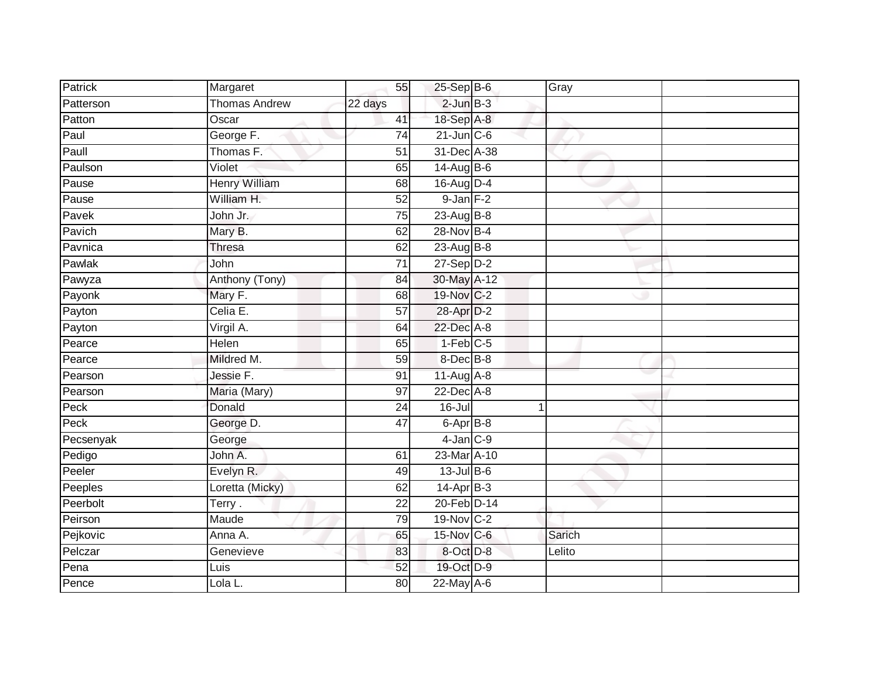| Patrick   | Margaret             | 55              | $25-$ Sep $B-6$   | Gray   |  |
|-----------|----------------------|-----------------|-------------------|--------|--|
| Patterson | <b>Thomas Andrew</b> | 22 days         | $2$ -Jun $B-3$    |        |  |
| Patton    | Oscar                | 41              | 18-Sep A-8        |        |  |
| Paul      | George F.            | 74              | $21$ -Jun $C$ -6  |        |  |
| Paull     | Thomas F.            | $\overline{51}$ | 31-Dec A-38       |        |  |
| Paulson   | Violet               | 65              | $14$ -Aug B-6     |        |  |
| Pause     | <b>Henry William</b> | 68              | 16-Aug D-4        |        |  |
| Pause     | William H.           | $\overline{52}$ | $9$ -Jan $F-2$    |        |  |
| Pavek     | John Jr.             | $\overline{75}$ | 23-Aug B-8        |        |  |
| Pavich    | Mary B.              | 62              | 28-Nov B-4        |        |  |
| Pavnica   | Thresa               | 62              | 23-Aug B-8        |        |  |
| Pawlak    | John                 | $\overline{71}$ | $27-Sep$ $D-2$    |        |  |
| Pawyza    | Anthony (Tony)       | 84              | 30-May A-12       |        |  |
| Payonk    | Mary F.              | 68              | 19-Nov C-2        |        |  |
| Payton    | Celia E.             | $\overline{57}$ | 28-Apr D-2        |        |  |
| Payton    | Virgil A.            | 64              | 22-Dec A-8        |        |  |
| Pearce    | Helen                | 65              | $1-Feb$ C-5       |        |  |
| Pearce    | Mildred M.           | 59              | 8-Dec B-8         |        |  |
| Pearson   | Jessie F.            | 91              | 11-Aug A-8        |        |  |
| Pearson   | Maria (Mary)         | $\overline{97}$ | 22-Dec A-8        |        |  |
| Peck      | Donald               | 24              | $16$ -Jul         |        |  |
| Peck      | George D.            | $\overline{47}$ | $6 -$ Apr $B - 8$ |        |  |
| Pecsenyak | George               |                 | $4$ -Jan $C-9$    |        |  |
| Pedigo    | John A.              | 61              | 23-Mar A-10       |        |  |
| Peeler    | Evelyn R.            | 49              | $13$ -Jul B-6     |        |  |
| Peeples   | Loretta (Micky)      | 62              | $14$ -Apr $B-3$   |        |  |
| Peerbolt  | Terry.               | $\overline{22}$ | 20-Feb D-14       |        |  |
| Peirson   | Maude                | 79              | 19-Nov C-2        |        |  |
| Pejkovic  | Anna A.              | 65              | 15-Nov C-6        | Sarich |  |
| Pelczar   | Genevieve            | 83              | 8-Oct D-8         | Lelito |  |
| Pena      | Luis                 | 52              | 19-Oct D-9        |        |  |
| Pence     | Lola L.              | 80              | 22-May A-6        |        |  |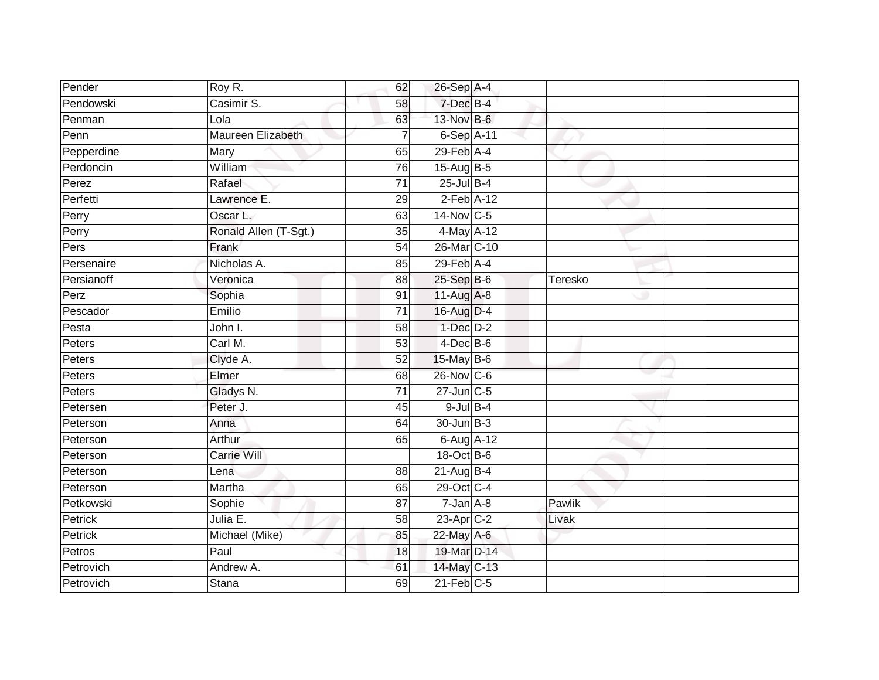| Pender     | Roy R.                | 62              | 26-Sep A-4        |         |  |
|------------|-----------------------|-----------------|-------------------|---------|--|
| Pendowski  | Casimir S.            | 58              | 7-Dec B-4         |         |  |
| Penman     | Lola                  | 63              | 13-Nov B-6        |         |  |
| Penn       | Maureen Elizabeth     | $\overline{7}$  | $6-Sep$ A-11      |         |  |
| Pepperdine | Mary                  | 65              | $29$ -Feb $A$ -4  |         |  |
| Perdoncin  | William               | 76              | 15-Aug B-5        |         |  |
| Perez      | Rafael                | 71              | $25 -$ Jul $B-4$  |         |  |
| Perfetti   | Lawrence E.           | 29              | $2$ -Feb $A-12$   |         |  |
| Perry      | Oscar L.              | 63              | $14$ -Nov $ C-5 $ |         |  |
| Perry      | Ronald Allen (T-Sgt.) | 35              | 4-May A-12        |         |  |
| Pers       | Frank                 | $\overline{54}$ | 26-Mar C-10       |         |  |
| Persenaire | Nicholas A.           | 85              | $29$ -Feb $A$ -4  |         |  |
| Persianoff | Veronica              | 88              | 25-Sep B-6        | Teresko |  |
| Perz       | Sophia                | 91              | 11-Aug A-8        |         |  |
| Pescador   | Emilio                | $\overline{71}$ | 16-Aug D-4        |         |  |
| Pesta      | John I.               | 58              | $1-Dec$ $D-2$     |         |  |
| Peters     | Carl M.               | 53              | $4$ -Dec $B$ -6   |         |  |
| Peters     | Clyde A.              | 52              | 15-May B-6        |         |  |
| Peters     | Elmer                 | 68              | 26-Nov C-6        |         |  |
| Peters     | Gladys N.             | $\overline{71}$ | 27-Jun C-5        |         |  |
| Petersen   | Peter J.              | 45              | $9$ -Jul $B$ -4   |         |  |
| Peterson   | Anna                  | 64              | 30-Jun B-3        |         |  |
| Peterson   | Arthur                | 65              | 6-Aug A-12        |         |  |
| Peterson   | <b>Carrie Will</b>    |                 | 18-Oct B-6        |         |  |
| Peterson   | Lena                  | 88              | $21-Aug$ B-4      |         |  |
| Peterson   | Martha                | 65              | 29-Oct C-4        |         |  |
| Petkowski  | Sophie                | $\overline{87}$ | $7 - Jan A - 8$   | Pawlik  |  |
| Petrick    | Julia E.              | 58              | $23$ -Apr $C-2$   | Livak   |  |
| Petrick    | Michael (Mike)        | 85              | 22-May A-6        |         |  |
| Petros     | Paul                  | 18              | 19-Mar D-14       |         |  |
| Petrovich  | Andrew A.             | 61              | 14-May C-13       |         |  |
| Petrovich  | <b>Stana</b>          | 69              | $21$ -Feb $C-5$   |         |  |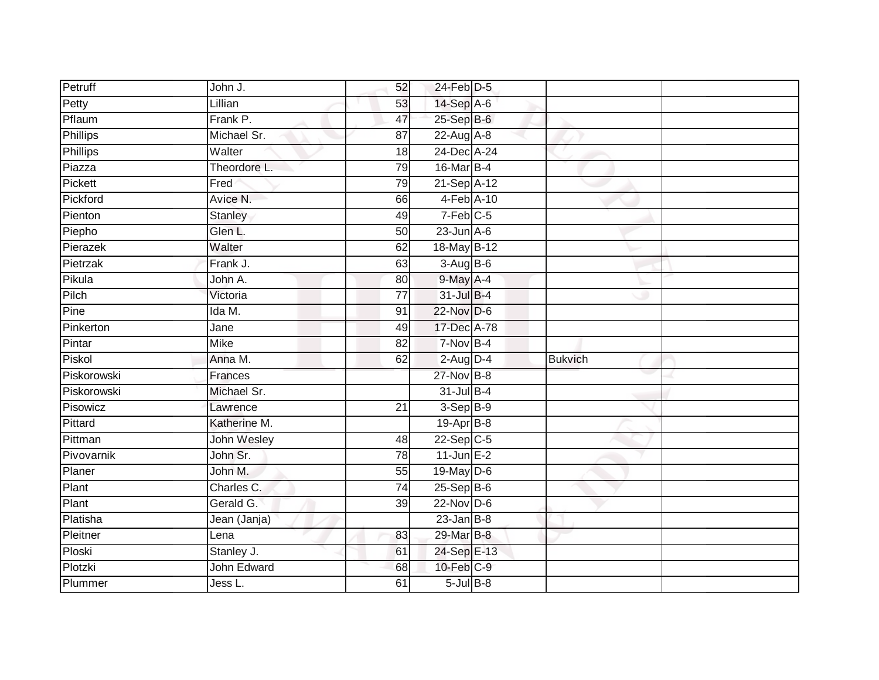| Petruff         | John J.      | 52              | 24-Feb D-5             |                |  |
|-----------------|--------------|-----------------|------------------------|----------------|--|
| Petty           | Lillian      | 53              | 14-Sep A-6             |                |  |
| Pflaum          | Frank P.     | 47              | $25-Sep$ $B-6$         |                |  |
| Phillips        | Michael Sr.  | 87              | $22$ -Aug A-8          |                |  |
| <b>Phillips</b> | Walter       | 18              | 24-Dec A-24            |                |  |
| Piazza          | Theordore L. | 79              | 16-Mar B-4             |                |  |
| Pickett         | Fred         | 79              | 21-Sep A-12            |                |  |
| Pickford        | Avice N.     | 66              | 4-Feb A-10             |                |  |
| Pienton         | Stanley      | 49              | $7-Feb$ <sub>C-5</sub> |                |  |
| Piepho          | Glen L.      | 50              | $23$ -Jun $A-6$        |                |  |
| Pierazek        | Walter       | 62              | 18-May B-12            |                |  |
| Pietrzak        | Frank J.     | 63              | $3-AugB-6$             |                |  |
| Pikula          | John A.      | 80              | $9$ -May $A - 4$       |                |  |
| Pilch           | Victoria     | $\overline{77}$ | 31-Jul B-4             |                |  |
| Pine            | Ida M.       | 91              | $22$ -Nov D-6          |                |  |
| Pinkerton       | Jane         | 49              | 17-Dec A-78            |                |  |
| Pintar          | <b>Mike</b>  | 82              | $7-Nov$ B-4            |                |  |
| Piskol          | Anna M.      | 62              | $2$ -Aug $D-4$         | <b>Bukvich</b> |  |
| Piskorowski     | Frances      |                 | 27-Nov B-8             |                |  |
| Piskorowski     | Michael Sr.  |                 | 31-Jul B-4             |                |  |
| Pisowicz        | Lawrence     | 21              | 3-Sep B-9              |                |  |
| Pittard         | Katherine M. |                 | 19-Apr B-8             |                |  |
| Pittman         | John Wesley  | 48              | $22-Sep$ C-5           |                |  |
| Pivovarnik      | John Sr.     | $\overline{78}$ | $11$ -Jun E-2          |                |  |
| Planer          | John M.      | 55              | 19-May D-6             |                |  |
| Plant           | Charles C.   | 74              | 25-Sep B-6             |                |  |
| Plant           | Gerald G.    | 39              | $22$ -Nov D-6          |                |  |
| Platisha        | Jean (Janja) |                 | $23$ -Jan B-8          |                |  |
| Pleitner        | Lena         | 83              | 29-Mar B-8             |                |  |
| Ploski          | Stanley J.   | 61              | 24-Sep E-13            |                |  |
| Plotzki         | John Edward  | 68              | 10-Feb C-9             |                |  |
| Plummer         | Jess L.      | 61              | $5$ -Jul $B$ -8        |                |  |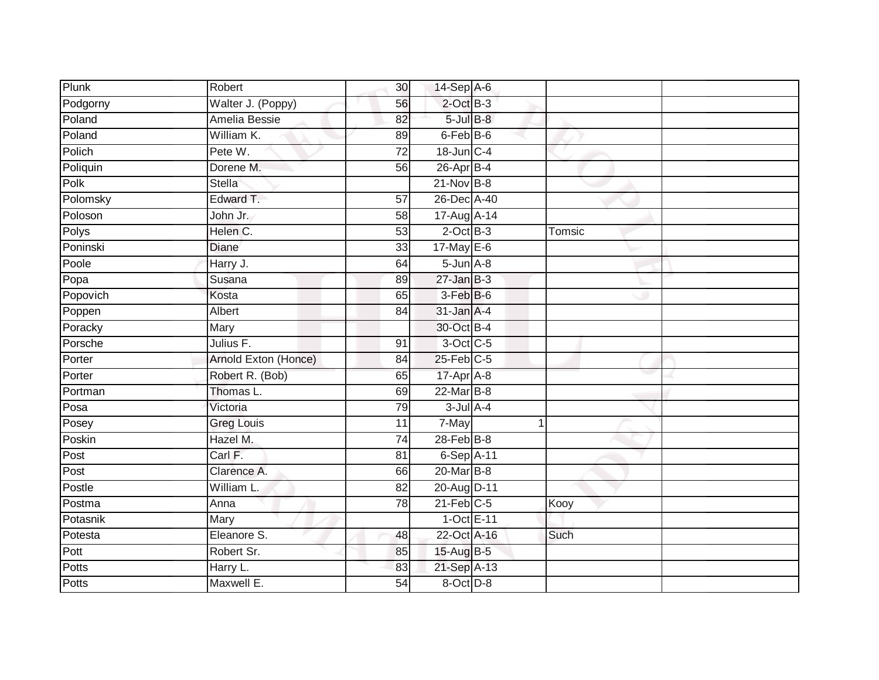| Plunk    | Robert               | 30 <sup>°</sup> | $14-Sep$ A-6      |        |  |
|----------|----------------------|-----------------|-------------------|--------|--|
| Podgorny | Walter J. (Poppy)    | 56              | $2$ -Oct $B-3$    |        |  |
| Poland   | Amelia Bessie        | 82              | $5$ -Jul $B-8$    |        |  |
| Poland   | William K.           | 89              | 6-Feb B-6         |        |  |
| Polich   | Pete W.              | $\overline{72}$ | $18$ -Jun $C-4$   |        |  |
| Poliquin | Dorene M.            | 56              | 26-Apr B-4        |        |  |
| Polk     | Stella               |                 | $21-Nov$ B-8      |        |  |
| Polomsky | Edward T.            | 57              | 26-Dec A-40       |        |  |
| Poloson  | John Jr.             | 58              | 17-Aug A-14       |        |  |
| Polys    | Helen C.             | 53              | $2$ -Oct $B-3$    | Tomsic |  |
| Poninski | Diane                | 33              | $17$ -May E-6     |        |  |
| Poole    | Harry J.             | 64              | $5 - Jun$ $A - 8$ |        |  |
| Popa     | Susana               | 89              | $27 - Jan$ $B-3$  |        |  |
| Popovich | Kosta                | 65              | $3-Feb$ $B-6$     |        |  |
| Poppen   | Albert               | $\overline{84}$ | $31$ -Jan $A-4$   |        |  |
| Poracky  | Mary                 |                 | 30-Oct B-4        |        |  |
| Porsche  | Julius F.            | 91              | 3-Oct C-5         |        |  |
| Porter   | Arnold Exton (Honce) | 84              | $25$ -Feb $C$ -5  |        |  |
| Porter   | Robert R. (Bob)      | 65              | 17-Apr A-8        |        |  |
| Portman  | Thomas L.            | 69              | 22-Mar B-8        |        |  |
| Posa     | Victoria             | 79              | $3$ -Jul $A$ -4   |        |  |
| Posey    | <b>Greg Louis</b>    | $\overline{11}$ | 7-May             | 1      |  |
| Poskin   | Hazel M.             | 74              | $28$ -Feb $B$ -8  |        |  |
| Post     | Carl F.              | 81              | 6-Sep A-11        |        |  |
| Post     | Clarence A.          | 66              | 20-Mar B-8        |        |  |
| Postle   | William L.           | $\overline{82}$ | 20-Aug D-11       |        |  |
| Postma   | Anna                 | 78              | $21$ -Feb $C-5$   | Kooy   |  |
| Potasnik | Mary                 |                 | 1-Oct E-11        |        |  |
| Potesta  | Eleanore S.          | 48              | 22-Oct A-16       | Such   |  |
| Pott     | Robert Sr.           | 85              | 15-Aug B-5        |        |  |
| Potts    | Harry L.             | 83              | 21-Sep A-13       |        |  |
| Potts    | Maxwell E.           | 54              | 8-Oct D-8         |        |  |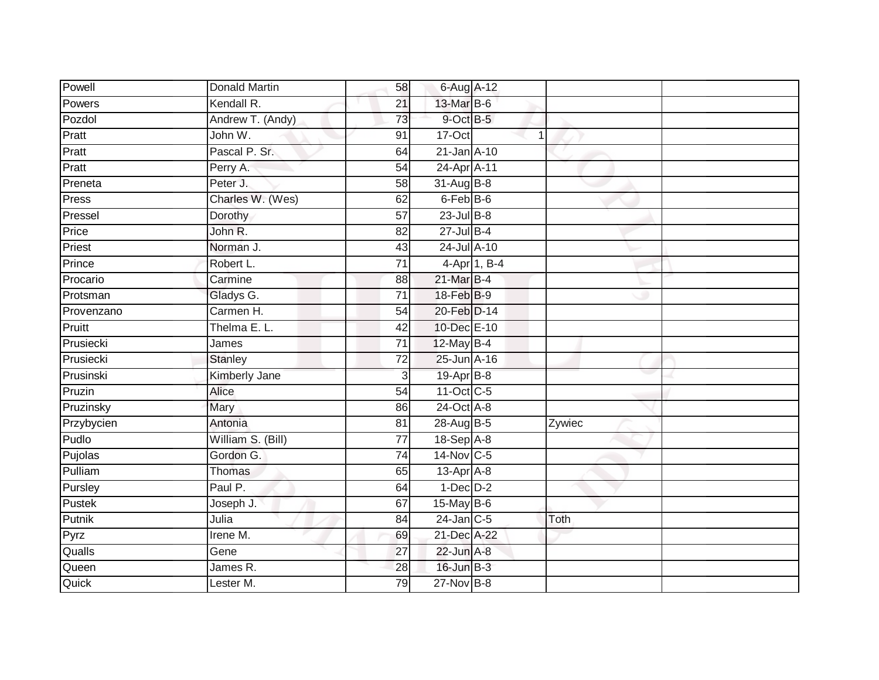| Powell     | <b>Donald Martin</b> | 58              | 6-Aug A-12            |              |        |  |
|------------|----------------------|-----------------|-----------------------|--------------|--------|--|
| Powers     | Kendall R.           | 21              | 13-Mar B-6            |              |        |  |
| Pozdol     | Andrew T. (Andy)     | 73              | 9-Oct B-5             |              |        |  |
| Pratt      | John W.              | 91              | 17-Oct                | 1            |        |  |
| Pratt      | Pascal P. Sr.        | 64              | 21-Jan A-10           |              |        |  |
| Pratt      | Perry A.             | 54              | 24-Apr A-11           |              |        |  |
| Preneta    | Peter J.             | $\overline{58}$ | 31-Aug B-8            |              |        |  |
| Press      | Charles W. (Wes)     | 62              | 6-Feb <sup>B-6</sup>  |              |        |  |
| Pressel    | Dorothy              | 57              | $23$ -Jul B-8         |              |        |  |
| Price      | John R.              | 82              | $27 -$ Jul B-4        |              |        |  |
| Priest     | Norman J.            | 43              | 24-Jul A-10           |              |        |  |
| Prince     | Robert L.            | $\overline{71}$ |                       | 4-Apr 1, B-4 |        |  |
| Procario   | Carmine              | 88              | 21-Mar B-4            |              |        |  |
| Protsman   | Gladys G.            | 71              | 18-Feb <sup>B-9</sup> |              |        |  |
| Provenzano | Carmen H.            | $\overline{54}$ | 20-Feb D-14           |              |        |  |
| Pruitt     | Thelma E. L.         | 42              | 10-Dec E-10           |              |        |  |
| Prusiecki  | James                | 71              | $12$ -May B-4         |              |        |  |
| Prusiecki  | <b>Stanley</b>       | 72              | 25-Jun A-16           |              |        |  |
| Prusinski  | Kimberly Jane        | 3               | 19-Apr B-8            |              |        |  |
| Pruzin     | Alice                | 54              | 11-Oct C-5            |              |        |  |
| Pruzinsky  | Mary                 | 86              | 24-Oct A-8            |              |        |  |
| Przybycien | Antonia              | 81              | 28-Aug B-5            |              | Zywiec |  |
| Pudlo      | William S. (Bill)    | 77              | 18-Sep A-8            |              |        |  |
| Pujolas    | Gordon G.            | $\overline{74}$ | 14-Nov C-5            |              |        |  |
| Pulliam    | <b>Thomas</b>        | 65              | $13$ -Apr $A$ -8      |              |        |  |
| Pursley    | Paul P.              | 64              | $1-Dec$ $D-2$         |              |        |  |
| Pustek     | Joseph J.            | 67              | 15-May B-6            |              |        |  |
| Putnik     | Julia                | 84              | $24$ -Jan $C-5$       |              | Toth   |  |
| Pyrz       | Irene M.             | 69              | 21-Dec A-22           |              |        |  |
| Qualls     | Gene                 | $\overline{27}$ | 22-Jun A-8            |              |        |  |
| Queen      | James R.             | 28              | 16-Jun B-3            |              |        |  |
| Quick      | Lester M.            | 79              | 27-Nov B-8            |              |        |  |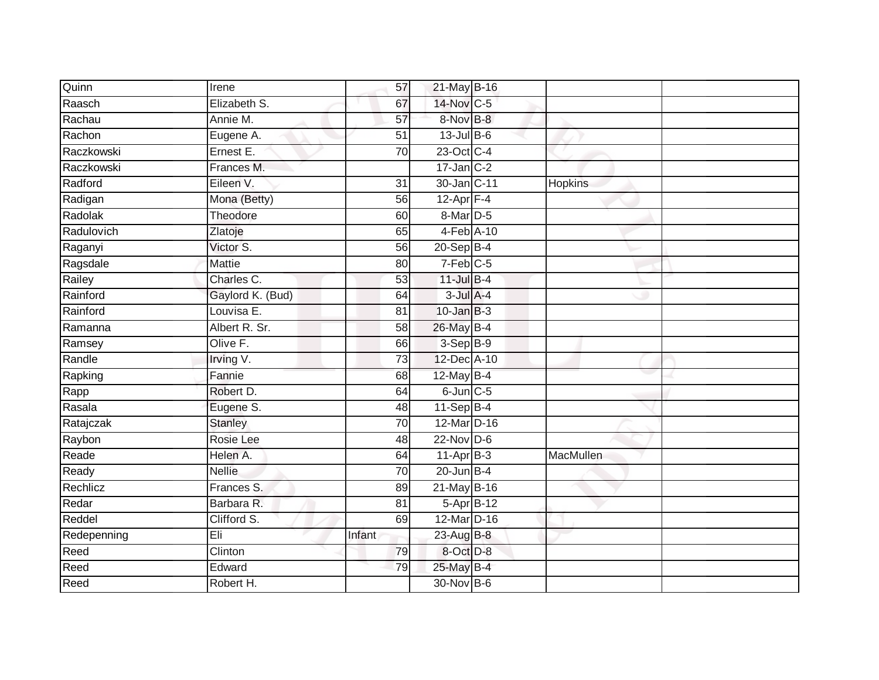| Irene            | 57              |  |                                                                                                                                                                                                                                                                                                                                                                                                                                                                                                                          |
|------------------|-----------------|--|--------------------------------------------------------------------------------------------------------------------------------------------------------------------------------------------------------------------------------------------------------------------------------------------------------------------------------------------------------------------------------------------------------------------------------------------------------------------------------------------------------------------------|
| Elizabeth S.     | 67              |  |                                                                                                                                                                                                                                                                                                                                                                                                                                                                                                                          |
| Annie M.         | 57              |  |                                                                                                                                                                                                                                                                                                                                                                                                                                                                                                                          |
| Eugene A.        | 51              |  |                                                                                                                                                                                                                                                                                                                                                                                                                                                                                                                          |
| Ernest E.        | $\overline{70}$ |  |                                                                                                                                                                                                                                                                                                                                                                                                                                                                                                                          |
| Frances M.       |                 |  |                                                                                                                                                                                                                                                                                                                                                                                                                                                                                                                          |
| Eileen V.        | 31              |  | <b>Hopkins</b>                                                                                                                                                                                                                                                                                                                                                                                                                                                                                                           |
| Mona (Betty)     | 56              |  |                                                                                                                                                                                                                                                                                                                                                                                                                                                                                                                          |
| Theodore         | 60              |  |                                                                                                                                                                                                                                                                                                                                                                                                                                                                                                                          |
| Zlatoje          | 65              |  |                                                                                                                                                                                                                                                                                                                                                                                                                                                                                                                          |
| Victor S.        | 56              |  |                                                                                                                                                                                                                                                                                                                                                                                                                                                                                                                          |
| Mattie           | 80              |  |                                                                                                                                                                                                                                                                                                                                                                                                                                                                                                                          |
| Charles C.       | 53              |  |                                                                                                                                                                                                                                                                                                                                                                                                                                                                                                                          |
| Gaylord K. (Bud) | 64              |  |                                                                                                                                                                                                                                                                                                                                                                                                                                                                                                                          |
| Louvisa E.       | 81              |  |                                                                                                                                                                                                                                                                                                                                                                                                                                                                                                                          |
| Albert R. Sr.    | 58              |  |                                                                                                                                                                                                                                                                                                                                                                                                                                                                                                                          |
| Olive F.         | 66              |  |                                                                                                                                                                                                                                                                                                                                                                                                                                                                                                                          |
| Irving V.        | $\overline{73}$ |  |                                                                                                                                                                                                                                                                                                                                                                                                                                                                                                                          |
| Fannie           | 68              |  |                                                                                                                                                                                                                                                                                                                                                                                                                                                                                                                          |
| Robert D.        | 64              |  |                                                                                                                                                                                                                                                                                                                                                                                                                                                                                                                          |
| Eugene S.        | 48              |  |                                                                                                                                                                                                                                                                                                                                                                                                                                                                                                                          |
| <b>Stanley</b>   | $\overline{70}$ |  |                                                                                                                                                                                                                                                                                                                                                                                                                                                                                                                          |
| Rosie Lee        | 48              |  |                                                                                                                                                                                                                                                                                                                                                                                                                                                                                                                          |
| Helen A.         | 64              |  | MacMullen                                                                                                                                                                                                                                                                                                                                                                                                                                                                                                                |
| <b>Nellie</b>    | $\overline{70}$ |  |                                                                                                                                                                                                                                                                                                                                                                                                                                                                                                                          |
| Frances S.       | 89              |  |                                                                                                                                                                                                                                                                                                                                                                                                                                                                                                                          |
| Barbara R.       | 81              |  |                                                                                                                                                                                                                                                                                                                                                                                                                                                                                                                          |
| Clifford S.      | 69              |  |                                                                                                                                                                                                                                                                                                                                                                                                                                                                                                                          |
| Eli              | Infant          |  |                                                                                                                                                                                                                                                                                                                                                                                                                                                                                                                          |
| Clinton          | 79              |  |                                                                                                                                                                                                                                                                                                                                                                                                                                                                                                                          |
| Edward           | 79              |  |                                                                                                                                                                                                                                                                                                                                                                                                                                                                                                                          |
| Robert H.        |                 |  |                                                                                                                                                                                                                                                                                                                                                                                                                                                                                                                          |
|                  |                 |  | 21-May B-16<br>14-Nov C-5<br>8-Nov B-8<br>$13$ -Jul B-6<br>23-Oct C-4<br>$17$ -Jan C-2<br>30-Jan C-11<br>$12$ -Apr $F-4$<br>8-Mar D-5<br>4-Feb A-10<br>$20-$ Sep $B-4$<br>$7-Feb$ <sub>C-5</sub><br>11-Jul B-4<br>$3$ -Jul $A-4$<br>$10$ -Jan $B-3$<br>26-May B-4<br>$3-Sep$ B-9<br>12-Dec A-10<br>12-May B-4<br>$6$ -Jun $C$ -5<br>11-Sep B-4<br>12-Mar D-16<br>$22$ -Nov D-6<br>$11-AprB-3$<br>$20$ -Jun $B-4$<br>$21$ -May B-16<br>$5-Apr$ B-12<br>12-Mar D-16<br>23-Aug B-8<br>8-Oct D-8<br>25-May B-4<br>30-Nov B-6 |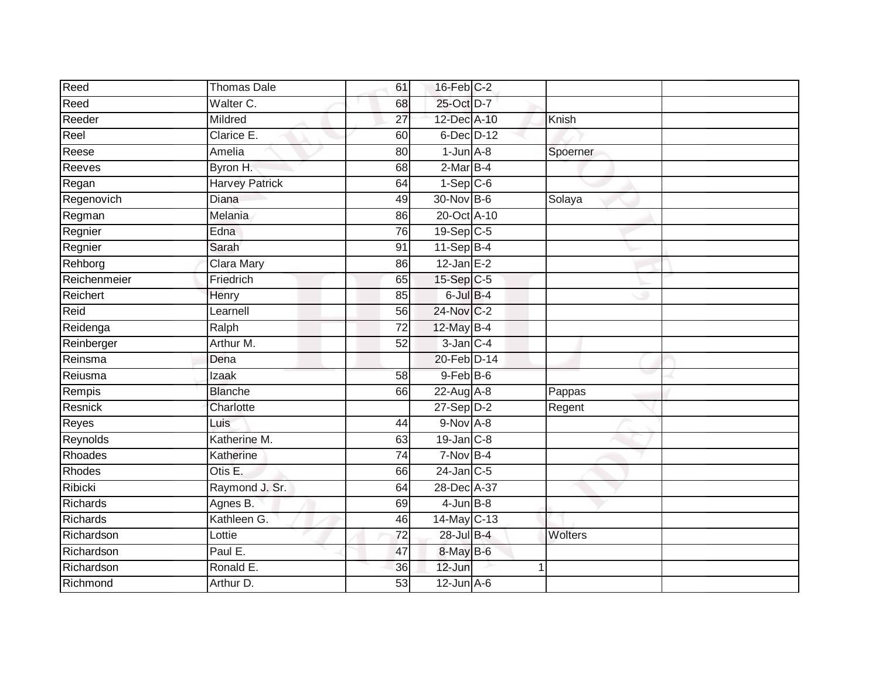| <b>Thomas Dale</b>    | 61 |        |                                                                                                                                                                                                                                                                                                                                                                                                                                                                                                         |
|-----------------------|----|--------|---------------------------------------------------------------------------------------------------------------------------------------------------------------------------------------------------------------------------------------------------------------------------------------------------------------------------------------------------------------------------------------------------------------------------------------------------------------------------------------------------------|
| Walter C.             | 68 |        |                                                                                                                                                                                                                                                                                                                                                                                                                                                                                                         |
| Mildred               | 27 |        | Knish                                                                                                                                                                                                                                                                                                                                                                                                                                                                                                   |
| Clarice E.            | 60 |        |                                                                                                                                                                                                                                                                                                                                                                                                                                                                                                         |
| Amelia                | 80 |        | Spoerner                                                                                                                                                                                                                                                                                                                                                                                                                                                                                                |
| Byron H.              | 68 |        |                                                                                                                                                                                                                                                                                                                                                                                                                                                                                                         |
| <b>Harvey Patrick</b> | 64 |        |                                                                                                                                                                                                                                                                                                                                                                                                                                                                                                         |
| Diana                 | 49 |        | Solaya                                                                                                                                                                                                                                                                                                                                                                                                                                                                                                  |
| Melania               | 86 |        |                                                                                                                                                                                                                                                                                                                                                                                                                                                                                                         |
| Edna                  | 76 |        |                                                                                                                                                                                                                                                                                                                                                                                                                                                                                                         |
| Sarah                 | 91 |        |                                                                                                                                                                                                                                                                                                                                                                                                                                                                                                         |
| Clara Mary            | 86 |        |                                                                                                                                                                                                                                                                                                                                                                                                                                                                                                         |
| Friedrich             | 65 |        |                                                                                                                                                                                                                                                                                                                                                                                                                                                                                                         |
| Henry                 | 85 |        |                                                                                                                                                                                                                                                                                                                                                                                                                                                                                                         |
| Learnell              | 56 |        |                                                                                                                                                                                                                                                                                                                                                                                                                                                                                                         |
| Ralph                 | 72 |        |                                                                                                                                                                                                                                                                                                                                                                                                                                                                                                         |
| Arthur M.             | 52 |        |                                                                                                                                                                                                                                                                                                                                                                                                                                                                                                         |
| Dena                  |    |        |                                                                                                                                                                                                                                                                                                                                                                                                                                                                                                         |
| Izaak                 | 58 |        |                                                                                                                                                                                                                                                                                                                                                                                                                                                                                                         |
| <b>Blanche</b>        | 66 |        | Pappas                                                                                                                                                                                                                                                                                                                                                                                                                                                                                                  |
| Charlotte             |    |        | Regent                                                                                                                                                                                                                                                                                                                                                                                                                                                                                                  |
| Luis                  | 44 |        |                                                                                                                                                                                                                                                                                                                                                                                                                                                                                                         |
| Katherine M.          | 63 |        |                                                                                                                                                                                                                                                                                                                                                                                                                                                                                                         |
| Katherine             | 74 |        |                                                                                                                                                                                                                                                                                                                                                                                                                                                                                                         |
| Otis E.               | 66 |        |                                                                                                                                                                                                                                                                                                                                                                                                                                                                                                         |
| Raymond J. Sr.        | 64 |        |                                                                                                                                                                                                                                                                                                                                                                                                                                                                                                         |
| Agnes B.              | 69 |        |                                                                                                                                                                                                                                                                                                                                                                                                                                                                                                         |
| Kathleen G.           | 46 |        |                                                                                                                                                                                                                                                                                                                                                                                                                                                                                                         |
| Lottie                | 72 |        | <b>Wolters</b>                                                                                                                                                                                                                                                                                                                                                                                                                                                                                          |
| Paul E.               | 47 |        |                                                                                                                                                                                                                                                                                                                                                                                                                                                                                                         |
| Ronald E.             | 36 | 12-Jun |                                                                                                                                                                                                                                                                                                                                                                                                                                                                                                         |
| Arthur D.             | 53 |        |                                                                                                                                                                                                                                                                                                                                                                                                                                                                                                         |
|                       |    |        | 16-Feb C-2<br>25-Oct D-7<br>12-Dec A-10<br>$6$ -Dec $D-12$<br>$1$ -Jun $A - 8$<br>$2-MarB-4$<br>$1-Sep C-6$<br>30-Nov B-6<br>20-Oct A-10<br>19-Sep C-5<br>$11-Sep$ B-4<br>$12$ -Jan E-2<br>15-Sep C-5<br>$6$ -Jul $B-4$<br>24-Nov C-2<br>12-May B-4<br>$3$ -Jan $C-4$<br>20-Feb D-14<br>9-Feb B-6<br>$22$ -Aug $A-8$<br>$27-Sep$ $D-2$<br>9-Nov A-8<br>$19$ -Jan $C-8$<br>$7-Nov$ B-4<br>$24$ -Jan C-5<br>28-Dec A-37<br>$4$ -Jun $B-8$<br>$14$ -May C-13<br>28-Jul B-4<br>8-May B-6<br>$12$ -Jun $A-6$ |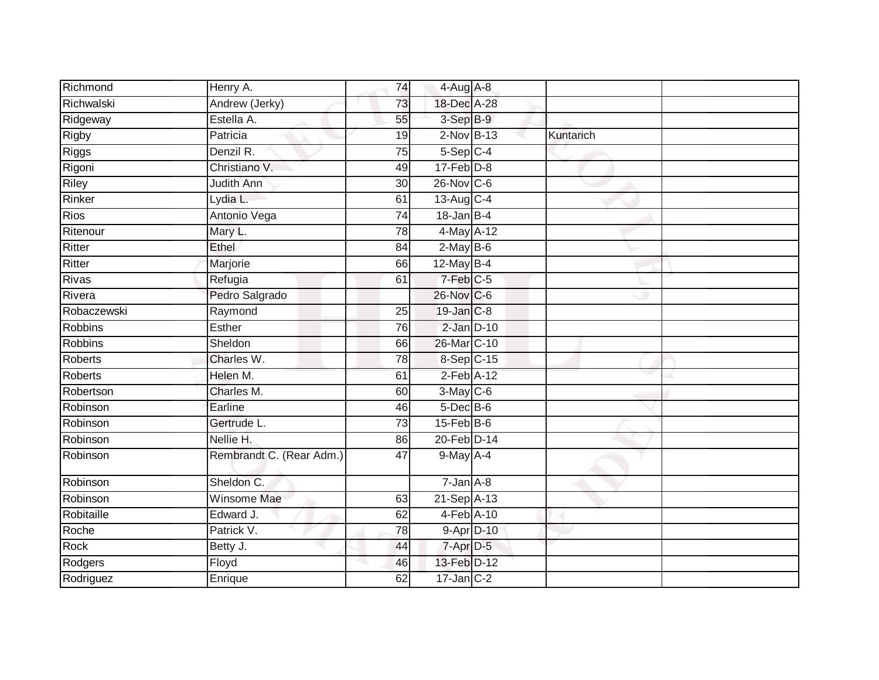| Richmond       | Henry A.                 | 74              | $4-Aug$ A-8            |           |  |
|----------------|--------------------------|-----------------|------------------------|-----------|--|
| Richwalski     | Andrew (Jerky)           | 73              | 18-Dec A-28            |           |  |
| Ridgeway       | Estella A.               | 55              | 3-Sep B-9              |           |  |
| Rigby          | Patricia                 | 19              | $2$ -Nov $B-13$        | Kuntarich |  |
| <b>Riggs</b>   | Denzil R.                | $\overline{75}$ | $5-Sep$ $C-4$          |           |  |
| Rigoni         | Christiano V.            | 49              | $17$ -Feb $D-8$        |           |  |
| Riley          | Judith Ann               | 30              | 26-Nov C-6             |           |  |
| Rinker         | Lydia L.                 | 61              | 13-Aug C-4             |           |  |
| <b>Rios</b>    | Antonio Vega             | 74              | $18$ -Jan B-4          |           |  |
| Ritenour       | Mary L.                  | $\overline{78}$ | 4-May A-12             |           |  |
| Ritter         | Ethel                    | 84              | $2-May$ B-6            |           |  |
| Ritter         | Marjorie                 | 66              | $12$ -May B-4          |           |  |
| Rivas          | Refugia                  | 61              | $7-Feb$ <sub>C-5</sub> |           |  |
| Rivera         | Pedro Salgrado           |                 | 26-Nov C-6             |           |  |
| Robaczewski    | Raymond                  | 25              | 19-Jan C-8             |           |  |
| Robbins        | Esther                   | 76              | $2$ -Jan $D-10$        |           |  |
| <b>Robbins</b> | Sheldon                  | 66              | 26-Mar C-10            |           |  |
| <b>Roberts</b> | Charles W.               | 78              | 8-Sep C-15             |           |  |
| Roberts        | Helen M.                 | 61              | $2$ -Feb $A-12$        |           |  |
| Robertson      | Charles M.               | 60              | 3-May C-6              |           |  |
| Robinson       | Earline                  | 46              | $5$ -Dec $B$ -6        |           |  |
| Robinson       | Gertrude L.              | 73              | $15$ -Feb $B$ -6       |           |  |
| Robinson       | Nellie H.                | 86              | 20-Feb D-14            |           |  |
| Robinson       | Rembrandt C. (Rear Adm.) | 47              | $9$ -May $A - 4$       |           |  |
| Robinson       | Sheldon C.               |                 | $7 - Jan A - 8$        |           |  |
| Robinson       | Winsome Mae              | 63              | 21-Sep A-13            |           |  |
| Robitaille     | Edward J.                | 62              | 4-Feb A-10             |           |  |
| Roche          | Patrick V.               | 78              | 9-Apr D-10             |           |  |
| Rock           | Betty J.                 | 44              | 7-Apr D-5              |           |  |
| Rodgers        | Floyd                    | 46              | 13-Feb D-12            |           |  |
| Rodriguez      | Enrique                  | 62              | $17$ -Jan $C-2$        |           |  |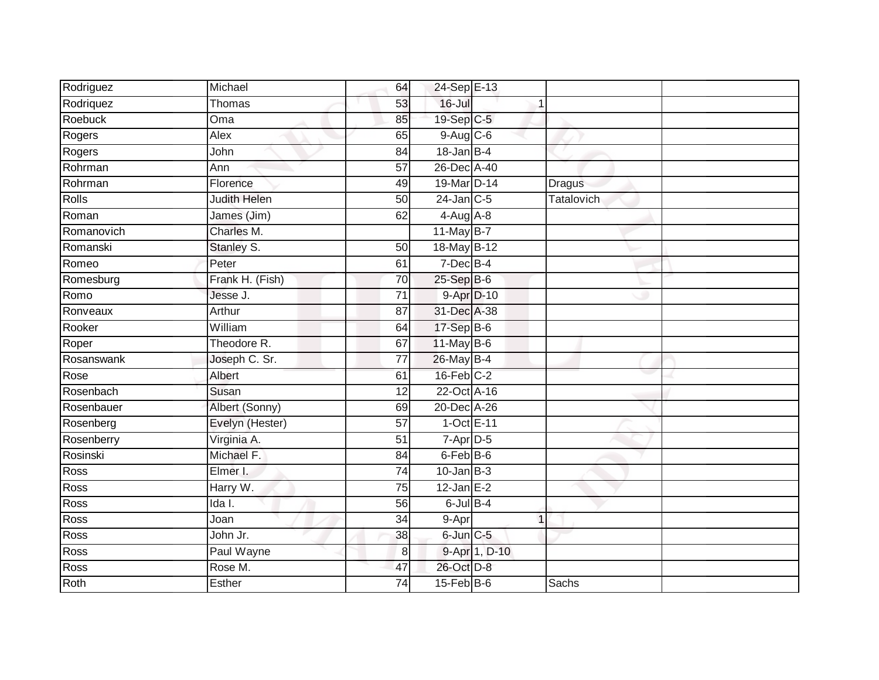| Rodriguez      | Michael         | 64              | 24-Sep E-13      |               |               |  |
|----------------|-----------------|-----------------|------------------|---------------|---------------|--|
| Rodriquez      | Thomas          | 53              | $16 -$ Jul       |               |               |  |
| <b>Roebuck</b> | Oma             | 85              | 19-Sep C-5       |               |               |  |
| Rogers         | Alex            | 65              | $9-Aug$ $C-6$    |               |               |  |
| Rogers         | John            | $\overline{84}$ | $18$ -Jan B-4    |               |               |  |
| Rohrman        | Ann             | 57              | 26-Dec A-40      |               |               |  |
| Rohrman        | Florence        | 49              | 19-Mar D-14      |               | <b>Dragus</b> |  |
| <b>Rolls</b>   | Judith Helen    | 50              | $24$ -Jan C-5    |               | Tatalovich    |  |
| Roman          | James (Jim)     | 62              | $4-Aug$ $A-8$    |               |               |  |
| Romanovich     | Charles M.      |                 | 11-May B-7       |               |               |  |
| Romanski       | Stanley S.      | 50              | 18-May B-12      |               |               |  |
| Romeo          | Peter           | 61              | 7-Dec B-4        |               |               |  |
| Romesburg      | Frank H. (Fish) | 70              | 25-Sep B-6       |               |               |  |
| Romo           | Jesse J.        | 71              |                  | 9-Apr D-10    |               |  |
| Ronveaux       | Arthur          | $\overline{87}$ | 31-Dec A-38      |               |               |  |
| Rooker         | William         | 64              | 17-Sep B-6       |               |               |  |
| Roper          | Theodore R.     | 67              | $11$ -May B-6    |               |               |  |
| Rosanswank     | Joseph C. Sr.   | 77              | 26-May B-4       |               |               |  |
| Rose           | Albert          | 61              | $16$ -Feb $C-2$  |               |               |  |
| Rosenbach      | Susan           | 12              | 22-Oct A-16      |               |               |  |
| Rosenbauer     | Albert (Sonny)  | 69              | 20-Dec A-26      |               |               |  |
| Rosenberg      | Evelyn (Hester) | $\overline{57}$ | 1-Oct E-11       |               |               |  |
| Rosenberry     | Virginia A.     | 51              | 7-Apr D-5        |               |               |  |
| Rosinski       | Michael F.      | 84              | 6-Feb B-6        |               |               |  |
| Ross           | Elmer I.        | 74              | $10$ -Jan B-3    |               |               |  |
| Ross           | Harry W.        | 75              | $12$ -Jan E-2    |               |               |  |
| Ross           | Ida I.          | 56              | $6$ -Jul $B-4$   |               |               |  |
| <b>Ross</b>    | Joan            | 34              | 9-Apr            | 1             |               |  |
| <b>Ross</b>    | John Jr.        | 38              | 6-Jun C-5        |               |               |  |
| Ross           | Paul Wayne      | 8               |                  | 9-Apr 1, D-10 |               |  |
| Ross           | Rose M.         | 47              | 26-Oct D-8       |               |               |  |
| Roth           | Esther          | 74              | $15$ -Feb $B$ -6 |               | Sachs         |  |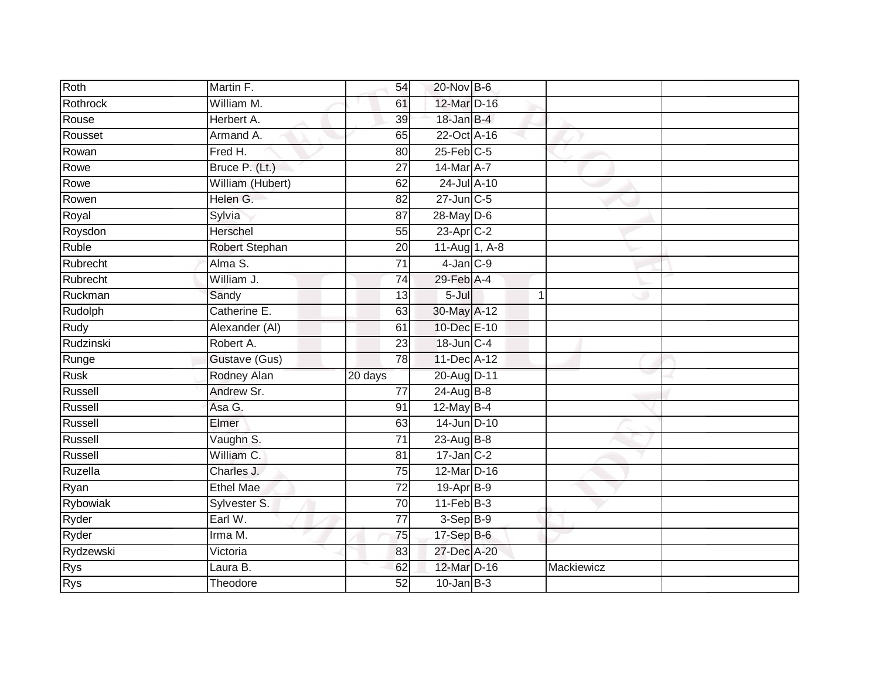| Roth        | Martin F.        | 54              | 20-Nov B-6       |            |  |
|-------------|------------------|-----------------|------------------|------------|--|
| Rothrock    | William M.       | 61              | 12-Mar D-16      |            |  |
| Rouse       | Herbert A.       | 39              | 18-Jan B-4       |            |  |
| Rousset     | Armand A.        | 65              | 22-Oct A-16      |            |  |
| Rowan       | Fred H.          | 80              | $25$ -Feb $C$ -5 |            |  |
| Rowe        | Bruce P. (Lt.)   | 27              | 14-Mar A-7       |            |  |
| Rowe        | William (Hubert) | 62              | 24-Jul A-10      |            |  |
| Rowen       | Helen G.         | 82              | 27-Jun C-5       |            |  |
| Royal       | Sylvia           | 87              | 28-May D-6       |            |  |
| Roysdon     | Herschel         | 55              | 23-Apr C-2       |            |  |
| Ruble       | Robert Stephan   | 20              | 11-Aug 1, A-8    |            |  |
| Rubrecht    | Alma S.          | $\overline{71}$ | $4$ -Jan $C-9$   |            |  |
| Rubrecht    | William J.       | 74              | 29-Feb A-4       |            |  |
| Ruckman     | Sandy            | 13              | $5 -$ Jul        |            |  |
| Rudolph     | Catherine E.     | 63              | 30-May A-12      |            |  |
| Rudy        | Alexander (AI)   | 61              | 10-Dec E-10      |            |  |
| Rudzinski   | Robert A.        | 23              | 18-Jun C-4       |            |  |
| Runge       | Gustave (Gus)    | 78              | 11-Dec A-12      |            |  |
| <b>Rusk</b> | Rodney Alan      | 20 days         | 20-Aug D-11      |            |  |
| Russell     | Andrew Sr.       | $\overline{77}$ | 24-Aug B-8       |            |  |
| Russell     | Asa G.           | 91              | $12$ -May B-4    |            |  |
| Russell     | Elmer            | 63              | 14-Jun D-10      |            |  |
| Russell     | Vaughn S.        | $\overline{71}$ | $23$ -Aug B-8    |            |  |
| Russell     | William C.       | 81              | $17$ -Jan $C-2$  |            |  |
| Ruzella     | Charles J.       | 75              | 12-Mar D-16      |            |  |
| Ryan        | <b>Ethel Mae</b> | 72              | 19-Apr B-9       |            |  |
| Rybowiak    | Sylvester S.     | 70              | $11-Feb$ B-3     |            |  |
| Ryder       | Earl W.          | $\overline{77}$ | $3-Sep$ B-9      |            |  |
| Ryder       | Irma M.          | 75              | 17-Sep B-6       |            |  |
| Rydzewski   | Victoria         | 83              | 27-Dec A-20      |            |  |
| Rys         | Laura B.         | 62              | 12-Mar D-16      | Mackiewicz |  |
| <b>Rys</b>  | Theodore         | 52              | $10$ -Jan $B-3$  |            |  |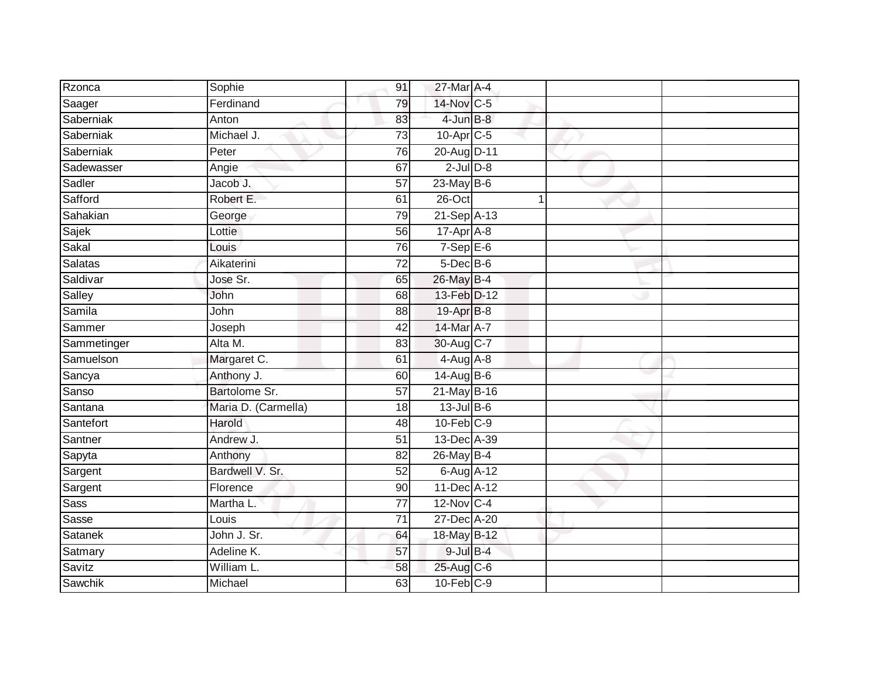| Rzonca      | Sophie              | 91              | 27-Mar A-4       |  |  |
|-------------|---------------------|-----------------|------------------|--|--|
| Saager      | Ferdinand           | 79              | 14-Nov C-5       |  |  |
| Saberniak   | Anton               | 83              | 4-Jun B-8        |  |  |
| Saberniak   | Michael J.          | 73              | $10$ -Apr $C$ -5 |  |  |
| Saberniak   | Peter               | 76              | 20-Aug D-11      |  |  |
| Sadewasser  | Angie               | 67              | $2$ -Jul $D-8$   |  |  |
| Sadler      | Jacob J.            | $\overline{57}$ | $23$ -May B-6    |  |  |
| Safford     | Robert E.           | 61              | 26-Oct           |  |  |
| Sahakian    | George              | 79              | 21-Sep A-13      |  |  |
| Sajek       | Lottie              | 56              | $17-Apr$ A-8     |  |  |
| Sakal       | Louis               | 76              | $7-Sep$ E-6      |  |  |
| Salatas     | Aikaterini          | 72              | 5-Dec B-6        |  |  |
| Saldivar    | Jose Sr.            | 65              | 26-May B-4       |  |  |
| Salley      | John                | 68              | 13-Feb D-12      |  |  |
| Samila      | John                | 88              | 19-Apr B-8       |  |  |
| Sammer      | Joseph              | 42              | 14-Mar A-7       |  |  |
| Sammetinger | Alta M.             | 83              | 30-Aug C-7       |  |  |
| Samuelson   | Margaret C.         | 61              | $4-Aug$ A-8      |  |  |
| Sancya      | Anthony J.          | 60              | 14-Aug B-6       |  |  |
| Sanso       | Bartolome Sr.       | $\overline{57}$ | 21-May B-16      |  |  |
| Santana     | Maria D. (Carmella) | 18              | 13-Jul B-6       |  |  |
| Santefort   | Harold              | 48              | $10$ -Feb $C-9$  |  |  |
| Santner     | Andrew J.           | 51              | 13-Dec A-39      |  |  |
| Sapyta      | Anthony             | 82              | 26-May B-4       |  |  |
| Sargent     | Bardwell V. Sr.     | 52              | 6-Aug A-12       |  |  |
| Sargent     | Florence            | 90              | 11-Dec A-12      |  |  |
| <b>Sass</b> | Martha L.           | $\overline{77}$ | 12-Nov C-4       |  |  |
| Sasse       | Louis               | $\overline{71}$ | 27-Dec A-20      |  |  |
| Satanek     | John J. Sr.         | 64              | 18-May B-12      |  |  |
| Satmary     | Adeline K.          | 57              | $9$ -Jul $B$ -4  |  |  |
| Savitz      | William L.          | 58              | 25-Aug C-6       |  |  |
| Sawchik     | Michael             | 63              | $10$ -Feb $C-9$  |  |  |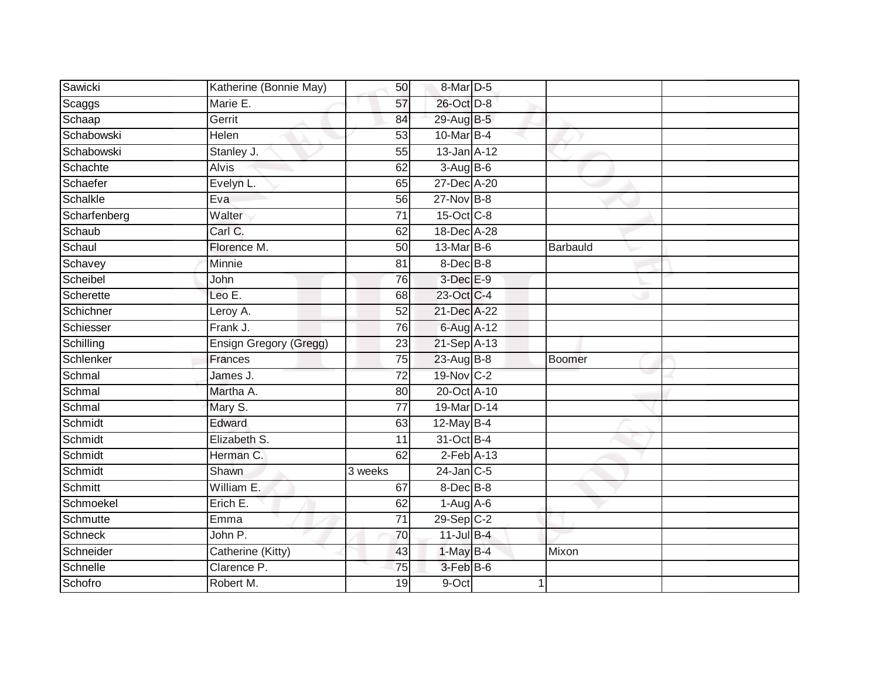| Sawicki      | Katherine (Bonnie May) | 50              | 8-Mar D-5        |               |  |
|--------------|------------------------|-----------------|------------------|---------------|--|
| Scaggs       | Marie E.               | 57              | 26-Oct D-8       |               |  |
| Schaap       | Gerrit                 | 84              | 29-Aug B-5       |               |  |
| Schabowski   | Helen                  | 53              | 10-Mar B-4       |               |  |
| Schabowski   | Stanley J.             | 55              | $13$ -Jan $A-12$ |               |  |
| Schachte     | <b>Alvis</b>           | 62              | $3-AugB-6$       |               |  |
| Schaefer     | Evelyn L.              | 65              | 27-Dec A-20      |               |  |
| Schalkle     | Eva                    | 56              | 27-Nov B-8       |               |  |
| Scharfenberg | Walter                 | 71              | 15-Oct C-8       |               |  |
| Schaub       | Carl C.                | 62              | 18-Dec A-28      |               |  |
| Schaul       | Florence M.            | 50              | 13-Mar B-6       | Barbauld      |  |
| Schavey      | Minnie                 | 81              | 8-Dec B-8        |               |  |
| Scheibel     | John                   | 76              | 3-Dec E-9        |               |  |
| Scherette    | Leo E.                 | 68              | 23-Oct C-4       |               |  |
| Schichner    | Leroy A.               | $\overline{52}$ | 21-Dec A-22      |               |  |
| Schiesser    | Frank J.               | 76              | 6-Aug A-12       |               |  |
| Schilling    | Ensign Gregory (Gregg) | $\overline{23}$ | 21-Sep A-13      |               |  |
| Schlenker    | <b>Frances</b>         | 75              | 23-Aug B-8       | <b>Boomer</b> |  |
| Schmal       | James J.               | 72              | 19-Nov C-2       |               |  |
| Schmal       | Martha A.              | 80              | 20-Oct A-10      |               |  |
| Schmal       | Mary S.                | 77              | 19-Mar D-14      |               |  |
| Schmidt      | Edward                 | 63              | $12$ -May B-4    |               |  |
| Schmidt      | Elizabeth S.           | 11              | 31-Oct B-4       |               |  |
| Schmidt      | Herman C.              | 62              | $2$ -Feb $A-13$  |               |  |
| Schmidt      | Shawn                  | 3 weeks         | $24$ -Jan $C-5$  |               |  |
| Schmitt      | William E.             | 67              | 8-Dec B-8        |               |  |
| Schmoekel    | Erich E.               | 62              | $1-Aug$ A-6      |               |  |
| Schmutte     | Emma                   | 71              | $29-Sep$ C-2     |               |  |
| Schneck      | John P.                | 70              | $11$ -Jul $B-4$  |               |  |
| Schneider    | Catherine (Kitty)      | 43              | 1-May B-4        | Mixon         |  |
| Schnelle     | Clarence P.            | 75              | 3-Feb B-6        |               |  |
| Schofro      | Robert M.              | 19              | 9-Oct            | 1             |  |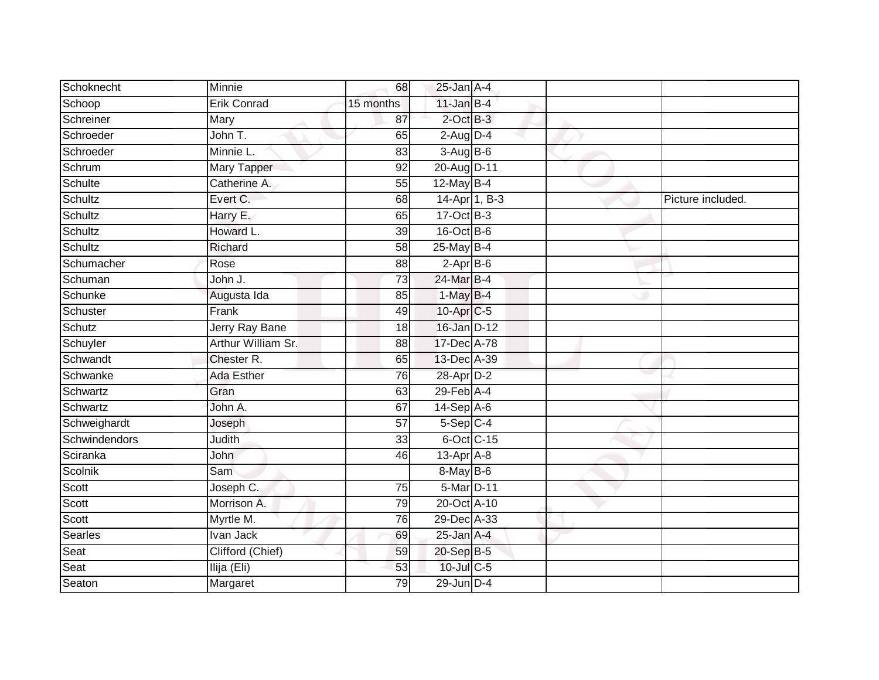| Schoknecht     | Minnie                | 68              | $25$ -Jan $A-4$ |               |                   |
|----------------|-----------------------|-----------------|-----------------|---------------|-------------------|
| Schoop         | <b>Erik Conrad</b>    | 15 months       | $11$ -Jan B-4   |               |                   |
| Schreiner      | Mary                  | 87              | $2$ -Oct $B-3$  |               |                   |
| Schroeder      | John T.               | 65              | $2-Aug$ $D-4$   |               |                   |
| Schroeder      | Minnie L.             | $\overline{83}$ | 3-Aug B-6       |               |                   |
| Schrum         | Mary Tapper           | 92              | 20-Aug D-11     |               |                   |
| Schulte        | Catherine A.          | 55              | $12$ -May B-4   |               |                   |
| <b>Schultz</b> | Evert C.              | 68              |                 | 14-Apr 1, B-3 | Picture included. |
| Schultz        | Harry E.              | 65              | $17-Oct$ B-3    |               |                   |
| Schultz        | Howard L.             | 39              | 16-Oct B-6      |               |                   |
| Schultz        | Richard               | $\overline{58}$ | $25$ -May B-4   |               |                   |
| Schumacher     | Rose                  | 88              | $2-AprB-6$      |               |                   |
| Schuman        | John J.               | 73              | 24-Mar B-4      |               |                   |
| Schunke        | Augusta Ida           | 85              | $1-MayB-4$      |               |                   |
| Schuster       | Frank                 | 49              | 10-Apr C-5      |               |                   |
| Schutz         | <b>Jerry Ray Bane</b> | 18              | 16-Jan D-12     |               |                   |
| Schuyler       | Arthur William Sr.    | $\overline{88}$ | 17-Dec A-78     |               |                   |
| Schwandt       | Chester R.            | 65              | 13-Dec A-39     |               |                   |
| Schwanke       | Ada Esther            | 76              | 28-Apr D-2      |               |                   |
| Schwartz       | Gran                  | 63              | 29-Feb A-4      |               |                   |
| Schwartz       | John A.               | 67              | $14-Sep$ A-6    |               |                   |
| Schweighardt   | Joseph                | $\overline{57}$ | $5-Sep$ C-4     |               |                   |
| Schwindendors  | Judith                | 33              | 6-Oct C-15      |               |                   |
| Sciranka       | <b>John</b>           | 46              | $13-Apr$ A-8    |               |                   |
| Scolnik        | Sam                   |                 | 8-May B-6       |               |                   |
| Scott          | Joseph C.             | 75              | 5-Mar D-11      |               |                   |
| Scott          | Morrison A.           | 79              | 20-Oct A-10     |               |                   |
| Scott          | Myrtle M.             | 76              | 29-Dec A-33     |               |                   |
| <b>Searles</b> | Ivan Jack             | 69              | 25-Jan A-4      |               |                   |
| Seat           | Clifford (Chief)      | 59              | 20-Sep B-5      |               |                   |
| Seat           | Ilija (Eli)           | 53              | 10-Jul C-5      |               |                   |
| Seaton         | Margaret              | 79              | 29-Jun D-4      |               |                   |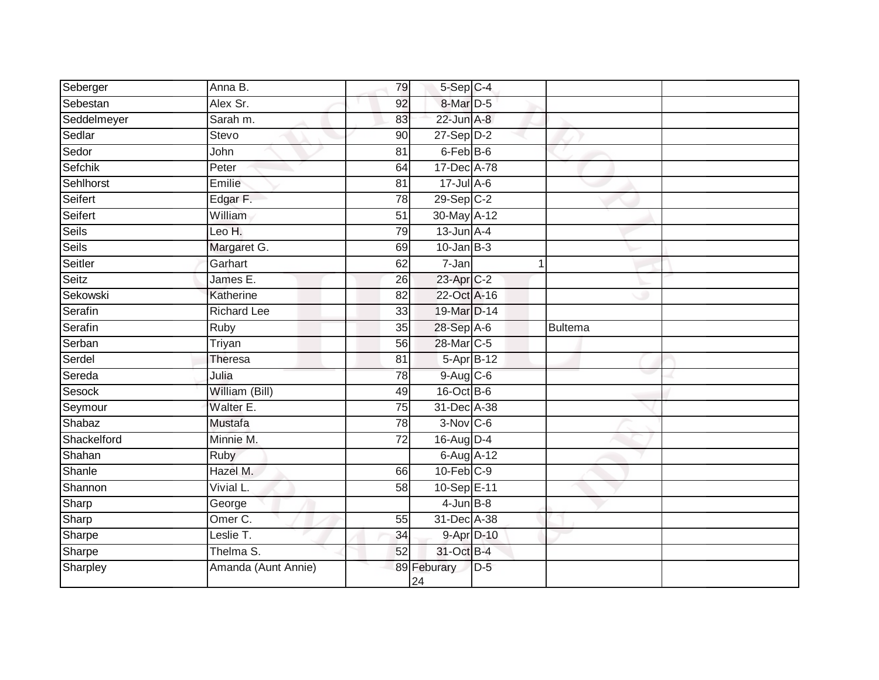| Seberger     | Anna B.             | 79              | 5-Sep C-4            |       |         |  |
|--------------|---------------------|-----------------|----------------------|-------|---------|--|
| Sebestan     | Alex Sr.            | 92              | 8-Mar D-5            |       |         |  |
| Seddelmeyer  | Sarah m.            | 83              | 22-Jun A-8           |       |         |  |
| Sedlar       | <b>Stevo</b>        | 90              | $27-Sep D-2$         |       |         |  |
| Sedor        | John                | 81              | 6-Feb <sup>B-6</sup> |       |         |  |
| Sefchik      | Peter               | 64              | 17-Dec A-78          |       |         |  |
| Sehlhorst    | Emilie              | 81              | $17 -$ Jul A-6       |       |         |  |
| Seifert      | Edgar F.            | $\overline{78}$ | 29-Sep C-2           |       |         |  |
| Seifert      | William             | 51              | 30-May A-12          |       |         |  |
| <b>Seils</b> | Leo H.              | 79              | $13$ -Jun $A-4$      |       |         |  |
| <b>Seils</b> | Margaret G.         | 69              | $10$ -Jan $B-3$      |       |         |  |
| Seitler      | Garhart             | 62              | $7 - Jan$            | 1     |         |  |
| Seitz        | James E.            | 26              | 23-Apr C-2           |       |         |  |
| Sekowski     | Katherine           | 82              | 22-Oct A-16          |       |         |  |
| Serafin      | <b>Richard Lee</b>  | 33              | 19-Mar D-14          |       |         |  |
| Serafin      | Ruby                | 35              | 28-Sep A-6           |       | Bultema |  |
| Serban       | Triyan              | 56              | 28-Mar C-5           |       |         |  |
| Serdel       | <b>Theresa</b>      | 81              | 5-Apr B-12           |       |         |  |
| Sereda       | Julia               | 78              | 9-Aug C-6            |       |         |  |
| Sesock       | William (Bill)      | 49              | 16-Oct B-6           |       |         |  |
| Seymour      | Walter E.           | 75              | 31-Dec A-38          |       |         |  |
| Shabaz       | <b>Mustafa</b>      | $\overline{78}$ | $3-Nov$ $C-6$        |       |         |  |
| Shackelford  | Minnie M.           | 72              | 16-Aug D-4           |       |         |  |
| Shahan       | Ruby                |                 | $6$ -Aug $A$ -12     |       |         |  |
| Shanle       | Hazel M.            | 66              | $10$ -Feb $C-9$      |       |         |  |
| Shannon      | Vivial L.           | 58              | 10-Sep E-11          |       |         |  |
| Sharp        | George              |                 | $4$ -Jun $B-8$       |       |         |  |
| Sharp        | Omer <sub>C.</sub>  | 55              | 31-Dec A-38          |       |         |  |
| Sharpe       | Leslie T.           | 34              | 9-Apr D-10           |       |         |  |
| Sharpe       | Thelma S.           | 52              | 31-Oct B-4           |       |         |  |
| Sharpley     | Amanda (Aunt Annie) |                 | 89 Feburary<br>24    | $D-5$ |         |  |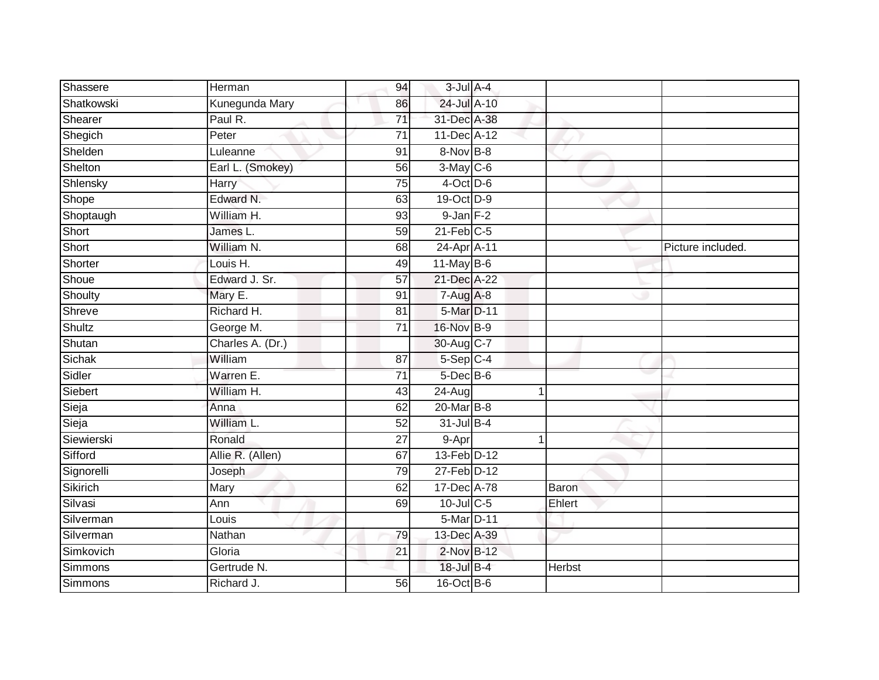| Shassere       | Herman           | 94              | $3$ -Jul $A$ -4 |               |                   |
|----------------|------------------|-----------------|-----------------|---------------|-------------------|
| Shatkowski     | Kunegunda Mary   | 86              | 24-Jul A-10     |               |                   |
| Shearer        | Paul R.          | $\overline{71}$ | 31-Dec A-38     |               |                   |
| Shegich        | Peter            | 71              | 11-Dec A-12     |               |                   |
| Shelden        | Luleanne         | 91              | 8-Nov B-8       |               |                   |
| Shelton        | Earl L. (Smokey) | 56              | $3-May$ C-6     |               |                   |
| Shlensky       | Harry            | 75              | $4$ -Oct D-6    |               |                   |
| Shope          | Edward N.        | 63              | 19-Oct D-9      |               |                   |
| Shoptaugh      | William H.       | 93              | $9$ -Jan $F-2$  |               |                   |
| Short          | James L.         | 59              | $21$ -Feb $C-5$ |               |                   |
| Short          | William N.       | 68              | 24-Apr A-11     |               | Picture included. |
| Shorter        | Louis H.         | 49              | $11$ -May B-6   |               |                   |
| Shoue          | Edward J. Sr.    | 57              | 21-Dec A-22     |               |                   |
| Shoulty        | Mary E.          | 91              | $7-Aug$ A-8     |               |                   |
| Shreve         | Richard H.       | 81              | 5-Mar D-11      |               |                   |
| <b>Shultz</b>  | George M.        | $\overline{71}$ | 16-Nov B-9      |               |                   |
| Shutan         | Charles A. (Dr.) |                 | 30-Aug C-7      |               |                   |
| Sichak         | William          | 87              | $5-Sep$ C-4     |               |                   |
| Sidler         | Warren E.        | $\overline{71}$ | 5-Dec B-6       |               |                   |
| Siebert        | William H.       | 43              | 24-Aug          |               |                   |
| Sieja          | Anna             | 62              | 20-Mar B-8      |               |                   |
| Sieja          | William L.       | 52              | 31-Jul B-4      |               |                   |
| Siewierski     | Ronald           | 27              | 9-Apr           |               |                   |
| Sifford        | Allie R. (Allen) | 67              | 13-Feb D-12     |               |                   |
| Signorelli     | Joseph           | 79              | 27-Feb D-12     |               |                   |
| Sikirich       | Mary             | 62              | 17-Dec A-78     | Baron         |                   |
| Silvasi        | Ann              | 69              | 10-Jul C-5      | Ehlert        |                   |
| Silverman      | Louis            |                 | 5-Mar D-11      |               |                   |
| Silverman      | Nathan           | 79              | 13-Dec A-39     |               |                   |
| Simkovich      | Gloria           | 21              | 2-Nov B-12      |               |                   |
| <b>Simmons</b> | Gertrude N.      |                 | 18-Jul B-4      | <b>Herbst</b> |                   |
| <b>Simmons</b> | Richard J.       | 56              | 16-Oct B-6      |               |                   |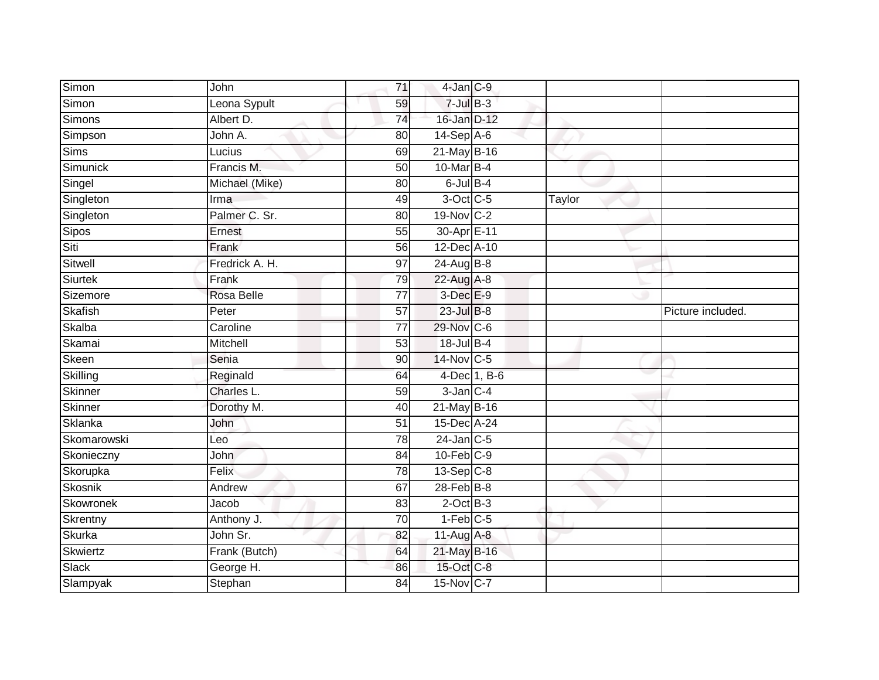| Simon            | John           | 71              | $4$ -Jan $C-9$           |              |        |                   |
|------------------|----------------|-----------------|--------------------------|--------------|--------|-------------------|
| Simon            | Leona Sypult   | 59              | $7$ -Jul $B-3$           |              |        |                   |
| Simons           | Albert D.      | 74              | 16-Jan D-12              |              |        |                   |
| Simpson          | John A.        | 80              | 14-Sep A-6               |              |        |                   |
| Sims             | Lucius         | 69              | 21-May B-16              |              |        |                   |
| Simunick         | Francis M.     | 50              | 10-Mar B-4               |              |        |                   |
| Singel           | Michael (Mike) | 80              | $6$ -Jul $B-4$           |              |        |                   |
| Singleton        | Irma           | 49              | 3-Oct C-5                |              | Taylor |                   |
| Singleton        | Palmer C. Sr.  | 80              | 19-Nov C-2               |              |        |                   |
| <b>Sipos</b>     | Ernest         | 55              | 30-Apr E-11              |              |        |                   |
| Siti             | Frank          | 56              | 12-Dec A-10              |              |        |                   |
| Sitwell          | Fredrick A. H. | 97              | $24 - \text{Aug } B - 8$ |              |        |                   |
| <b>Siurtek</b>   | Frank          | 79              | 22-Aug A-8               |              |        |                   |
| Sizemore         | Rosa Belle     | 77              | 3-Dec E-9                |              |        |                   |
| Skafish          | Peter          | $\overline{57}$ | $23$ -Jul $B-8$          |              |        | Picture included. |
| Skalba           | Caroline       | 77              | 29-Nov C-6               |              |        |                   |
| Skamai           | Mitchell       | $\overline{53}$ | 18-Jul B-4               |              |        |                   |
| Skeen            | Senia          | 90              | 14-Nov C-5               |              |        |                   |
| Skilling         | Reginald       | 64              |                          | 4-Dec 1, B-6 |        |                   |
| Skinner          | Charles L.     | 59              | $3$ -Jan $C-4$           |              |        |                   |
| Skinner          | Dorothy M.     | 40              | 21-May B-16              |              |        |                   |
| Sklanka          | John           | 51              | 15-Dec A-24              |              |        |                   |
| Skomarowski      | Leo            | 78              | $24$ -Jan C-5            |              |        |                   |
| Skonieczny       | John           | 84              | $10$ -Feb $C-9$          |              |        |                   |
| Skorupka         | Felix          | 78              | $13-\text{Sep}$ $C-8$    |              |        |                   |
| Skosnik          | Andrew         | 67              | $28$ -Feb $B$ -8         |              |        |                   |
| <b>Skowronek</b> | Jacob          | 83              | $2$ -Oct $B-3$           |              |        |                   |
| Skrentny         | Anthony J.     | $\overline{70}$ | $1-Feb$ C-5              |              |        |                   |
| Skurka           | John Sr.       | 82              | 11-Aug A-8               |              |        |                   |
| Skwiertz         | Frank (Butch)  | 64              | 21-May B-16              |              |        |                   |
| Slack            | George H.      | 86              | 15-Oct C-8               |              |        |                   |
| Slampyak         | Stephan        | 84              | 15-Nov C-7               |              |        |                   |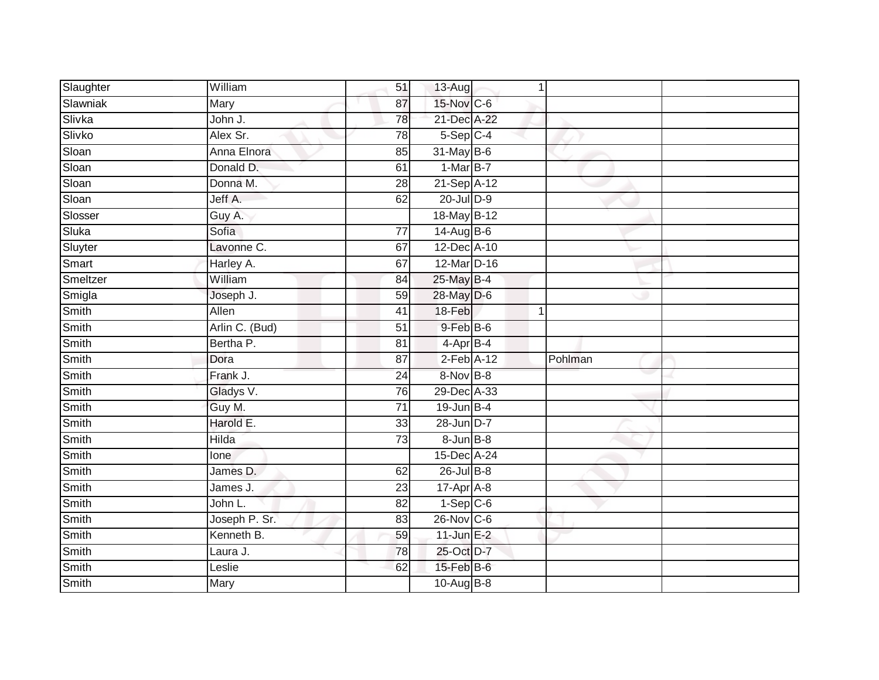| Slaughter | William        | 51              | $13$ -Aug         | $\mathbf 1$ |  |
|-----------|----------------|-----------------|-------------------|-------------|--|
| Slawniak  | Mary           | 87              | 15-Nov C-6        |             |  |
| Slivka    | John J.        | 78              | 21-Dec A-22       |             |  |
| Slivko    | Alex Sr.       | 78              | $5-Sep$ C-4       |             |  |
| Sloan     | Anna Elnora    | 85              | $31$ -May B-6     |             |  |
| Sloan     | Donald D.      | 61              | $1-MarB-7$        |             |  |
| Sloan     | Donna M.       | 28              | 21-Sep A-12       |             |  |
| Sloan     | Jeff A.        | 62              | 20-Jul D-9        |             |  |
| Slosser   | Guy A.         |                 | 18-May B-12       |             |  |
| Sluka     | Sofia          | 77              | 14-Aug B-6        |             |  |
| Sluyter   | Lavonne C.     | 67              | 12-Dec A-10       |             |  |
| Smart     | Harley A.      | 67              | 12-Mar D-16       |             |  |
| Smeltzer  | William        | 84              | 25-May B-4        |             |  |
| Smigla    | Joseph J.      | 59              | 28-May D-6        |             |  |
| Smith     | <b>Allen</b>   | 41              | 18-Feb            | $\mathbf 1$ |  |
| Smith     | Arlin C. (Bud) | 51              | $9$ -Feb $B$ -6   |             |  |
| Smith     | Bertha P.      | $\overline{81}$ | $4-AprB-4$        |             |  |
| Smith     | Dora           | 87              | $2$ -Feb $A-12$   | Pohlman     |  |
| Smith     | Frank J.       | $\overline{24}$ | 8-Nov B-8         |             |  |
| Smith     | Gladys V.      | 76              | 29-Dec A-33       |             |  |
| Smith     | Guy M.         | $\overline{71}$ | 19-Jun B-4        |             |  |
| Smith     | Harold E.      | 33              | 28-Jun D-7        |             |  |
| Smith     | <b>Hilda</b>   | 73              | $8 - Jun$ $B - 8$ |             |  |
| Smith     | lone           |                 | 15-Dec A-24       |             |  |
| Smith     | James D.       | 62              | $26$ -Jul B-8     |             |  |
| Smith     | James J.       | 23              | 17-Apr A-8        |             |  |
| Smith     | John L.        | $\overline{82}$ | $1-SepC-6$        |             |  |
| Smith     | Joseph P. Sr.  | 83              | $26$ -Nov $ C-6 $ |             |  |
| Smith     | Kenneth B.     | 59              | $11$ -Jun $E-2$   |             |  |
| Smith     | Laura J.       | 78              | 25-Oct D-7        |             |  |
| Smith     | Leslie         | 62              | $15$ -Feb $B$ -6  |             |  |
| Smith     | <b>Mary</b>    |                 | 10-Aug B-8        |             |  |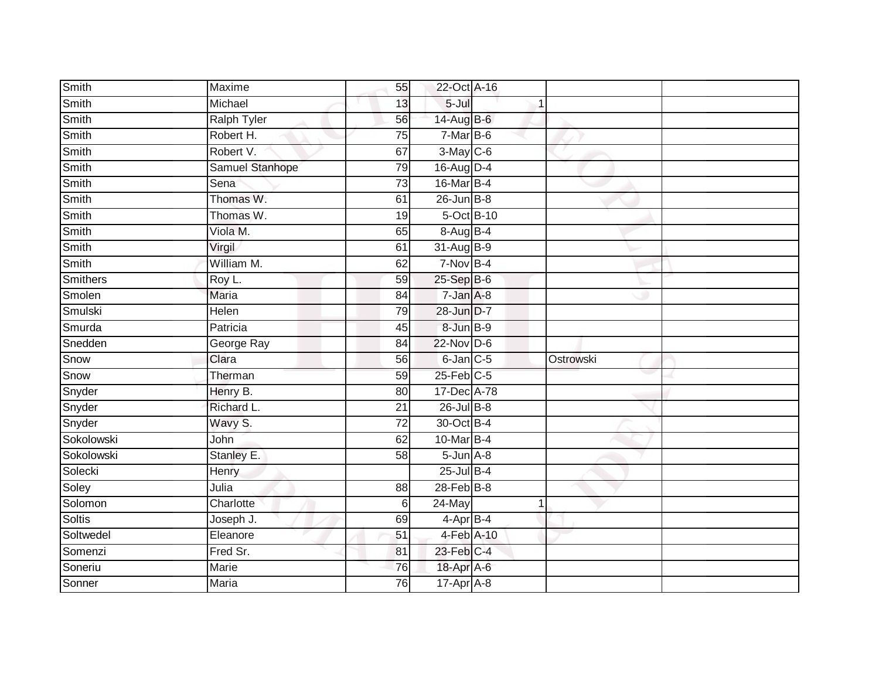| Smith           | Maxime                  | 55              | 22-Oct A-16       |             |           |  |
|-----------------|-------------------------|-----------------|-------------------|-------------|-----------|--|
| Smith           | Michael                 | 13              | $5 -$ Jul         | 1           |           |  |
| Smith           | <b>Ralph Tyler</b>      | 56              | 14-Aug B-6        |             |           |  |
| Smith           | Robert H.               | 75              | $7-MarB-6$        |             |           |  |
| Smith           | Robert V.               | 67              | $3-May$ $C-6$     |             |           |  |
| Smith           | Samuel Stanhope         | 79              | 16-Aug D-4        |             |           |  |
| Smith           | Sena                    | 73              | 16-Mar B-4        |             |           |  |
| Smith           | Thomas W.               | 61              | $26$ -Jun $B - 8$ |             |           |  |
| Smith           | Thomas W.               | 19              | 5-Oct B-10        |             |           |  |
| Smith           | Viola M.                | 65              | 8-Aug B-4         |             |           |  |
| Smith           | Virgil                  | 61              | $31-AugB-9$       |             |           |  |
| Smith           | William M.              | 62              | $7-Nov$ B-4       |             |           |  |
| <b>Smithers</b> | Roy L.                  | 59              | 25-Sep B-6        |             |           |  |
| Smolen          | <b>Maria</b>            | 84              | 7-Jan A-8         |             |           |  |
| Smulski         | Helen                   | 79              | 28-Jun D-7        |             |           |  |
| Smurda          | Patricia                | 45              | 8-Jun B-9         |             |           |  |
| Snedden         | George Ray              | 84              | $22$ -Nov $D-6$   |             |           |  |
| Snow            | Clara                   | 56              | $6$ -Jan $C$ -5   |             | Ostrowski |  |
| Snow            | Therman                 | 59              | $25$ -Feb $C$ -5  |             |           |  |
| Snyder          | Henry B.                | 80              | 17-Dec A-78       |             |           |  |
| Snyder          | Richard L.              | 21              | $26$ -Jul $B-8$   |             |           |  |
| Snyder          | Wavy S.                 | $\overline{72}$ | 30-Oct B-4        |             |           |  |
| Sokolowski      | John                    | 62              | 10-Mar B-4        |             |           |  |
| Sokolowski      | Stanley E.              | 58              | $5 - Jun$ $A - 8$ |             |           |  |
| Solecki         | Henry                   |                 | $25$ -Jul $B-4$   |             |           |  |
| Soley           | Julia                   | 88              | $28$ -Feb $B-8$   |             |           |  |
| Solomon         | Charlotte               | 6               | 24-May            | $\mathbf 1$ |           |  |
| Soltis          | Joseph $\overline{J}$ . | 69              | 4-Apr B-4         |             |           |  |
| Soltwedel       | Eleanore                | 51              | 4-Feb A-10        |             |           |  |
| Somenzi         | Fred Sr.                | 81              | 23-Feb C-4        |             |           |  |
| Soneriu         | Marie                   | 76              | 18-Apr A-6        |             |           |  |
| Sonner          | <b>Maria</b>            | 76              | $17-Apr$ A-8      |             |           |  |
|                 |                         |                 |                   |             |           |  |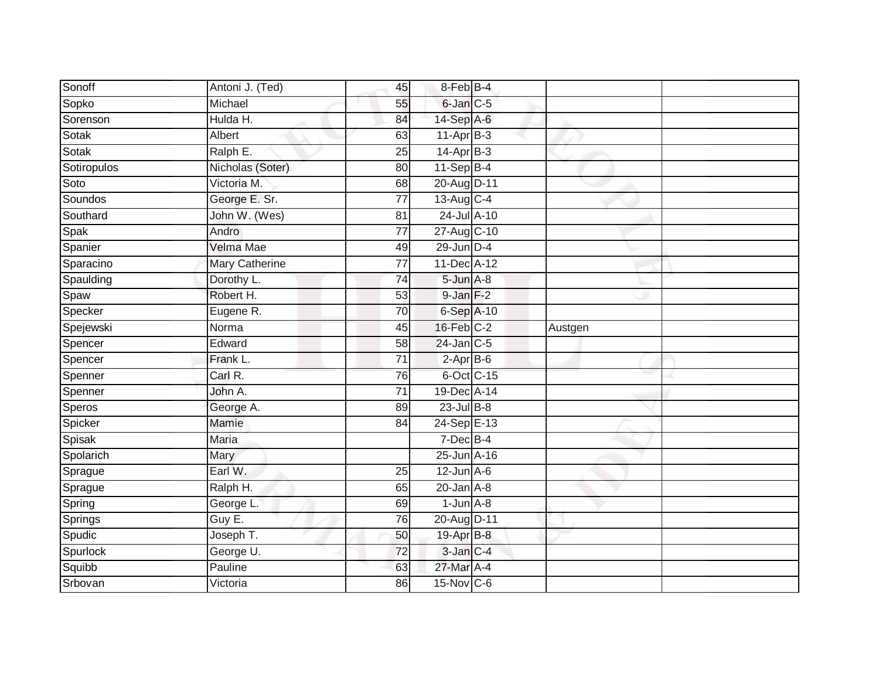| Sonoff      | Antoni J. (Ted)  | 45              | 8-Feb B-4               |         |  |
|-------------|------------------|-----------------|-------------------------|---------|--|
| Sopko       | Michael          | 55              | 6-Jan C-5               |         |  |
| Sorenson    | Hulda H.         | 84              | 14-Sep A-6              |         |  |
| Sotak       | Albert           | 63              | $11-Apr$ B-3            |         |  |
| Sotak       | Ralph E.         | $\overline{25}$ | $14-Apr$ B-3            |         |  |
| Sotiropulos | Nicholas (Soter) | 80              | 11-Sep B-4              |         |  |
| Soto        | Victoria M.      | 68              | 20-Aug D-11             |         |  |
| Soundos     | George E. Sr.    | 77              | $13-Aug$ <sub>C-4</sub> |         |  |
| Southard    | John W. (Wes)    | 81              | 24-Jul A-10             |         |  |
| Spak        | Andro            | 77              | 27-Aug C-10             |         |  |
| Spanier     | Velma Mae        | 49              | 29-Jun D-4              |         |  |
| Sparacino   | Mary Catherine   | 77              | 11-Dec A-12             |         |  |
| Spaulding   | Dorothy L.       | 74              | $5 - Jun$ $A - 8$       |         |  |
| Spaw        | Robert H.        | 53              | $9 - Jan F-2$           |         |  |
| Specker     | Eugene R.        | 70              | 6-Sep A-10              |         |  |
| Spejewski   | Norma            | 45              | 16-Feb C-2              | Austgen |  |
| Spencer     | Edward           | $\overline{58}$ | $24$ -Jan $C-5$         |         |  |
| Spencer     | Frank L.         | $\overline{71}$ | $2-AprB-6$              |         |  |
| Spenner     | Carl R.          | 76              | 6-Oct C-15              |         |  |
| Spenner     | John A.          | $\overline{71}$ | 19-Dec A-14             |         |  |
| Speros      | George A.        | 89              | $23$ -Jul $B-8$         |         |  |
| Spicker     | Mamie            | 84              | 24-Sep E-13             |         |  |
| Spisak      | <b>Maria</b>     |                 | $7$ -Dec $B-4$          |         |  |
| Spolarich   | Mary             |                 | 25-Jun A-16             |         |  |
| Sprague     | Earl W.          | 25              | $12$ -Jun $A$ -6        |         |  |
| Sprague     | Ralph H.         | 65              | $20$ -Jan $A-8$         |         |  |
| Spring      | George L.        | 69              | $1$ -Jun $A - 8$        |         |  |
| Springs     | Guy E.           | 76              | 20-Aug D-11             |         |  |
| Spudic      | Joseph T.        | 50              | 19-Apr B-8              |         |  |
| Spurlock    | George U.        | $\overline{72}$ | 3-Jan C-4               |         |  |
| Squibb      | Pauline          | 63              | 27-Mar A-4              |         |  |
| Srbovan     | Victoria         | 86              | 15-Nov C-6              |         |  |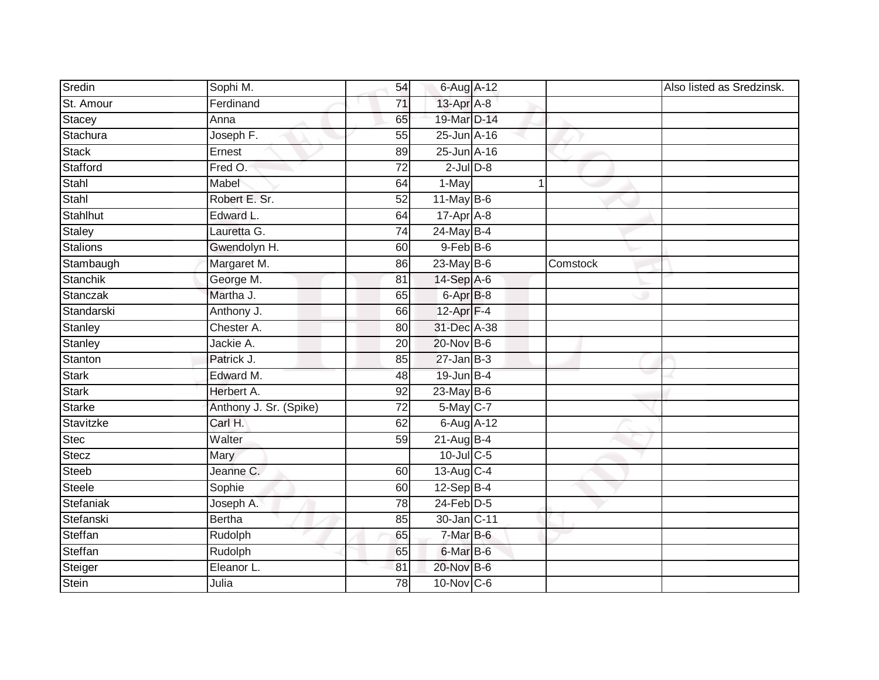| Sredin          | Sophi M.               | 54              | 6-Aug A-12       |   |          | Also listed as Sredzinsk. |
|-----------------|------------------------|-----------------|------------------|---|----------|---------------------------|
| St. Amour       | Ferdinand              | 71              | 13-Apr A-8       |   |          |                           |
| Stacey          | Anna                   | 65              | 19-Mar D-14      |   |          |                           |
| Stachura        | Joseph F.              | 55              | 25-Jun A-16      |   |          |                           |
| <b>Stack</b>    | Ernest                 | 89              | $25$ -Jun $A-16$ |   |          |                           |
| Stafford        | Fred O.                | $\overline{72}$ | $2$ -Jul $D-8$   |   |          |                           |
| Stahl           | Mabel                  | 64              | 1-May            | 1 |          |                           |
| Stahl           | Robert E. Sr.          | 52              | $11$ -May B-6    |   |          |                           |
| Stahlhut        | Edward L.              | 64              | 17-Apr A-8       |   |          |                           |
| Staley          | Lauretta G.            | 74              | 24-May B-4       |   |          |                           |
| <b>Stalions</b> | Gwendolyn H.           | 60              | $9$ -Feb $B$ -6  |   |          |                           |
| Stambaugh       | Margaret M.            | 86              | $23$ -May B-6    |   | Comstock |                           |
| <b>Stanchik</b> | George M.              | 81              | 14-Sep A-6       |   |          |                           |
| Stanczak        | Martha J.              | 65              | 6-Apr B-8        |   |          |                           |
| Standarski      | Anthony J.             | 66              | 12-Apr F-4       |   |          |                           |
| Stanley         | Chester A.             | 80              | 31-Dec A-38      |   |          |                           |
| Stanley         | Jackie A.              | 20              | 20-Nov B-6       |   |          |                           |
| Stanton         | Patrick J.             | 85              | $27$ -Jan B-3    |   |          |                           |
| <b>Stark</b>    | Edward M.              | 48              | 19-Jun B-4       |   |          |                           |
| <b>Stark</b>    | Herbert A.             | 92              | $23$ -May B-6    |   |          |                           |
| <b>Starke</b>   | Anthony J. Sr. (Spike) | 72              | 5-May C-7        |   |          |                           |
| Stavitzke       | Carl H.                | 62              | 6-Aug A-12       |   |          |                           |
| Stec            | Walter                 | 59              | $21-Aug$ B-4     |   |          |                           |
| Stecz           | Mary                   |                 | $10$ -Jul $C$ -5 |   |          |                           |
| Steeb           | Jeanne C.              | 60              | 13-Aug C-4       |   |          |                           |
| <b>Steele</b>   | Sophie                 | 60              | $12-Sep$ B-4     |   |          |                           |
| Stefaniak       | Joseph A.              | 78              | $24$ -Feb $D-5$  |   |          |                           |
| Stefanski       | <b>Bertha</b>          | 85              | 30-Jan C-11      |   |          |                           |
| Steffan         | Rudolph                | 65              | 7-Mar B-6        |   |          |                           |
| Steffan         | Rudolph                | 65              | 6-Mar B-6        |   |          |                           |
| Steiger         | Eleanor L.             | 81              | 20-Nov B-6       |   |          |                           |
| <b>Stein</b>    | Julia                  | 78              | 10-Nov C-6       |   |          |                           |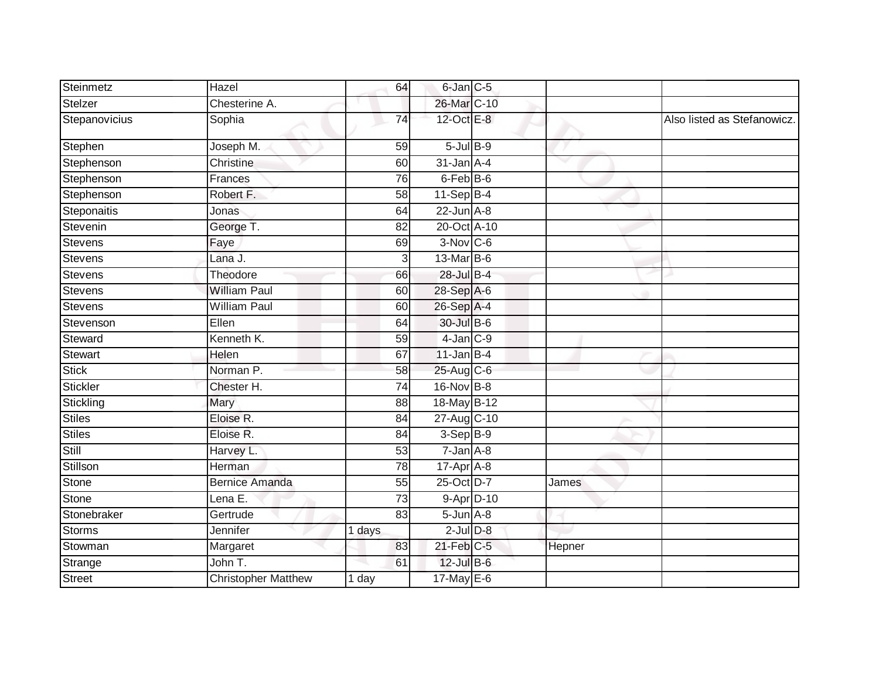| Steinmetz      | Hazel                      | 64              | 6-Jan C-5         |        |                             |
|----------------|----------------------------|-----------------|-------------------|--------|-----------------------------|
| Stelzer        | Chesterine A.              |                 | 26-Mar C-10       |        |                             |
| Stepanovicius  | Sophia                     | 74              | 12-Oct E-8        |        | Also listed as Stefanowicz. |
| Stephen        | Joseph M.                  | 59              | $5$ -Jul $B-9$    |        |                             |
| Stephenson     | Christine                  | 60              | $31$ -Jan $A-4$   | v      |                             |
| Stephenson     | Frances                    | 76              | $6$ -Feb $B$ -6   |        |                             |
| Stephenson     | Robert F.                  | 58              | $11-SepB-4$       |        |                             |
| Steponaitis    | Jonas                      | 64              | $22$ -Jun $A-8$   |        |                             |
| Stevenin       | George T.                  | 82              | 20-Oct A-10       |        |                             |
| Stevens        | Faye                       | 69              | $3-Nov$ $C-6$     |        |                             |
| <b>Stevens</b> | Lana J.                    | 3               | 13-Mar B-6        |        |                             |
| Stevens        | Theodore                   | 66              | 28-Jul B-4        |        |                             |
| <b>Stevens</b> | <b>William Paul</b>        | 60              | 28-Sep A-6        |        |                             |
| <b>Stevens</b> | <b>William Paul</b>        | 60              | 26-Sep A-4        |        |                             |
| Stevenson      | Ellen                      | 64              | 30-Jul B-6        |        |                             |
| Steward        | Kenneth K.                 | 59              | $4$ -Jan $C-9$    |        |                             |
| Stewart        | Helen                      | 67              | $11$ -Jan B-4     |        |                             |
| <b>Stick</b>   | Norman <sub>P.</sub>       | 58              | 25-Aug C-6        |        |                             |
| Stickler       | Chester H.                 | 74              | 16-Nov B-8        |        |                             |
| Stickling      | Mary                       | 88              | 18-May B-12       |        |                             |
| <b>Stiles</b>  | Eloise R.                  | 84              | 27-Aug C-10       |        |                             |
| <b>Stiles</b>  | Eloise R.                  | 84              | $3-Sep$ B-9       |        |                             |
| Still          | Harvey L.                  | 53              | $7 - Jan A - 8$   |        |                             |
| Stillson       | Herman                     | 78              | 17-Apr A-8        |        |                             |
| <b>Stone</b>   | <b>Bernice Amanda</b>      | $\overline{55}$ | 25-Oct D-7        | James  |                             |
| <b>Stone</b>   | Lena E.                    | 73              | 9-Apr D-10        |        |                             |
| Stonebraker    | Gertrude                   | 83              | $5 - Jun$ $A - 8$ |        |                             |
| <b>Storms</b>  | Jennifer                   | 1 days          | $2$ -Jul $D-8$    |        |                             |
| Stowman        | Margaret                   | 83              | 21-Feb C-5        | Hepner |                             |
| Strange        | John T.                    | 61              | $12$ -Jul B-6     |        |                             |
| Street         | <b>Christopher Matthew</b> | 1 day           | 17-May E-6        |        |                             |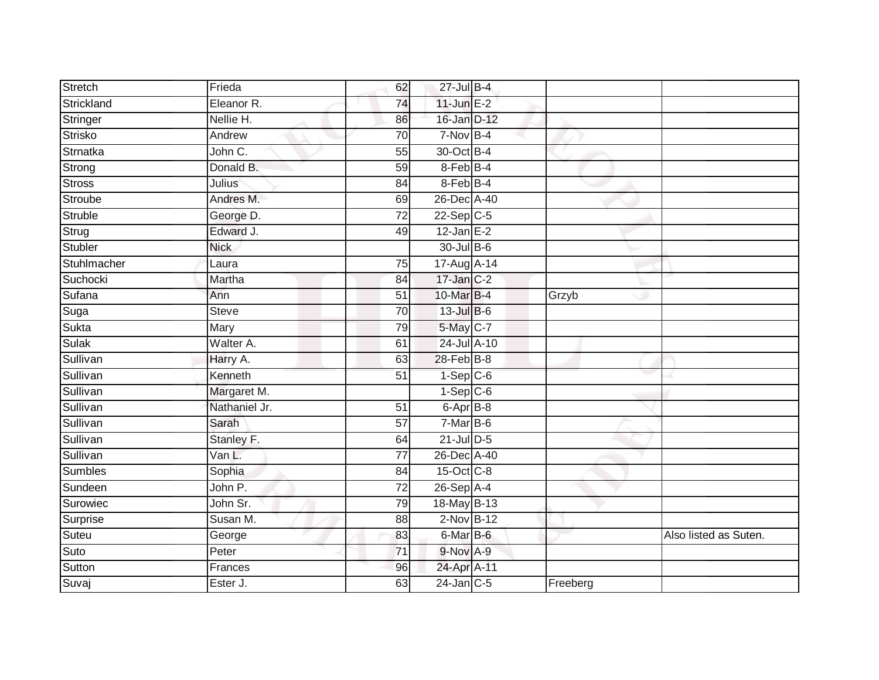| Stretch        | Frieda        | 62              | 27-Jul B-4       |          |                       |
|----------------|---------------|-----------------|------------------|----------|-----------------------|
| Strickland     | Eleanor R.    | 74              | $11$ -Jun $E-2$  |          |                       |
| Stringer       | Nellie H.     | 86              | 16-Jan D-12      |          |                       |
| <b>Strisko</b> | Andrew        | $\overline{70}$ | 7-Nov B-4        |          |                       |
| Strnatka       | John C.       | 55              | 30-Oct B-4       |          |                       |
| Strong         | Donald B.     | 59              | 8-Feb B-4        |          |                       |
| Stross         | Julius        | 84              | $8$ -Feb $B-4$   |          |                       |
| <b>Stroube</b> | Andres M.     | 69              | 26-Dec A-40      |          |                       |
| Struble        | George D.     | $\overline{72}$ | $22-Sep$ C-5     |          |                       |
| Strug          | Edward J.     | 49              | $12$ -Jan E-2    |          |                       |
| <b>Stubler</b> | <b>Nick</b>   |                 | 30-Jul B-6       |          |                       |
| Stuhlmacher    | Laura         | 75              | 17-Aug A-14      |          |                       |
| Suchocki       | Martha        | 84              | $17 - Jan$ $C-2$ |          |                       |
| Sufana         | Ann           | 51              | 10-Mar B-4       | Grzyb    |                       |
| Suga           | <b>Steve</b>  | $\overline{70}$ | 13-Jul B-6       |          |                       |
| Sukta          | Mary          | 79              | 5-May C-7        |          |                       |
| Sulak          | Walter A.     | 61              | 24-Jul A-10      |          |                       |
| Sullivan       | Harry A.      | 63              | 28-Feb B-8       |          |                       |
| Sullivan       | Kenneth       | 51              | $1-Sep$ $C-6$    |          |                       |
| Sullivan       | Margaret M.   |                 | $1-$ Sep $C-6$   |          |                       |
| Sullivan       | Nathaniel Jr. | 51              | 6-Apr B-8        |          |                       |
| Sullivan       | Sarah         | $\overline{57}$ | $7-MarB-6$       |          |                       |
| Sullivan       | Stanley F.    | 64              | $21$ -Jul $D-5$  |          |                       |
| Sullivan       | Van L.        | 77              | 26-Dec A-40      |          |                       |
| <b>Sumbles</b> | Sophia        | 84              | 15-Oct C-8       |          |                       |
| Sundeen        | John P.       | $\overline{72}$ | 26-Sep A-4       |          |                       |
| Surowiec       | John Sr.      | 79              | 18-May B-13      |          |                       |
| Surprise       | Susan M.      | 88              | $2-Nov$ B-12     |          |                       |
| Suteu          | George        | 83              | 6-Mar B-6        |          | Also listed as Suten. |
| Suto           | Peter         | $\overline{71}$ | 9-Nov A-9        |          |                       |
| Sutton         | Frances       | 96              | 24-Apr A-11      |          |                       |
| Suvaj          | Ester J.      | 63              | $24$ -Jan $C-5$  | Freeberg |                       |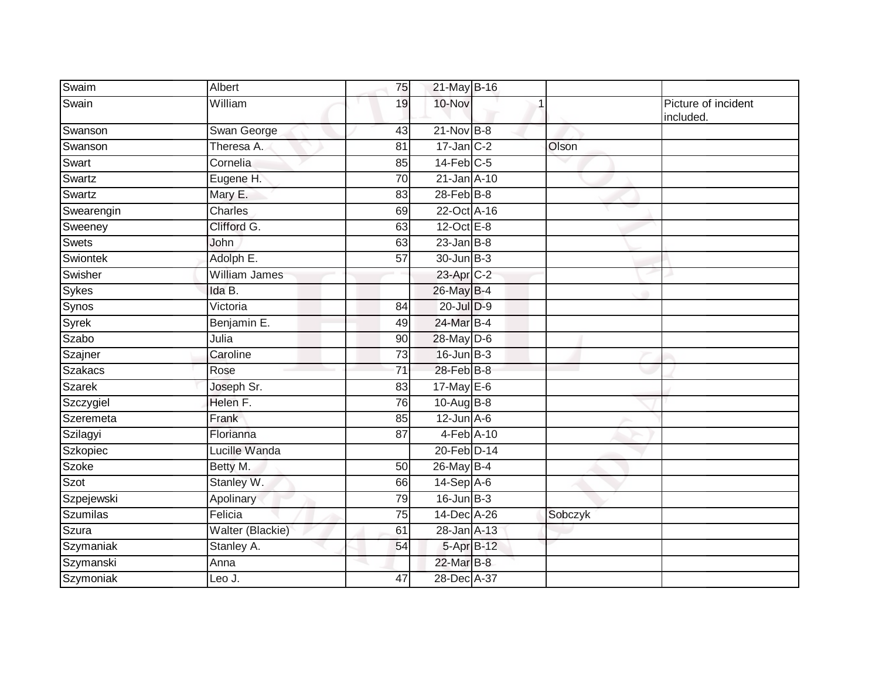| Swaim           | Albert               | 75              | 21-May B-16       |         |                                  |
|-----------------|----------------------|-----------------|-------------------|---------|----------------------------------|
| Swain           | William              | 19              | 10-Nov            |         | Picture of incident<br>included. |
| Swanson         | Swan George          | 43              | $21-Nov$ B-8      |         |                                  |
| Swanson         | Theresa A.           | 81              | $17$ -Jan $C-2$   | Olson   |                                  |
| Swart           | Cornelia             | 85              | $14$ -Feb $C-5$   |         |                                  |
| Swartz          | Eugene H.            | $\overline{70}$ | 21-Jan A-10       |         |                                  |
| Swartz          | Mary E.              | 83              | $28$ -Feb $B-8$   |         |                                  |
| Swearengin      | <b>Charles</b>       | 69              | 22-Oct A-16       |         |                                  |
| Sweeney         | Clifford G.          | 63              | $12$ -Oct $E - 8$ |         |                                  |
| Swets           | John                 | 63              | $23$ -Jan B-8     |         |                                  |
| Swiontek        | Adolph E.            | 57              | 30-Jun B-3        |         |                                  |
| Swisher         | <b>William James</b> |                 | 23-Apr C-2        |         |                                  |
| <b>Sykes</b>    | Ida B.               |                 | 26-May B-4        |         |                                  |
| Synos           | Victoria             | 84              | 20-Jul D-9        |         |                                  |
| Syrek           | Benjamin E.          | 49              | 24-Mar B-4        |         |                                  |
| Szabo           | Julia                | 90              | $28$ -May D-6     |         |                                  |
| Szajner         | Caroline             | 73              | $16$ -Jun $B-3$   |         |                                  |
| <b>Szakacs</b>  | Rose                 | 71              | 28-Feb B-8        |         |                                  |
| <b>Szarek</b>   | Joseph Sr.           | 83              | $17$ -May E-6     |         |                                  |
| Szczygiel       | Helen F.             | 76              | 10-Aug B-8        |         |                                  |
| Szeremeta       | Frank                | 85              | $12$ -Jun $A-6$   |         |                                  |
| Szilagyi        | Florianna            | 87              | $4-Feb$ A-10      |         |                                  |
| Szkopiec        | Lucille Wanda        |                 | 20-Feb D-14       |         |                                  |
| <b>Szoke</b>    | Betty M.             | 50              | 26-May B-4        |         |                                  |
| Szot            | Stanley W.           | 66              | $14-Sep$ A-6      |         |                                  |
| Szpejewski      | Apolinary            | 79              | $16$ -Jun $B-3$   |         |                                  |
| <b>Szumilas</b> | Felicia              | 75              | 14-Dec A-26       | Sobczyk |                                  |
| Szura           | Walter (Blackie)     | 61              | 28-Jan A-13       |         |                                  |
| Szymaniak       | Stanley A.           | 54              | 5-Apr B-12        |         |                                  |
| Szymanski       | Anna                 |                 | 22-Mar B-8        |         |                                  |
| Szymoniak       | Leo J.               | 47              | 28-Dec A-37       |         |                                  |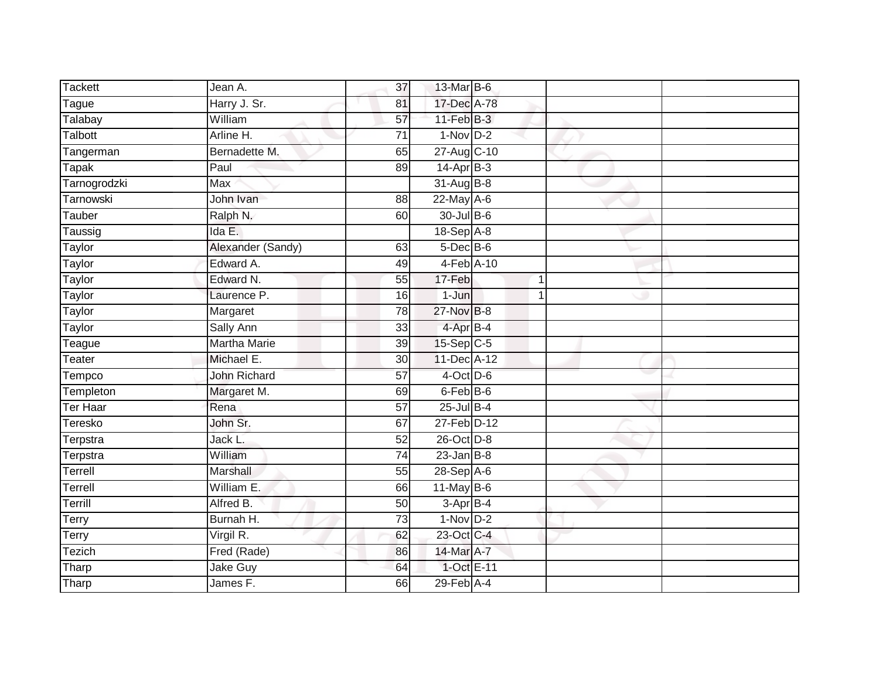| <b>Tackett</b> | Jean A.             | 37              | 13-Mar B-6      |             |  |
|----------------|---------------------|-----------------|-----------------|-------------|--|
| Tague          | Harry J. Sr.        | 81              | 17-Dec A-78     |             |  |
| Talabay        | William             | 57              | $11-FebB-3$     |             |  |
| Talbott        | Arline H.           | 71              | $1-Nov$ D-2     |             |  |
| Tangerman      | Bernadette M.       | 65              | 27-Aug C-10     |             |  |
| Tapak          | Paul                | 89              | 14-Apr B-3      |             |  |
| Tarnogrodzki   | <b>Max</b>          |                 | $31$ -Aug $B-8$ |             |  |
| Tarnowski      | John Ivan           | 88              | $22$ -May $A-6$ |             |  |
| Tauber         | Ralph N.            | 60              | 30-Jul B-6      |             |  |
| Taussig        | Ida E.              |                 | 18-Sep A-8      |             |  |
| Taylor         | Alexander (Sandy)   | 63              | $5$ -Dec $B$ -6 |             |  |
| Taylor         | Edward A.           | 49              | 4-Feb A-10      |             |  |
| <b>Taylor</b>  | Edward N.           | 55              | 17-Feb          | $\mathbf 1$ |  |
| Taylor         | Laurence P.         | 16              | $1-J$ un        | 1           |  |
| Taylor         | Margaret            | 78              | 27-Nov B-8      |             |  |
| Taylor         | Sally Ann           | 33              | 4-Apr B-4       |             |  |
| Teague         | <b>Martha Marie</b> | 39              | $15-Sep C-5$    |             |  |
| Teater         | Michael E.          | 30              | 11-Dec A-12     |             |  |
| Tempco         | John Richard        | 57              | $4$ -Oct D-6    |             |  |
| Templeton      | Margaret M.         | 69              | 6-Feb B-6       |             |  |
| Ter Haar       | Rena                | $\overline{57}$ | $25$ -Jul $B-4$ |             |  |
| Teresko        | John Sr.            | 67              | 27-Feb D-12     |             |  |
| Terpstra       | Jack L.             | 52              | 26-Oct D-8      |             |  |
| Terpstra       | William             | 74              | $23$ -Jan B-8   |             |  |
| Terrell        | Marshall            | 55              | 28-Sep A-6      |             |  |
| Terrell        | William E.          | 66              | $11$ -May B-6   |             |  |
| Terrill        | Alfred B.           | 50              | $3-AprB-4$      |             |  |
| Terry          | Burnah H.           | 73              | $1-Nov$ D-2     |             |  |
| Terry          | Virgil R.           | 62              | 23-Oct C-4      |             |  |
| Tezich         | Fred (Rade)         | 86              | 14-Mar A-7      |             |  |
| Tharp          | Jake Guy            | 64              | 1-Oct E-11      |             |  |
| Tharp          | James F.            | 66              | $29$ -Feb $A-4$ |             |  |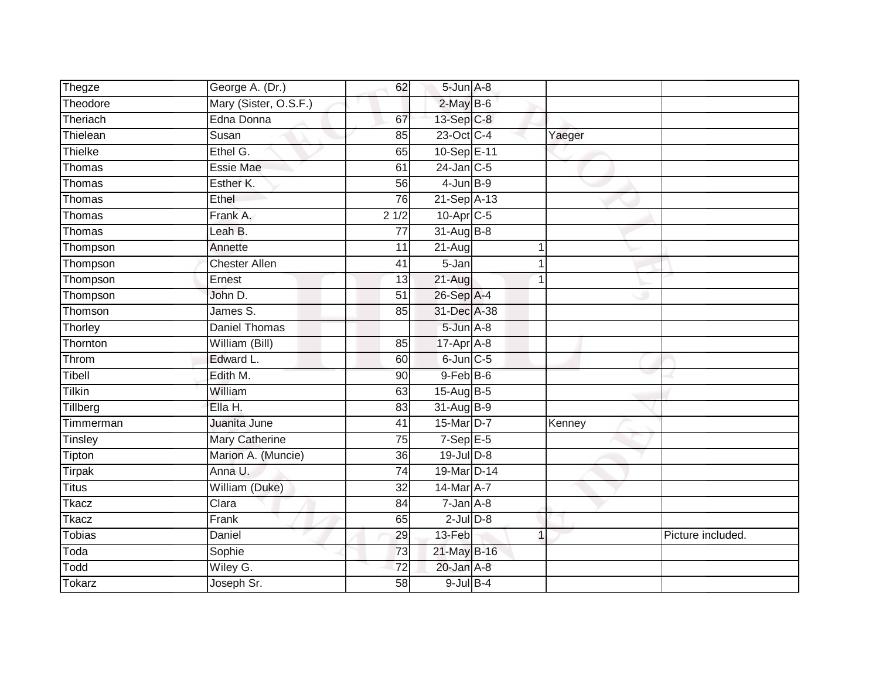| Thegze        | George A. (Dr.)       | 62              | 5-Jun A-8        |   |        |                   |
|---------------|-----------------------|-----------------|------------------|---|--------|-------------------|
| Theodore      | Mary (Sister, O.S.F.) |                 | $2$ -May $B$ -6  |   |        |                   |
| Theriach      | Edna Donna            | 67              | 13-Sep C-8       |   |        |                   |
| Thielean      | Susan                 | 85              | 23-Oct C-4       |   | Yaeger |                   |
| Thielke       | Ethel G.              | 65              | 10-Sep E-11      |   |        |                   |
| Thomas        | <b>Essie Mae</b>      | 61              | $24$ -Jan C-5    |   |        |                   |
| Thomas        | Esther K.             | 56              | $4$ -Jun $B-9$   |   |        |                   |
| Thomas        | Ethel                 | 76              | 21-Sep A-13      |   |        |                   |
| Thomas        | Frank A.              | 21/2            | 10-Apr C-5       |   |        |                   |
| Thomas        | Leah B.               | 77              | $31 - Aug$ $B-8$ |   |        |                   |
| Thompson      | Annette               | 11              | 21-Aug           | 1 |        |                   |
| Thompson      | <b>Chester Allen</b>  | 41              | 5-Jan            | 1 |        |                   |
| Thompson      | Ernest                | 13              | $21 - Aug$       |   |        |                   |
| Thompson      | John D.               | 51              | 26-Sep A-4       |   |        |                   |
| Thomson       | James S.              | 85              | 31-Dec A-38      |   |        |                   |
| Thorley       | <b>Daniel Thomas</b>  |                 | 5-Jun A-8        |   |        |                   |
| Thornton      | William (Bill)        | 85              | $17$ -Apr $A$ -8 |   |        |                   |
| Throm         | Edward L.             | 60              | $6$ -Jun $C$ -5  |   |        |                   |
| Tibell        | Edith M.              | 90              | 9-Feb B-6        |   |        |                   |
| <b>Tilkin</b> | William               | 63              | $15-Aug$ B-5     |   |        |                   |
| Tillberg      | Ella H.               | 83              | 31-Aug B-9       |   |        |                   |
| Timmerman     | Juanita June          | 41              | 15-Mar D-7       |   | Kenney |                   |
| Tinsley       | Mary Catherine        | 75              | $7-Sep$ E-5      |   |        |                   |
| Tipton        | Marion A. (Muncie)    | 36              | $19$ -Jul $D-8$  |   |        |                   |
| <b>Tirpak</b> | Anna U.               | 74              | 19-Mar D-14      |   |        |                   |
| <b>Titus</b>  | William (Duke)        | 32              | 14-Mar A-7       |   |        |                   |
| <b>Tkacz</b>  | Clara                 | 84              | $7 - Jan A - 8$  |   |        |                   |
| <b>Tkacz</b>  | Frank                 | 65              | $2$ -Jul $D-8$   |   |        |                   |
| <b>Tobias</b> | Daniel                | 29              | 13-Feb           | 1 |        | Picture included. |
| Toda          | Sophie                | 73              | 21-May B-16      |   |        |                   |
| Todd          | Wiley G.              | $\overline{72}$ | 20-Jan A-8       |   |        |                   |
| <b>Tokarz</b> | Joseph Sr.            | $\overline{58}$ | $9$ -Jul $B$ -4  |   |        |                   |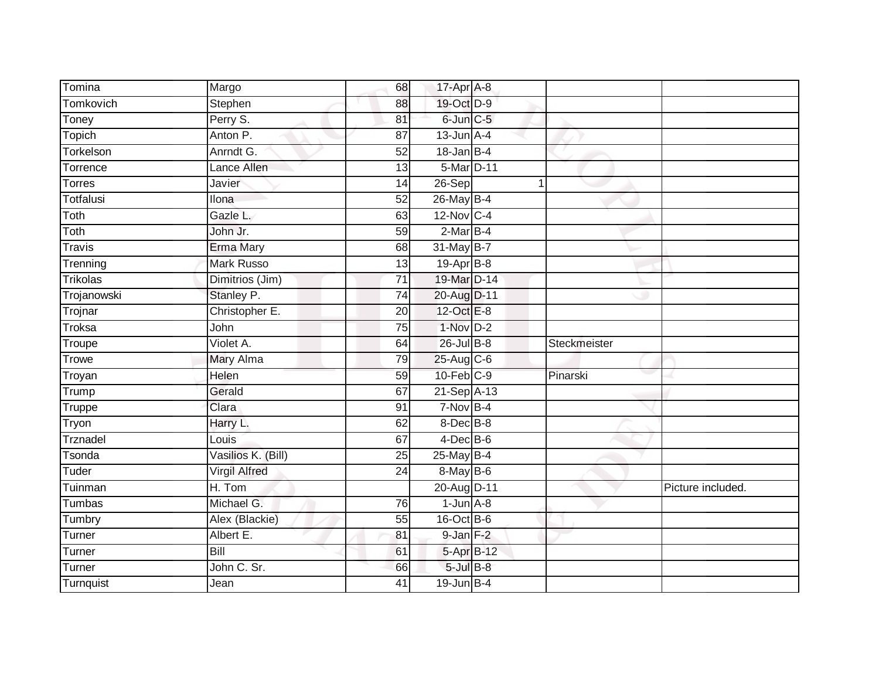| Tomina          | Margo                | 68              | 17-Apr A-8       |   |              |                   |
|-----------------|----------------------|-----------------|------------------|---|--------------|-------------------|
| Tomkovich       | Stephen              | 88              | 19-Oct D-9       |   |              |                   |
| Toney           | Perry S.             | 81              | 6-Jun C-5        |   |              |                   |
| Topich          | Anton P.             | 87              | $13$ -Jun $A-4$  |   |              |                   |
| Torkelson       | Anrndt G.            | $\overline{52}$ | $18$ -Jan B-4    |   |              |                   |
| Torrence        | Lance Allen          | 13              | 5-Mar D-11       |   |              |                   |
| <b>Torres</b>   | Javier               | 14              | 26-Sep           | 1 |              |                   |
| Totfalusi       | Ilona                | 52              | 26-May B-4       |   |              |                   |
| Toth            | Gazle L.             | 63              | $12$ -Nov C-4    |   |              |                   |
| Toth            | John Jr.             | 59              | $2-MarB-4$       |   |              |                   |
| <b>Travis</b>   | <b>Erma Mary</b>     | 68              | 31-May B-7       |   |              |                   |
| Trenning        | <b>Mark Russo</b>    | 13              | 19-Apr B-8       |   |              |                   |
| <b>Trikolas</b> | Dimitrios (Jim)      | 71              | 19-Mar D-14      |   |              |                   |
| Trojanowski     | Stanley P.           | 74              | 20-Aug D-11      |   |              |                   |
| Trojnar         | Christopher E.       | 20              | 12-Oct E-8       |   |              |                   |
| Troksa          | John                 | $\overline{75}$ | $1-Nov$ D-2      |   |              |                   |
| Troupe          | Violet A.            | 64              | $26$ -Jul $B-8$  |   | Steckmeister |                   |
| Trowe           | Mary Alma            | 79              | 25-Aug C-6       |   |              |                   |
| Troyan          | Helen                | 59              | $10$ -Feb $C-9$  |   | Pinarski     |                   |
| Trump           | Gerald               | 67              | 21-Sep A-13      |   |              |                   |
| <b>Truppe</b>   | Clara                | 91              | $7-Nov$ B-4      |   |              |                   |
| Tryon           | Harry L.             | 62              | 8-Dec B-8        |   |              |                   |
| Trznadel        | Louis                | 67              | $4$ -Dec B-6     |   |              |                   |
| Tsonda          | Vasilios K. (Bill)   | 25              | $25$ -May B-4    |   |              |                   |
| Tuder           | <b>Virgil Alfred</b> | 24              | 8-May B-6        |   |              |                   |
| Tuinman         | H. Tom               |                 | 20-Aug D-11      |   |              | Picture included. |
| Tumbas          | Michael G.           | 76              | $1$ -Jun $A - 8$ |   |              |                   |
| Tumbry          | Alex (Blackie)       | 55              | $16$ -Oct B-6    |   |              |                   |
| Turner          | Albert E.            | 81              | $9$ -Jan $F-2$   |   |              |                   |
| Turner          | <b>Bill</b>          | 61              | 5-Apr B-12       |   |              |                   |
| Turner          | John C. Sr.          | 66              | $5$ -Jul $B$ -8  |   |              |                   |
| Turnquist       | Jean                 | $\overline{41}$ | $19$ -Jun $B-4$  |   |              |                   |
|                 |                      |                 |                  |   |              |                   |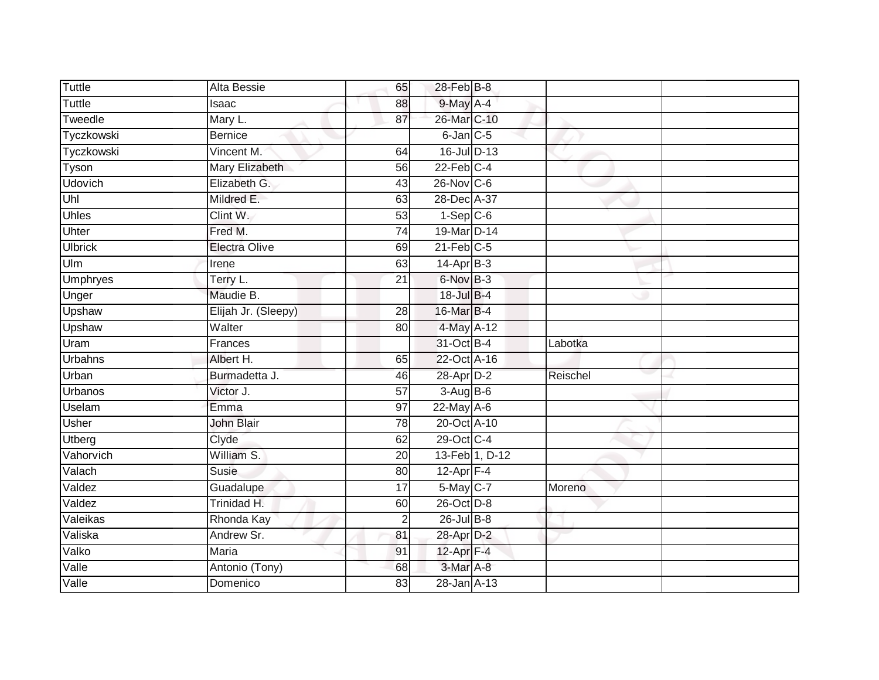| <b>Tuttle</b>   | Alta Bessie          | 65              | 28-Feb B-8        |                |          |  |
|-----------------|----------------------|-----------------|-------------------|----------------|----------|--|
| <b>Tuttle</b>   | Isaac                | 88              | 9-May A-4         |                |          |  |
| Tweedle         | Mary L.              | 87              | 26-Mar C-10       |                |          |  |
| Tyczkowski      | <b>Bernice</b>       |                 | $6$ -Jan $C$ -5   |                |          |  |
| Tyczkowski      | Vincent M.           | 64              | 16-Jul D-13       |                |          |  |
| Tyson           | Mary Elizabeth       | 56              | $22$ -Feb $C-4$   |                |          |  |
| <b>Udovich</b>  | Elizabeth G.         | 43              | $26$ -Nov $ C-6 $ |                |          |  |
| Uhl             | Mildred E.           | 63              | 28-Dec A-37       |                |          |  |
| <b>Uhles</b>    | Clint W.             | 53              | $1-Sep$ $C-6$     |                |          |  |
| Uhter           | Fred M.              | $\overline{74}$ | 19-Mar D-14       |                |          |  |
| <b>Ulbrick</b>  | <b>Electra Olive</b> | 69              | $21$ -Feb $C-5$   |                |          |  |
| Ulm             | Irene                | 63              | $14-Apr$ B-3      |                |          |  |
| <b>Umphryes</b> | Terry L.             | 21              | 6-Nov B-3         |                |          |  |
| Unger           | Maudie B.            |                 | 18-Jul B-4        |                |          |  |
| <b>Upshaw</b>   | Elijah Jr. (Sleepy)  | 28              | 16-Mar B-4        |                |          |  |
| Upshaw          | Walter               | 80              | 4-May A-12        |                |          |  |
| Uram            | Frances              |                 | 31-Oct B-4        |                | Labotka  |  |
| <b>Urbahns</b>  | Albert H.            | 65              | 22-Oct A-16       |                |          |  |
| Urban           | Burmadetta J.        | 46              | 28-Apr D-2        |                | Reischel |  |
| <b>Urbanos</b>  | Victor J.            | $\overline{57}$ | 3-Aug B-6         |                |          |  |
| Uselam          | Emma                 | 97              | 22-May A-6        |                |          |  |
| <b>Usher</b>    | John Blair           | 78              | 20-Oct A-10       |                |          |  |
| Utberg          | Clyde                | 62              | 29-Oct C-4        |                |          |  |
| Vahorvich       | William S.           | 20              |                   | 13-Feb 1, D-12 |          |  |
| Valach          | <b>Susie</b>         | 80              | $12-Apr$ F-4      |                |          |  |
| Valdez          | Guadalupe            | $\overline{17}$ | 5-May C-7         |                | Moreno   |  |
| Valdez          | Trinidad H.          | 60              | 26-Oct D-8        |                |          |  |
| Valeikas        | Rhonda Kay           | $\overline{2}$  | $26$ -Jul $B-8$   |                |          |  |
| Valiska         | Andrew Sr.           | 81              | 28-Apr D-2        |                |          |  |
| Valko           | Maria                | 91              | $12$ -Apr $F-4$   |                |          |  |
| Valle           | Antonio (Tony)       | 68              | 3-Mar A-8         |                |          |  |
| Valle           | Domenico             | 83              | 28-Jan A-13       |                |          |  |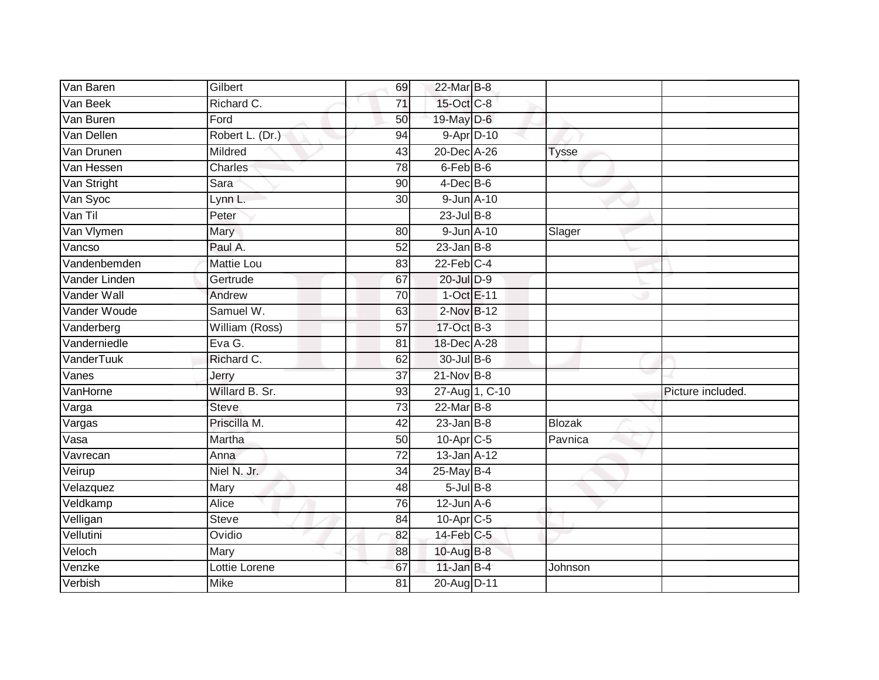| Van Baren                   | Gilbert           | 69              | 22-Mar B-8       |                |               |                   |
|-----------------------------|-------------------|-----------------|------------------|----------------|---------------|-------------------|
| Van Beek                    | Richard C.        | 71              | 15-Oct C-8       |                |               |                   |
| Van Buren                   | Ford              | 50              | 19-May D-6       |                |               |                   |
| Van Dellen                  | Robert L. (Dr.)   | 94              | $9 - Apr$ $D-10$ |                |               |                   |
| Van Drunen                  | Mildred           | 43              | 20-Dec A-26      |                | <b>Tysse</b>  |                   |
| Van Hessen                  | Charles           | 78              | 6-Feb B-6        |                |               |                   |
| Van Stright                 | Sara              | 90              | $4$ -Dec $B$ -6  |                |               |                   |
| Van Syoc                    | Lynn L.           | 30              | 9-Jun A-10       |                |               |                   |
| Van Til                     | Peter             |                 | $23$ -Jul $B-8$  |                |               |                   |
| Van Vlymen                  | Mary              | 80              | 9-Jun A-10       |                | Slager        |                   |
| Vancso                      | Paul A.           | 52              | $23$ -Jan B-8    |                |               |                   |
| Vandenbemden                | <b>Mattie Lou</b> | 83              | $22$ -Feb $C-4$  |                |               |                   |
| Vander Linden               | Gertrude          | 67              | 20-Jul D-9       |                |               |                   |
| Vander Wall                 | Andrew            | 70              | 1-Oct E-11       |                |               |                   |
| Vander Woude                | Samuel W.         | 63              | 2-Nov B-12       |                |               |                   |
| Vanderberg                  | William (Ross)    | 57              | 17-Oct B-3       |                |               |                   |
| Vanderniedle                | Eva G.            | 81              | 18-Dec A-28      |                |               |                   |
| VanderTuuk                  | Richard C.        | 62              | 30-Jul B-6       |                |               |                   |
| Vanes                       | Jerry             | 37              | 21-Nov B-8       |                |               |                   |
| VanHorne                    | Willard B. Sr.    | 93              |                  | 27-Aug 1, C-10 |               | Picture included. |
| Varga                       | <b>Steve</b>      | 73              | $22$ -Mar $B-8$  |                |               |                   |
| $\overline{\text{V}}$ argas | Priscilla M.      | $\overline{42}$ | $23$ -Jan B-8    |                | <b>Blozak</b> |                   |
| Vasa                        | Martha            | 50              | $10$ -Apr $C$ -5 |                | Pavnica       |                   |
| Vavrecan                    | Anna              | $\overline{72}$ | 13-Jan A-12      |                |               |                   |
| Veirup                      | Niel N. Jr.       | 34              | $25$ -May B-4    |                |               |                   |
| Velazquez                   | Mary              | 48              | $5$ -Jul $B$ -8  |                |               |                   |
| Veldkamp                    | <b>Alice</b>      | 76              | $12$ -Jun $A-6$  |                |               |                   |
| Velligan                    | <b>Steve</b>      | 84              | $10$ -Apr $C$ -5 |                |               |                   |
| Vellutini                   | Ovidio            | 82              | 14-Feb C-5       |                |               |                   |
| Veloch                      | Mary              | 88              | 10-Aug B-8       |                |               |                   |
| Venzke                      | Lottie Lorene     | 67              | $11$ -Jan B-4    |                | Johnson       |                   |
| Verbish                     | <b>Mike</b>       | $\overline{81}$ | 20-Aug D-11      |                |               |                   |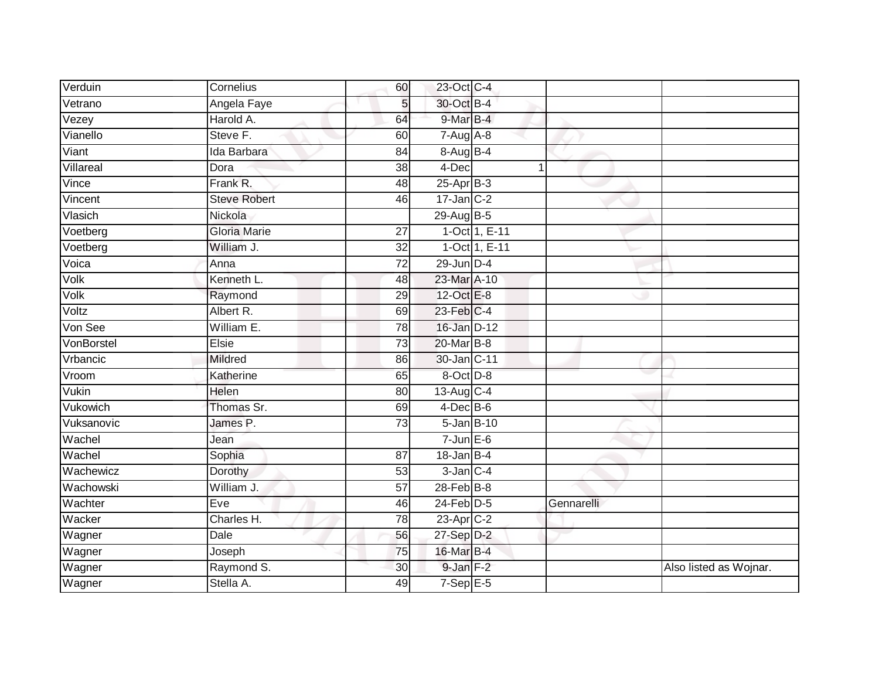| Verduin    | Cornelius           | 60              | 23-Oct C-4      |               |            |                        |
|------------|---------------------|-----------------|-----------------|---------------|------------|------------------------|
| Vetrano    | Angela Faye         | 5               | 30-Oct B-4      |               |            |                        |
| Vezey      | Harold A.           | 64              | $9$ -Mar $B-4$  |               |            |                        |
| Vianello   | Steve F.            | 60              | $7 - Aug$ A-8   |               |            |                        |
| Viant      | Ida Barbara         | $\overline{84}$ | 8-Aug B-4       |               |            |                        |
| Villareal  | Dora                | 38              | 4-Dec           | $\mathbf 1$   |            |                        |
| Vince      | Frank R.            | 48              | $25-Apr$ B-3    |               |            |                        |
| Vincent    | <b>Steve Robert</b> | 46              | $17$ -Jan C-2   |               |            |                        |
| Vlasich    | Nickola             |                 | 29-Aug B-5      |               |            |                        |
| Voetberg   | <b>Gloria Marie</b> | 27              |                 | 1-Oct 1, E-11 |            |                        |
| Voetberg   | William J.          | 32              |                 | 1-Oct 1, E-11 |            |                        |
| Voica      | Anna                | 72              | $29$ -Jun $D-4$ |               |            |                        |
| Volk       | Kenneth L.          | 48              | 23-Mar A-10     |               |            |                        |
| Volk       | Raymond             | 29              | 12-Oct E-8      |               |            |                        |
| Voltz      | Albert R.           | 69              | 23-Feb C-4      |               |            |                        |
| Von See    | William E.          | 78              | 16-Jan D-12     |               |            |                        |
| VonBorstel | Elsie               | $\overline{73}$ | 20-Mar B-8      |               |            |                        |
| Vrbancic   | Mildred             | 86              | 30-Jan C-11     |               |            |                        |
| Vroom      | Katherine           | 65              | 8-Oct D-8       |               |            |                        |
| Vukin      | <b>Helen</b>        | $\overline{80}$ | 13-Aug C-4      |               |            |                        |
| Vukowich   | Thomas Sr.          | 69              | $4$ -Dec B-6    |               |            |                        |
| Vuksanovic | James P.            | 73              | 5-Jan B-10      |               |            |                        |
| Wachel     | Jean                |                 | $7 - Jun$ E-6   |               |            |                        |
| Wachel     | Sophia              | 87              | $18 - Jan$ B-4  |               |            |                        |
| Wachewicz  | Dorothy             | 53              | $3$ -Jan $C-4$  |               |            |                        |
| Wachowski  | William J.          | 57              | $28$ -Feb $B-8$ |               |            |                        |
| Wachter    | Eve                 | 46              | $24$ -Feb $D-5$ |               | Gennarelli |                        |
| Wacker     | Charles H.          | $\overline{78}$ | 23-Apr C-2      |               |            |                        |
| Wagner     | Dale                | 56              | 27-Sep D-2      |               |            |                        |
| Wagner     | Joseph              | 75              | 16-Mar B-4      |               |            |                        |
| Wagner     | Raymond S.          | 30              | 9-Jan F-2       |               |            | Also listed as Wojnar. |
| Wagner     | Stella A.           | 49              | $7-Sep$ E-5     |               |            |                        |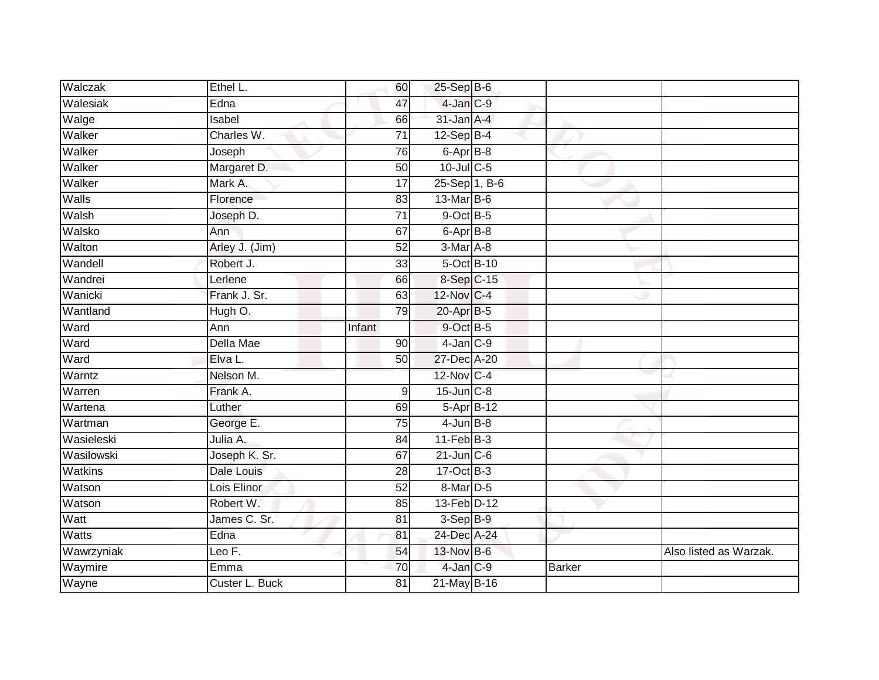| Walczak    | Ethel L.           | 60              | 25-Sep B-6                |               |                        |
|------------|--------------------|-----------------|---------------------------|---------------|------------------------|
| Walesiak   | Edna               | 47              | 4-Jan C-9                 |               |                        |
| Walge      | Isabel             | 66              | 31-Jan A-4                |               |                        |
| Walker     | Charles W.         | 71              | $12-Sep$ B-4              |               |                        |
| Walker     | Joseph             | $\overline{76}$ | 6-Apr B-8                 |               |                        |
| Walker     | Margaret D.        | 50              | 10-Jul C-5                |               |                        |
| Walker     | Mark A.            | $\overline{17}$ | $25-Sep\overline{1, B-6}$ |               |                        |
| Walls      | Florence           | 83              | 13-Mar B-6                |               |                        |
| Walsh      | Joseph D.          | 71              | $9$ -Oct $B$ -5           |               |                        |
| Walsko     | Ann                | 67              | 6-Apr B-8                 |               |                        |
| Walton     | Arley J. (Jim)     | 52              | 3-Mar A-8                 |               |                        |
| Wandell    | Robert J.          | 33              | 5-Oct B-10                |               |                        |
| Wandrei    | Lerlene            | 66              | 8-Sep C-15                |               |                        |
| Wanicki    | Frank J. Sr.       | 63              | 12-Nov C-4                |               |                        |
| Wantland   | Hugh O.            | 79              | 20-Apr B-5                |               |                        |
| Ward       | Ann                | Infant          | 9-Oct B-5                 |               |                        |
| Ward       | Della Mae          | 90              | $4$ -Jan $C-9$            |               |                        |
| Ward       | Elva L.            | 50              | 27-Dec A-20               |               |                        |
| Warntz     | Nelson M.          |                 | 12-Nov C-4                |               |                        |
| Warren     | Frank A.           | 9               | $15$ -Jun $C-8$           |               |                        |
| Wartena    | Luther             | 69              | $5-AprB-12$               |               |                        |
| Wartman    | George E.          | 75              | $4$ -Jun $B-8$            |               |                        |
| Wasieleski | Julia A.           | 84              | $11-Feb$ B-3              |               |                        |
| Wasilowski | Joseph K. Sr.      | 67              | $21$ -Jun $C-6$           |               |                        |
| Watkins    | Dale Louis         | 28              | 17-Oct B-3                |               |                        |
| Watson     | Lois Elinor        | 52              | 8-Mar D-5                 |               |                        |
| Watson     | Robert W.          | 85              | 13-Feb D-12               |               |                        |
| Watt       | James C. Sr.       | 81              | $3-Sep B-9$               |               |                        |
| Watts      | $E$ <sub>dna</sub> | 81              | 24-Dec A-24               |               |                        |
| Wawrzyniak | Leo $F$ .          | 54              | 13-Nov B-6                |               | Also listed as Warzak. |
| Waymire    | Emma               | 70              | 4-Jan C-9                 | <b>Barker</b> |                        |
| Wayne      | Custer L. Buck     | $\overline{81}$ | 21-May B-16               |               |                        |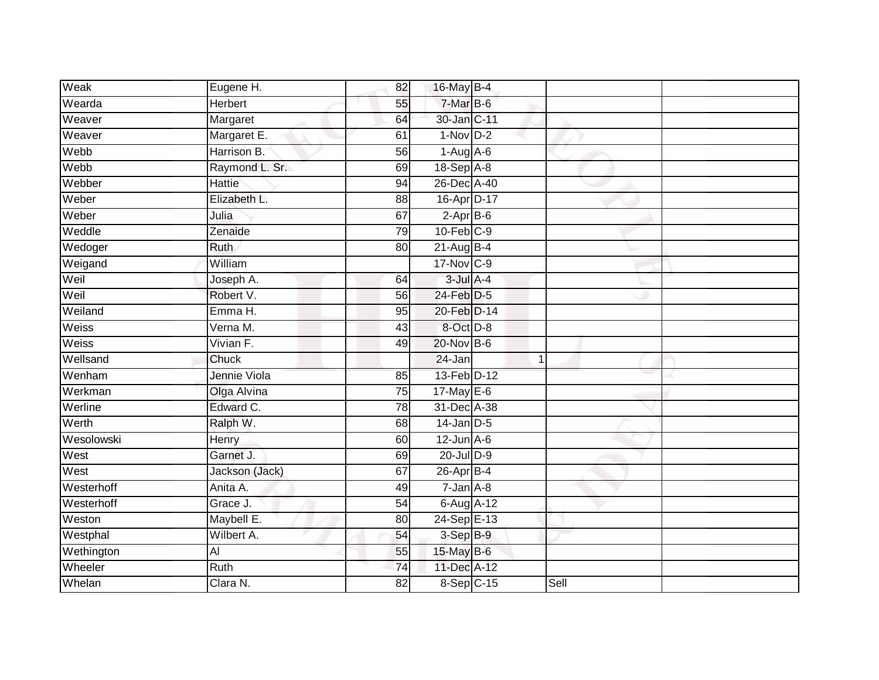| Weak       | Eugene H.      | 82              | 16-May B-4       |   |      |  |
|------------|----------------|-----------------|------------------|---|------|--|
| Wearda     | Herbert        | 55              | 7-Mar B-6        |   |      |  |
| Weaver     | Margaret       | 64              | 30-Jan C-11      |   |      |  |
| Weaver     | Margaret E.    | 61              | $1-Nov$ D-2      |   |      |  |
| Webb       | Harrison B.    | $\overline{56}$ | $1-Aug$ A-6      |   |      |  |
| Webb       | Raymond L. Sr. | 69              | 18-Sep A-8       |   |      |  |
| Webber     | <b>Hattie</b>  | 94              | 26-Dec A-40      |   |      |  |
| Weber      | Elizabeth L.   | 88              | 16-Apr D-17      |   |      |  |
| Weber      | Julia          | 67              | $2-AprB-6$       |   |      |  |
| Weddle     | Zenaide        | 79              | $10$ -Feb $C-9$  |   |      |  |
| Wedoger    | Ruth           | 80              | $21$ -Aug B-4    |   |      |  |
| Weigand    | William        |                 | 17-Nov C-9       |   |      |  |
| Weil       | Joseph A.      | 64              | $3$ -Jul $A$ -4  |   |      |  |
| Weil       | Robert V.      | 56              | $24$ -Feb $D-5$  |   |      |  |
| Weiland    | Emma H.        | 95              | 20-Feb D-14      |   |      |  |
| Weiss      | Verna M.       | 43              | 8-Oct D-8        |   |      |  |
| Weiss      | Vivian F.      | 49              | 20-Nov B-6       |   |      |  |
| Wellsand   | Chuck          |                 | 24-Jan           | 1 |      |  |
| Wenham     | Jennie Viola   | 85              | 13-Feb D-12      |   |      |  |
| Werkman    | Olga Alvina    | 75              | 17-May E-6       |   |      |  |
| Werline    | Edward C.      | 78              | 31-Dec A-38      |   |      |  |
| Werth      | Ralph W.       | 68              | $14$ -Jan D-5    |   |      |  |
| Wesolowski | Henry          | 60              | $12$ -Jun $A-6$  |   |      |  |
| West       | Garnet J.      | 69              | 20-Jul D-9       |   |      |  |
| West       | Jackson (Jack) | 67              | $26$ -Apr $B$ -4 |   |      |  |
| Westerhoff | Anita A.       | 49              | $7 - Jan A - 8$  |   |      |  |
| Westerhoff | Grace J.       | $\overline{54}$ | 6-Aug A-12       |   |      |  |
| Weston     | Maybell E.     | 80              | 24-Sep E-13      |   |      |  |
| Westphal   | Wilbert A.     | 54              | 3-Sep B-9        |   |      |  |
| Wethington | AI             | 55              | 15-May B-6       |   |      |  |
| Wheeler    | Ruth           | 74              | 11-Dec A-12      |   |      |  |
| Whelan     | Clara N.       | 82              | 8-Sep C-15       |   | Sell |  |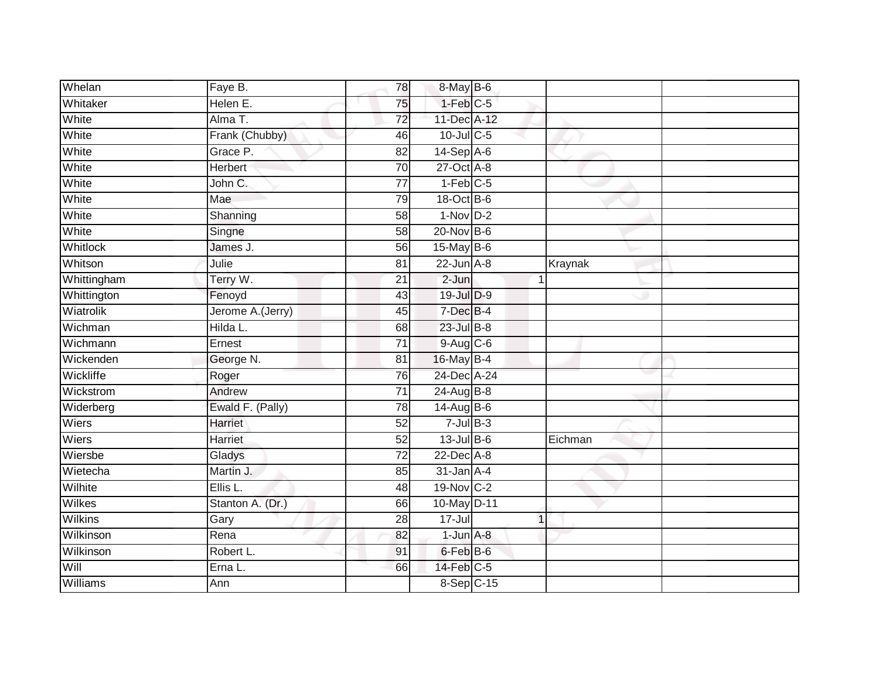| Whelan          | Faye B.           | 78              | 8-May B-6       |             |         |  |
|-----------------|-------------------|-----------------|-----------------|-------------|---------|--|
| Whitaker        | Helen E.          | 75              | $1-Feb$ $C-5$   |             |         |  |
| White           | Alma T.           | $\overline{72}$ | 11-Dec A-12     |             |         |  |
| White           | Frank (Chubby)    | 46              | 10-Jul C-5      |             |         |  |
| White           | Grace P.          | $\overline{82}$ | $14-Sep$ A-6    |             |         |  |
| White           | <b>Herbert</b>    | 70              | 27-Oct A-8      |             |         |  |
| White           | John C.           | $\overline{77}$ | $1-Feb$ C-5     |             |         |  |
| White           | Mae               | 79              | 18-Oct B-6      |             |         |  |
| White           | Shanning          | 58              | $1-Nov$ D-2     |             |         |  |
| White           | Singne            | 58              | 20-Nov B-6      |             |         |  |
| <b>Whitlock</b> | James J.          | 56              | 15-May B-6      |             |         |  |
| Whitson         | Julie             | 81              | $22$ -Jun $A-8$ |             | Kraynak |  |
| Whittingham     | Terry W.          | 21              | $2 - Jun$       |             |         |  |
| Whittington     | Fenoyd            | 43              | 19-Jul D-9      |             |         |  |
| Wiatrolik       | Jerome A. (Jerry) | 45              | 7-Dec B-4       |             |         |  |
| Wichman         | Hilda L.          | 68              | 23-Jul B-8      |             |         |  |
| Wichmann        | Ernest            | $\overline{71}$ | 9-Aug C-6       |             |         |  |
| Wickenden       | George N.         | 81              | 16-May B-4      |             |         |  |
| Wickliffe       | Roger             | 76              | 24-Dec A-24     |             |         |  |
| Wickstrom       | Andrew            | $\overline{71}$ | 24-Aug B-8      |             |         |  |
| Widerberg       | Ewald F. (Pally)  | 78              | 14-Aug B-6      |             |         |  |
| Wiers           | Harriet           | 52              | $7$ -Jul $B-3$  |             |         |  |
| Wiers           | Harriet           | 52              | $13$ -Jul B-6   |             | Eichman |  |
| Wiersbe         | Gladys            | 72              | 22-Dec A-8      |             |         |  |
| Wietecha        | Martin J.         | 85              | $31$ -Jan $A-4$ |             |         |  |
| Wilhite         | Ellis L.          | 48              | 19-Nov C-2      |             |         |  |
| Wilkes          | Stanton A. (Dr.)  | 66              | 10-May D-11     |             |         |  |
| Wilkins         | Gary              | 28              | $17 -$ Jul      | $\mathbf 1$ |         |  |
| Wilkinson       | Rena              | 82              | $1$ -Jun $A-8$  |             |         |  |
| Wilkinson       | Robert L.         | 91              | 6-Feb B-6       |             |         |  |
| Will            | Erna L.           | 66              | 14-Feb C-5      |             |         |  |
| Williams        | Ann               |                 | 8-Sep C-15      |             |         |  |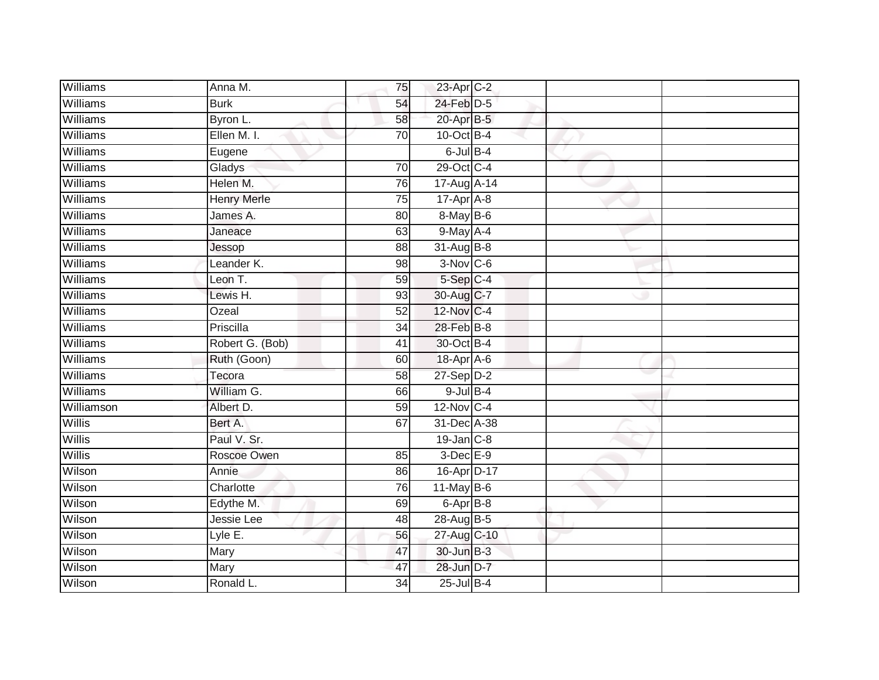| Anna M.            | 75              |  |                                                                                                                                                                                                                                                                                                                                                                                                                                                                                                                |  |
|--------------------|-----------------|--|----------------------------------------------------------------------------------------------------------------------------------------------------------------------------------------------------------------------------------------------------------------------------------------------------------------------------------------------------------------------------------------------------------------------------------------------------------------------------------------------------------------|--|
| <b>Burk</b>        | 54              |  |                                                                                                                                                                                                                                                                                                                                                                                                                                                                                                                |  |
| Byron L.           | 58              |  |                                                                                                                                                                                                                                                                                                                                                                                                                                                                                                                |  |
| Ellen M. I.        | 70              |  |                                                                                                                                                                                                                                                                                                                                                                                                                                                                                                                |  |
| Eugene             |                 |  |                                                                                                                                                                                                                                                                                                                                                                                                                                                                                                                |  |
| Gladys             | 70              |  |                                                                                                                                                                                                                                                                                                                                                                                                                                                                                                                |  |
| Helen M.           | 76              |  |                                                                                                                                                                                                                                                                                                                                                                                                                                                                                                                |  |
| <b>Henry Merle</b> | 75              |  |                                                                                                                                                                                                                                                                                                                                                                                                                                                                                                                |  |
| James A.           | 80              |  |                                                                                                                                                                                                                                                                                                                                                                                                                                                                                                                |  |
| Janeace            | 63              |  |                                                                                                                                                                                                                                                                                                                                                                                                                                                                                                                |  |
| Jessop             | 88              |  |                                                                                                                                                                                                                                                                                                                                                                                                                                                                                                                |  |
| Leander K.         | 98              |  |                                                                                                                                                                                                                                                                                                                                                                                                                                                                                                                |  |
| Leon T.            | 59              |  |                                                                                                                                                                                                                                                                                                                                                                                                                                                                                                                |  |
| Lewis H.           | 93              |  |                                                                                                                                                                                                                                                                                                                                                                                                                                                                                                                |  |
| Ozeal              | 52              |  |                                                                                                                                                                                                                                                                                                                                                                                                                                                                                                                |  |
| Priscilla          | 34              |  |                                                                                                                                                                                                                                                                                                                                                                                                                                                                                                                |  |
| Robert G. (Bob)    | $\overline{41}$ |  |                                                                                                                                                                                                                                                                                                                                                                                                                                                                                                                |  |
| Ruth (Goon)        | 60              |  |                                                                                                                                                                                                                                                                                                                                                                                                                                                                                                                |  |
| Tecora             | 58              |  |                                                                                                                                                                                                                                                                                                                                                                                                                                                                                                                |  |
| William G.         | 66              |  |                                                                                                                                                                                                                                                                                                                                                                                                                                                                                                                |  |
| Albert D.          | 59              |  |                                                                                                                                                                                                                                                                                                                                                                                                                                                                                                                |  |
| Bert A.            | 67              |  |                                                                                                                                                                                                                                                                                                                                                                                                                                                                                                                |  |
| Paul V. Sr.        |                 |  |                                                                                                                                                                                                                                                                                                                                                                                                                                                                                                                |  |
| Roscoe Owen        | 85              |  |                                                                                                                                                                                                                                                                                                                                                                                                                                                                                                                |  |
| Annie              | 86              |  |                                                                                                                                                                                                                                                                                                                                                                                                                                                                                                                |  |
| Charlotte          | 76              |  |                                                                                                                                                                                                                                                                                                                                                                                                                                                                                                                |  |
| Edythe M.          | 69              |  |                                                                                                                                                                                                                                                                                                                                                                                                                                                                                                                |  |
| Jessie Lee         | 48              |  |                                                                                                                                                                                                                                                                                                                                                                                                                                                                                                                |  |
| Lyle E.            | 56              |  |                                                                                                                                                                                                                                                                                                                                                                                                                                                                                                                |  |
| Mary               | 47              |  |                                                                                                                                                                                                                                                                                                                                                                                                                                                                                                                |  |
| Mary               | 47              |  |                                                                                                                                                                                                                                                                                                                                                                                                                                                                                                                |  |
| Ronald L.          | $\overline{34}$ |  |                                                                                                                                                                                                                                                                                                                                                                                                                                                                                                                |  |
|                    |                 |  | 23-Apr C-2<br>24-Feb D-5<br>20-Apr B-5<br>$10$ -Oct B-4<br>$6$ -Jul $B-4$<br>29-Oct C-4<br>$17-Aug$ $A-14$<br>17-Apr A-8<br>8-May B-6<br>$9$ -May $A$ -4<br>31-Aug B-8<br>$3-Nov$ $C-6$<br>$5-Sep$ $C-4$<br>30-Aug C-7<br>12-Nov C-4<br>28-Feb B-8<br>30-Oct B-4<br>18-Apr A-6<br>$27-Sep$ D-2<br>$9$ -Jul $B$ -4<br>$12$ -Nov $ C-4 $<br>31-Dec A-38<br>$19$ -Jan $C-8$<br>$3$ -Dec $E-9$<br>16-Apr D-17<br>$11$ -May B-6<br>6-Apr B-8<br>28-Aug B-5<br>27-Aug C-10<br>30-Jun B-3<br>28-Jun D-7<br>25-Jul B-4 |  |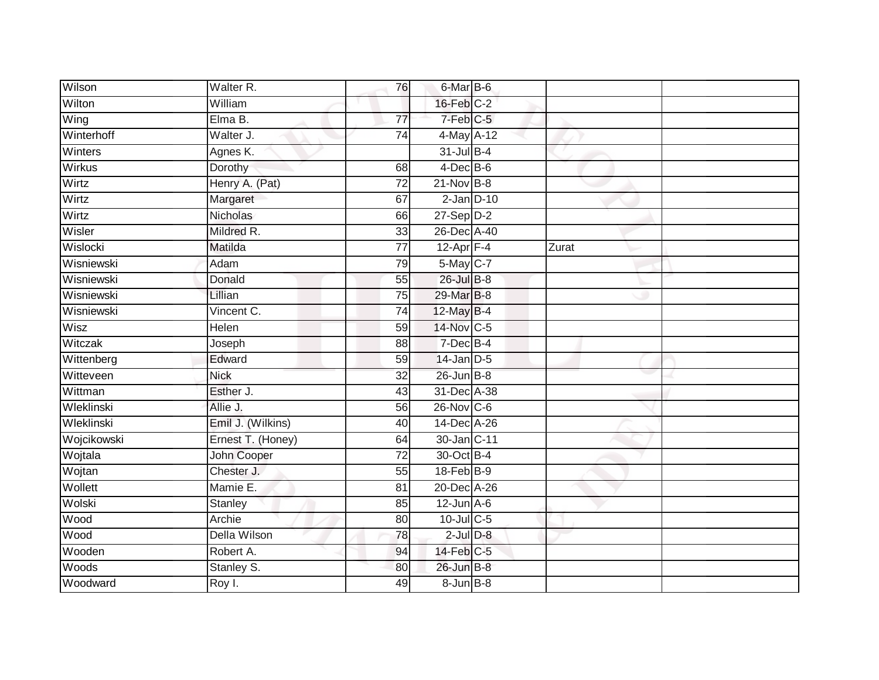| Wilson      | Walter R.         | 76              | 6-Mar B-6         |       |  |
|-------------|-------------------|-----------------|-------------------|-------|--|
| Wilton      | William           |                 | $16$ -Feb $C-2$   |       |  |
| Wing        | Elma B.           | 77              | 7-Feb C-5         |       |  |
| Winterhoff  | Walter J.         | 74              | 4-May A-12        |       |  |
| Winters     | Agnes K.          |                 | $31$ -Jul B-4     |       |  |
| Wirkus      | <b>Dorothy</b>    | 68              | $4$ -Dec B-6      |       |  |
| Wirtz       | Henry A. (Pat)    | 72              | $21$ -Nov B-8     |       |  |
| Wirtz       | Margaret          | 67              | $2$ -Jan $D-10$   |       |  |
| Wirtz       | Nicholas          | 66              | $27 - Sep$ $D-2$  |       |  |
| Wisler      | Mildred R.        | 33              | 26-Dec A-40       |       |  |
| Wislocki    | Matilda           | 77              | 12-Apr F-4        | Zurat |  |
| Wisniewski  | Adam              | 79              | 5-May C-7         |       |  |
| Wisniewski  | Donald            | 55              | 26-Jul B-8        |       |  |
| Wisniewski  | Lillian           | 75              | 29-Mar B-8        |       |  |
| Wisniewski  | Vincent C.        | 74              | 12-May B-4        |       |  |
| Wisz        | Helen             | 59              | 14-Nov C-5        |       |  |
| Witczak     | Joseph            | 88              | 7-Dec B-4         |       |  |
| Wittenberg  | Edward            | 59              | $14$ -Jan D-5     |       |  |
| Witteveen   | <b>Nick</b>       | 32              | $26$ -Jun $B-8$   |       |  |
| Wittman     | Esther J.         | 43              | 31-Dec A-38       |       |  |
| Wleklinski  | Allie J.          | 56              | $26$ -Nov $C-6$   |       |  |
| Wleklinski  | Emil J. (Wilkins) | 40              | 14-Dec A-26       |       |  |
| Wojcikowski | Ernest T. (Honey) | 64              | 30-Jan C-11       |       |  |
| Wojtala     | John Cooper       | $\overline{72}$ | 30-Oct B-4        |       |  |
| Wojtan      | Chester J.        | $\overline{55}$ | $18$ -Feb $ B-9 $ |       |  |
| Wollett     | Mamie E.          | 81              | 20-Dec A-26       |       |  |
| Wolski      | Stanley           | 85              | $12$ -Jun $A-6$   |       |  |
| Wood        | Archie            | 80              | 10-Jul C-5        |       |  |
| Wood        | Della Wilson      | 78              | $2$ -Jul $D-8$    |       |  |
| Wooden      | Robert A.         | 94              | $14$ -Feb $C-5$   |       |  |
| Woods       | Stanley S.        | 80              | 26-Jun B-8        |       |  |
| Woodward    | Roy I.            | 49              | $8 - Jun$ $B - 8$ |       |  |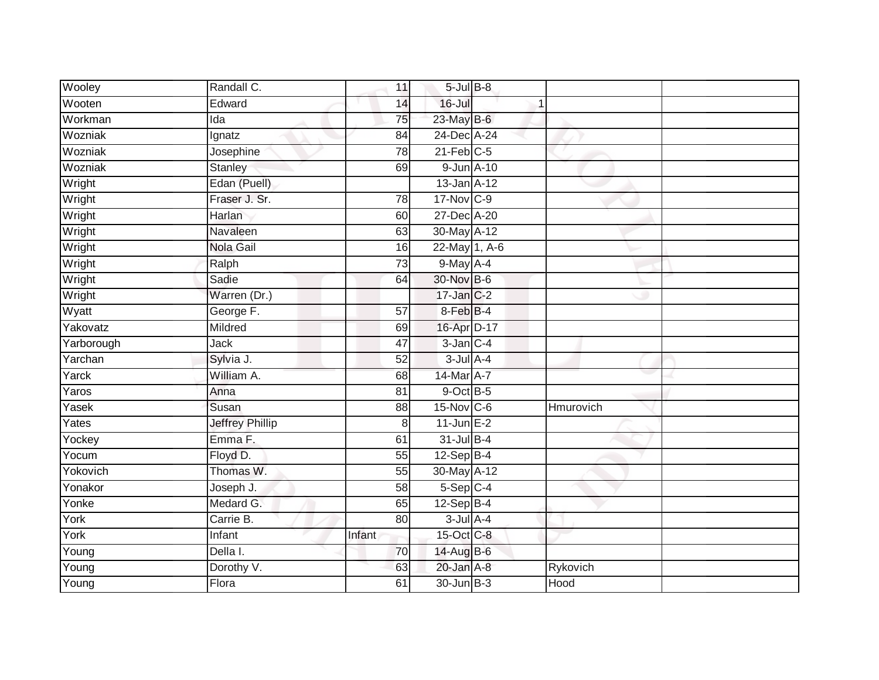| Wooley     | Randall C.             | 11              | $5$ -Jul $B$ -8 |           |  |
|------------|------------------------|-----------------|-----------------|-----------|--|
| Wooten     | Edward                 | 14              | 16-Jul          |           |  |
| Workman    | Ida                    | 75              | 23-May B-6      |           |  |
| Wozniak    | Ignatz                 | 84              | 24-Dec A-24     |           |  |
| Wozniak    | Josephine              | $\overline{78}$ | $21$ -Feb $C-5$ |           |  |
| Wozniak    | Stanley                | 69              | 9-Jun A-10      |           |  |
| Wright     | Edan (Puell)           |                 | 13-Jan A-12     |           |  |
| Wright     | Fraser J. Sr.          | 78              | 17-Nov C-9      |           |  |
| Wright     | Harlan                 | 60              | 27-Dec A-20     |           |  |
| Wright     | Navaleen               | 63              | 30-May A-12     |           |  |
| Wright     | Nola Gail              | 16              | 22-May 1, A-6   |           |  |
| Wright     | Ralph                  | $\overline{73}$ | 9-May A-4       |           |  |
| Wright     | Sadie                  | 64              | 30-Nov B-6      |           |  |
| Wright     | Warren (Dr.)           |                 | 17-Jan C-2      |           |  |
| Wyatt      | George F.              | 57              | 8-Feb B-4       |           |  |
| Yakovatz   | Mildred                | 69              | 16-Apr D-17     |           |  |
| Yarborough | Jack                   | 47              | $3$ -Jan $C-4$  |           |  |
| Yarchan    | Sylvia J.              | 52              | $3$ -Jul $A-4$  |           |  |
| Yarck      | William A.             | 68              | 14-Mar A-7      |           |  |
| Yaros      | Anna                   | 81              | $9$ -Oct $B$ -5 |           |  |
| Yasek      | Susan                  | 88              | 15-Nov C-6      | Hmurovich |  |
| Yates      | <b>Jeffrey Phillip</b> | 8               | $11$ -Jun $E-2$ |           |  |
| Yockey     | Emma F.                | 61              | $31$ -Jul B-4   |           |  |
| Yocum      | Floyd D.               | 55              | $12-Sep$ B-4    |           |  |
| Yokovich   | Thomas W.              | 55              | 30-May A-12     |           |  |
| Yonakor    | Joseph J.              | 58              | $5-Sep$ C-4     |           |  |
| Yonke      | Medard G.              | 65              | $12-Sep$ B-4    |           |  |
| York       | Carrie B.              | 80              | $3$ -Jul $A$ -4 |           |  |
| York       | Infant                 | Infant          | 15-Oct C-8      |           |  |
| Young      | Della I.               | 70              | 14-Aug B-6      |           |  |
| Young      | Dorothy V.             | 63              | 20-Jan A-8      | Rykovich  |  |
| Young      | Flora                  | $\overline{61}$ | 30-Jun B-3      | Hood      |  |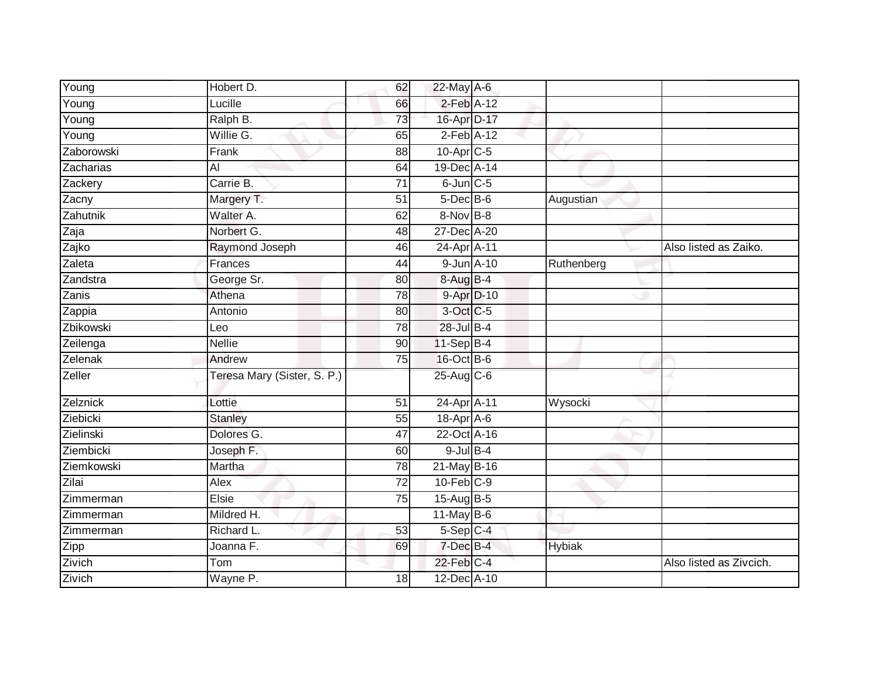| Young      | Hobert D.                   | 62              | 22-May A-6       |               |                         |
|------------|-----------------------------|-----------------|------------------|---------------|-------------------------|
| Young      | Lucille                     | 66              | $2$ -Feb $A-12$  |               |                         |
| Young      | Ralph B.                    | 73              | 16-Apr D-17      |               |                         |
| Young      | Willie G.                   | 65              | $2-Feb$ A-12     |               |                         |
| Zaborowski | Frank                       | 88              | $10$ -Apr $C$ -5 |               |                         |
| Zacharias  | Al                          | 64              | 19-Dec A-14      |               |                         |
| Zackery    | Carrie B.                   | 71              | $6$ -Jun $C$ -5  |               |                         |
| Zacny      | Margery T.                  | 51              | $5$ -Dec $B$ -6  | Augustian     |                         |
| Zahutnik   | Walter A.                   | 62              | 8-Nov B-8        |               |                         |
| Zaja       | Norbert G.                  | 48              | 27-Dec A-20      |               |                         |
| Zajko      | Raymond Joseph              | 46              | 24-Apr A-11      |               | Also listed as Zaiko.   |
| Zaleta     | Frances                     | 44              | 9-Jun A-10       | Ruthenberg    |                         |
| Zandstra   | George Sr.                  | 80              | 8-Aug B-4        |               |                         |
| Zanis      | Athena                      | 78              | 9-Apr D-10       |               |                         |
| Zappia     | Antonio                     | 80              | 3-Oct C-5        |               |                         |
| Zbikowski  | Leo                         | 78              | 28-Jul B-4       |               |                         |
| Zeilenga   | <b>Nellie</b>               | 90              | $11-Sep$ B-4     |               |                         |
| Zelenak    | Andrew                      | 75              | $16$ -Oct B-6    |               |                         |
| Zeller     | Teresa Mary (Sister, S. P.) |                 | 25-Aug C-6       |               |                         |
| Zelznick   | Lottie                      | 51              | 24-Apr A-11      | Wysocki       |                         |
| Ziebicki   | <b>Stanley</b>              | 55              | 18-Apr A-6       |               |                         |
| Zielinski  | Dolores G.                  | 47              | 22-Oct A-16      |               |                         |
| Ziembicki  | Joseph F.                   | 60              | $9$ -Jul $B$ -4  |               |                         |
| Ziemkowski | Martha                      | 78              | 21-May B-16      |               |                         |
| Zilai      | Alex                        | $\overline{72}$ | $10$ -Feb $C-9$  |               |                         |
| Zimmerman  | Elsie                       | 75              | 15-Aug B-5       |               |                         |
| Zimmerman  | Mildred H.                  |                 | $11$ -May B-6    |               |                         |
| Zimmerman  | Richard L.                  | 53              | 5-Sep C-4        |               |                         |
| Zipp       | Joanna F.                   | 69              | 7-Dec B-4        | <b>Hybiak</b> |                         |
| Zivich     | Tom                         |                 | $22$ -Feb $C-4$  |               | Also listed as Zivcich. |
| Zivich     | Wayne P.                    | 18              | 12-Dec A-10      |               |                         |
|            |                             |                 |                  |               |                         |